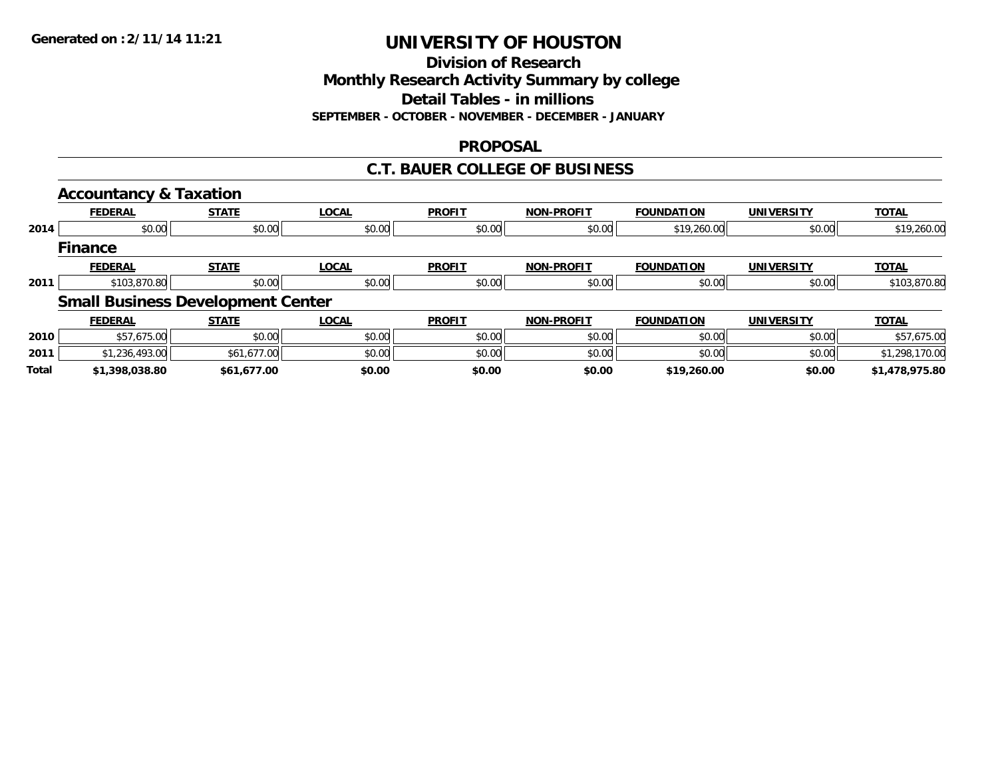**Division of Research**

**Monthly Research Activity Summary by college**

**Detail Tables - in millions**

**SEPTEMBER - OCTOBER - NOVEMBER - DECEMBER - JANUARY**

### **PROPOSAL**

### **C.T. BAUER COLLEGE OF BUSINESS**

|       | <b>Accountancy &amp; Taxation</b> |                                          |              |               |                   |                   |                   |                |
|-------|-----------------------------------|------------------------------------------|--------------|---------------|-------------------|-------------------|-------------------|----------------|
|       | <b>FEDERAL</b>                    | <b>STATE</b>                             | <b>LOCAL</b> | <b>PROFIT</b> | <b>NON-PROFIT</b> | <b>FOUNDATION</b> | <b>UNIVERSITY</b> | <b>TOTAL</b>   |
| 2014  | \$0.00                            | \$0.00                                   | \$0.00       | \$0.00        | \$0.00            | \$19,260.00       | \$0.00            | \$19,260.00    |
|       | <b>Finance</b>                    |                                          |              |               |                   |                   |                   |                |
|       | <b>FEDERAL</b>                    | <b>STATE</b>                             | <b>LOCAL</b> | <b>PROFIT</b> | <b>NON-PROFIT</b> | <b>FOUNDATION</b> | <b>UNIVERSITY</b> | <b>TOTAL</b>   |
| 2011  | \$103,870.80                      | \$0.00                                   | \$0.00       | \$0.00        | \$0.00            | \$0.00            | \$0.00            | \$103,870.80   |
|       |                                   | <b>Small Business Development Center</b> |              |               |                   |                   |                   |                |
|       | <b>FEDERAL</b>                    | <b>STATE</b>                             | <b>LOCAL</b> | <b>PROFIT</b> | <b>NON-PROFIT</b> | <b>FOUNDATION</b> | <b>UNIVERSITY</b> | <b>TOTAL</b>   |
| 2010  | \$57,675.00                       | \$0.00                                   | \$0.00       | \$0.00        | \$0.00            | \$0.00            | \$0.00            | \$57,675.00    |
| 2011  | \$1,236,493.00                    | \$61,677.00                              | \$0.00       | \$0.00        | \$0.00            | \$0.00            | \$0.00            | \$1,298,170.00 |
| Total | \$1,398,038.80                    | \$61,677.00                              | \$0.00       | \$0.00        | \$0.00            | \$19,260.00       | \$0.00            | \$1,478,975.80 |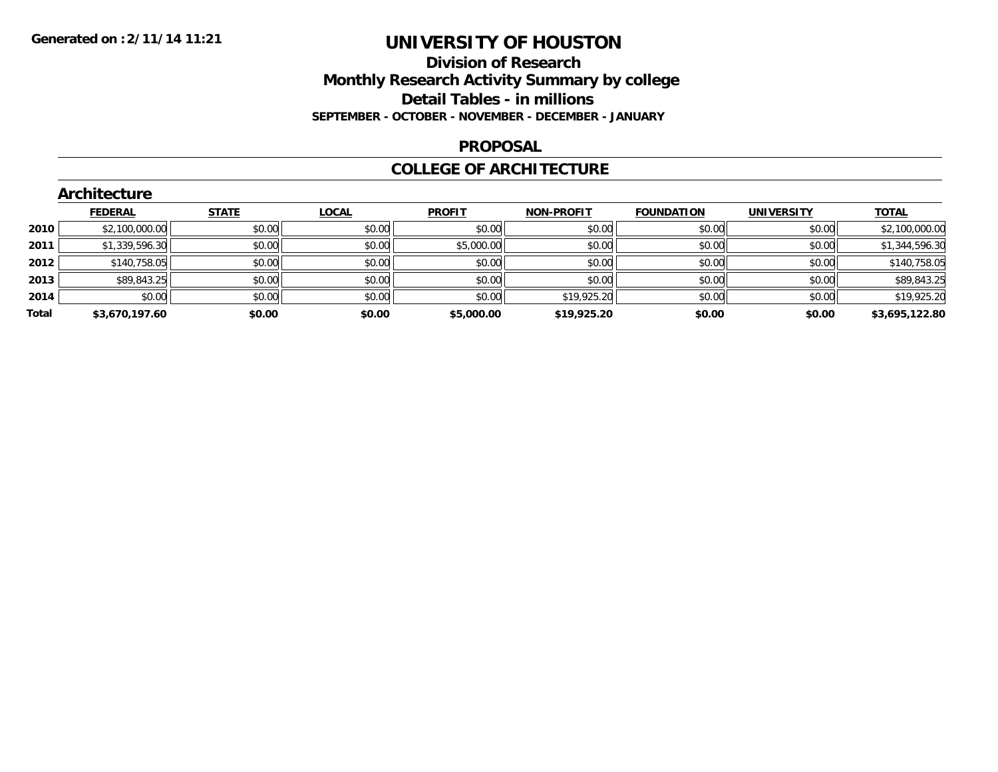### **Division of Research Monthly Research Activity Summary by college Detail Tables - in millions SEPTEMBER - OCTOBER - NOVEMBER - DECEMBER - JANUARY**

#### **PROPOSAL**

#### **COLLEGE OF ARCHITECTURE**

|       | Architecture   |              |              |               |                   |                   |                   |                |  |  |  |  |
|-------|----------------|--------------|--------------|---------------|-------------------|-------------------|-------------------|----------------|--|--|--|--|
|       | <b>FEDERAL</b> | <b>STATE</b> | <b>LOCAL</b> | <b>PROFIT</b> | <b>NON-PROFIT</b> | <b>FOUNDATION</b> | <b>UNIVERSITY</b> | <b>TOTAL</b>   |  |  |  |  |
| 2010  | \$2,100,000.00 | \$0.00       | \$0.00       | \$0.00        | \$0.00            | \$0.00            | \$0.00            | \$2,100,000.00 |  |  |  |  |
| 2011  | \$1,339,596.30 | \$0.00       | \$0.00       | \$5,000.00    | \$0.00            | \$0.00            | \$0.00            | \$1,344,596.30 |  |  |  |  |
| 2012  | \$140,758.05   | \$0.00       | \$0.00       | \$0.00        | \$0.00            | \$0.00            | \$0.00            | \$140,758.05   |  |  |  |  |
| 2013  | \$89,843.25    | \$0.00       | \$0.00       | \$0.00        | \$0.00            | \$0.00            | \$0.00            | \$89,843.25    |  |  |  |  |
| 2014  | \$0.00         | \$0.00       | \$0.00       | \$0.00        | \$19,925.20       | \$0.00            | \$0.00            | \$19,925.20    |  |  |  |  |
| Total | \$3,670,197.60 | \$0.00       | \$0.00       | \$5,000.00    | \$19,925.20       | \$0.00            | \$0.00            | \$3,695,122.80 |  |  |  |  |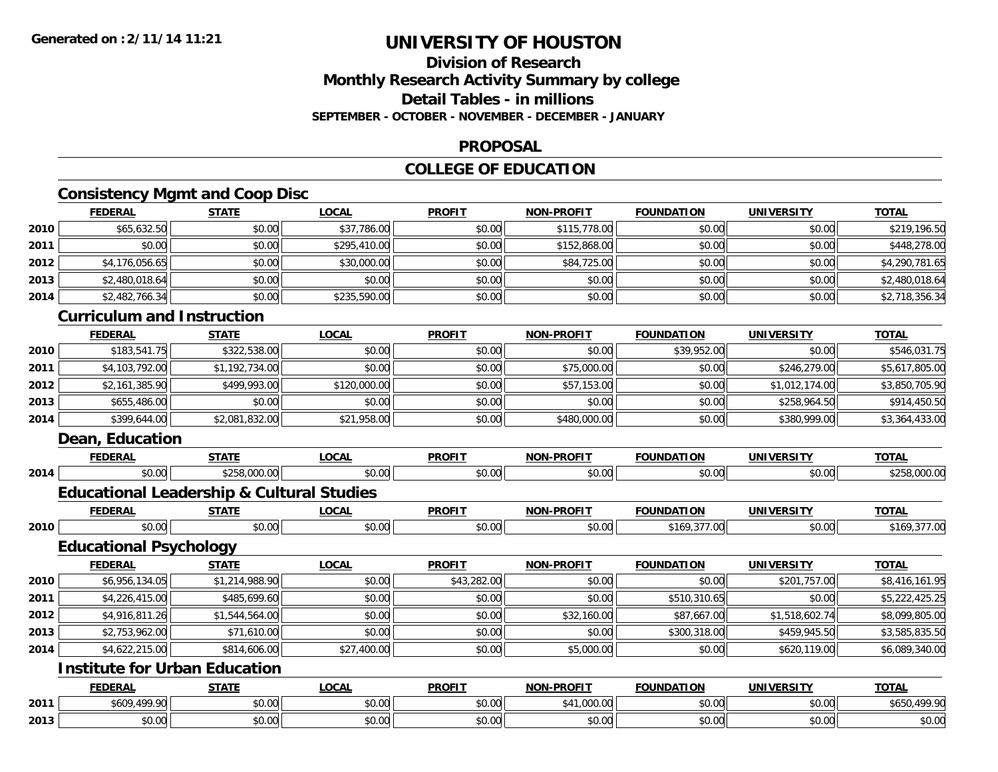# **Division of ResearchMonthly Research Activity Summary by college Detail Tables - in millions SEPTEMBER - OCTOBER - NOVEMBER - DECEMBER - JANUARY**

#### **PROPOSAL**

# **COLLEGE OF EDUCATION**

# **Consistency Mgmt and Coop Disc**

|      | <b>FEDERAL</b>                                       | <b>STATE</b>   | <b>LOCAL</b> | <b>PROFIT</b> | NON-PROFIT        | <b>FOUNDATION</b> | <b>UNIVERSITY</b> | <b>TOTAL</b>   |
|------|------------------------------------------------------|----------------|--------------|---------------|-------------------|-------------------|-------------------|----------------|
| 2010 | \$65,632.50                                          | \$0.00         | \$37,786.00  | \$0.00        | \$115,778.00      | \$0.00            | \$0.00            | \$219,196.50   |
| 2011 | \$0.00                                               | \$0.00         | \$295,410.00 | \$0.00        | \$152,868.00      | \$0.00            | \$0.00            | \$448,278.00   |
| 2012 | \$4,176,056.65                                       | \$0.00         | \$30,000.00  | \$0.00        | \$84,725.00       | \$0.00            | \$0.00            | \$4,290,781.65 |
| 2013 | \$2,480,018.64                                       | \$0.00         | \$0.00       | \$0.00        | \$0.00            | \$0.00            | \$0.00            | \$2,480,018.64 |
| 2014 | \$2,482,766.34                                       | \$0.00         | \$235,590.00 | \$0.00        | \$0.00            | \$0.00            | \$0.00            | \$2,718,356.34 |
|      | <b>Curriculum and Instruction</b>                    |                |              |               |                   |                   |                   |                |
|      | <b>FEDERAL</b>                                       | <b>STATE</b>   | <b>LOCAL</b> | <b>PROFIT</b> | NON-PROFIT        | <b>FOUNDATION</b> | <b>UNIVERSITY</b> | <b>TOTAL</b>   |
| 2010 | \$183,541.75                                         | \$322,538.00   | \$0.00       | \$0.00        | \$0.00            | \$39,952.00       | \$0.00            | \$546,031.75   |
| 2011 | \$4,103,792.00                                       | \$1,192,734.00 | \$0.00       | \$0.00        | \$75,000.00       | \$0.00            | \$246,279.00      | \$5,617,805.00 |
| 2012 | \$2,161,385.90                                       | \$499,993.00   | \$120,000.00 | \$0.00        | \$57,153.00       | \$0.00            | \$1,012,174.00    | \$3,850,705.90 |
| 2013 | \$655,486.00                                         | \$0.00         | \$0.00       | \$0.00        | \$0.00            | \$0.00            | \$258,964.50      | \$914,450.50   |
| 2014 | \$399,644.00                                         | \$2,081,832.00 | \$21,958.00  | \$0.00        | \$480,000.00      | \$0.00            | \$380,999.00      | \$3,364,433.00 |
|      | <b>Dean, Education</b>                               |                |              |               |                   |                   |                   |                |
|      | <b>FEDERAL</b>                                       | <b>STATE</b>   | <b>LOCAL</b> | <b>PROFIT</b> | <b>NON-PROFIT</b> | <b>FOUNDATION</b> | <b>UNIVERSITY</b> | <b>TOTAL</b>   |
| 2014 | \$0.00                                               | \$258,000.00   | \$0.00       | \$0.00        | \$0.00            | \$0.00            | \$0.00            | \$258,000.00   |
|      | <b>Educational Leadership &amp; Cultural Studies</b> |                |              |               |                   |                   |                   |                |
|      | <b>FEDERAL</b>                                       | <b>STATE</b>   | <b>LOCAL</b> | <b>PROFIT</b> | NON-PROFIT        | <b>FOUNDATION</b> | <b>UNIVERSITY</b> | <b>TOTAL</b>   |
| 2010 | \$0.00                                               | \$0.00         | \$0.00       | \$0.00        | \$0.00            | \$169,377.00      | \$0.00            | \$169,377.00   |
|      | <b>Educational Psychology</b>                        |                |              |               |                   |                   |                   |                |
|      | <b>FEDERAL</b>                                       | <b>STATE</b>   | <b>LOCAL</b> | <b>PROFIT</b> | <b>NON-PROFIT</b> | <b>FOUNDATION</b> | <b>UNIVERSITY</b> | <b>TOTAL</b>   |
| 2010 | \$6,956,134.05                                       | \$1,214,988.90 | \$0.00       | \$43,282.00   | \$0.00            | \$0.00            | \$201,757.00      | \$8,416,161.95 |
| 2011 | \$4,226,415.00                                       | \$485,699.60   | \$0.00       | \$0.00        | \$0.00            | \$510,310.65      | \$0.00            | \$5,222,425.25 |
| 2012 | \$4,916,811.26                                       | \$1,544,564.00 | \$0.00       | \$0.00        | \$32,160.00       | \$87,667.00       | \$1,518,602.74    | \$8,099,805.00 |
| 2013 | \$2,753,962.00                                       | \$71,610.00    | \$0.00       | \$0.00        | \$0.00            | \$300,318.00      | \$459,945.50      | \$3,585,835.50 |
| 2014 | \$4,622,215.00                                       | \$814,606.00   | \$27,400.00  | \$0.00        | \$5,000.00        | \$0.00            | \$620,119.00      | \$6,089,340.00 |
|      | <b>Institute for Urban Education</b>                 |                |              |               |                   |                   |                   |                |
|      | <b>FEDERAL</b>                                       | <b>STATE</b>   | <b>LOCAL</b> | <b>PROFIT</b> | NON-PROFIT        | <b>FOUNDATION</b> | <b>UNIVERSITY</b> | <b>TOTAL</b>   |
| 2011 | \$609,499.90                                         | \$0.00         | \$0.00       | \$0.00        | \$41,000.00       | \$0.00            | \$0.00            | \$650,499.90   |
| 2013 | \$0.00                                               | \$0.00         | \$0.00       | \$0.00        | \$0.00            | \$0.00            | \$0.00            | \$0.00         |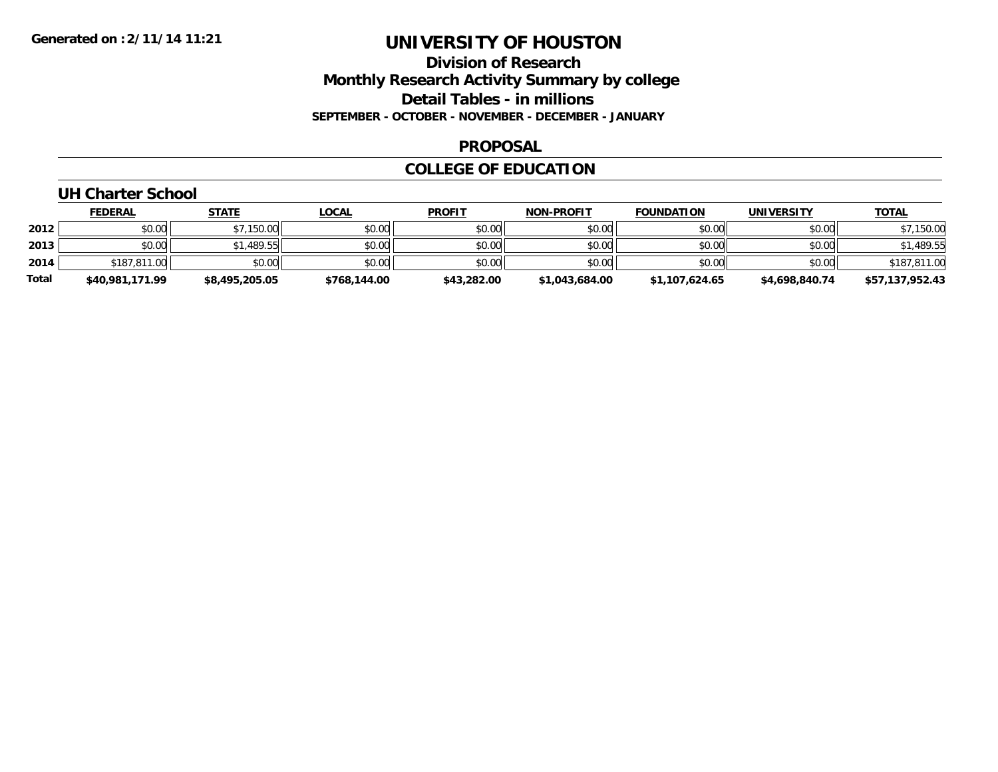### **Division of Research Monthly Research Activity Summary by college Detail Tables - in millions SEPTEMBER - OCTOBER - NOVEMBER - DECEMBER - JANUARY**

#### **PROPOSAL**

#### **COLLEGE OF EDUCATION**

# **UH Charter School**

|       | <b>FEDERAL</b>  | <u>STATE</u>   | <u>LOCAL</u> | <b>PROFIT</b> | <b>NON-PROFIT</b> | <b>FOUNDATION</b> | <b>UNIVERSITY</b> | <b>TOTAL</b>    |
|-------|-----------------|----------------|--------------|---------------|-------------------|-------------------|-------------------|-----------------|
| 2012  | \$0.00          | \$7,150.00     | \$0.00       | \$0.00        | \$0.00            | \$0.00            | \$0.00            | \$7,150.00      |
| 2013  | \$0.00          | \$1,489.55     | \$0.00       | \$0.00        | \$0.00            | \$0.00            | \$0.00            | \$1,489.55      |
| 2014  | \$187,811.00    | \$0.00         | \$0.00       | \$0.00        | \$0.00            | \$0.00            | \$0.00            | \$187,811.00    |
| Total | \$40,981,171.99 | \$8,495,205.05 | \$768,144.00 | \$43,282.00   | \$1,043,684.00    | \$1,107,624.65    | \$4,698,840.74    | \$57,137,952.43 |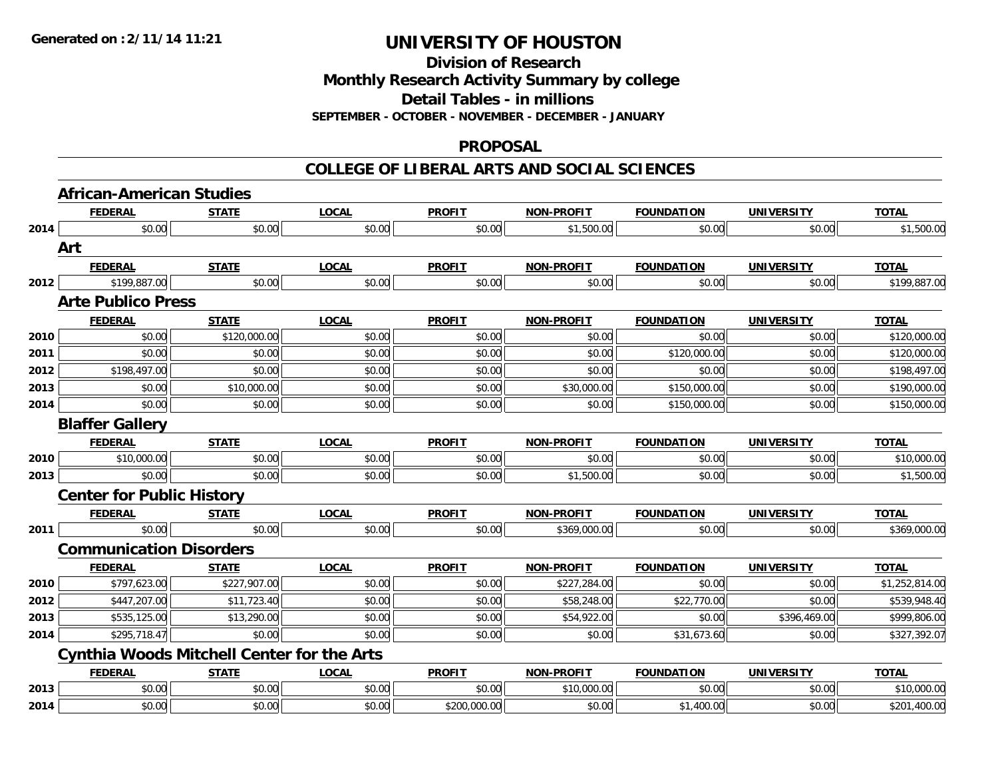**Division of Research**

**Monthly Research Activity Summary by college**

**Detail Tables - in millions**

**SEPTEMBER - OCTOBER - NOVEMBER - DECEMBER - JANUARY**

#### **PROPOSAL**

#### **COLLEGE OF LIBERAL ARTS AND SOCIAL SCIENCES**

|      | <b>African-American Studies</b>                   |              |              |               |                   |                   |                   |                |
|------|---------------------------------------------------|--------------|--------------|---------------|-------------------|-------------------|-------------------|----------------|
|      | <b>FEDERAL</b>                                    | <b>STATE</b> | <b>LOCAL</b> | <b>PROFIT</b> | <b>NON-PROFIT</b> | <b>FOUNDATION</b> | <b>UNIVERSITY</b> | <b>TOTAL</b>   |
| 2014 | \$0.00                                            | \$0.00       | \$0.00       | \$0.00        | \$1,500.00        | \$0.00            | \$0.00            | \$1,500.00     |
|      | Art                                               |              |              |               |                   |                   |                   |                |
|      | <b>FEDERAL</b>                                    | <b>STATE</b> | <b>LOCAL</b> | <b>PROFIT</b> | <b>NON-PROFIT</b> | <b>FOUNDATION</b> | <b>UNIVERSITY</b> | <b>TOTAL</b>   |
| 2012 | \$199,887.00                                      | \$0.00       | \$0.00       | \$0.00        | \$0.00            | \$0.00            | \$0.00            | \$199,887.00   |
|      | <b>Arte Publico Press</b>                         |              |              |               |                   |                   |                   |                |
|      | <b>FEDERAL</b>                                    | <b>STATE</b> | <b>LOCAL</b> | <b>PROFIT</b> | <b>NON-PROFIT</b> | <b>FOUNDATION</b> | <b>UNIVERSITY</b> | <b>TOTAL</b>   |
| 2010 | \$0.00                                            | \$120,000.00 | \$0.00       | \$0.00        | \$0.00            | \$0.00            | \$0.00            | \$120,000.00   |
| 2011 | \$0.00                                            | \$0.00       | \$0.00       | \$0.00        | \$0.00            | \$120,000.00      | \$0.00            | \$120,000.00   |
| 2012 | \$198,497.00                                      | \$0.00       | \$0.00       | \$0.00        | \$0.00            | \$0.00            | \$0.00            | \$198,497.00   |
| 2013 | \$0.00                                            | \$10,000.00  | \$0.00       | \$0.00        | \$30,000.00       | \$150,000.00      | \$0.00            | \$190,000.00   |
| 2014 | \$0.00                                            | \$0.00       | \$0.00       | \$0.00        | \$0.00            | \$150,000.00      | \$0.00            | \$150,000.00   |
|      | <b>Blaffer Gallery</b>                            |              |              |               |                   |                   |                   |                |
|      | <b>FEDERAL</b>                                    | <b>STATE</b> | <b>LOCAL</b> | <b>PROFIT</b> | <b>NON-PROFIT</b> | <b>FOUNDATION</b> | <b>UNIVERSITY</b> | <b>TOTAL</b>   |
| 2010 | \$10,000.00                                       | \$0.00       | \$0.00       | \$0.00        | \$0.00            | \$0.00            | \$0.00            | \$10,000.00    |
| 2013 | \$0.00                                            | \$0.00       | \$0.00       | \$0.00        | \$1,500.00        | \$0.00            | \$0.00            | \$1,500.00     |
|      | <b>Center for Public History</b>                  |              |              |               |                   |                   |                   |                |
|      | <b>FEDERAL</b>                                    | <b>STATE</b> | <b>LOCAL</b> | <b>PROFIT</b> | <b>NON-PROFIT</b> | <b>FOUNDATION</b> | <b>UNIVERSITY</b> | <b>TOTAL</b>   |
| 2011 | \$0.00                                            | \$0.00       | \$0.00       | \$0.00        | \$369,000.00      | \$0.00            | \$0.00            | \$369,000.00   |
|      | <b>Communication Disorders</b>                    |              |              |               |                   |                   |                   |                |
|      | <b>FEDERAL</b>                                    | <b>STATE</b> | <b>LOCAL</b> | <b>PROFIT</b> | <b>NON-PROFIT</b> | <b>FOUNDATION</b> | <b>UNIVERSITY</b> | <b>TOTAL</b>   |
| 2010 | \$797,623.00                                      | \$227,907.00 | \$0.00       | \$0.00        | \$227,284.00      | \$0.00            | \$0.00            | \$1,252,814.00 |
| 2012 | \$447,207.00                                      | \$11,723.40  | \$0.00       | \$0.00        | \$58,248.00       | \$22,770.00       | \$0.00            | \$539,948.40   |
| 2013 | \$535,125.00                                      | \$13,290.00  | \$0.00       | \$0.00        | \$54,922.00       | \$0.00            | \$396,469.00      | \$999,806.00   |
| 2014 | \$295,718.47                                      | \$0.00       | \$0.00       | \$0.00        | \$0.00            | \$31,673.60       | \$0.00            | \$327,392.07   |
|      | <b>Cynthia Woods Mitchell Center for the Arts</b> |              |              |               |                   |                   |                   |                |
|      | <b>FEDERAL</b>                                    | <b>STATE</b> | <b>LOCAL</b> | <b>PROFIT</b> | <b>NON-PROFIT</b> | <b>FOUNDATION</b> | <b>UNIVERSITY</b> | <b>TOTAL</b>   |
| 2013 | \$0.00                                            | \$0.00       | \$0.00       | \$0.00        | \$10,000.00       | \$0.00            | \$0.00            | \$10,000.00    |
| 2014 | \$0.00                                            | \$0.00       | \$0.00       | \$200,000.00  | \$0.00            | \$1,400.00        | \$0.00            | \$201,400.00   |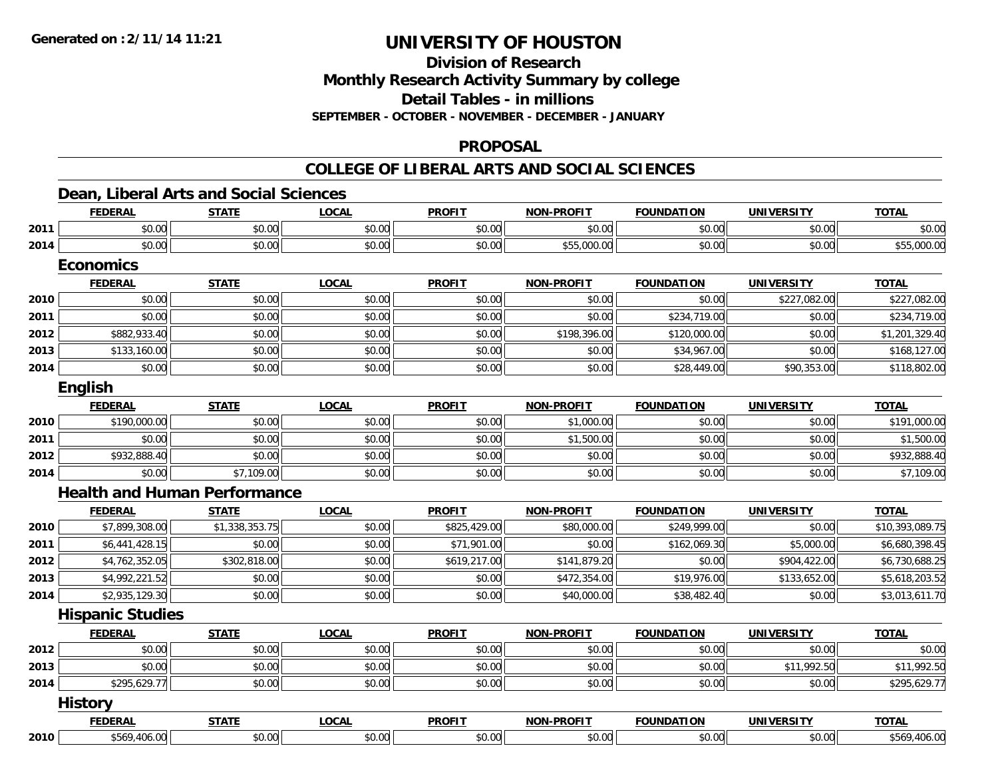**Division of Research**

**Monthly Research Activity Summary by college**

**Detail Tables - in millions**

**SEPTEMBER - OCTOBER - NOVEMBER - DECEMBER - JANUARY**

#### **PROPOSAL**

#### **COLLEGE OF LIBERAL ARTS AND SOCIAL SCIENCES**

### **Dean, Liberal Arts and Social Sciences**

|      | <b>FEDERAL</b>                      | <b>STATE</b>   | <b>LOCAL</b> | <b>PROFIT</b> | <b>NON-PROFIT</b> | <b>FOUNDATION</b> | <b>UNIVERSITY</b> | <b>TOTAL</b>    |
|------|-------------------------------------|----------------|--------------|---------------|-------------------|-------------------|-------------------|-----------------|
| 2011 | \$0.00                              | \$0.00         | \$0.00       | \$0.00        | \$0.00            | \$0.00            | \$0.00            | \$0.00          |
| 2014 | \$0.00                              | \$0.00         | \$0.00       | \$0.00        | \$55,000.00       | \$0.00            | \$0.00            | \$55,000.00     |
|      | <b>Economics</b>                    |                |              |               |                   |                   |                   |                 |
|      | <b>FEDERAL</b>                      | <b>STATE</b>   | <b>LOCAL</b> | <b>PROFIT</b> | <b>NON-PROFIT</b> | <b>FOUNDATION</b> | <b>UNIVERSITY</b> | <b>TOTAL</b>    |
| 2010 | \$0.00                              | \$0.00         | \$0.00       | \$0.00        | \$0.00            | \$0.00            | \$227,082.00      | \$227,082.00    |
| 2011 | \$0.00                              | \$0.00         | \$0.00       | \$0.00        | \$0.00            | \$234,719.00      | \$0.00            | \$234,719.00    |
| 2012 | \$882,933.40                        | \$0.00         | \$0.00       | \$0.00        | \$198,396.00      | \$120,000.00      | \$0.00            | \$1,201,329.40  |
| 2013 | \$133,160.00                        | \$0.00         | \$0.00       | \$0.00        | \$0.00            | \$34,967.00       | \$0.00            | \$168,127.00    |
| 2014 | \$0.00                              | \$0.00         | \$0.00       | \$0.00        | \$0.00            | \$28,449.00       | \$90,353.00       | \$118,802.00    |
|      | English                             |                |              |               |                   |                   |                   |                 |
|      | <b>FEDERAL</b>                      | <b>STATE</b>   | <b>LOCAL</b> | <b>PROFIT</b> | <b>NON-PROFIT</b> | <b>FOUNDATION</b> | <b>UNIVERSITY</b> | <b>TOTAL</b>    |
| 2010 | \$190,000.00                        | \$0.00         | \$0.00       | \$0.00        | \$1,000.00        | \$0.00            | \$0.00            | \$191,000.00    |
| 2011 | \$0.00                              | \$0.00         | \$0.00       | \$0.00        | \$1,500.00        | \$0.00            | \$0.00            | \$1,500.00      |
| 2012 | \$932,888.40                        | \$0.00         | \$0.00       | \$0.00        | \$0.00            | \$0.00            | \$0.00            | \$932,888.40    |
| 2014 | \$0.00                              | \$7,109.00     | \$0.00       | \$0.00        | \$0.00            | \$0.00            | \$0.00            | \$7,109.00      |
|      | <b>Health and Human Performance</b> |                |              |               |                   |                   |                   |                 |
|      | <b>FEDERAL</b>                      | <b>STATE</b>   | <b>LOCAL</b> | <b>PROFIT</b> | <b>NON-PROFIT</b> | <b>FOUNDATION</b> | <b>UNIVERSITY</b> | <b>TOTAL</b>    |
| 2010 | \$7,899,308.00                      | \$1,338,353.75 | \$0.00       | \$825,429.00  | \$80,000.00       | \$249,999.00      | \$0.00            | \$10,393,089.75 |
| 2011 | \$6,441,428.15                      | \$0.00         | \$0.00       | \$71,901.00   | \$0.00            | \$162,069.30      | \$5,000.00        | \$6,680,398.45  |
| 2012 | \$4,762,352.05                      | \$302,818.00   | \$0.00       | \$619,217.00  | \$141,879.20      | \$0.00            | \$904,422.00      | \$6,730,688.25  |
| 2013 | \$4,992,221.52                      | \$0.00         | \$0.00       | \$0.00        | \$472,354.00      | \$19,976.00       | \$133,652.00      | \$5,618,203.52  |
| 2014 | \$2,935,129.30                      | \$0.00         | \$0.00       | \$0.00        | \$40,000.00       | \$38,482.40       | \$0.00            | \$3,013,611.70  |
|      | <b>Hispanic Studies</b>             |                |              |               |                   |                   |                   |                 |
|      | <b>FEDERAL</b>                      | <b>STATE</b>   | <b>LOCAL</b> | <b>PROFIT</b> | <b>NON-PROFIT</b> | <b>FOUNDATION</b> | <b>UNIVERSITY</b> | <b>TOTAL</b>    |
| 2012 | \$0.00                              | \$0.00         | \$0.00       | \$0.00        | \$0.00            | \$0.00            | \$0.00            | \$0.00          |
| 2013 | \$0.00                              | \$0.00         | \$0.00       | \$0.00        | \$0.00            | \$0.00            | \$11,992.50       | \$11,992.50     |
| 2014 | \$295,629.77                        | \$0.00         | \$0.00       | \$0.00        | \$0.00            | \$0.00            | \$0.00            | \$295,629.77    |
|      | <b>History</b>                      |                |              |               |                   |                   |                   |                 |
|      | <b>FEDERAL</b>                      | <b>STATE</b>   | <b>LOCAL</b> | <b>PROFIT</b> | <b>NON-PROFIT</b> | <b>FOUNDATION</b> | <b>UNIVERSITY</b> | <b>TOTAL</b>    |
| 2010 | \$569,406.00                        | \$0.00         | \$0.00       | \$0.00        | \$0.00            | \$0.00            | \$0.00            | \$569,406.00    |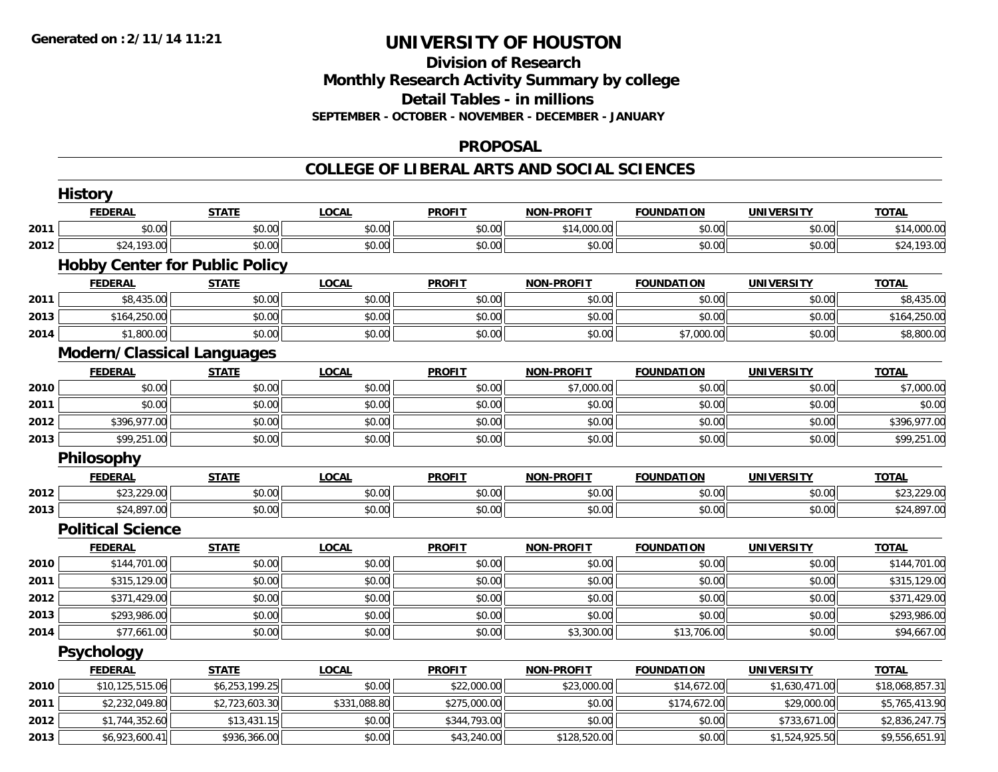# **Division of ResearchMonthly Research Activity Summary by college Detail Tables - in millions SEPTEMBER - OCTOBER - NOVEMBER - DECEMBER - JANUARY**

### **PROPOSAL**

#### **COLLEGE OF LIBERAL ARTS AND SOCIAL SCIENCES**

|      | <b>History</b>                        |                |              |               |                   |                   |                   |                 |
|------|---------------------------------------|----------------|--------------|---------------|-------------------|-------------------|-------------------|-----------------|
|      | <b>FEDERAL</b>                        | <b>STATE</b>   | <b>LOCAL</b> | <b>PROFIT</b> | <b>NON-PROFIT</b> | <b>FOUNDATION</b> | <b>UNIVERSITY</b> | <b>TOTAL</b>    |
| 2011 | \$0.00                                | \$0.00         | \$0.00       | \$0.00        | \$14,000.00       | \$0.00            | \$0.00            | \$14,000.00     |
| 2012 | \$24,193.00                           | \$0.00         | \$0.00       | \$0.00        | \$0.00            | \$0.00            | \$0.00            | \$24,193.00     |
|      | <b>Hobby Center for Public Policy</b> |                |              |               |                   |                   |                   |                 |
|      | <b>FEDERAL</b>                        | <b>STATE</b>   | <b>LOCAL</b> | <b>PROFIT</b> | <b>NON-PROFIT</b> | <b>FOUNDATION</b> | <b>UNIVERSITY</b> | <b>TOTAL</b>    |
| 2011 | \$8,435.00                            | \$0.00         | \$0.00       | \$0.00        | \$0.00            | \$0.00            | \$0.00            | \$8,435.00      |
| 2013 | \$164,250.00                          | \$0.00         | \$0.00       | \$0.00        | \$0.00            | \$0.00            | \$0.00            | \$164,250.00    |
| 2014 | \$1,800.00                            | \$0.00         | \$0.00       | \$0.00        | \$0.00            | \$7,000.00        | \$0.00            | \$8,800.00      |
|      | <b>Modern/Classical Languages</b>     |                |              |               |                   |                   |                   |                 |
|      | <b>FEDERAL</b>                        | <b>STATE</b>   | <b>LOCAL</b> | <b>PROFIT</b> | <b>NON-PROFIT</b> | <b>FOUNDATION</b> | <b>UNIVERSITY</b> | <b>TOTAL</b>    |
| 2010 | \$0.00                                | \$0.00         | \$0.00       | \$0.00        | \$7,000.00        | \$0.00            | \$0.00            | \$7,000.00      |
| 2011 | \$0.00                                | \$0.00         | \$0.00       | \$0.00        | \$0.00            | \$0.00            | \$0.00            | \$0.00          |
| 2012 | \$396,977.00                          | \$0.00         | \$0.00       | \$0.00        | \$0.00            | \$0.00            | \$0.00            | \$396,977.00    |
| 2013 | \$99,251.00                           | \$0.00         | \$0.00       | \$0.00        | \$0.00            | \$0.00            | \$0.00            | \$99,251.00     |
|      | Philosophy                            |                |              |               |                   |                   |                   |                 |
|      | <b>FEDERAL</b>                        | <b>STATE</b>   | <b>LOCAL</b> | <b>PROFIT</b> | <b>NON-PROFIT</b> | <b>FOUNDATION</b> | <b>UNIVERSITY</b> | <b>TOTAL</b>    |
| 2012 | \$23,229.00                           | \$0.00         | \$0.00       | \$0.00        | \$0.00            | \$0.00            | \$0.00            | \$23,229.00     |
| 2013 | \$24,897.00                           | \$0.00         | \$0.00       | \$0.00        | \$0.00            | \$0.00            | \$0.00            | \$24,897.00     |
|      | <b>Political Science</b>              |                |              |               |                   |                   |                   |                 |
|      | <b>FEDERAL</b>                        | <b>STATE</b>   | <b>LOCAL</b> | <b>PROFIT</b> | <b>NON-PROFIT</b> | <b>FOUNDATION</b> | <b>UNIVERSITY</b> | <b>TOTAL</b>    |
| 2010 | \$144,701.00                          | \$0.00         | \$0.00       | \$0.00        | \$0.00            | \$0.00            | \$0.00            | \$144,701.00    |
| 2011 | \$315,129.00                          | \$0.00         | \$0.00       | \$0.00        | \$0.00            | \$0.00            | \$0.00            | \$315,129.00    |
| 2012 | \$371,429.00                          | \$0.00         | \$0.00       | \$0.00        | \$0.00            | \$0.00            | \$0.00            | \$371,429.00    |
| 2013 | \$293,986.00                          | \$0.00         | \$0.00       | \$0.00        | \$0.00            | \$0.00            | \$0.00            | \$293,986.00    |
| 2014 | \$77,661.00                           | \$0.00         | \$0.00       | \$0.00        | \$3,300.00        | \$13,706.00       | \$0.00            | \$94,667.00     |
|      | <b>Psychology</b>                     |                |              |               |                   |                   |                   |                 |
|      | <b>FEDERAL</b>                        | <b>STATE</b>   | <b>LOCAL</b> | <b>PROFIT</b> | <b>NON-PROFIT</b> | <b>FOUNDATION</b> | <b>UNIVERSITY</b> | <b>TOTAL</b>    |
| 2010 | \$10,125,515.06                       | \$6,253,199.25 | \$0.00       | \$22,000.00   | \$23,000.00       | \$14,672.00       | \$1,630,471.00    | \$18,068,857.31 |
| 2011 | \$2,232,049.80                        | \$2,723,603.30 | \$331,088.80 | \$275,000.00  | \$0.00            | \$174,672.00      | \$29,000.00       | \$5,765,413.90  |
| 2012 | \$1,744,352.60                        | \$13,431.15    | \$0.00       | \$344,793.00  | \$0.00            | \$0.00            | \$733,671.00      | \$2,836,247.75  |
| 2013 | \$6,923,600.41                        | \$936,366.00   | \$0.00       | \$43,240.00   | \$128,520.00      | \$0.00            | \$1,524,925.50    | \$9,556,651.91  |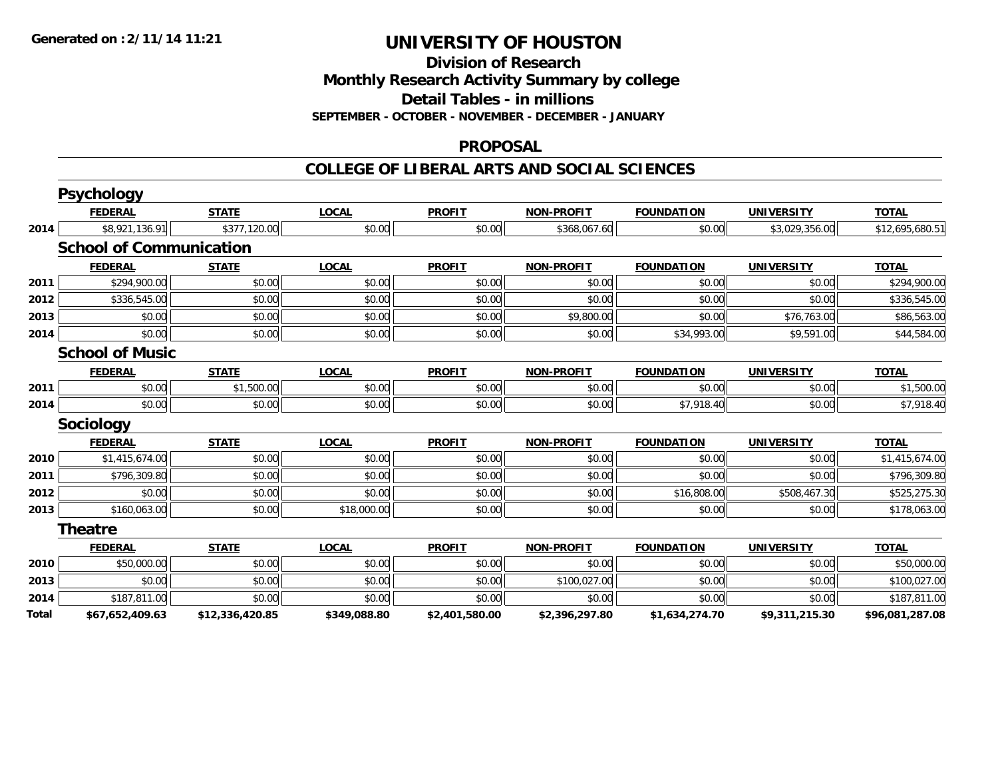**Division of Research**

**Monthly Research Activity Summary by college**

**Detail Tables - in millions**

**SEPTEMBER - OCTOBER - NOVEMBER - DECEMBER - JANUARY**

#### **PROPOSAL**

#### **COLLEGE OF LIBERAL ARTS AND SOCIAL SCIENCES**

|       | <b>Psychology</b>              |                 |              |                |                   |                   |                   |                 |
|-------|--------------------------------|-----------------|--------------|----------------|-------------------|-------------------|-------------------|-----------------|
|       | <b>FEDERAL</b>                 | <b>STATE</b>    | <b>LOCAL</b> | <b>PROFIT</b>  | <b>NON-PROFIT</b> | <b>FOUNDATION</b> | <b>UNIVERSITY</b> | <b>TOTAL</b>    |
| 2014  | \$8,921,136.91                 | \$377,120.00    | \$0.00       | \$0.00         | \$368,067.60      | \$0.00            | \$3,029,356.00    | \$12,695,680.51 |
|       | <b>School of Communication</b> |                 |              |                |                   |                   |                   |                 |
|       | <b>FEDERAL</b>                 | <b>STATE</b>    | <b>LOCAL</b> | <b>PROFIT</b>  | <b>NON-PROFIT</b> | <b>FOUNDATION</b> | <b>UNIVERSITY</b> | <b>TOTAL</b>    |
| 2011  | \$294,900.00                   | \$0.00          | \$0.00       | \$0.00         | \$0.00            | \$0.00            | \$0.00            | \$294,900.00    |
| 2012  | \$336,545.00                   | \$0.00          | \$0.00       | \$0.00         | \$0.00            | \$0.00            | \$0.00            | \$336,545.00    |
| 2013  | \$0.00                         | \$0.00          | \$0.00       | \$0.00         | \$9,800.00        | \$0.00            | \$76,763.00       | \$86,563.00     |
| 2014  | \$0.00                         | \$0.00          | \$0.00       | \$0.00         | \$0.00            | \$34,993.00       | \$9,591.00        | \$44,584.00     |
|       | <b>School of Music</b>         |                 |              |                |                   |                   |                   |                 |
|       | <b>FEDERAL</b>                 | <b>STATE</b>    | <b>LOCAL</b> | <b>PROFIT</b>  | <b>NON-PROFIT</b> | <b>FOUNDATION</b> | <b>UNIVERSITY</b> | <b>TOTAL</b>    |
| 2011  | \$0.00                         | \$1,500.00      | \$0.00       | \$0.00         | \$0.00            | \$0.00            | \$0.00            | \$1,500.00      |
| 2014  | \$0.00                         | \$0.00          | \$0.00       | \$0.00         | \$0.00            | \$7,918.40        | \$0.00            | \$7,918.40      |
|       | <b>Sociology</b>               |                 |              |                |                   |                   |                   |                 |
|       | <b>FEDERAL</b>                 | <b>STATE</b>    | <b>LOCAL</b> | <b>PROFIT</b>  | <b>NON-PROFIT</b> | <b>FOUNDATION</b> | <b>UNIVERSITY</b> | <b>TOTAL</b>    |
| 2010  | \$1,415,674.00                 | \$0.00          | \$0.00       | \$0.00         | \$0.00            | \$0.00            | \$0.00            | \$1,415,674.00  |
| 2011  | \$796,309.80                   | \$0.00          | \$0.00       | \$0.00         | \$0.00            | \$0.00            | \$0.00            | \$796,309.80    |
| 2012  | \$0.00                         | \$0.00          | \$0.00       | \$0.00         | \$0.00            | \$16,808.00       | \$508,467.30      | \$525,275.30    |
| 2013  | \$160,063.00                   | \$0.00          | \$18,000.00  | \$0.00         | \$0.00            | \$0.00            | \$0.00            | \$178,063.00    |
|       | <b>Theatre</b>                 |                 |              |                |                   |                   |                   |                 |
|       | <b>FEDERAL</b>                 | <b>STATE</b>    | <b>LOCAL</b> | <b>PROFIT</b>  | <b>NON-PROFIT</b> | <b>FOUNDATION</b> | <b>UNIVERSITY</b> | <b>TOTAL</b>    |
| 2010  | \$50,000.00                    | \$0.00          | \$0.00       | \$0.00         | \$0.00            | \$0.00            | \$0.00            | \$50,000.00     |
| 2013  | \$0.00                         | \$0.00          | \$0.00       | \$0.00         | \$100,027.00      | \$0.00            | \$0.00            | \$100,027.00    |
| 2014  | \$187,811.00                   | \$0.00          | \$0.00       | \$0.00         | \$0.00            | \$0.00            | \$0.00            | \$187,811.00    |
| Total | \$67,652,409.63                | \$12,336,420.85 | \$349,088.80 | \$2,401,580.00 | \$2,396,297.80    | \$1,634,274.70    | \$9,311,215.30    | \$96,081,287.08 |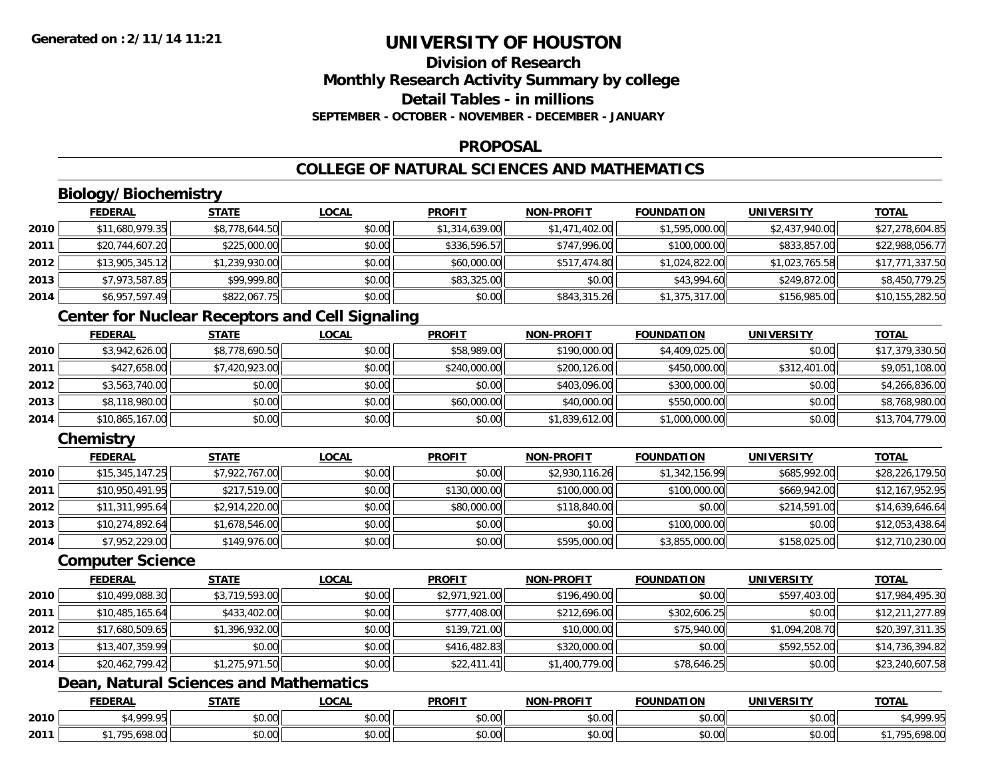# **Division of ResearchMonthly Research Activity Summary by college Detail Tables - in millionsSEPTEMBER - OCTOBER - NOVEMBER - DECEMBER - JANUARY**

#### **PROPOSAL**

# **COLLEGE OF NATURAL SCIENCES AND MATHEMATICS**

# **Biology/Biochemistry**

|      | <b>FEDERAL</b>  | <u>STATE</u>   | <b>LOCAL</b> | <b>PROFIT</b>  | <b>NON-PROFIT</b> | <b>FOUNDATION</b> | <b>UNIVERSITY</b> | <b>TOTAL</b>    |
|------|-----------------|----------------|--------------|----------------|-------------------|-------------------|-------------------|-----------------|
| 2010 | \$11,680,979.35 | \$8,778,644.50 | \$0.00       | \$1,314,639.00 | \$1,471,402.00    | \$1,595,000.00    | \$2,437,940.00    | \$27,278,604.85 |
| 2011 | \$20,744,607.20 | \$225,000.00   | \$0.00       | \$336,596.57   | \$747,996.00      | \$100,000.00      | \$833,857.00      | \$22,988,056.77 |
| 2012 | \$13,905,345.12 | \$1,239,930.00 | \$0.00       | \$60,000.00    | \$517,474.80      | \$1,024,822.00    | \$1,023,765.58    | \$17,771,337.50 |
| 2013 | \$7,973,587.85  | \$99,999.80    | \$0.00       | \$83,325.00    | \$0.00            | \$43,994.60       | \$249,872.00      | \$8,450,779.25  |
| 2014 | \$6,957,597.49  | \$822,067.75   | \$0.00       | \$0.00         | \$843,315.26      | \$1,375,317.00    | \$156,985.00      | \$10,155,282.50 |

### **Center for Nuclear Receptors and Cell Signaling**

|      | <b>FEDERAL</b>  | <b>STATE</b>   | <b>LOCAL</b> | <b>PROFIT</b> | <b>NON-PROFIT</b> | <b>FOUNDATION</b> | <b>UNIVERSITY</b> | <u>TOTAL</u>    |
|------|-----------------|----------------|--------------|---------------|-------------------|-------------------|-------------------|-----------------|
| 2010 | \$3,942,626.00  | \$8,778,690.50 | \$0.00       | \$58,989.00   | \$190,000.00      | \$4,409,025.00    | \$0.00            | \$17,379,330.50 |
| 2011 | \$427,658.00    | \$7,420,923.00 | \$0.00       | \$240,000.00  | \$200,126.00      | \$450,000.00      | \$312,401.00      | \$9,051,108.00  |
| 2012 | \$3,563,740.00  | \$0.00         | \$0.00       | \$0.00        | \$403.096.00      | \$300,000.00      | \$0.00            | \$4,266,836.00  |
| 2013 | \$8,118,980.00  | \$0.00         | \$0.00       | \$60,000.00   | \$40,000.00       | \$550,000.00      | \$0.00            | \$8,768,980.00  |
| 2014 | \$10,865,167.00 | \$0.00         | \$0.00       | \$0.00        | \$1,839,612.00    | \$1,000,000.00    | \$0.00            | \$13,704,779.00 |

# **Chemistry**

|      | <b>FEDERAL</b>  | <b>STATE</b>   | <u>LOCAL</u> | <b>PROFIT</b> | <b>NON-PROFIT</b> | <b>FOUNDATION</b> | <b>UNIVERSITY</b> | <b>TOTAL</b>    |
|------|-----------------|----------------|--------------|---------------|-------------------|-------------------|-------------------|-----------------|
| 2010 | \$15,345,147.25 | \$7,922,767.00 | \$0.00       | \$0.00        | \$2,930,116.26    | \$1,342,156.99    | \$685,992,00      | \$28,226,179.50 |
| 2011 | \$10,950,491.95 | \$217,519.00   | \$0.00       | \$130,000.00  | \$100,000.00      | \$100,000.00      | \$669,942.00      | \$12,167,952.95 |
| 2012 | \$11,311,995.64 | \$2,914,220.00 | \$0.00       | \$80,000.00   | \$118,840.00      | \$0.00            | \$214,591.00      | \$14,639,646.64 |
| 2013 | \$10,274,892.64 | \$1,678,546.00 | \$0.00       | \$0.00        | \$0.00            | \$100,000.00      | \$0.00            | \$12,053,438.64 |
| 2014 | \$7,952,229.00  | \$149,976.00   | \$0.00       | \$0.00        | \$595,000.00      | \$3,855,000.00    | \$158,025.00      | \$12,710,230.00 |

#### **Computer Science**

|      | <b>FEDERAL</b>  | <b>STATE</b>   | <b>LOCAL</b> | <b>PROFIT</b>  | <b>NON-PROFIT</b> | <b>FOUNDATION</b> | <b>UNIVERSITY</b> | <b>TOTAL</b>    |
|------|-----------------|----------------|--------------|----------------|-------------------|-------------------|-------------------|-----------------|
| 2010 | \$10,499,088.30 | \$3,719,593.00 | \$0.00       | \$2,971,921.00 | \$196,490.00      | \$0.00            | \$597,403.00      | \$17,984,495.30 |
| 2011 | \$10,485,165.64 | \$433,402.00   | \$0.00       | \$777,408.00   | \$212,696.00      | \$302,606.25      | \$0.00            | \$12,211,277.89 |
| 2012 | \$17,680,509.65 | \$1,396,932.00 | \$0.00       | \$139,721.00   | \$10,000.00       | \$75,940.00       | \$1,094,208.70    | \$20,397,311.35 |
| 2013 | \$13,407,359.99 | \$0.00         | \$0.00       | \$416,482.83   | \$320,000.00      | \$0.00            | \$592,552.00      | \$14,736,394.82 |
| 2014 | \$20,462,799.42 | \$1,275,971.50 | \$0.00       | \$22,411.41    | \$1,400,779.00    | \$78,646.25       | \$0.00            | \$23,240,607.58 |

# **Dean, Natural Sciences and Mathematics**

|      | <b>FEDERAL</b>                    | <b>CTATE</b><br>3 I A I I | <b>LOCAL</b>              | <b>PROFIT</b>  | <b>NON-PROFIT</b>    | <b>FOUNDATION</b> | UNIVERSITY                | <b>TOTAL</b>                                        |
|------|-----------------------------------|---------------------------|---------------------------|----------------|----------------------|-------------------|---------------------------|-----------------------------------------------------|
| 2010 | 1.0000<br>,,,,,                   | \$0.00                    | $\sim$<br>$\sim$<br>vv.vv | ልስ ስስ<br>DU.UU | 0.00<br>DU.UU        | \$0.00            | $\sim$ 00<br><b>JU.UU</b> | $\mathcal{C}$ $\Lambda$ 000 $\mathcal{C}$<br>. т, з |
| 2011 | 10000<br>70 <sub>5</sub><br>70.UU | \$0.00                    | ሖ ∩<br>$\sim$<br>vu.uu    | 0.00<br>JU.UU  | 0.00<br><b>DU.UU</b> | \$0.00            | $\sim$ 00<br><b>JU.UU</b> | 0000<br>ייט.סלס,טל                                  |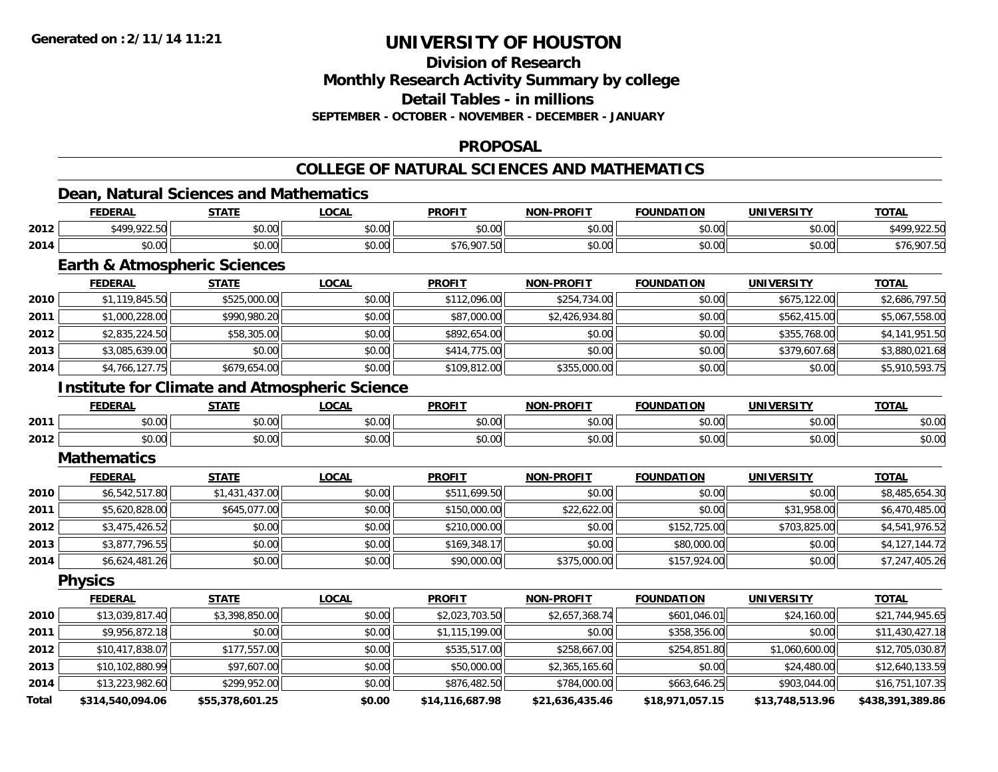**Division of Research**

**Monthly Research Activity Summary by college**

**Detail Tables - in millions**

**SEPTEMBER - OCTOBER - NOVEMBER - DECEMBER - JANUARY**

### **PROPOSAL**

### **COLLEGE OF NATURAL SCIENCES AND MATHEMATICS**

### **Dean, Natural Sciences and Mathematics**

|      | <b>FEDERAL</b> | <b>STATE</b>                 | _OCAL  | <b>PROFIT</b> | <b>NON-PROFIT</b> | <b>FOUNDATION</b> | UNIVERSITY | <b>TOTAL</b>    |
|------|----------------|------------------------------|--------|---------------|-------------------|-------------------|------------|-----------------|
| 2012 | \$499,922.50   | \$0.00                       | \$0.00 | \$0.00        | \$0.00            | \$0.00            | \$0.00     | \$499,922.50    |
| 2014 | 0000<br>DU.UU  | \$0.00                       | \$0.00 | \$76.907.     | \$0.00            | \$0.00            | \$0.00     | 907.50.<br>\$76 |
|      |                | Forth 0 Atmospheric Coismoon |        |               |                   |                   |            |                 |

#### **Earth & Atmospheric Sciences**

|      | <b>FEDERAL</b> | <b>STATE</b> | <b>LOCAL</b> | <b>PROFIT</b> | <b>NON-PROFIT</b> | <b>FOUNDATION</b> | <b>UNIVERSITY</b> | <b>TOTAL</b>   |
|------|----------------|--------------|--------------|---------------|-------------------|-------------------|-------------------|----------------|
| 2010 | \$1,119,845.50 | \$525,000.00 | \$0.00       | \$112,096.00  | \$254,734.00      | \$0.00            | \$675,122.00      | \$2,686,797.50 |
| 2011 | \$1,000,228.00 | \$990,980.20 | \$0.00       | \$87,000.00   | \$2,426,934.80    | \$0.00            | \$562,415.00      | \$5,067,558.00 |
| 2012 | \$2,835,224.50 | \$58,305.00  | \$0.00       | \$892,654.00  | \$0.00            | \$0.00            | \$355,768,00      | \$4,141,951.50 |
| 2013 | \$3,085,639.00 | \$0.00       | \$0.00       | \$414,775.00  | \$0.00            | \$0.00            | \$379,607.68      | \$3,880,021.68 |
| 2014 | \$4,766,127.75 | \$679,654.00 | \$0.00       | \$109,812.00  | \$355,000.00      | \$0.00            | \$0.00            | \$5,910,593.75 |

### **Institute for Climate and Atmospheric Science**

|      | <b>FEDERA</b>  | 27.77<br>,,,,,    | $\sim$<br>ער איי " | <b>PROFIT</b> | <b>-PROFIT</b><br>וחרות | IDΔ.<br>.      | <b>UNIVERSITY</b><br>. | <b>TOTA.</b>           |
|------|----------------|-------------------|--------------------|---------------|-------------------------|----------------|------------------------|------------------------|
| 2011 | nn on<br>DU.UU | $\sim$ 00<br>ט.טע | ሶስ ሰሰ<br>pu.uu     | 0.00<br>JU.UU | 0000<br>\$U.UC          | ቀስ ስስ<br>וט.טי | $\sim$ 00<br>pu.uu     | 0000<br>PU.UU          |
| 2012 | ልስ ባህ<br>DU.UG | $\sim$<br>JU.UL   | $\sim$ 00<br>PU.UU | 0.00<br>JU.UU | \$0.00                  | 0000<br>DU.UU  | nn nn<br>pu.uu         | $\sim$ $\sim$<br>DU.UU |

#### **Mathematics**

|      | <b>FEDERAL</b> | <b>STATE</b>   | <b>LOCAL</b> | <b>PROFIT</b> | <b>NON-PROFIT</b> | <b>FOUNDATION</b> | <b>UNIVERSITY</b> | <b>TOTAL</b>   |
|------|----------------|----------------|--------------|---------------|-------------------|-------------------|-------------------|----------------|
| 2010 | \$6,542,517.80 | \$1,431,437.00 | \$0.00       | \$511,699.50  | \$0.00            | \$0.00            | \$0.00            | \$8,485,654.30 |
| 2011 | \$5,620,828.00 | \$645,077.00   | \$0.00       | \$150,000.00  | \$22,622.00       | \$0.00            | \$31,958.00       | \$6,470,485.00 |
| 2012 | \$3,475,426.52 | \$0.00         | \$0.00       | \$210,000.00  | \$0.00            | \$152,725.00      | \$703,825,00      | \$4,541,976.52 |
| 2013 | \$3,877,796.55 | \$0.00         | \$0.00       | \$169.348.17  | \$0.00            | \$80,000.00       | \$0.00            | \$4,127,144.72 |
| 2014 | \$6,624,481.26 | \$0.00         | \$0.00       | \$90,000.00   | \$375,000.00      | \$157,924.00      | \$0.00            | \$7,247,405.26 |

**Physics**

|       | <b>FEDERAL</b>   | <b>STATE</b>    | <b>LOCAL</b> | <b>PROFIT</b>   | <b>NON-PROFIT</b> | <b>FOUNDATION</b> | <b>UNIVERSITY</b> | <b>TOTAL</b>     |
|-------|------------------|-----------------|--------------|-----------------|-------------------|-------------------|-------------------|------------------|
| 2010  | \$13,039,817.40  | \$3,398,850.00  | \$0.00       | \$2,023,703.50  | \$2,657,368.74    | \$601,046.01      | \$24,160.00       | \$21,744,945.65  |
| 2011  | \$9,956,872.18   | \$0.00          | \$0.00       | \$1,115,199.00  | \$0.00            | \$358,356.00      | \$0.00            | \$11,430,427.18  |
| 2012  | \$10,417,838.07  | \$177,557.00    | \$0.00       | \$535,517.00    | \$258,667.00      | \$254,851.80      | \$1,060,600.00    | \$12,705,030.87  |
| 2013  | \$10,102,880.99  | \$97,607.00     | \$0.00       | \$50,000.00     | \$2,365,165.60    | \$0.00            | \$24,480.00       | \$12,640,133.59  |
| 2014  | \$13,223,982.60  | \$299,952.00    | \$0.00       | \$876,482.50    | \$784,000.00      | \$663,646.25      | \$903,044.00      | \$16,751,107.35  |
| Total | \$314,540,094.06 | \$55,378,601.25 | \$0.00       | \$14,116,687.98 | \$21,636,435.46   | \$18,971,057.15   | \$13,748,513.96   | \$438,391,389.86 |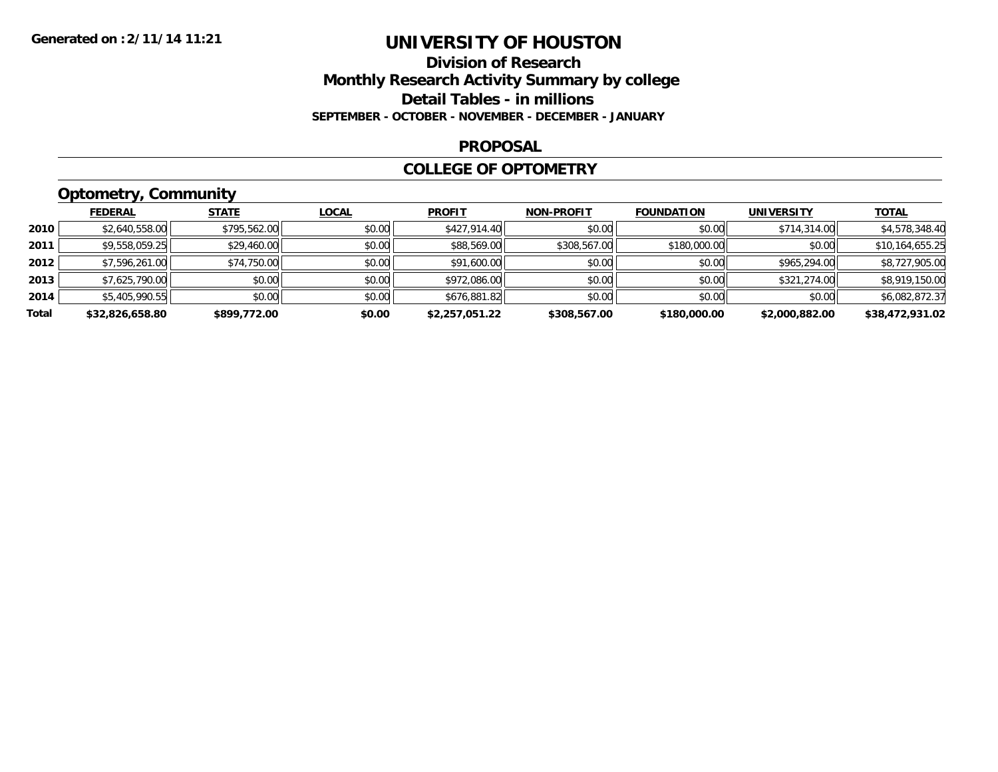### **Division of Research Monthly Research Activity Summary by college Detail Tables - in millions SEPTEMBER - OCTOBER - NOVEMBER - DECEMBER - JANUARY**

#### **PROPOSAL**

#### **COLLEGE OF OPTOMETRY**

# **Optometry, Community**

|       | <b>FEDERAL</b>  | <b>STATE</b> | <u>LOCAL</u> | <b>PROFIT</b>  | <b>NON-PROFIT</b> | <b>FOUNDATION</b> | <b>UNIVERSITY</b> | <u>TOTAL</u>    |
|-------|-----------------|--------------|--------------|----------------|-------------------|-------------------|-------------------|-----------------|
| 2010  | \$2,640,558.00  | \$795,562.00 | \$0.00       | \$427,914.40   | \$0.00            | \$0.00            | \$714,314.00      | \$4,578,348.40  |
| 2011  | \$9,558,059.25  | \$29,460.00  | \$0.00       | \$88,569.00    | \$308,567.00      | \$180,000.00      | \$0.00            | \$10,164,655.25 |
| 2012  | \$7,596,261.00  | \$74,750.00  | \$0.00       | \$91,600.00    | \$0.00            | \$0.00            | \$965,294.00      | \$8,727,905.00  |
| 2013  | \$7,625,790.00  | \$0.00       | \$0.00       | \$972,086.00   | \$0.00            | \$0.00            | \$321,274.00      | \$8,919,150.00  |
| 2014  | \$5,405,990.55  | \$0.00       | \$0.00       | \$676,881.82   | \$0.00            | \$0.00            | \$0.00            | \$6,082,872.37  |
| Total | \$32,826,658.80 | \$899,772.00 | \$0.00       | \$2,257,051.22 | \$308,567.00      | \$180,000.00      | \$2,000,882.00    | \$38,472,931.02 |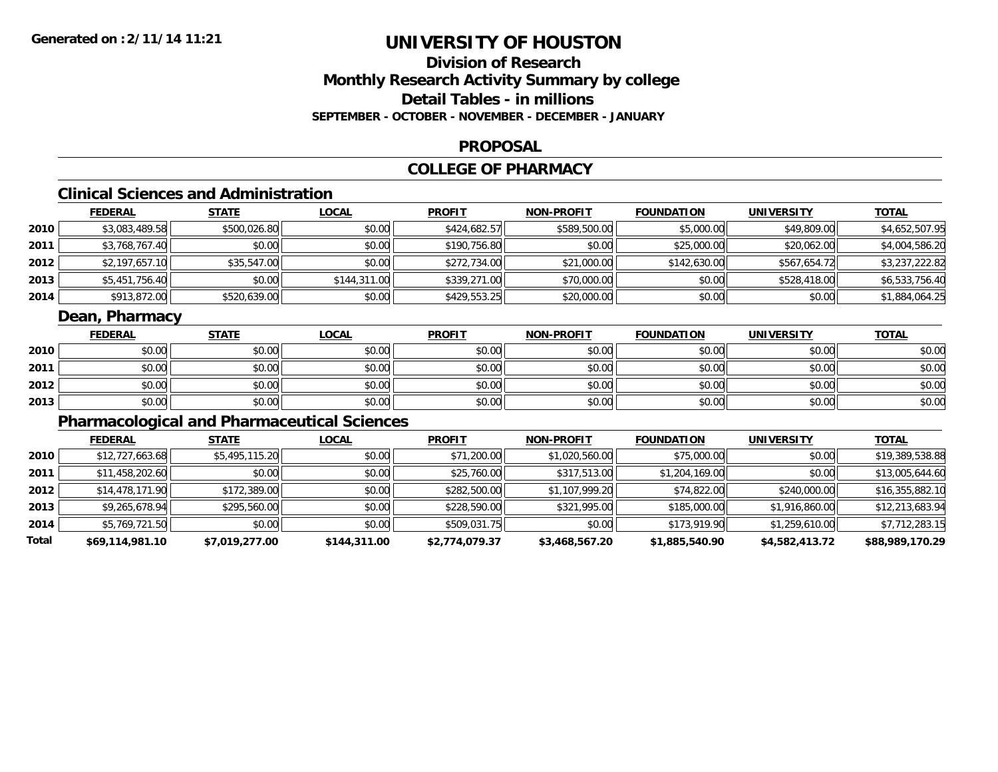# **Division of ResearchMonthly Research Activity Summary by college Detail Tables - in millionsSEPTEMBER - OCTOBER - NOVEMBER - DECEMBER - JANUARY**

#### **PROPOSAL**

### **COLLEGE OF PHARMACY**

# **Clinical Sciences and Administration**

|      | <b>FEDERAL</b> | <u>STATE</u> | <u>LOCAL</u> | <b>PROFIT</b> | <b>NON-PROFIT</b> | <b>FOUNDATION</b> | <b>UNIVERSITY</b> | <b>TOTAL</b>   |
|------|----------------|--------------|--------------|---------------|-------------------|-------------------|-------------------|----------------|
| 2010 | \$3,083,489.58 | \$500,026.80 | \$0.00       | \$424,682.57  | \$589,500.00      | \$5,000.00        | \$49,809.00       | \$4,652,507.95 |
| 2011 | \$3,768,767.40 | \$0.00       | \$0.00       | \$190,756.80  | \$0.00            | \$25,000.00       | \$20,062.00       | \$4,004,586.20 |
| 2012 | \$2,197,657.10 | \$35,547.00  | \$0.00       | \$272,734.00  | \$21,000.00       | \$142,630.00      | \$567,654.72      | \$3,237,222.82 |
| 2013 | \$5,451,756.40 | \$0.00       | \$144,311.00 | \$339,271.00  | \$70,000.00       | \$0.00            | \$528,418,00      | \$6,533,756.40 |
| 2014 | \$913,872.00   | \$520,639.00 | \$0.00       | \$429,553.25  | \$20,000.00       | \$0.00            | \$0.00            | \$1,884,064.25 |

### **Dean, Pharmacy**

|      | <b>FEDERAL</b> | <b>STATE</b> | <u>LOCAL</u> | <b>PROFIT</b> | <b>NON-PROFIT</b> | <b>FOUNDATION</b> | <b>UNIVERSITY</b> | <b>TOTAL</b> |
|------|----------------|--------------|--------------|---------------|-------------------|-------------------|-------------------|--------------|
| 2010 | \$0.00         | \$0.00       | \$0.00       | \$0.00        | \$0.00            | \$0.00            | \$0.00            | \$0.00       |
| 2011 | \$0.00         | \$0.00       | \$0.00       | \$0.00        | \$0.00            | \$0.00            | \$0.00            | \$0.00       |
| 2012 | \$0.00         | \$0.00       | \$0.00       | \$0.00        | \$0.00            | \$0.00            | \$0.00            | \$0.00       |
| 2013 | \$0.00         | \$0.00       | \$0.00       | \$0.00        | \$0.00            | \$0.00            | \$0.00            | \$0.00       |

# **Pharmacological and Pharmaceutical Sciences**

|       | <b>FEDERAL</b>  | <b>STATE</b>   | <b>LOCAL</b> | <b>PROFIT</b>  | <b>NON-PROFIT</b> | <b>FOUNDATION</b> | <b>UNIVERSITY</b> | <b>TOTAL</b>    |
|-------|-----------------|----------------|--------------|----------------|-------------------|-------------------|-------------------|-----------------|
| 2010  | \$12,727,663.68 | \$5,495,115.20 | \$0.00       | \$71,200.00    | \$1,020,560.00    | \$75,000.00       | \$0.00            | \$19,389,538.88 |
| 2011  | \$11,458,202.60 | \$0.00         | \$0.00       | \$25,760.00    | \$317,513.00      | \$1,204,169.00    | \$0.00            | \$13,005,644.60 |
| 2012  | \$14,478,171.90 | \$172,389.00   | \$0.00       | \$282,500.00   | \$1,107,999.20    | \$74,822.00       | \$240,000.00      | \$16,355,882.10 |
| 2013  | \$9,265,678.94  | \$295,560.00   | \$0.00       | \$228,590.00   | \$321,995.00      | \$185,000.00      | \$1,916,860.00    | \$12,213,683.94 |
| 2014  | \$5,769,721.50  | \$0.00         | \$0.00       | \$509,031.75   | \$0.00            | \$173,919.90      | \$1,259,610.00    | \$7,712,283.15  |
| Total | \$69,114,981.10 | \$7,019,277.00 | \$144,311.00 | \$2,774,079.37 | \$3,468,567.20    | \$1,885,540.90    | \$4,582,413.72    | \$88,989,170.29 |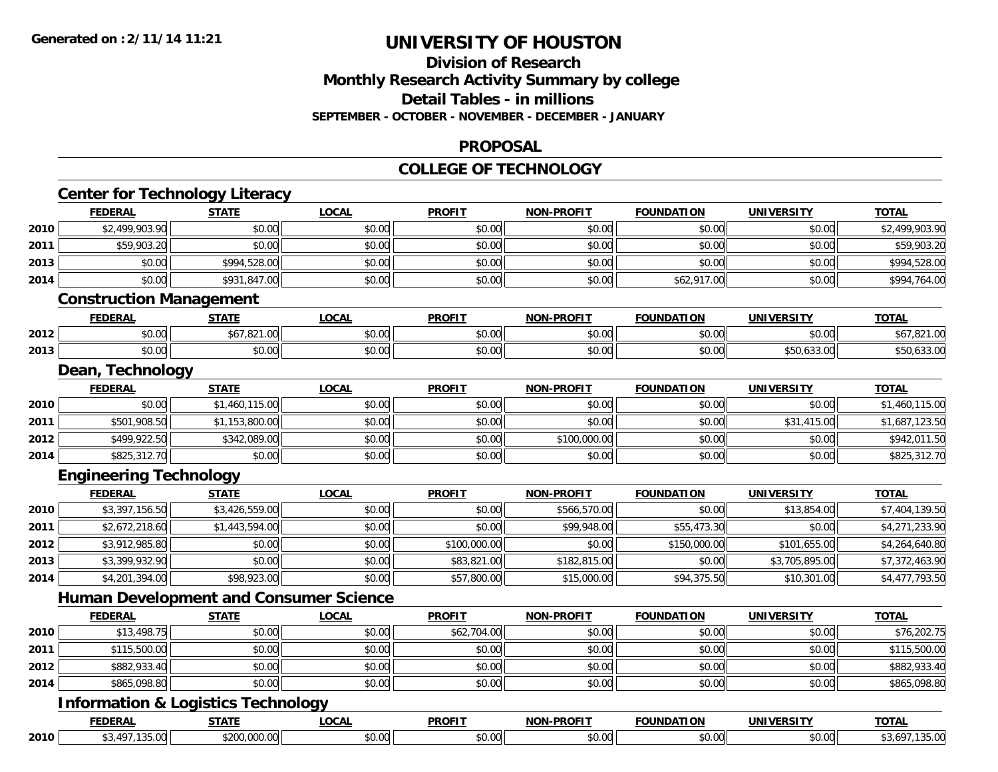### **Division of Research Monthly Research Activity Summary by college Detail Tables - in millions SEPTEMBER - OCTOBER - NOVEMBER - DECEMBER - JANUARY**

#### **PROPOSAL**

#### **COLLEGE OF TECHNOLOGY**

|      |                                               | <b>Center for Technology Literacy</b> |                                               |               |                   |                   |                   |                |  |  |
|------|-----------------------------------------------|---------------------------------------|-----------------------------------------------|---------------|-------------------|-------------------|-------------------|----------------|--|--|
|      | <b>FEDERAL</b>                                | <b>STATE</b>                          | <b>LOCAL</b>                                  | <b>PROFIT</b> | <b>NON-PROFIT</b> | <b>FOUNDATION</b> | <b>UNIVERSITY</b> | <b>TOTAL</b>   |  |  |
| 2010 | \$2,499,903.90                                | \$0.00                                | \$0.00                                        | \$0.00        | \$0.00            | \$0.00            | \$0.00            | \$2,499,903.90 |  |  |
| 2011 | \$59,903.20                                   | \$0.00                                | \$0.00                                        | \$0.00        | \$0.00            | \$0.00            | \$0.00            | \$59,903.20    |  |  |
| 2013 | \$0.00                                        | \$994,528.00                          | \$0.00                                        | \$0.00        | \$0.00            | \$0.00            | \$0.00            | \$994,528.00   |  |  |
| 2014 | \$0.00                                        | \$931,847.00                          | \$0.00                                        | \$0.00        | \$0.00            | \$62,917.00       | \$0.00            | \$994,764.00   |  |  |
|      | <b>Construction Management</b>                |                                       |                                               |               |                   |                   |                   |                |  |  |
|      | <b>FEDERAL</b>                                | <b>STATE</b>                          | <b>LOCAL</b>                                  | <b>PROFIT</b> | <b>NON-PROFIT</b> | <b>FOUNDATION</b> | <b>UNIVERSITY</b> | <b>TOTAL</b>   |  |  |
| 2012 | \$0.00                                        | \$67,821.00                           | \$0.00                                        | \$0.00        | \$0.00            | \$0.00            | \$0.00            | \$67,821.00    |  |  |
| 2013 | \$0.00                                        | \$0.00                                | \$0.00                                        | \$0.00        | \$0.00            | \$0.00            | \$50,633.00       | \$50,633.00    |  |  |
|      | Dean, Technology                              |                                       |                                               |               |                   |                   |                   |                |  |  |
|      | <b>FEDERAL</b>                                | <b>STATE</b>                          | <b>LOCAL</b>                                  | <b>PROFIT</b> | <b>NON-PROFIT</b> | <b>FOUNDATION</b> | <b>UNIVERSITY</b> | <b>TOTAL</b>   |  |  |
| 2010 | \$0.00                                        | \$1,460,115.00                        | \$0.00                                        | \$0.00        | \$0.00            | \$0.00            | \$0.00            | \$1,460,115.00 |  |  |
| 2011 | \$501,908.50                                  | \$1,153,800.00                        | \$0.00                                        | \$0.00        | \$0.00            | \$0.00            | \$31,415.00       | \$1,687,123.50 |  |  |
| 2012 | \$499,922.50                                  | \$342,089.00                          | \$0.00                                        | \$0.00        | \$100,000.00      | \$0.00            | \$0.00            | \$942,011.50   |  |  |
| 2014 | \$825,312.70                                  | \$0.00                                | \$0.00                                        | \$0.00        | \$0.00            | \$0.00            | \$0.00            | \$825,312.70   |  |  |
|      | <b>Engineering Technology</b>                 |                                       |                                               |               |                   |                   |                   |                |  |  |
|      | <b>FEDERAL</b>                                | <b>STATE</b>                          | <b>LOCAL</b>                                  | <b>PROFIT</b> | <b>NON-PROFIT</b> | <b>FOUNDATION</b> | <b>UNIVERSITY</b> | <b>TOTAL</b>   |  |  |
| 2010 | \$3,397,156.50                                | \$3,426,559.00                        | \$0.00                                        | \$0.00        | \$566,570.00      | \$0.00            | \$13,854.00       | \$7,404,139.50 |  |  |
| 2011 | \$2,672,218.60                                | \$1,443,594.00                        | \$0.00                                        | \$0.00        | \$99,948.00       | \$55,473.30       | \$0.00            | \$4,271,233.90 |  |  |
| 2012 | \$3,912,985.80                                | \$0.00                                | \$0.00                                        | \$100,000.00  | \$0.00            | \$150,000.00      | \$101,655.00      | \$4,264,640.80 |  |  |
| 2013 | \$3,399,932.90                                | \$0.00                                | \$0.00                                        | \$83,821.00   | \$182,815.00      | \$0.00            | \$3,705,895.00    | \$7,372,463.90 |  |  |
| 2014 | \$4,201,394.00                                | \$98,923.00                           | \$0.00                                        | \$57,800.00   | \$15,000.00       | \$94,375.50       | \$10,301.00       | \$4,477,793.50 |  |  |
|      |                                               |                                       | <b>Human Development and Consumer Science</b> |               |                   |                   |                   |                |  |  |
|      | <b>FEDERAL</b>                                | <b>STATE</b>                          | <b>LOCAL</b>                                  | <b>PROFIT</b> | <b>NON-PROFIT</b> | <b>FOUNDATION</b> | <b>UNIVERSITY</b> | <b>TOTAL</b>   |  |  |
| 2010 | \$13,498.75                                   | \$0.00                                | \$0.00                                        | \$62,704.00   | \$0.00            | \$0.00            | \$0.00            | \$76,202.75    |  |  |
| 2011 | \$115,500.00                                  | \$0.00                                | \$0.00                                        | \$0.00        | \$0.00            | \$0.00            | \$0.00            | \$115,500.00   |  |  |
| 2012 | \$882,933.40                                  | \$0.00                                | \$0.00                                        | \$0.00        | \$0.00            | \$0.00            | \$0.00            | \$882,933.40   |  |  |
| 2014 | \$865,098.80                                  | \$0.00                                | \$0.00                                        | \$0.00        | \$0.00            | \$0.00            | \$0.00            | \$865,098.80   |  |  |
|      | <b>Information &amp; Logistics Technology</b> |                                       |                                               |               |                   |                   |                   |                |  |  |
|      | <b>FEDERAL</b>                                | <b>STATE</b>                          | <b>LOCAL</b>                                  | <b>PROFIT</b> | <b>NON-PROFIT</b> | <b>FOUNDATION</b> | <b>UNIVERSITY</b> | <b>TOTAL</b>   |  |  |
| 2010 | \$3,497,135.00                                | \$200,000.00                          | \$0.00                                        | \$0.00        | \$0.00            | \$0.00            | \$0.00            | \$3,697,135.00 |  |  |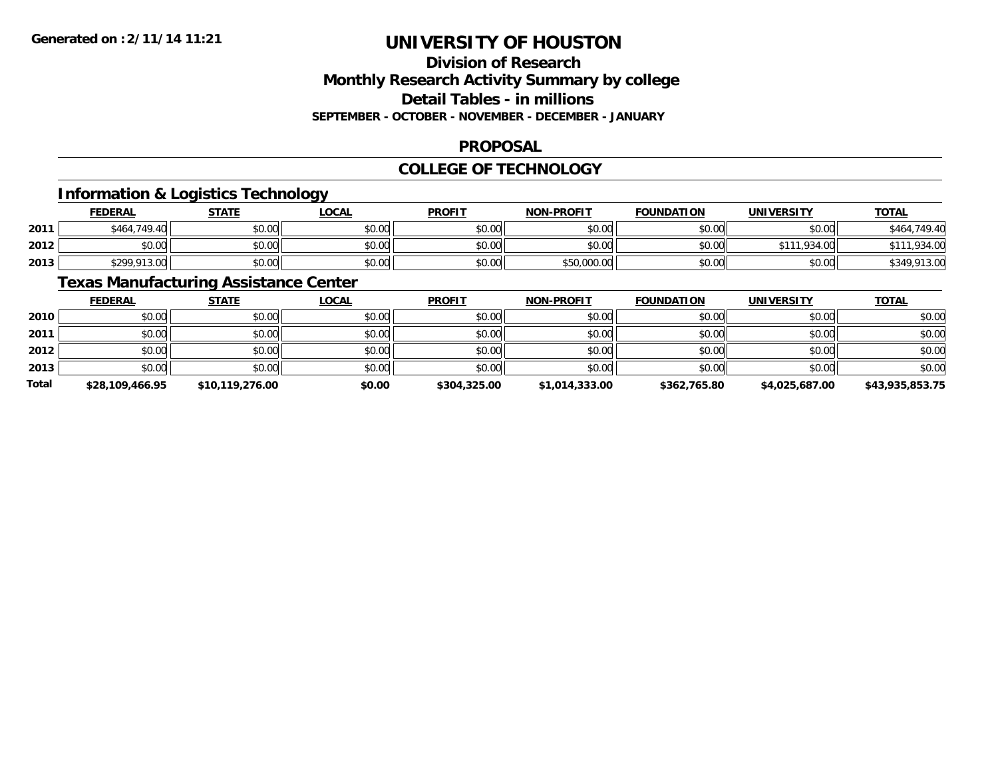# **Division of ResearchMonthly Research Activity Summary by college Detail Tables - in millions SEPTEMBER - OCTOBER - NOVEMBER - DECEMBER - JANUARY**

#### **PROPOSAL**

### **COLLEGE OF TECHNOLOGY**

# **Information & Logistics Technology**

|      | <u>FEDERAL</u> | STATE  | <u>LOCAL</u> | <b>PROFIT</b> | <b>NON-PROFIT</b> | <b>FOUNDATION</b> | UNIVERSITY   | <b>TOTAL</b> |
|------|----------------|--------|--------------|---------------|-------------------|-------------------|--------------|--------------|
| 2011 | \$464,749.40   | \$0.00 | \$0.00       | \$0.00        | \$0.00            | \$0.00            | \$0.00       | \$464,749.40 |
| 2012 | \$0.00         | \$0.00 | \$0.00       | \$0.00        | \$0.00            | \$0.00            | \$111,934.00 | .934.00      |
| 2013 | \$299,913.00   | \$0.00 | \$0.00       | \$0.00        | \$50,000.00       | \$0.00            | \$0.00       | \$349,913.00 |

# **Texas Manufacturing Assistance Center**

|       | <b>FEDERAL</b>  | <b>STATE</b>    | <b>LOCAL</b> | <b>PROFIT</b> | <b>NON-PROFIT</b> | <b>FOUNDATION</b> | <b>UNIVERSITY</b> | <b>TOTAL</b>    |
|-------|-----------------|-----------------|--------------|---------------|-------------------|-------------------|-------------------|-----------------|
| 2010  | \$0.00          | \$0.00          | \$0.00       | \$0.00        | \$0.00            | \$0.00            | \$0.00            | \$0.00          |
| 2011  | \$0.00          | \$0.00          | \$0.00       | \$0.00        | \$0.00            | \$0.00            | \$0.00            | \$0.00          |
| 2012  | \$0.00          | \$0.00          | \$0.00       | \$0.00        | \$0.00            | \$0.00            | \$0.00            | \$0.00          |
| 2013  | \$0.00          | \$0.00          | \$0.00       | \$0.00        | \$0.00            | \$0.00            | \$0.00            | \$0.00          |
| Total | \$28,109,466.95 | \$10,119,276.00 | \$0.00       | \$304,325.00  | \$1,014,333.00    | \$362,765.80      | \$4,025,687.00    | \$43,935,853.75 |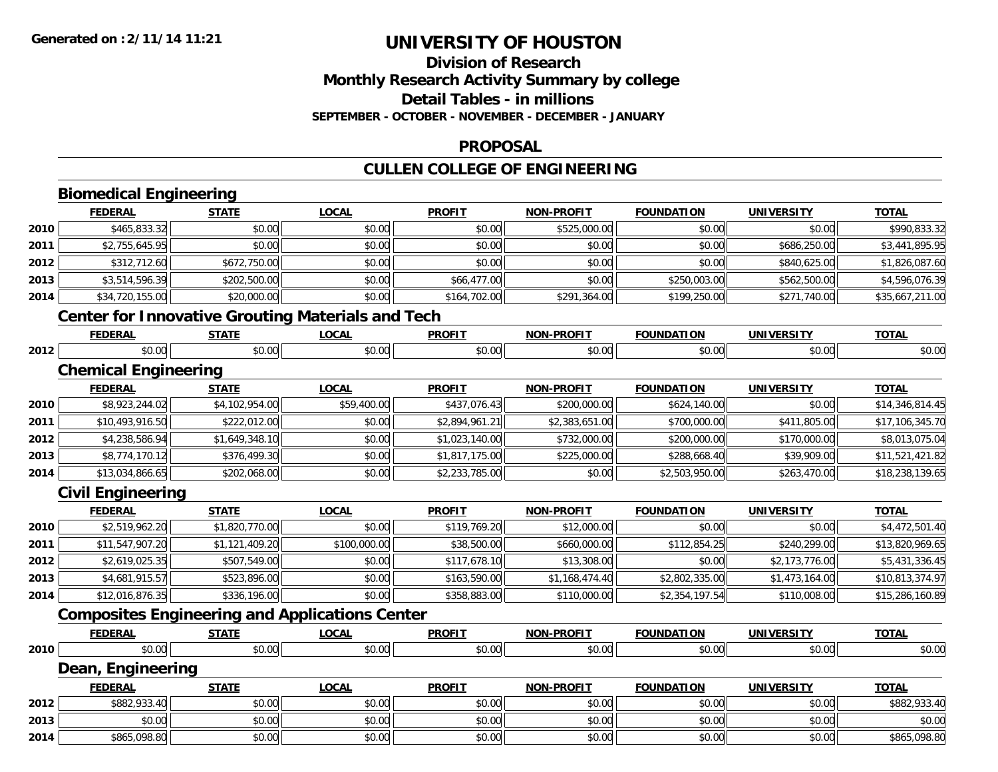### **Division of ResearchMonthly Research Activity Summary by college Detail Tables - in millionsSEPTEMBER - OCTOBER - NOVEMBER - DECEMBER - JANUARY**

#### **PROPOSAL**

### **CULLEN COLLEGE OF ENGINEERING**

#### **Biomedical Engineering FEDERAL STATE LOCAL PROFIT NON-PROFIT FOUNDATION UNIVERSITY TOTALTOTAL 2010**0 \$465,833.32 \$0.00 \$0.00 \$0.00 \$0.00 \$0.00 \$0.00 \$0.00 \$525,000.00 \$525,000.00 \$0.00 \$0.00 \$0.00 \$0.00 \$990,833.32 **2011** \$2,755,645.95 \$0.00 \$0.00 \$0.00 \$0.00 \$0.00 \$686,250.00 \$3,441,895.95 **2012** \$312,712.60 \$672,750.00 \$0.00 \$0.00 \$0.00 \$0.00 \$840,625.00 \$1,826,087.60 **2013** \$3,514,596.39 \$202,500.00 \$0.00 \$66,477.00 \$0.00 \$250,003.00 \$562,500.00 \$4,596,076.39 **2014**4 \$33,720,155.00| \$20,000.00| \$0.00| \$164,702.00| \$291,364.00| \$199,250.00| \$271,740.00| \$35,667,211.00 **Center for Innovative Grouting Materials and Tech FEDERAL STATE LOCAL PROFIT NON-PROFIT FOUNDATION UNIVERSITY TOTAL2012**2 | \$0.00 \$0.00 \$0.00 \$0.00 \$0.00 \$0.00 \$0.00 \$0.00 \$0.00 \$0.00 \$0.00 \$0.00 \$0.00 \$0.00 \$0.00 \$0.00 \$0.00 \$0.0 **Chemical Engineering FEDERAL STATE LOCAL PROFIT NON-PROFIT FOUNDATION UNIVERSITY TOTAL2010**0 | \$8,923,244.02|| \$4,102,954.00|| \$59,400.00|| \$337,076.43|| \$200,000.00|| \$624,140.00|| \$0.00|| \$14,346,814.45 **2011** \$10,493,916.50 \$222,012.00 \$0.00 \$2,894,961.21 \$2,383,651.00 \$700,000.00 \$411,805.00 \$17,106,345.70 **2012** $\textbf{2} \parallel \textbf{3} \pm \textbf{4}, 238,586.94 \parallel \textbf{4}, 238,586.94 \parallel \textbf{5}, 0.49,348.10 \parallel \textbf{6}, 0.00 \parallel \textbf{7}, 0.00 \parallel \textbf{8}, 0.00 \parallel \textbf{8}, 0.00 \parallel \textbf{8}, 0.00 \parallel \textbf{8}, 0.00 \parallel \textbf{8}, 0.00 \parallel \textbf{8}, 0.00 \parallel \textbf{8}, 0.00 \parallel \textbf{8}, 0.00 \parallel \textbf{8}, 0.00 \parallel \textbf{$ **2013** \$8,774,170.12 \$376,499.30 \$0.00 \$1,817,175.00 \$225,000.00 \$288,668.40 \$39,909.00 \$11,521,421.82 **2014**4 \$13,034,866.65|| \$202,068.00|| \$0.00|| \$2,233,785.00|| \$0.00|| \$2,503,950.00|| \$263,470.00|| \$18,238,139.65 **Civil Engineering FEDERAL STATE LOCAL PROFIT NON-PROFIT FOUNDATION UNIVERSITY TOTALTOTAL 2010** \$2,519,962.20 \$1,820,770.00 \$0.00 \$119,769.20 \$12,000.00 \$0.00 \$0.00 \$4,472,501.40 **2011** \$11,547,907.20 \$1,121,409.20 \$100,000.00 \$38,500.00 \$660,000.00 \$112,854.25 \$240,299.00 \$13,820,969.65 **2012** \$2,619,025.35 \$507,549.00 \$0.00 \$117,678.10 \$13,308.00 \$0.00 \$2,173,776.00 \$5,431,336.45 **2013** $\bf{3} \vert \hskip1cm \bf{\$4,681,915.57} \vert \hskip1cm \bf{\$523,896.00} \vert \hskip1.1cm \bf{\$50.00} \vert \hskip1.1cm \bf{\$163,590.00} \vert \hskip1.1cm \bf{\$1,168,474.40} \vert \hskip1.1cm \bf{\$2,802,335.00} \vert \hskip1.1cm \bf{\$1,473,164.00} \vert \hskip1.1cm \bf{\$10,813,374.97} \vert \hskip1.1cm \bf{\$2,802,33$ **2014**4 \$12,016,876.35|| \$336,196.00|| \$0.00|| \$358,883.00|| \$110,000.00|| \$2,354,197.54|| \$110,008.00|| \$15,286,160.89 **Composites Engineering and Applications Center FEDERAL STATE LOCAL PROFIT NON-PROFIT FOUNDATION UNIVERSITY TOTALTOTAL 2010** $\, \mathsf{0} \, \vert \qquad \qquad \mathsf{0.00} \, \vert \qquad \qquad \mathsf{0.00} \, \vert \qquad \qquad \mathsf{0.00} \, \vert \qquad \qquad \mathsf{0.00} \, \vert \qquad \qquad \mathsf{0.00} \, \vert \qquad \qquad \mathsf{0.00} \, \vert \qquad \qquad \mathsf{0.00} \, \vert \qquad \qquad \mathsf{0.00} \, \vert \qquad \qquad \mathsf{0.00} \, \vert \qquad \qquad \mathsf{0.01} \, \vert \qquad \qquad \mathsf{0.01} \, \$ **Dean, Engineering FEDERAL STATE LOCAL PROFIT NON-PROFIT FOUNDATION UNIVERSITY TOTALTOTAL 2012**2 | \$882,933.40| \$0.00| \$0.00| \$0.00| \$0.00| \$0.00| \$0.00| \$0.00| \$0.00| \$0.00| \$0.00| \$882,933.40 **2013** \$0.00 \$0.00 \$0.00 \$0.00 \$0.00 \$0.00 \$0.00 \$0.00 **2014**4 \$865,098.80 \$0.00 \$0.00 \$0.00 \$0.00 \$0.00 \$0.00 \$0.00 \$0.00 \$0.00 \$0.00 \$0.00 \$0.00 \$0.00 \$865,098.80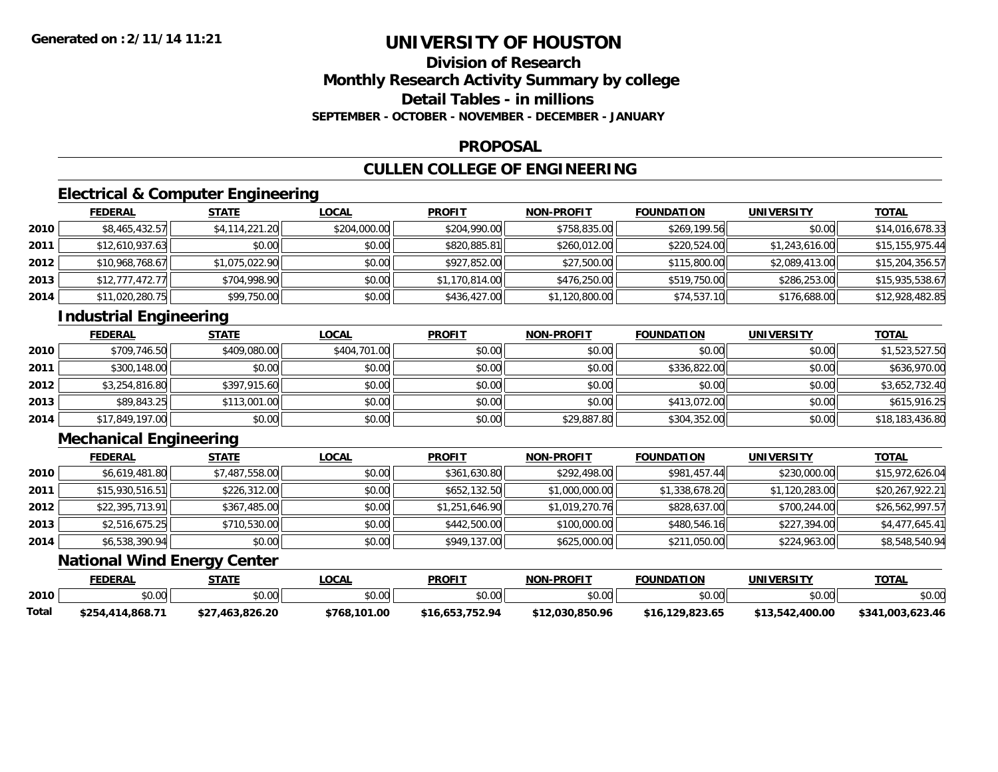# **Division of ResearchMonthly Research Activity Summary by college Detail Tables - in millionsSEPTEMBER - OCTOBER - NOVEMBER - DECEMBER - JANUARY**

#### **PROPOSAL**

# **CULLEN COLLEGE OF ENGINEERING**

# **Electrical & Computer Engineering**

|      | <b>FEDERAL</b>  | <b>STATE</b>   | <u>LOCAL</u> | <b>PROFIT</b>  | <b>NON-PROFIT</b> | <b>FOUNDATION</b> | <b>UNIVERSITY</b> | <u>TOTAL</u>    |
|------|-----------------|----------------|--------------|----------------|-------------------|-------------------|-------------------|-----------------|
| 2010 | \$8,465,432.57  | \$4,114,221.20 | \$204,000.00 | \$204,990.00   | \$758,835.00      | \$269,199.56      | \$0.00            | \$14,016,678.33 |
| 2011 | \$12,610,937.63 | \$0.00         | \$0.00       | \$820,885.81   | \$260,012.00      | \$220,524.00      | \$1,243,616.00    | \$15,155,975.44 |
| 2012 | \$10,968,768.67 | \$1,075,022.90 | \$0.00       | \$927,852.00   | \$27,500.00       | \$115,800.00      | \$2,089,413.00    | \$15,204,356.57 |
| 2013 | \$12,777,472.77 | \$704,998.90   | \$0.00       | \$1,170,814.00 | \$476,250.00      | \$519,750.00      | \$286,253.00      | \$15,935,538.67 |
| 2014 | \$11,020,280.75 | \$99,750.00    | \$0.00       | \$436,427.00   | \$1,120,800.00    | \$74,537.10       | \$176,688.00      | \$12,928,482.85 |

# **Industrial Engineering**

|      | <b>FEDERAL</b>  | <u>STATE</u> | <u>LOCAL</u> | <b>PROFIT</b> | <b>NON-PROFIT</b> | <b>FOUNDATION</b> | <b>UNIVERSITY</b> | <b>TOTAL</b>    |
|------|-----------------|--------------|--------------|---------------|-------------------|-------------------|-------------------|-----------------|
| 2010 | \$709,746.50    | \$409,080.00 | \$404,701.00 | \$0.00        | \$0.00            | \$0.00            | \$0.00            | \$1,523,527.50  |
| 2011 | \$300,148.00    | \$0.00       | \$0.00       | \$0.00        | \$0.00            | \$336,822.00      | \$0.00            | \$636,970.00    |
| 2012 | \$3,254,816.80  | \$397,915.60 | \$0.00       | \$0.00        | \$0.00            | \$0.00            | \$0.00            | \$3,652,732.40  |
| 2013 | \$89,843.25     | \$113,001.00 | \$0.00       | \$0.00        | \$0.00            | \$413,072.00      | \$0.00            | \$615,916.25    |
| 2014 | \$17,849,197.00 | \$0.00       | \$0.00       | \$0.00        | \$29,887.80       | \$304,352.00      | \$0.00            | \$18,183,436.80 |

# **Mechanical Engineering**

|      | <b>FEDERAL</b>  | <u>STATE</u>   | <b>LOCAL</b> | <b>PROFIT</b>  | <b>NON-PROFIT</b> | <b>FOUNDATION</b> | <b>UNIVERSITY</b> | <b>TOTAL</b>    |
|------|-----------------|----------------|--------------|----------------|-------------------|-------------------|-------------------|-----------------|
| 2010 | \$6,619,481.80  | \$7,487,558.00 | \$0.00       | \$361,630.80   | \$292,498.00      | \$981,457.44      | \$230,000.00      | \$15,972,626.04 |
| 2011 | \$15,930,516.51 | \$226,312.00   | \$0.00       | \$652,132.50   | \$1,000,000.00    | \$1,338,678.20    | \$1,120,283.00    | \$20,267,922.21 |
| 2012 | \$22,395,713.91 | \$367,485.00   | \$0.00       | \$1,251,646.90 | \$1,019,270.76    | \$828,637.00      | \$700,244.00      | \$26,562,997.57 |
| 2013 | \$2,516,675.25  | \$710,530.00   | \$0.00       | \$442,500.00   | \$100,000.00      | \$480,546.16      | \$227,394.00      | \$4,477,645.41  |
| 2014 | \$6,538,390.94  | \$0.00         | \$0.00       | \$949,137.00   | \$625,000.00      | \$211,050.00      | \$224,963.00      | \$8,548,540.94  |

### **National Wind Energy Center**

|       | <b>FEDERAL</b>   | STATE           | .OCAL         | <b>PROFIT</b>        | <b>NON-PROFIT</b> | <b>FOUNDATION</b> | <b>UNIVERSITY</b> | TOTA.               |
|-------|------------------|-----------------|---------------|----------------------|-------------------|-------------------|-------------------|---------------------|
| 2010  | mn nt<br>vv.vv   | \$0.00          | 0.00<br>JU.UU | 0000<br><b>SU.UU</b> | \$0.00            | \$0.00            | \$0.00            | \$0.00              |
| Total | \$254,414,868.71 | \$27,463,826.20 | \$768,101.00  | \$16.653.752.94      | \$12,030,850.96   | 129.823.65        | \$13,542,400.00   | 003.623.46<br>\$341 |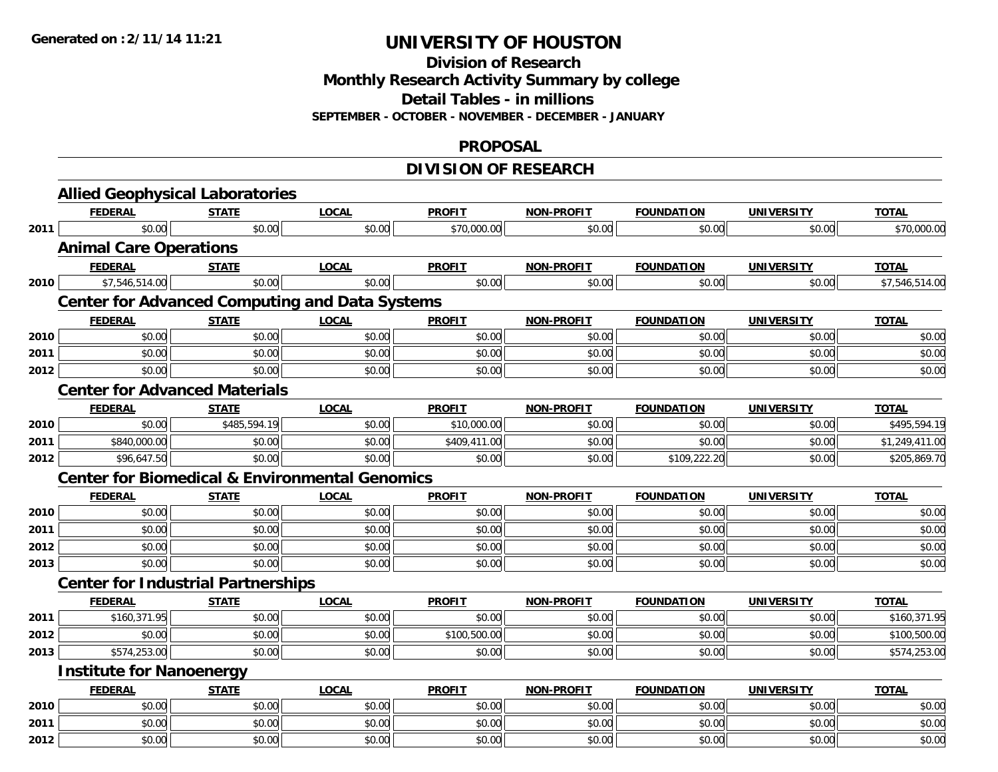**Division of Research**

**Monthly Research Activity Summary by college**

**Detail Tables - in millions**

**SEPTEMBER - OCTOBER - NOVEMBER - DECEMBER - JANUARY**

#### **PROPOSAL**

# **DIVISION OF RESEARCH**

|              | <b>Allied Geophysical Laboratories</b>                    |                  |                  |                  |                   |                   |                   |                  |
|--------------|-----------------------------------------------------------|------------------|------------------|------------------|-------------------|-------------------|-------------------|------------------|
|              | <b>FEDERAL</b>                                            | <b>STATE</b>     | <b>LOCAL</b>     | <b>PROFIT</b>    | NON-PROFIT        | <b>FOUNDATION</b> | <b>UNIVERSITY</b> | <b>TOTAL</b>     |
| 2011         | \$0.00                                                    | \$0.00           | \$0.00           | \$70,000.00      | \$0.00            | \$0.00            | \$0.00            | \$70,000.00      |
|              | <b>Animal Care Operations</b>                             |                  |                  |                  |                   |                   |                   |                  |
|              | <b>FEDERAL</b>                                            | <b>STATE</b>     | <b>LOCAL</b>     | <b>PROFIT</b>    | <b>NON-PROFIT</b> | <b>FOUNDATION</b> | <b>UNIVERSITY</b> | <b>TOTAL</b>     |
| 2010         | \$7,546,514.00                                            | \$0.00           | \$0.00           | \$0.00           | \$0.00            | \$0.00            | \$0.00            | \$7,546,514.00   |
|              | <b>Center for Advanced Computing and Data Systems</b>     |                  |                  |                  |                   |                   |                   |                  |
|              | <b>FEDERAL</b>                                            | <b>STATE</b>     | <b>LOCAL</b>     | <b>PROFIT</b>    | <b>NON-PROFIT</b> | <b>FOUNDATION</b> | <b>UNIVERSITY</b> | <b>TOTAL</b>     |
| 2010         | \$0.00                                                    | \$0.00           | \$0.00           | \$0.00           | \$0.00            | \$0.00            | \$0.00            | \$0.00           |
| 2011         | \$0.00                                                    | \$0.00           | \$0.00           | \$0.00           | \$0.00            | \$0.00            | \$0.00            | \$0.00           |
| 2012         | \$0.00                                                    | \$0.00           | \$0.00           | \$0.00           | \$0.00            | \$0.00            | \$0.00            | \$0.00           |
|              | <b>Center for Advanced Materials</b>                      |                  |                  |                  |                   |                   |                   |                  |
|              | <b>FEDERAL</b>                                            | <b>STATE</b>     | <b>LOCAL</b>     | <b>PROFIT</b>    | NON-PROFIT        | <b>FOUNDATION</b> | <b>UNIVERSITY</b> | <b>TOTAL</b>     |
| 2010         | \$0.00                                                    | \$485,594.19     | \$0.00           | \$10,000.00      | \$0.00            | \$0.00            | \$0.00            | \$495,594.19     |
| 2011         | \$840,000.00                                              | \$0.00           | \$0.00           | \$409,411.00     | \$0.00            | \$0.00            | \$0.00            | \$1,249,411.00   |
| 2012         | \$96,647.50                                               | \$0.00           | \$0.00           | \$0.00           | \$0.00            | \$109,222.20      | \$0.00            | \$205,869.70     |
|              | <b>Center for Biomedical &amp; Environmental Genomics</b> |                  |                  |                  |                   |                   |                   |                  |
|              | <b>FEDERAL</b>                                            | <b>STATE</b>     | <b>LOCAL</b>     | <b>PROFIT</b>    | <b>NON-PROFIT</b> | <b>FOUNDATION</b> | <b>UNIVERSITY</b> | <b>TOTAL</b>     |
| 2010         | \$0.00                                                    | \$0.00           | \$0.00           | \$0.00           | \$0.00            | \$0.00            | \$0.00            | \$0.00           |
| 2011         | \$0.00                                                    | \$0.00           | \$0.00           | \$0.00           | \$0.00            | \$0.00            | \$0.00            | \$0.00           |
| 2012         | \$0.00                                                    | \$0.00           | \$0.00           | \$0.00           | \$0.00            | \$0.00            | \$0.00            | \$0.00           |
| 2013         | \$0.00                                                    | \$0.00           | \$0.00           | \$0.00           | \$0.00            | \$0.00            | \$0.00            | \$0.00           |
|              | <b>Center for Industrial Partnerships</b>                 |                  |                  |                  |                   |                   |                   |                  |
|              | <b>FEDERAL</b>                                            | <b>STATE</b>     | <b>LOCAL</b>     | <b>PROFIT</b>    | <b>NON-PROFIT</b> | <b>FOUNDATION</b> | <b>UNIVERSITY</b> | <b>TOTAL</b>     |
| 2011         | \$160,371.95                                              | \$0.00           | \$0.00           | \$0.00           | \$0.00            | \$0.00            | \$0.00            | \$160,371.95     |
| 2012         | \$0.00                                                    | \$0.00           | \$0.00           | \$100,500.00     | \$0.00            | \$0.00            | \$0.00            | \$100,500.00     |
| 2013         | \$574,253.00                                              | \$0.00           | \$0.00           | \$0.00           | \$0.00            | \$0.00            | \$0.00            | \$574,253.00     |
|              | <b>Institute for Nanoenergy</b>                           |                  |                  |                  |                   |                   |                   |                  |
|              | <b>FEDERAL</b>                                            | <b>STATE</b>     | <b>LOCAL</b>     | <b>PROFIT</b>    | NON-PROFIT        | <b>FOUNDATION</b> | <b>UNIVERSITY</b> | <b>TOTAL</b>     |
| 2010         | \$0.00                                                    | \$0.00           | \$0.00           | \$0.00           | \$0.00            | \$0.00            | \$0.00            | \$0.00           |
|              |                                                           |                  |                  |                  |                   |                   |                   |                  |
| 2011<br>2012 | \$0.00<br>\$0.00                                          | \$0.00<br>\$0.00 | \$0.00<br>\$0.00 | \$0.00<br>\$0.00 | \$0.00<br>\$0.00  | \$0.00<br>\$0.00  | \$0.00<br>\$0.00  | \$0.00<br>\$0.00 |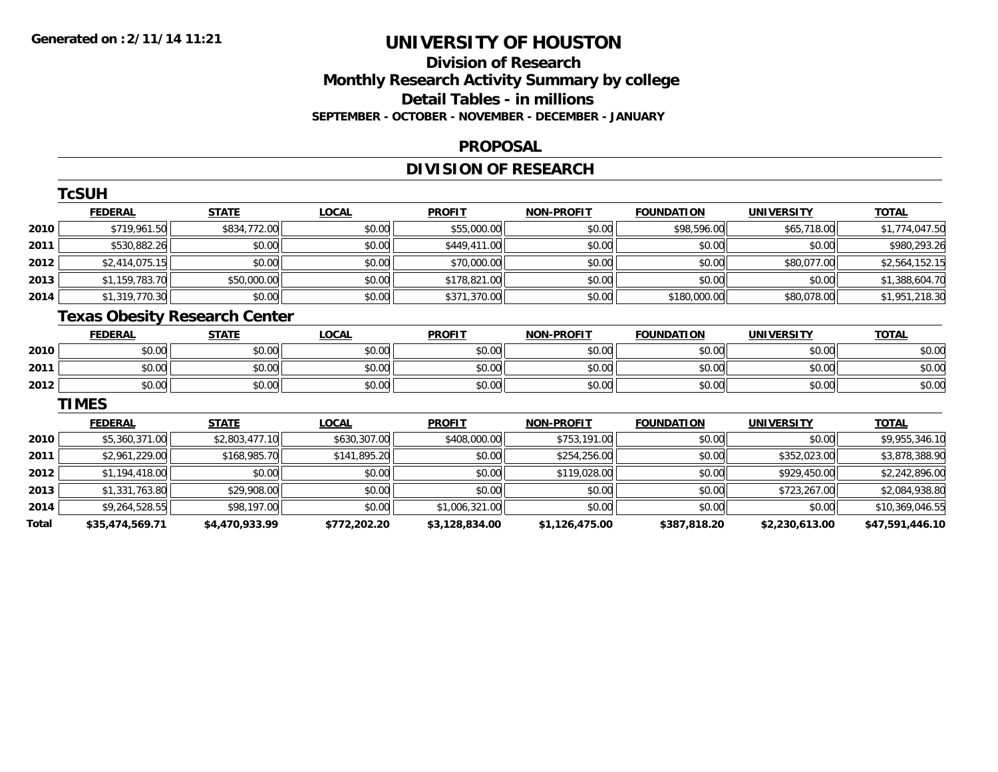# **Division of ResearchMonthly Research Activity Summary by college Detail Tables - in millions SEPTEMBER - OCTOBER - NOVEMBER - DECEMBER - JANUARY**

#### **PROPOSAL**

# **DIVISION OF RESEARCH**

|       | <b>TcSUH</b>                         |                |              |                |                   |                   |                   |                 |
|-------|--------------------------------------|----------------|--------------|----------------|-------------------|-------------------|-------------------|-----------------|
|       | <b>FEDERAL</b>                       | <b>STATE</b>   | <b>LOCAL</b> | <b>PROFIT</b>  | <b>NON-PROFIT</b> | <b>FOUNDATION</b> | <b>UNIVERSITY</b> | <b>TOTAL</b>    |
| 2010  | \$719,961.50                         | \$834,772.00   | \$0.00       | \$55,000.00    | \$0.00            | \$98,596.00       | \$65,718.00       | \$1,774,047.50  |
| 2011  | \$530,882.26                         | \$0.00         | \$0.00       | \$449,411.00   | \$0.00            | \$0.00            | \$0.00            | \$980,293.26    |
| 2012  | \$2,414,075.15                       | \$0.00         | \$0.00       | \$70,000.00    | \$0.00            | \$0.00            | \$80,077.00       | \$2,564,152.15  |
| 2013  | \$1,159,783.70                       | \$50,000.00    | \$0.00       | \$178,821.00   | \$0.00            | \$0.00            | \$0.00            | \$1,388,604.70  |
| 2014  | \$1,319,770.30                       | \$0.00         | \$0.00       | \$371,370.00   | \$0.00            | \$180,000.00      | \$80,078.00       | \$1,951,218.30  |
|       | <b>Texas Obesity Research Center</b> |                |              |                |                   |                   |                   |                 |
|       | <b>FEDERAL</b>                       | <b>STATE</b>   | <b>LOCAL</b> | <b>PROFIT</b>  | <b>NON-PROFIT</b> | <b>FOUNDATION</b> | <b>UNIVERSITY</b> | <b>TOTAL</b>    |
| 2010  | \$0.00                               | \$0.00         | \$0.00       | \$0.00         | \$0.00            | \$0.00            | \$0.00            | \$0.00          |
| 2011  | \$0.00                               | \$0.00         | \$0.00       | \$0.00         | \$0.00            | \$0.00            | \$0.00            | \$0.00          |
| 2012  | \$0.00                               | \$0.00         | \$0.00       | \$0.00         | \$0.00            | \$0.00            | \$0.00            | \$0.00          |
|       | <b>TIMES</b>                         |                |              |                |                   |                   |                   |                 |
|       | <b>FEDERAL</b>                       | <b>STATE</b>   | <b>LOCAL</b> | <b>PROFIT</b>  | <b>NON-PROFIT</b> | <b>FOUNDATION</b> | <b>UNIVERSITY</b> | <b>TOTAL</b>    |
| 2010  | \$5,360,371.00                       | \$2,803,477.10 | \$630,307.00 | \$408,000.00   | \$753,191.00      | \$0.00            | \$0.00            | \$9,955,346.10  |
| 2011  | \$2,961,229.00                       | \$168,985.70   | \$141,895.20 | \$0.00         | \$254,256.00      | \$0.00            | \$352,023.00      | \$3,878,388.90  |
| 2012  | \$1,194,418.00                       | \$0.00         | \$0.00       | \$0.00         | \$119,028.00      | \$0.00            | \$929,450.00      | \$2,242,896.00  |
| 2013  | \$1,331,763.80                       | \$29,908.00    | \$0.00       | \$0.00         | \$0.00            | \$0.00            | \$723,267.00      | \$2,084,938.80  |
| 2014  | \$9,264,528.55                       | \$98,197.00    | \$0.00       | \$1,006,321.00 | \$0.00            | \$0.00            | \$0.00            | \$10,369,046.55 |
| Total | \$35,474,569.71                      | \$4,470,933.99 | \$772,202.20 | \$3,128,834.00 | \$1,126,475.00    | \$387,818.20      | \$2,230,613.00    | \$47,591,446.10 |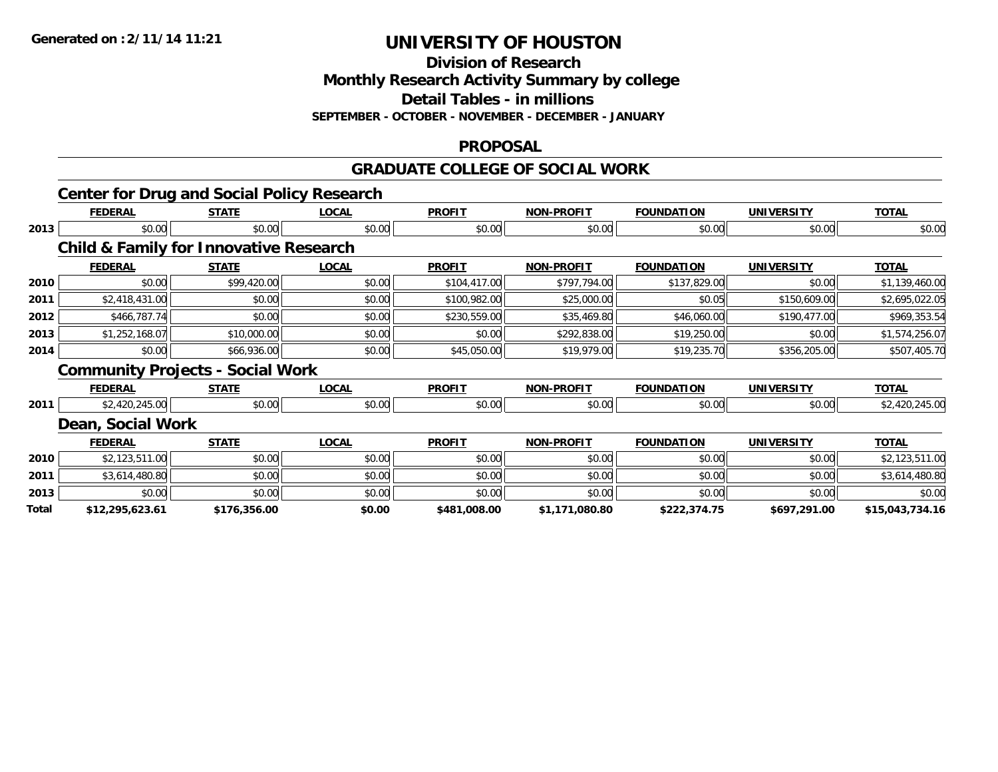**Division of Research**

**Monthly Research Activity Summary by college**

**Detail Tables - in millions**

**SEPTEMBER - OCTOBER - NOVEMBER - DECEMBER - JANUARY**

#### **PROPOSAL**

#### **GRADUATE COLLEGE OF SOCIAL WORK**

|       |                   | <b>Center for Drug and Social Policy Research</b> |              |               |                   |                   |                   |                 |
|-------|-------------------|---------------------------------------------------|--------------|---------------|-------------------|-------------------|-------------------|-----------------|
|       | <b>FEDERAL</b>    | <b>STATE</b>                                      | <b>LOCAL</b> | <b>PROFIT</b> | <b>NON-PROFIT</b> | <b>FOUNDATION</b> | <b>UNIVERSITY</b> | <b>TOTAL</b>    |
| 2013  | \$0.00            | \$0.00                                            | \$0.00       | \$0.00        | \$0.00            | \$0.00            | \$0.00            | \$0.00          |
|       |                   | <b>Child &amp; Family for Innovative Research</b> |              |               |                   |                   |                   |                 |
|       | <b>FEDERAL</b>    | <b>STATE</b>                                      | <b>LOCAL</b> | <b>PROFIT</b> | <b>NON-PROFIT</b> | <b>FOUNDATION</b> | <b>UNIVERSITY</b> | <b>TOTAL</b>    |
| 2010  | \$0.00            | \$99,420.00                                       | \$0.00       | \$104,417.00  | \$797,794.00      | \$137,829.00      | \$0.00            | \$1,139,460.00  |
| 2011  | \$2,418,431.00    | \$0.00                                            | \$0.00       | \$100,982.00  | \$25,000.00       | \$0.05            | \$150,609.00      | \$2,695,022.05  |
| 2012  | \$466,787.74      | \$0.00                                            | \$0.00       | \$230,559.00  | \$35,469.80       | \$46,060.00       | \$190,477.00      | \$969,353.54    |
| 2013  | \$1,252,168.07    | \$10,000.00                                       | \$0.00       | \$0.00        | \$292,838.00      | \$19,250.00       | \$0.00            | \$1,574,256.07  |
| 2014  | \$0.00            | \$66,936.00                                       | \$0.00       | \$45,050.00   | \$19,979.00       | \$19,235.70       | \$356,205.00      | \$507,405.70    |
|       |                   | <b>Community Projects - Social Work</b>           |              |               |                   |                   |                   |                 |
|       | <b>FEDERAL</b>    | <b>STATE</b>                                      | <b>LOCAL</b> | <b>PROFIT</b> | <b>NON-PROFIT</b> | <b>FOUNDATION</b> | <b>UNIVERSITY</b> | <b>TOTAL</b>    |
| 2011  | \$2,420,245.00    | \$0.00                                            | \$0.00       | \$0.00        | \$0.00            | \$0.00            | \$0.00            | \$2,420,245.00  |
|       | Dean, Social Work |                                                   |              |               |                   |                   |                   |                 |
|       | <b>FEDERAL</b>    | <b>STATE</b>                                      | <b>LOCAL</b> | <b>PROFIT</b> | <b>NON-PROFIT</b> | <b>FOUNDATION</b> | <b>UNIVERSITY</b> | <b>TOTAL</b>    |
| 2010  | \$2,123,511.00    | \$0.00                                            | \$0.00       | \$0.00        | \$0.00            | \$0.00            | \$0.00            | \$2,123,511.00  |
| 2011  | \$3,614,480.80    | \$0.00                                            | \$0.00       | \$0.00        | \$0.00            | \$0.00            | \$0.00            | \$3,614,480.80  |
| 2013  | \$0.00            | \$0.00                                            | \$0.00       | \$0.00        | \$0.00            | \$0.00            | \$0.00            | \$0.00          |
| Total | \$12,295,623.61   | \$176,356.00                                      | \$0.00       | \$481,008.00  | \$1,171,080.80    | \$222,374.75      | \$697,291.00      | \$15,043,734.16 |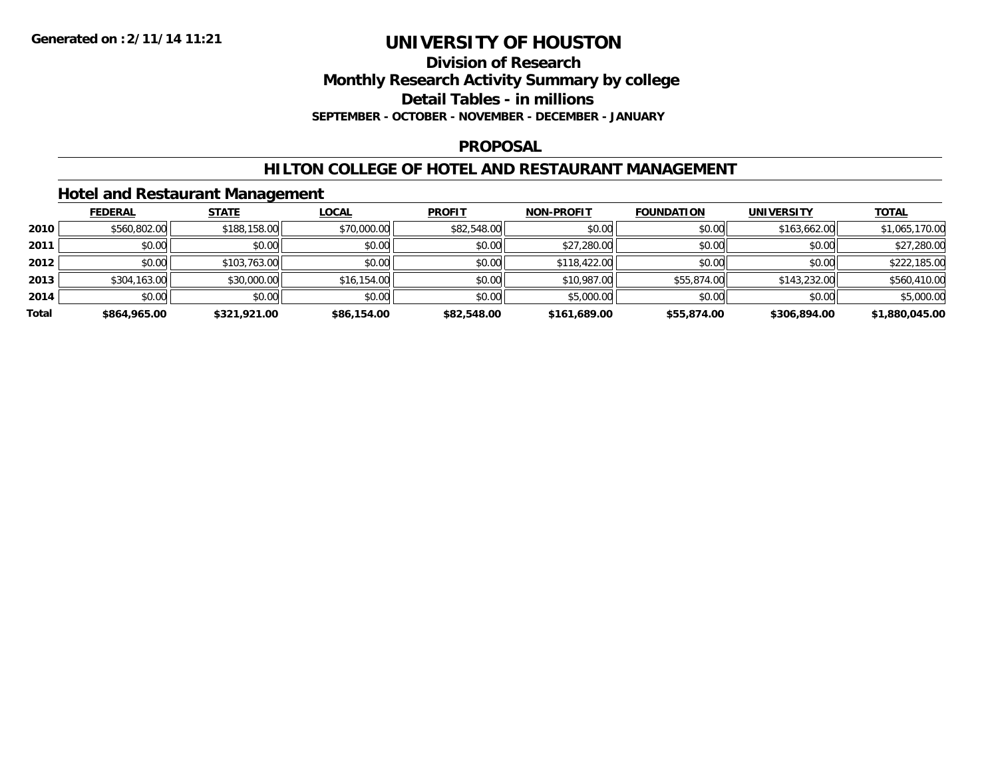**Division of Research**

**Monthly Research Activity Summary by college**

**Detail Tables - in millions**

**SEPTEMBER - OCTOBER - NOVEMBER - DECEMBER - JANUARY**

### **PROPOSAL**

### **HILTON COLLEGE OF HOTEL AND RESTAURANT MANAGEMENT**

### **Hotel and Restaurant Management**

|       | <b>FEDERAL</b> | <b>STATE</b> | <b>LOCAL</b> | <b>PROFIT</b> | <b>NON-PROFIT</b> | <b>FOUNDATION</b> | <b>UNIVERSITY</b> | <b>TOTAL</b>   |
|-------|----------------|--------------|--------------|---------------|-------------------|-------------------|-------------------|----------------|
| 2010  | \$560,802.00   | \$188,158.00 | \$70,000.00  | \$82,548.00   | \$0.00            | \$0.00            | \$163,662.00      | \$1,065,170.00 |
| 2011  | \$0.00         | \$0.00       | \$0.00       | \$0.00        | \$27,280.00       | \$0.00            | \$0.00            | \$27,280.00    |
| 2012  | \$0.00         | \$103,763.00 | \$0.00       | \$0.00        | \$118,422.00      | \$0.00            | \$0.00            | \$222,185.00   |
| 2013  | \$304,163.00   | \$30,000.00  | \$16,154.00  | \$0.00        | \$10,987.00       | \$55,874.00       | \$143,232.00      | \$560,410.00   |
| 2014  | \$0.00         | \$0.00       | \$0.00       | \$0.00        | \$5,000.00        | \$0.00            | \$0.00            | \$5,000.00     |
| Total | \$864,965.00   | \$321,921.00 | \$86,154.00  | \$82,548.00   | \$161,689.00      | \$55,874.00       | \$306,894.00      | \$1,880,045.00 |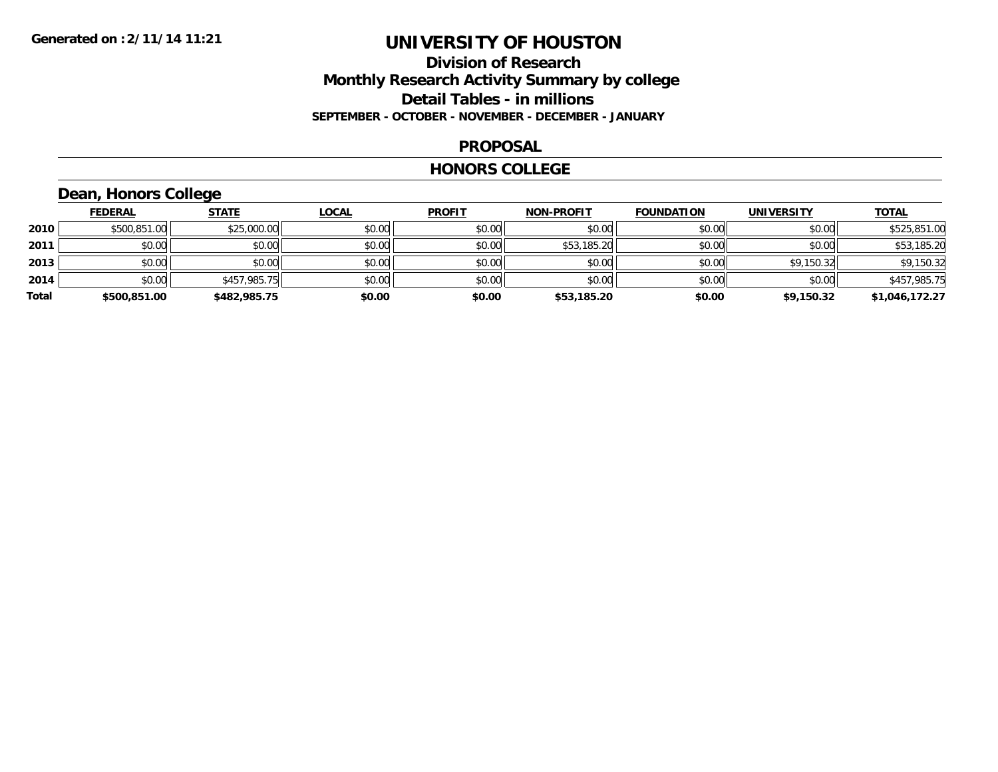### **Division of Research Monthly Research Activity Summary by college Detail Tables - in millions SEPTEMBER - OCTOBER - NOVEMBER - DECEMBER - JANUARY**

#### **PROPOSAL**

#### **HONORS COLLEGE**

# **Dean, Honors College**

|       | <b>FEDERAL</b> | <b>STATE</b> | <b>LOCAL</b> | <b>PROFIT</b> | <b>NON-PROFIT</b> | <b>FOUNDATION</b> | <b>UNIVERSITY</b> | <b>TOTAL</b>   |
|-------|----------------|--------------|--------------|---------------|-------------------|-------------------|-------------------|----------------|
| 2010  | \$500,851.00   | \$25,000.00  | \$0.00       | \$0.00        | \$0.00            | \$0.00            | \$0.00            | \$525,851.00   |
| 2011  | \$0.00         | \$0.00       | \$0.00       | \$0.00        | \$53,185.20       | \$0.00            | \$0.00            | \$53,185.20    |
| 2013  | \$0.00         | \$0.00       | \$0.00       | \$0.00        | \$0.00            | \$0.00            | \$9,150.32        | \$9,150.32     |
| 2014  | \$0.00         | \$457,985.75 | \$0.00       | \$0.00        | \$0.00            | \$0.00            | \$0.00            | \$457,985.75   |
| Total | \$500,851.00   | \$482,985.75 | \$0.00       | \$0.00        | \$53,185.20       | \$0.00            | \$9,150.32        | \$1,046,172.27 |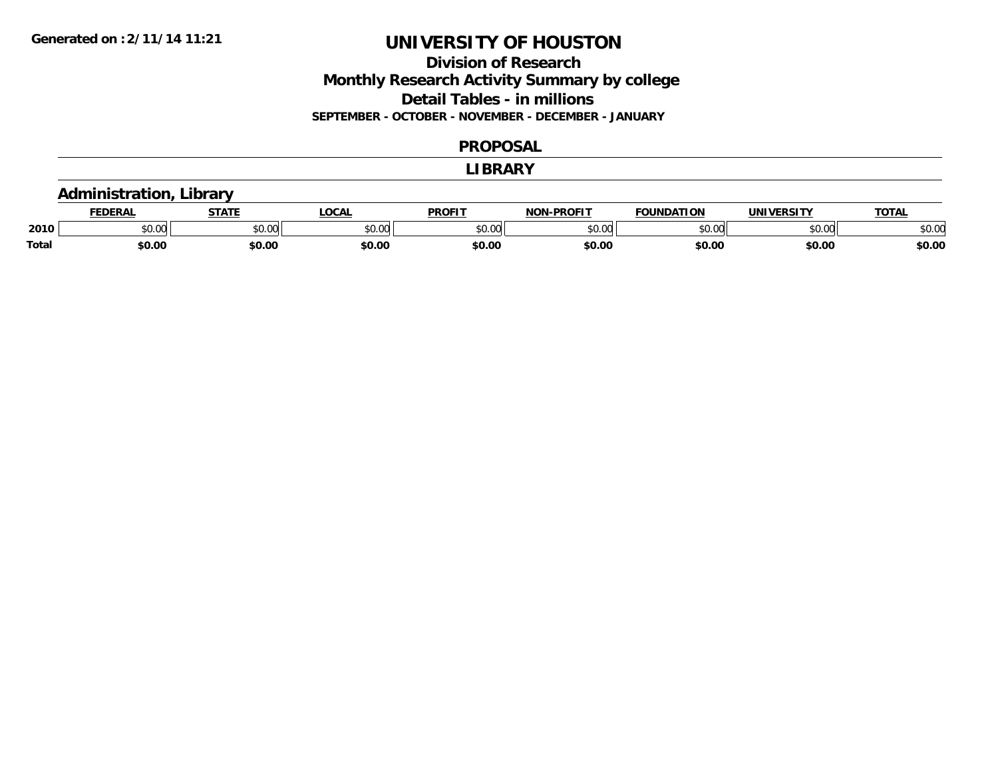### **Division of Research Monthly Research Activity Summary by college Detail Tables - in millions SEPTEMBER - OCTOBER - NOVEMBER - DECEMBER - JANUARY**

#### **PROPOSAL**

#### **LIBRARY**

### **Administration, Library**

|              | <b>DERAI</b>    | <b>STATE</b> | <b>LOCAL</b> | PROFIT          | <b>DDOCIT</b><br>NAN | <b>FOUNDATION</b> | <b>UNIVERSITY</b> | <b>TOTAL</b> |
|--------------|-----------------|--------------|--------------|-----------------|----------------------|-------------------|-------------------|--------------|
| 2010         | $\sim$<br>JU.UU | JU.UU        | \$0.00       | $\sim$<br>JU.UU | 0000<br>, UU J       | ,,,,,             | 0000<br>U.UU      | \$0.00       |
| <b>Total</b> | \$0.00          | \$0.00       | \$0.00       | ∝c∩ ∩<br>JU.U   | \$0.00               | \$0.00            | \$0.00            | \$0.00       |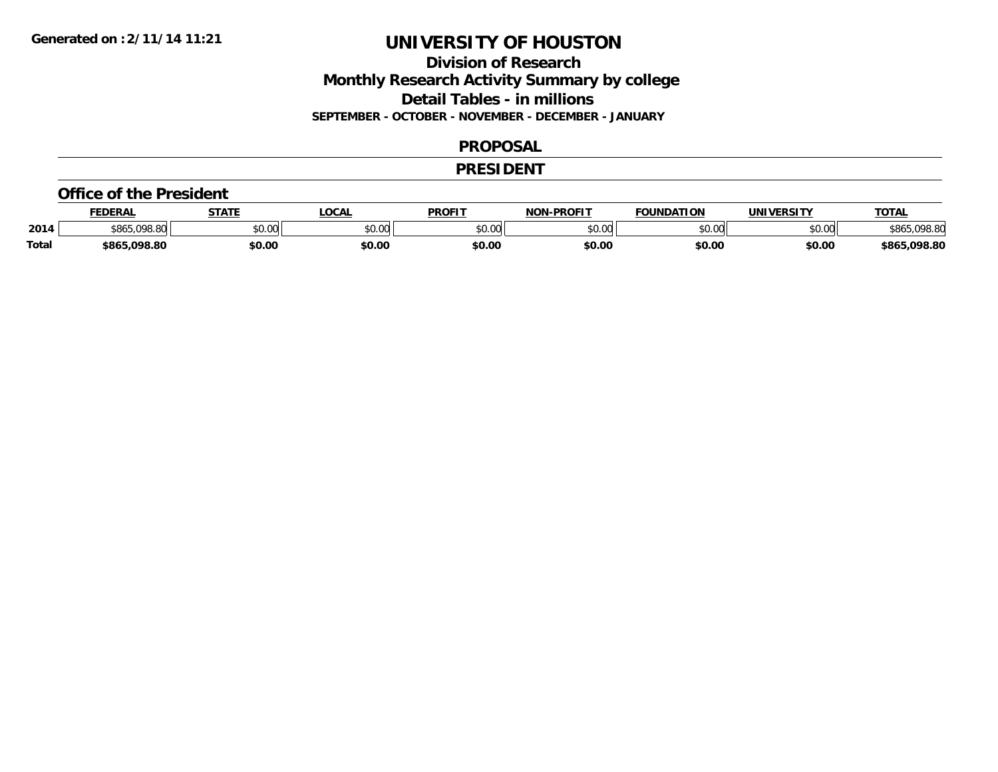### **Division of Research Monthly Research Activity Summary by college Detail Tables - in millions SEPTEMBER - OCTOBER - NOVEMBER - DECEMBER - JANUARY**

#### **PROPOSAL**

#### **PRESIDENT**

#### **Office of the President**

|              | <b>FEDERAL</b> | <b>CTATE</b>   | <b>.OCAL</b> | <b>PROFIT</b> | <b>LPROFIT</b><br><b>תרות</b> | <b>FOUNDATION</b>  | <b>IINIVERSITY</b> | <b>TOTAL</b>      |
|--------------|----------------|----------------|--------------|---------------|-------------------------------|--------------------|--------------------|-------------------|
| 2014         | \$865,098.80   | 0.00<br>JU.UU. | \$0.00       | 0000<br>JU.UU | 0.00<br>pv.uu                 | $\sim$ 00<br>JU.UU | 0000<br>DU.UU      | nno or<br>o r     |
| <b>Total</b> | ng sa<br>+OLL  | \$0.00         | \$0.00       | \$0.OC        | \$0.00                        | \$0.00             | \$0.00             | 098.80.د<br>ፍ ጸራ፣ |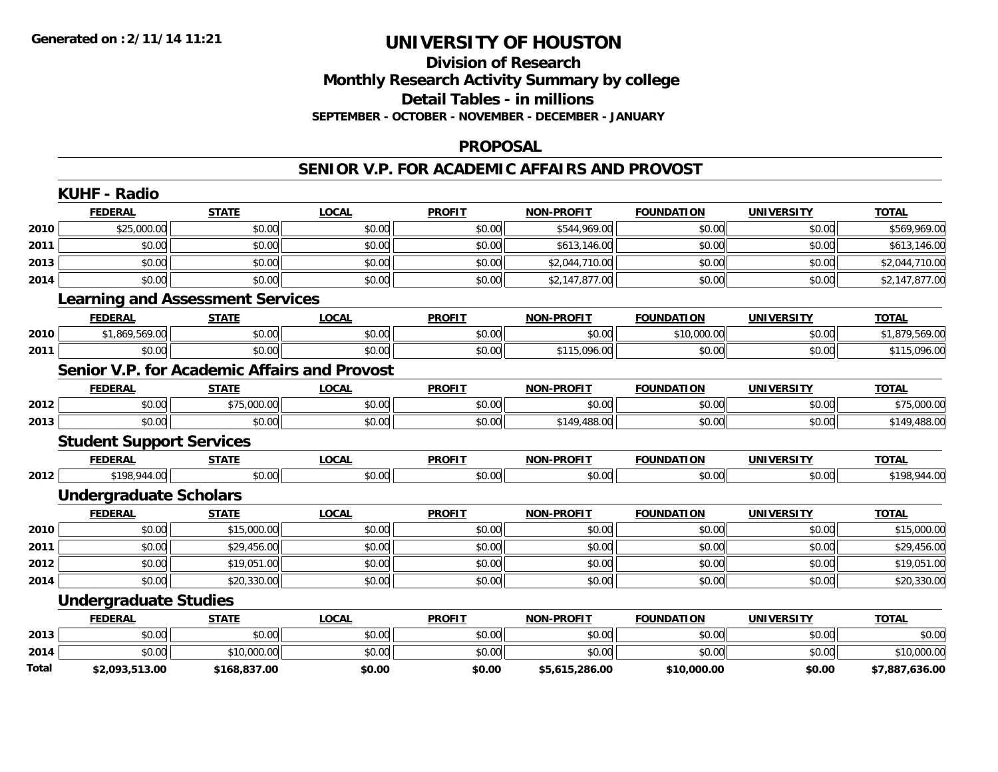### **Division of Research Monthly Research Activity Summary by college Detail Tables - in millions SEPTEMBER - OCTOBER - NOVEMBER - DECEMBER - JANUARY**

#### **PROPOSAL**

#### **SENIOR V.P. FOR ACADEMIC AFFAIRS AND PROVOST**

|       | <b>KUHF - Radio</b>             |                                         |                                                     |               |                   |                   |                   |                |
|-------|---------------------------------|-----------------------------------------|-----------------------------------------------------|---------------|-------------------|-------------------|-------------------|----------------|
|       | <b>FEDERAL</b>                  | <b>STATE</b>                            | <b>LOCAL</b>                                        | <b>PROFIT</b> | <b>NON-PROFIT</b> | <b>FOUNDATION</b> | <b>UNIVERSITY</b> | <b>TOTAL</b>   |
| 2010  | \$25,000.00                     | \$0.00                                  | \$0.00                                              | \$0.00        | \$544,969.00      | \$0.00            | \$0.00            | \$569,969.00   |
| 2011  | \$0.00                          | \$0.00                                  | \$0.00                                              | \$0.00        | \$613,146.00      | \$0.00            | \$0.00            | \$613,146.00   |
| 2013  | \$0.00                          | \$0.00                                  | \$0.00                                              | \$0.00        | \$2,044,710.00    | \$0.00            | \$0.00            | \$2,044,710.00 |
| 2014  | \$0.00                          | \$0.00                                  | \$0.00                                              | \$0.00        | \$2,147,877.00    | \$0.00            | \$0.00            | \$2,147,877.00 |
|       |                                 | <b>Learning and Assessment Services</b> |                                                     |               |                   |                   |                   |                |
|       | <b>FEDERAL</b>                  | <b>STATE</b>                            | <b>LOCAL</b>                                        | <b>PROFIT</b> | <b>NON-PROFIT</b> | <b>FOUNDATION</b> | <b>UNIVERSITY</b> | <b>TOTAL</b>   |
| 2010  | \$1,869,569.00                  | \$0.00                                  | \$0.00                                              | \$0.00        | \$0.00            | \$10,000.00       | \$0.00            | \$1,879,569.00 |
| 2011  | \$0.00                          | \$0.00                                  | \$0.00                                              | \$0.00        | \$115,096.00      | \$0.00            | \$0.00            | \$115,096.00   |
|       |                                 |                                         | <b>Senior V.P. for Academic Affairs and Provost</b> |               |                   |                   |                   |                |
|       | <b>FEDERAL</b>                  | <b>STATE</b>                            | <b>LOCAL</b>                                        | <b>PROFIT</b> | <b>NON-PROFIT</b> | <b>FOUNDATION</b> | <b>UNIVERSITY</b> | <b>TOTAL</b>   |
| 2012  | \$0.00                          | \$75,000.00                             | \$0.00                                              | \$0.00        | \$0.00            | \$0.00            | \$0.00            | \$75,000.00    |
| 2013  | \$0.00                          | \$0.00                                  | \$0.00                                              | \$0.00        | \$149,488.00      | \$0.00            | \$0.00            | \$149,488.00   |
|       | <b>Student Support Services</b> |                                         |                                                     |               |                   |                   |                   |                |
|       | <b>FEDERAL</b>                  | <b>STATE</b>                            | <b>LOCAL</b>                                        | <b>PROFIT</b> | <b>NON-PROFIT</b> | <b>FOUNDATION</b> | <b>UNIVERSITY</b> | <b>TOTAL</b>   |
| 2012  | \$198,944.00                    | \$0.00                                  | \$0.00                                              | \$0.00        | \$0.00            | \$0.00            | \$0.00            | \$198,944.00   |
|       | <b>Undergraduate Scholars</b>   |                                         |                                                     |               |                   |                   |                   |                |
|       | <b>FEDERAL</b>                  | <b>STATE</b>                            | <b>LOCAL</b>                                        | <b>PROFIT</b> | <b>NON-PROFIT</b> | <b>FOUNDATION</b> | <b>UNIVERSITY</b> | <b>TOTAL</b>   |
| 2010  | \$0.00                          | \$15,000.00                             | \$0.00                                              | \$0.00        | \$0.00            | \$0.00            | \$0.00            | \$15,000.00    |
| 2011  | \$0.00                          | \$29,456.00                             | \$0.00                                              | \$0.00        | \$0.00            | \$0.00            | \$0.00            | \$29,456.00    |
| 2012  | \$0.00                          | \$19,051.00                             | \$0.00                                              | \$0.00        | \$0.00            | \$0.00            | \$0.00            | \$19,051.00    |
| 2014  | \$0.00                          | \$20,330.00                             | \$0.00                                              | \$0.00        | \$0.00            | \$0.00            | \$0.00            | \$20,330.00    |
|       | <b>Undergraduate Studies</b>    |                                         |                                                     |               |                   |                   |                   |                |
|       | <b>FEDERAL</b>                  | <b>STATE</b>                            | <b>LOCAL</b>                                        | <b>PROFIT</b> | <b>NON-PROFIT</b> | <b>FOUNDATION</b> | <b>UNIVERSITY</b> | <b>TOTAL</b>   |
| 2013  | \$0.00                          | \$0.00                                  | \$0.00                                              | \$0.00        | \$0.00            | \$0.00            | \$0.00            | \$0.00         |
| 2014  | \$0.00                          | \$10,000.00                             | \$0.00                                              | \$0.00        | \$0.00            | \$0.00            | \$0.00            | \$10,000.00    |
| Total | \$2,093,513.00                  | \$168,837.00                            | \$0.00                                              | \$0.00        | \$5,615,286.00    | \$10,000.00       | \$0.00            | \$7,887,636.00 |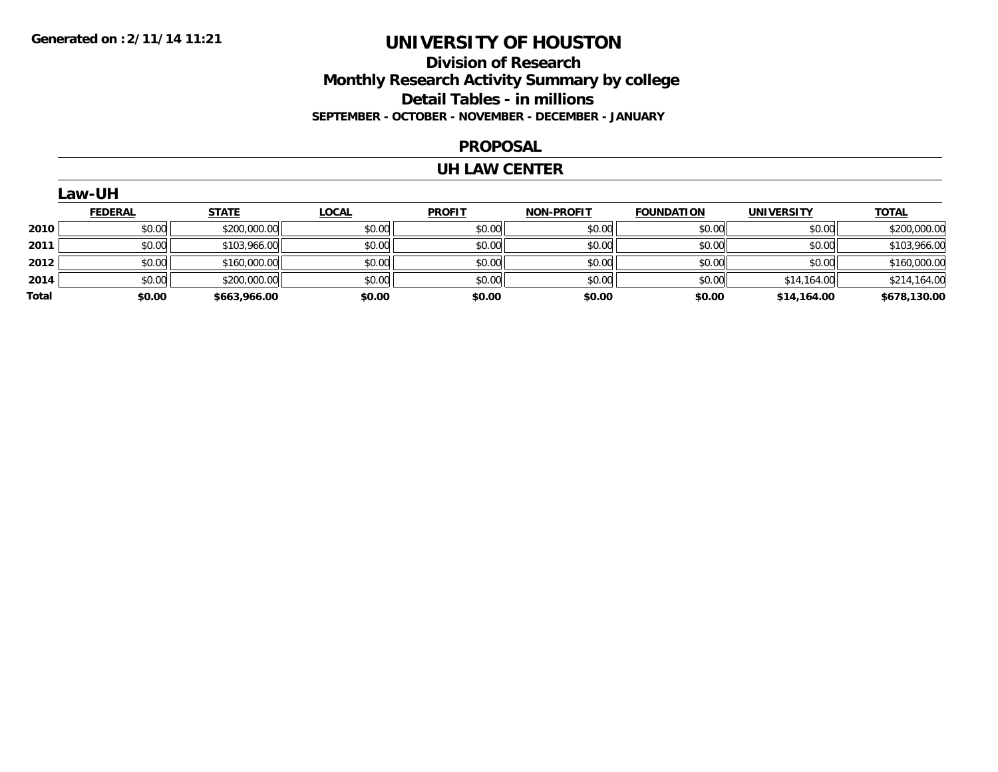### **Division of Research Monthly Research Activity Summary by college Detail Tables - in millions SEPTEMBER - OCTOBER - NOVEMBER - DECEMBER - JANUARY**

#### **PROPOSAL**

#### **UH LAW CENTER**

|       | Law-UH         |              |              |               |                   |                   |                   |              |  |  |  |
|-------|----------------|--------------|--------------|---------------|-------------------|-------------------|-------------------|--------------|--|--|--|
|       | <b>FEDERAL</b> | <b>STATE</b> | <b>LOCAL</b> | <b>PROFIT</b> | <b>NON-PROFIT</b> | <b>FOUNDATION</b> | <b>UNIVERSITY</b> | <b>TOTAL</b> |  |  |  |
| 2010  | \$0.00         | \$200,000.00 | \$0.00       | \$0.00        | \$0.00            | \$0.00            | \$0.00            | \$200,000.00 |  |  |  |
| 2011  | \$0.00         | \$103,966.00 | \$0.00       | \$0.00        | \$0.00            | \$0.00            | \$0.00            | \$103,966.00 |  |  |  |
| 2012  | \$0.00         | \$160,000.00 | \$0.00       | \$0.00        | \$0.00            | \$0.00            | \$0.00            | \$160,000.00 |  |  |  |
| 2014  | \$0.00         | \$200,000.00 | \$0.00       | \$0.00        | \$0.00            | \$0.00            | \$14,164.00       | \$214,164.00 |  |  |  |
| Total | \$0.00         | \$663,966.00 | \$0.00       | \$0.00        | \$0.00            | \$0.00            | \$14,164.00       | \$678,130.00 |  |  |  |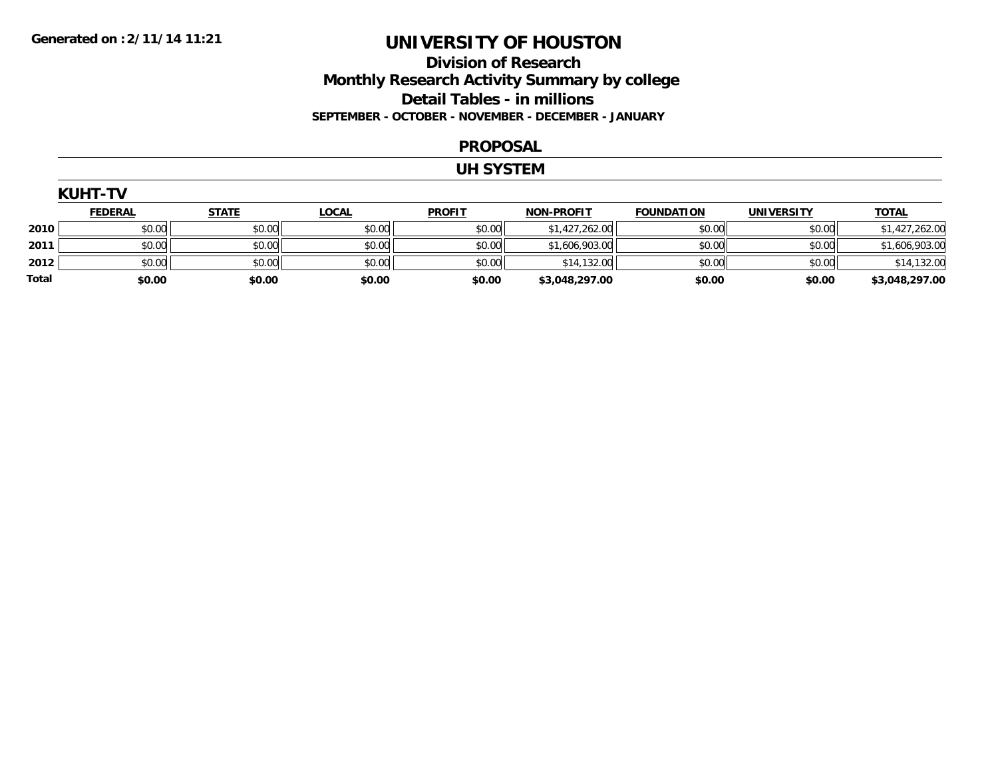### **Division of Research Monthly Research Activity Summary by college Detail Tables - in millions SEPTEMBER - OCTOBER - NOVEMBER - DECEMBER - JANUARY**

#### **PROPOSAL**

#### **UH SYSTEM**

|       | <b>KUHT-TV</b> |              |              |               |                   |                   |                   |                |  |  |  |
|-------|----------------|--------------|--------------|---------------|-------------------|-------------------|-------------------|----------------|--|--|--|
|       | <b>FEDERAL</b> | <b>STATE</b> | <u>LOCAL</u> | <b>PROFIT</b> | <b>NON-PROFIT</b> | <b>FOUNDATION</b> | <b>UNIVERSITY</b> | <b>TOTAL</b>   |  |  |  |
| 2010  | \$0.00         | \$0.00       | \$0.00       | \$0.00        | \$1,427,262.00    | \$0.00            | \$0.00            | \$1,427,262.00 |  |  |  |
| 2011  | \$0.00         | \$0.00       | \$0.00       | \$0.00        | \$1,606,903.00    | \$0.00            | \$0.00            | \$1,606,903.00 |  |  |  |
| 2012  | \$0.00         | \$0.00       | \$0.00       | \$0.00        | \$14,132.00       | \$0.00            | \$0.00            | \$14,132.00    |  |  |  |
| Total | \$0.00         | \$0.00       | \$0.00       | \$0.00        | \$3,048,297.00    | \$0.00            | \$0.00            | \$3,048,297.00 |  |  |  |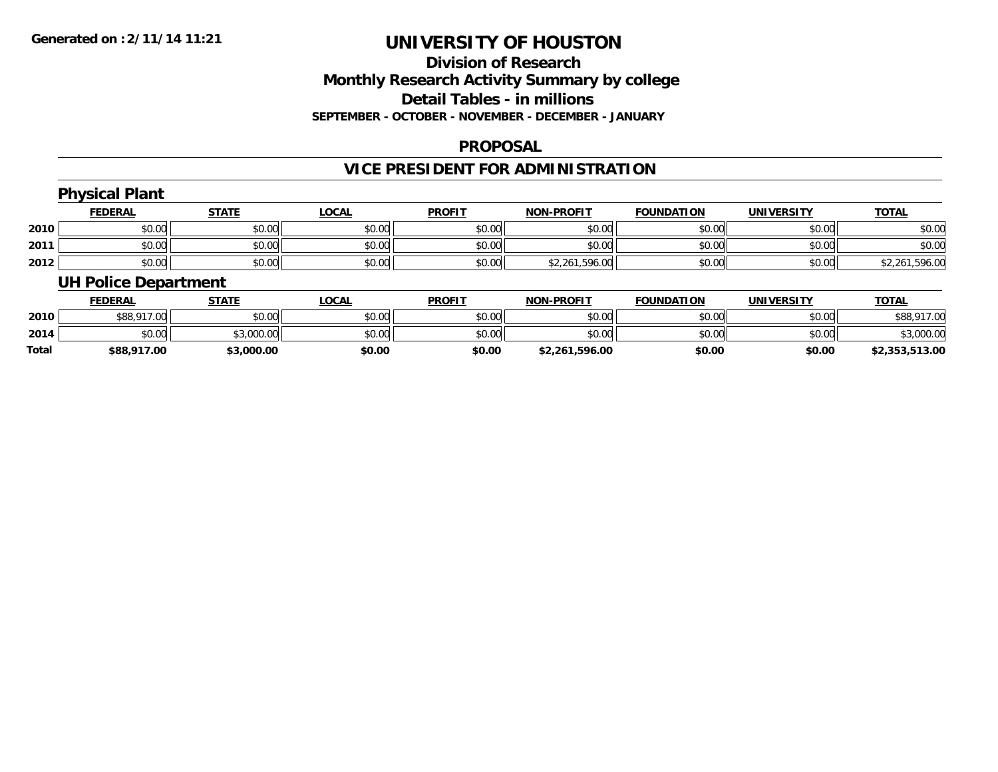# **Division of ResearchMonthly Research Activity Summary by college Detail Tables - in millions SEPTEMBER - OCTOBER - NOVEMBER - DECEMBER - JANUARY**

#### **PROPOSAL**

# **VICE PRESIDENT FOR ADMINISTRATION**

# **Physical Plant**

|      | <b>FEDERAL</b> | <b>STATE</b> | <b>LOCAL</b> | <b>PROFIT</b> | <b>NON-PROFIT</b> | <b>FOUNDATION</b> | UNIVERSITY | <b>TOTAL</b>   |
|------|----------------|--------------|--------------|---------------|-------------------|-------------------|------------|----------------|
| 2010 | \$0.00         | \$0.00       | \$0.00       | \$0.00        | \$0.00            | \$0.00            | \$0.00     | \$0.00         |
| 2011 | \$0.00         | \$0.00       | \$0.00       | \$0.00        | \$0.00            | \$0.00            | \$0.00     | \$0.00         |
| 2012 | \$0.00         | \$0.00       | \$0.00       | \$0.00        | \$2,261,596.00    | \$0.00            | \$0.00     | \$2,261,596.00 |

### **UH Police Department**

|       | <b>FEDERAL</b> | <u>STATE</u> | <b>LOCAL</b> | <b>PROFIT</b> | <b>NON-PROFIT</b> | <b>FOUNDATION</b> | <b>UNIVERSITY</b> | <u>TOTAL</u>   |
|-------|----------------|--------------|--------------|---------------|-------------------|-------------------|-------------------|----------------|
| 2010  | \$88,917.00    | \$0.00       | \$0.00       | \$0.00        | \$0.00            | \$0.00            | \$0.00            | \$88,917.00    |
| 2014  | \$0.00         | \$3,000.00   | \$0.00       | \$0.00        | \$0.00            | \$0.00            | \$0.00            | \$3,000.00     |
| Total | \$88,917.00    | \$3,000.00   | \$0.00       | \$0.00        | \$2,261,596.00    | \$0.00            | \$0.00            | \$2,353,513.00 |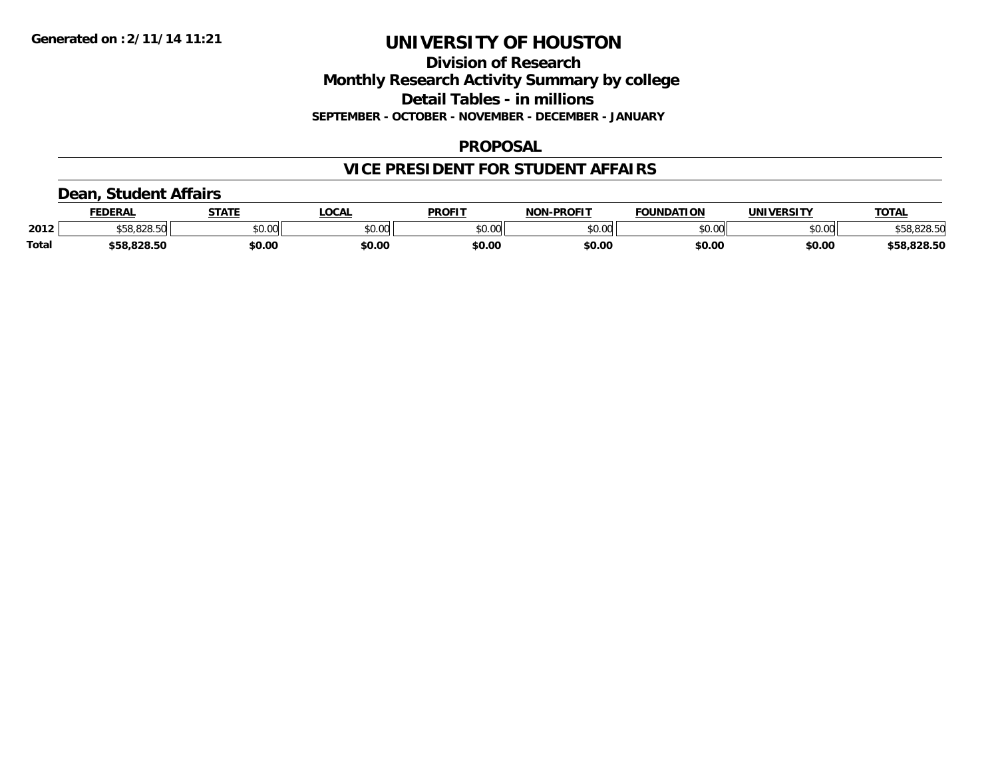### **Division of Research Monthly Research Activity Summary by college Detail Tables - in millions SEPTEMBER - OCTOBER - NOVEMBER - DECEMBER - JANUARY**

#### **PROPOSAL**

# **VICE PRESIDENT FOR STUDENT AFFAIRS**

### **Dean, Student Affairs**

|              | <b>FEDERAL</b> | <b>STATE</b> | <b>OCAL</b>   | <b>PROFIT</b> | <b>NON-PROFIT</b> | <b>FOUNDATION</b> | UNIVERSITY | <b>TOTAL</b> |
|--------------|----------------|--------------|---------------|---------------|-------------------|-------------------|------------|--------------|
| 2012         | <b>OOO EO</b>  | \$0.00       | 0000<br>vv.vv | \$0.00        | ልስ ለሰ<br>pv.uu    | \$0.00            | \$0.00     | \$58,828.50  |
| <b>Total</b> | \$58.828.50    | \$0.00       | \$0.00        | \$0.00        | \$0.00            | \$0.00            | \$0.00     | \$58,828.50  |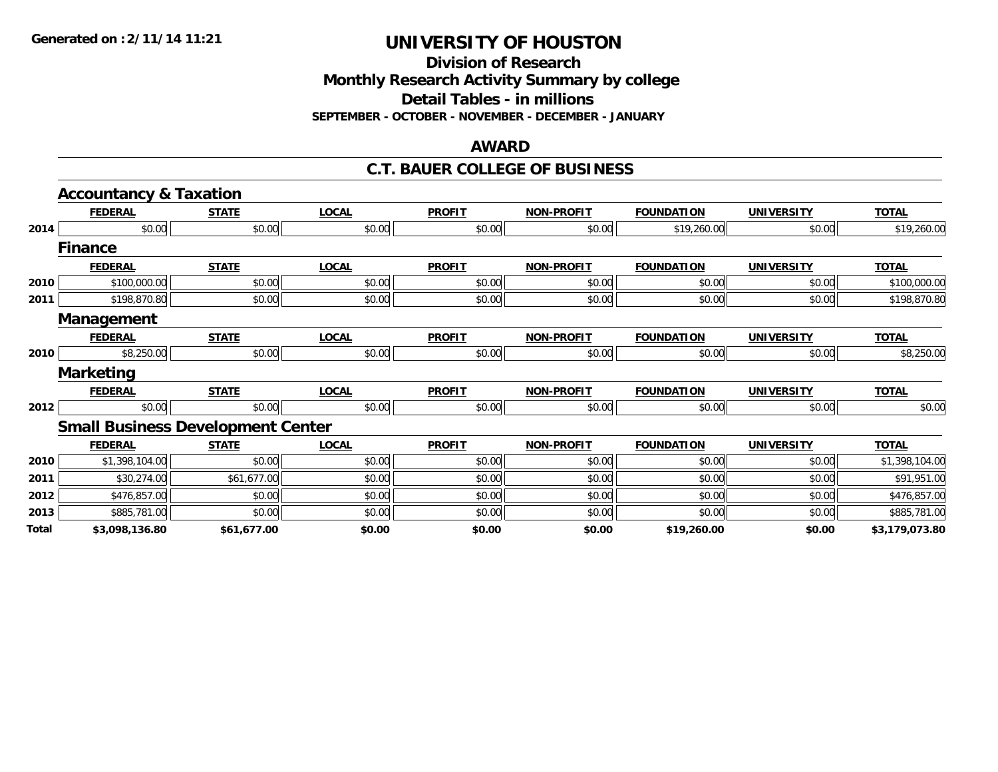**Division of Research**

**Monthly Research Activity Summary by college**

**Detail Tables - in millions**

**SEPTEMBER - OCTOBER - NOVEMBER - DECEMBER - JANUARY**

#### **AWARD**

#### **C.T. BAUER COLLEGE OF BUSINESS**

|                                                                      | <b>Accountancy &amp; Taxation</b>        |              |              |               |                   |                   |                   |                |
|----------------------------------------------------------------------|------------------------------------------|--------------|--------------|---------------|-------------------|-------------------|-------------------|----------------|
|                                                                      | <b>FEDERAL</b>                           | <b>STATE</b> | <b>LOCAL</b> | <b>PROFIT</b> | <b>NON-PROFIT</b> | <b>FOUNDATION</b> | <b>UNIVERSITY</b> | <b>TOTAL</b>   |
| 2014<br>2010<br>2011<br>2010<br>2012<br>2010<br>2011<br>2012<br>2013 | \$0.00                                   | \$0.00       | \$0.00       | \$0.00        | \$0.00            | \$19,260.00       | \$0.00            | \$19,260.00    |
|                                                                      | <b>Finance</b>                           |              |              |               |                   |                   |                   |                |
|                                                                      | <b>FEDERAL</b>                           | <b>STATE</b> | <b>LOCAL</b> | <b>PROFIT</b> | <b>NON-PROFIT</b> | <b>FOUNDATION</b> | <b>UNIVERSITY</b> | <b>TOTAL</b>   |
|                                                                      | \$100,000.00                             | \$0.00       | \$0.00       | \$0.00        | \$0.00            | \$0.00            | \$0.00            | \$100,000.00   |
|                                                                      | \$198,870.80                             | \$0.00       | \$0.00       | \$0.00        | \$0.00            | \$0.00            | \$0.00            | \$198,870.80   |
|                                                                      | <b>Management</b>                        |              |              |               |                   |                   |                   |                |
|                                                                      | <b>FEDERAL</b>                           | <b>STATE</b> | <b>LOCAL</b> | <b>PROFIT</b> | <b>NON-PROFIT</b> | <b>FOUNDATION</b> | <b>UNIVERSITY</b> | <b>TOTAL</b>   |
|                                                                      | \$8,250.00                               | \$0.00       | \$0.00       | \$0.00        | \$0.00            | \$0.00            | \$0.00            | \$8,250.00     |
|                                                                      | <b>Marketing</b>                         |              |              |               |                   |                   |                   |                |
|                                                                      | <b>FEDERAL</b>                           | <b>STATE</b> | <b>LOCAL</b> | <b>PROFIT</b> | <b>NON-PROFIT</b> | <b>FOUNDATION</b> | <b>UNIVERSITY</b> | <b>TOTAL</b>   |
|                                                                      | \$0.00                                   | \$0.00       | \$0.00       | \$0.00        | \$0.00            | \$0.00            | \$0.00            | \$0.00         |
|                                                                      | <b>Small Business Development Center</b> |              |              |               |                   |                   |                   |                |
|                                                                      | <b>FEDERAL</b>                           | <b>STATE</b> | <b>LOCAL</b> | <b>PROFIT</b> | <b>NON-PROFIT</b> | <b>FOUNDATION</b> | <b>UNIVERSITY</b> | <b>TOTAL</b>   |
|                                                                      | \$1,398,104.00                           | \$0.00       | \$0.00       | \$0.00        | \$0.00            | \$0.00            | \$0.00            | \$1,398,104.00 |
|                                                                      | \$30,274.00                              | \$61,677.00  | \$0.00       | \$0.00        | \$0.00            | \$0.00            | \$0.00            | \$91,951.00    |
|                                                                      | \$476,857.00                             | \$0.00       | \$0.00       | \$0.00        | \$0.00            | \$0.00            | \$0.00            | \$476,857.00   |
|                                                                      | \$885,781.00                             | \$0.00       | \$0.00       | \$0.00        | \$0.00            | \$0.00            | \$0.00            | \$885,781.00   |
| Total                                                                | \$3,098,136.80                           | \$61,677.00  | \$0.00       | \$0.00        | \$0.00            | \$19,260.00       | \$0.00            | \$3,179,073.80 |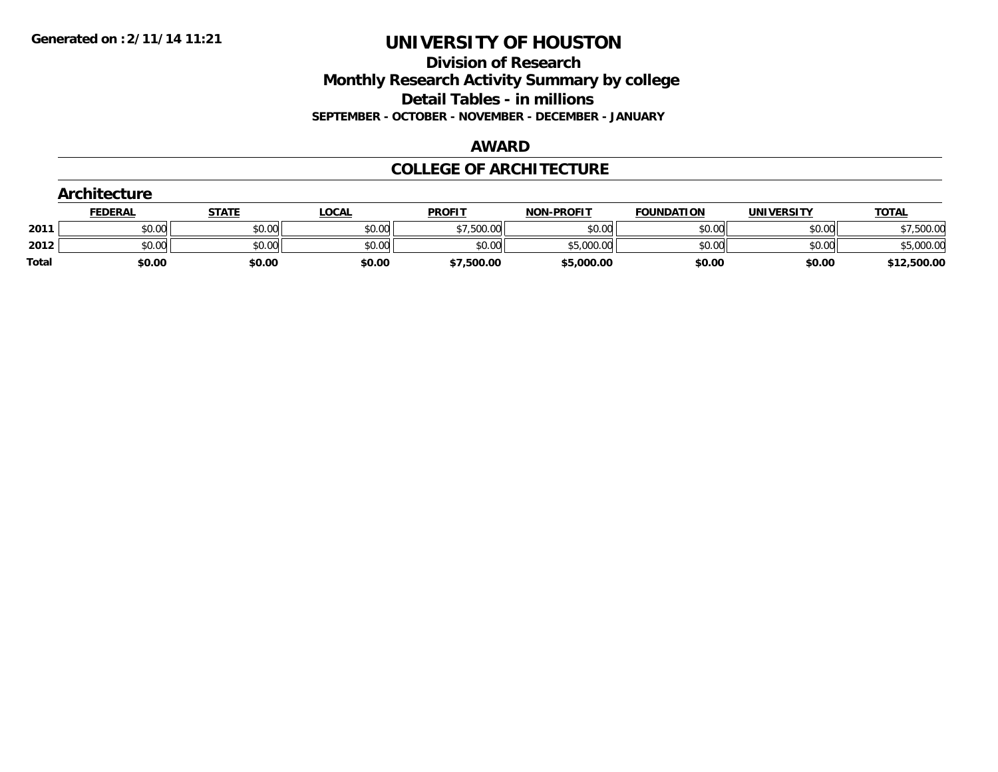**Division of Research Monthly Research Activity Summary by college Detail Tables - in millions SEPTEMBER - OCTOBER - NOVEMBER - DECEMBER - JANUARY**

#### **AWARD**

### **COLLEGE OF ARCHITECTURE**

|              | Architecture   |              |              |               |                   |                   |                   |              |  |  |  |
|--------------|----------------|--------------|--------------|---------------|-------------------|-------------------|-------------------|--------------|--|--|--|
|              | <b>FEDERAL</b> | <b>STATE</b> | <u>LOCAL</u> | <b>PROFIT</b> | <b>NON-PROFIT</b> | <b>FOUNDATION</b> | <b>UNIVERSITY</b> | <b>TOTAL</b> |  |  |  |
| 2011         | \$0.00         | \$0.00       | \$0.00       | \$7,500.00    | \$0.00            | \$0.00            | \$0.00            | \$7,500.00   |  |  |  |
| 2012         | \$0.00         | \$0.00       | \$0.00       | \$0.00        | \$5,000.00        | \$0.00            | \$0.00            | \$5,000.00   |  |  |  |
| <b>Total</b> | \$0.00         | \$0.00       | \$0.00       | \$7,500.00    | \$5,000.00        | \$0.00            | \$0.00            | \$12,500.00  |  |  |  |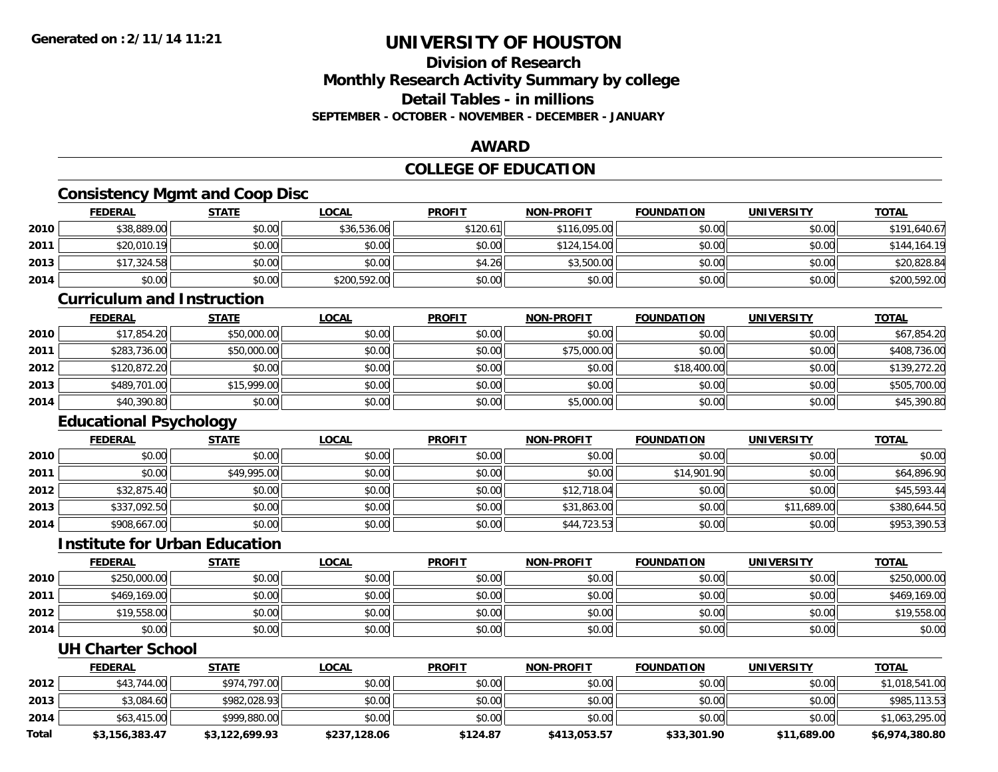### **Division of ResearchMonthly Research Activity Summary by college Detail Tables - in millionsSEPTEMBER - OCTOBER - NOVEMBER - DECEMBER - JANUARY**

### **AWARD**

# **COLLEGE OF EDUCATION**

# **Consistency Mgmt and Coop Disc**

|      | <b>FEDERAL</b> | <u>STATE</u> | <b>LOCAL</b> | <b>PROFIT</b> | <b>NON-PROFIT</b> | <b>FOUNDATION</b> | <b>UNIVERSITY</b> | <b>TOTAL</b> |
|------|----------------|--------------|--------------|---------------|-------------------|-------------------|-------------------|--------------|
| 2010 | \$38,889.00    | \$0.00       | \$36,536.06  | \$120.61      | \$116,095,00      | \$0.00            | \$0.00            | \$191,640.67 |
| 2011 | \$20,010.19    | \$0.00       | \$0.00       | \$0.00        | \$124,154.00      | \$0.00            | \$0.00            | \$144,164.19 |
| 2013 | \$17,324.58    | \$0.00       | \$0.00       | \$4.26        | \$3,500.00        | \$0.00            | \$0.00            | \$20,828.84  |
| 2014 | \$0.00         | \$0.00       | \$200,592.00 | \$0.00        | \$0.00            | \$0.00            | \$0.00            | \$200,592.00 |

#### **Curriculum and Instruction**

|      | <b>FEDERAL</b> | <b>STATE</b> | <b>LOCAL</b> | <b>PROFIT</b> | <b>NON-PROFIT</b> | <b>FOUNDATION</b> | <b>UNIVERSITY</b> | <b>TOTAL</b> |
|------|----------------|--------------|--------------|---------------|-------------------|-------------------|-------------------|--------------|
| 2010 | \$17,854.20    | \$50,000.00  | \$0.00       | \$0.00        | \$0.00            | \$0.00            | \$0.00            | \$67,854.20  |
| 2011 | \$283,736.00   | \$50,000.00  | \$0.00       | \$0.00        | \$75,000.00       | \$0.00            | \$0.00            | \$408,736.00 |
| 2012 | \$120,872.20   | \$0.00       | \$0.00       | \$0.00        | \$0.00            | \$18,400.00       | \$0.00            | \$139,272.20 |
| 2013 | \$489,701.00   | \$15,999.00  | \$0.00       | \$0.00        | \$0.00            | \$0.00            | \$0.00            | \$505,700.00 |
| 2014 | \$40,390.80    | \$0.00       | \$0.00       | \$0.00        | \$5,000.00        | \$0.00            | \$0.00            | \$45,390.80  |

# **Educational Psychology**

|      | <u>FEDERAL</u> | <u>STATE</u> | <u>LOCAL</u> | <b>PROFIT</b> | <b>NON-PROFIT</b> | <b>FOUNDATION</b> | <b>UNIVERSITY</b> | <b>TOTAL</b> |
|------|----------------|--------------|--------------|---------------|-------------------|-------------------|-------------------|--------------|
| 2010 | \$0.00         | \$0.00       | \$0.00       | \$0.00        | \$0.00            | \$0.00            | \$0.00            | \$0.00       |
| 2011 | \$0.00         | \$49,995.00  | \$0.00       | \$0.00        | \$0.00            | \$14,901.90       | \$0.00            | \$64,896.90  |
| 2012 | \$32,875.40    | \$0.00       | \$0.00       | \$0.00        | \$12,718.04       | \$0.00            | \$0.00            | \$45,593.44  |
| 2013 | \$337,092.50   | \$0.00       | \$0.00       | \$0.00        | \$31,863.00       | \$0.00            | \$11,689.00       | \$380,644.50 |
| 2014 | \$908,667.00   | \$0.00       | \$0.00       | \$0.00        | \$44,723.53       | \$0.00            | \$0.00            | \$953,390.53 |

#### **Institute for Urban Education**

|      | <b>FEDERAL</b> | <u>STATE</u> | <u>LOCAL</u> | <b>PROFIT</b> | <b>NON-PROFIT</b> | <b>FOUNDATION</b> | <b>UNIVERSITY</b> | <b>TOTAL</b> |
|------|----------------|--------------|--------------|---------------|-------------------|-------------------|-------------------|--------------|
| 2010 | \$250,000.00   | \$0.00       | \$0.00       | \$0.00        | \$0.00            | \$0.00            | \$0.00            | \$250,000.00 |
| 2011 | \$469,169.00   | \$0.00       | \$0.00       | \$0.00        | \$0.00            | \$0.00            | \$0.00            | \$469,169.00 |
| 2012 | \$19,558.00    | \$0.00       | \$0.00       | \$0.00        | \$0.00            | \$0.00            | \$0.00            | \$19,558.00  |
| 2014 | \$0.00         | \$0.00       | \$0.00       | \$0.00        | \$0.00            | \$0.00            | \$0.00            | \$0.00       |

#### **UH Charter School**

|       | <b>FEDERAL</b> | <u>STATE</u>   | <u>LOCAL</u> | <b>PROFIT</b> | <b>NON-PROFIT</b> | <b>FOUNDATION</b> | UNIVERSITY  | <b>TOTAL</b>   |
|-------|----------------|----------------|--------------|---------------|-------------------|-------------------|-------------|----------------|
| 2012  | \$43,744.00    | \$974,797.00   | \$0.00       | \$0.00        | \$0.00            | \$0.00            | \$0.00      | \$1,018,541.00 |
| 2013  | \$3,084.60     | \$982,028.93   | \$0.00       | \$0.00        | \$0.00            | \$0.00            | \$0.00      | \$985,113.53   |
| 2014  | \$63,415.00    | \$999,880.00   | \$0.00       | \$0.00        | \$0.00            | \$0.00            | \$0.00      | \$1,063,295.00 |
| Total | \$3,156,383.47 | \$3.122.699.93 | \$237,128.06 | \$124.87      | \$413.053.57      | \$33,301.90       | \$11,689.00 | \$6,974,380.80 |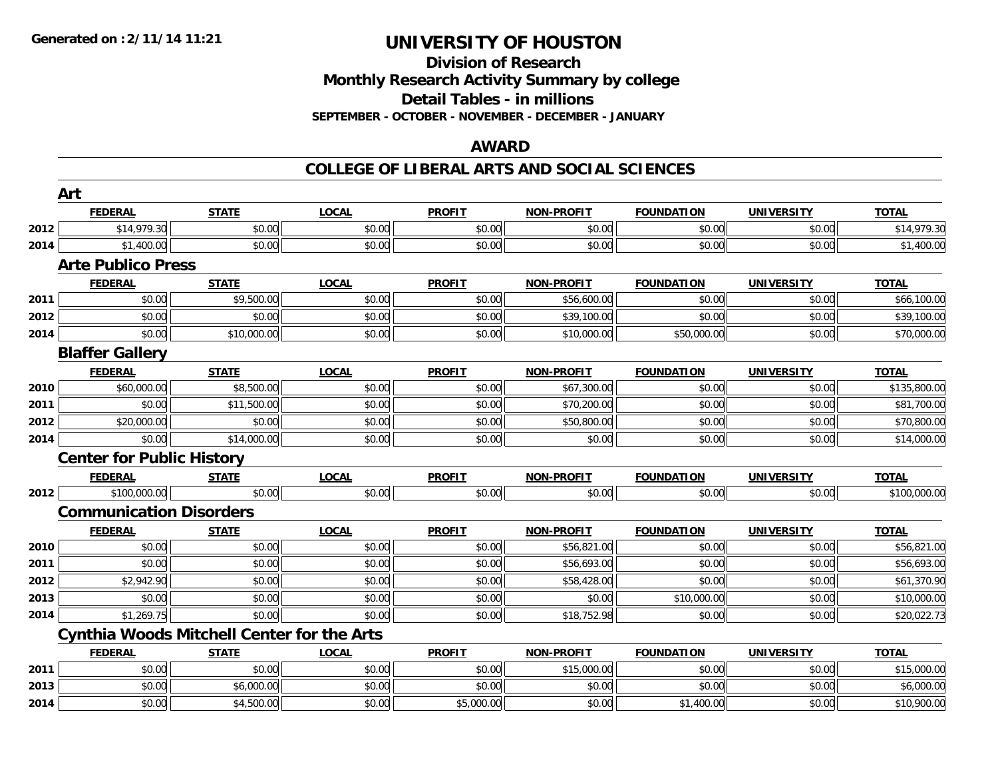**2014**

# **UNIVERSITY OF HOUSTON**

### **Division of Research Monthly Research Activity Summary by college Detail Tables - in millions SEPTEMBER - OCTOBER - NOVEMBER - DECEMBER - JANUARY**

### **AWARD**

#### **COLLEGE OF LIBERAL ARTS AND SOCIAL SCIENCES**

|      | Art                                               |              |              |               |                   |                   |                   |              |
|------|---------------------------------------------------|--------------|--------------|---------------|-------------------|-------------------|-------------------|--------------|
|      | <b>FEDERAL</b>                                    | <b>STATE</b> | <b>LOCAL</b> | <b>PROFIT</b> | <b>NON-PROFIT</b> | <b>FOUNDATION</b> | <b>UNIVERSITY</b> | <b>TOTAL</b> |
| 2012 | \$14,979.30                                       | \$0.00       | \$0.00       | \$0.00        | \$0.00            | \$0.00            | \$0.00            | \$14,979.30  |
| 2014 | \$1,400.00                                        | \$0.00       | \$0.00       | \$0.00        | \$0.00            | \$0.00            | \$0.00            | \$1,400.00   |
|      | <b>Arte Publico Press</b>                         |              |              |               |                   |                   |                   |              |
|      | <b>FEDERAL</b>                                    | <b>STATE</b> | <b>LOCAL</b> | <b>PROFIT</b> | <b>NON-PROFIT</b> | <b>FOUNDATION</b> | <b>UNIVERSITY</b> | <b>TOTAL</b> |
| 2011 | \$0.00                                            | \$9,500.00   | \$0.00       | \$0.00        | \$56,600.00       | \$0.00            | \$0.00            | \$66,100.00  |
| 2012 | \$0.00                                            | \$0.00       | \$0.00       | \$0.00        | \$39,100.00       | \$0.00            | \$0.00            | \$39,100.00  |
| 2014 | \$0.00                                            | \$10,000.00  | \$0.00       | \$0.00        | \$10,000.00       | \$50,000.00       | \$0.00            | \$70,000.00  |
|      | <b>Blaffer Gallery</b>                            |              |              |               |                   |                   |                   |              |
|      | <b>FEDERAL</b>                                    | <b>STATE</b> | <b>LOCAL</b> | <b>PROFIT</b> | <b>NON-PROFIT</b> | <b>FOUNDATION</b> | <b>UNIVERSITY</b> | <b>TOTAL</b> |
| 2010 | \$60,000.00                                       | \$8,500.00   | \$0.00       | \$0.00        | \$67,300.00       | \$0.00            | \$0.00            | \$135,800.00 |
| 2011 | \$0.00                                            | \$11,500.00  | \$0.00       | \$0.00        | \$70,200.00       | \$0.00            | \$0.00            | \$81,700.00  |
| 2012 | \$20,000.00                                       | \$0.00       | \$0.00       | \$0.00        | \$50,800.00       | \$0.00            | \$0.00            | \$70,800.00  |
| 2014 | \$0.00                                            | \$14,000.00  | \$0.00       | \$0.00        | \$0.00            | \$0.00            | \$0.00            | \$14,000.00  |
|      | <b>Center for Public History</b>                  |              |              |               |                   |                   |                   |              |
|      | <b>FEDERAL</b>                                    | <b>STATE</b> | <b>LOCAL</b> | <b>PROFIT</b> | <b>NON-PROFIT</b> | <b>FOUNDATION</b> | <b>UNIVERSITY</b> | <b>TOTAL</b> |
| 2012 | \$100,000.00                                      | \$0.00       | \$0.00       | \$0.00        | \$0.00            | \$0.00            | \$0.00            | \$100,000.00 |
|      | <b>Communication Disorders</b>                    |              |              |               |                   |                   |                   |              |
|      | <b>FEDERAL</b>                                    | <b>STATE</b> | <b>LOCAL</b> | <b>PROFIT</b> | <b>NON-PROFIT</b> | <b>FOUNDATION</b> | <b>UNIVERSITY</b> | <b>TOTAL</b> |
| 2010 | \$0.00                                            | \$0.00       | \$0.00       | \$0.00        | \$56,821.00       | \$0.00            | \$0.00            | \$56,821.00  |
| 2011 | \$0.00                                            | \$0.00       | \$0.00       | \$0.00        | \$56,693.00       | \$0.00            | \$0.00            | \$56,693.00  |
| 2012 | \$2,942.90                                        | \$0.00       | \$0.00       | \$0.00        | \$58,428.00       | \$0.00            | \$0.00            | \$61,370.90  |
| 2013 | \$0.00                                            | \$0.00       | \$0.00       | \$0.00        | \$0.00            | \$10,000.00       | \$0.00            | \$10,000.00  |
| 2014 | \$1,269.75                                        | \$0.00       | \$0.00       | \$0.00        | \$18,752.98       | \$0.00            | \$0.00            | \$20,022.73  |
|      | <b>Cynthia Woods Mitchell Center for the Arts</b> |              |              |               |                   |                   |                   |              |
|      | <b>FEDERAL</b>                                    | <b>STATE</b> | <b>LOCAL</b> | <b>PROFIT</b> | <b>NON-PROFIT</b> | <b>FOUNDATION</b> | <b>UNIVERSITY</b> | <b>TOTAL</b> |
| 2011 | \$0.00                                            | \$0.00       | \$0.00       | \$0.00        | \$15,000.00       | \$0.00            | \$0.00            | \$15,000.00  |
| 2013 | \$0.00                                            | \$6,000.00   | \$0.00       | \$0.00        | \$0.00            | \$0.00            | \$0.00            | \$6,000.00   |

4 \$0.00 \$0.00 \$1,500.00 \$4,500.00 \$0.00 \$0.00 \$5,000.00 \$1,400.00 \$1,400.00 \$0.00 \$0.00 \$10,900.00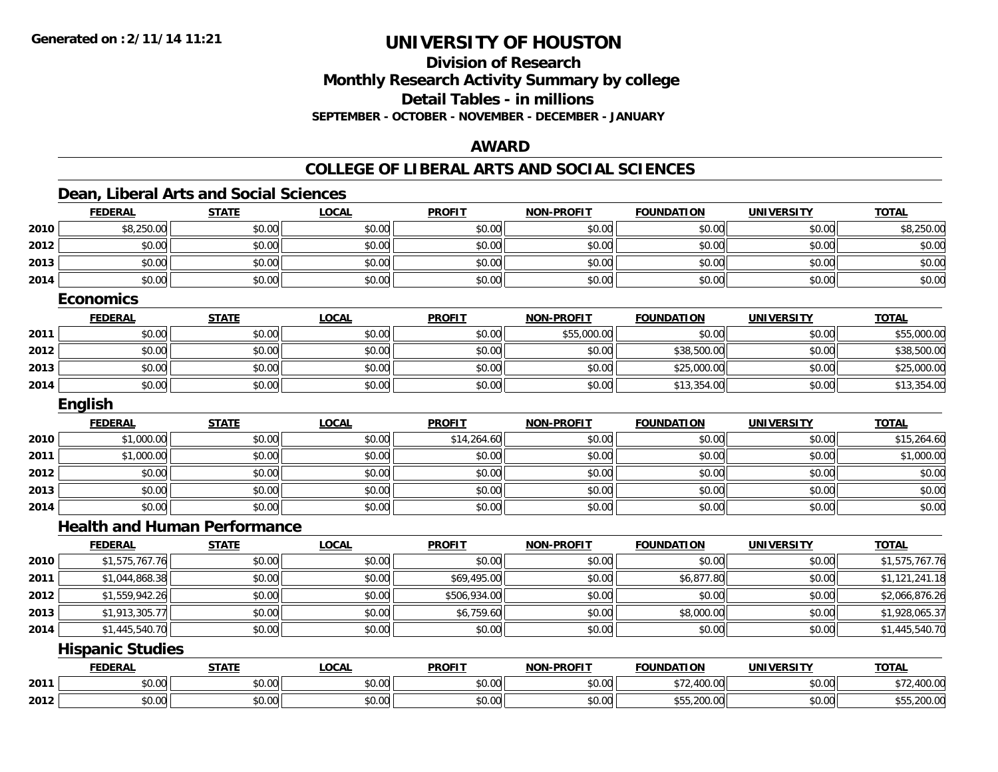**Division of ResearchMonthly Research Activity Summary by college Detail Tables - in millions**

**SEPTEMBER - OCTOBER - NOVEMBER - DECEMBER - JANUARY**

### **AWARD**

### **COLLEGE OF LIBERAL ARTS AND SOCIAL SCIENCES**

### **Dean, Liberal Arts and Social Sciences**

|      | <b>FEDERAL</b>                      | <b>STATE</b> | <b>LOCAL</b> | <b>PROFIT</b> | <b>NON-PROFIT</b> | <b>FOUNDATION</b> | <b>UNIVERSITY</b> | <b>TOTAL</b>   |
|------|-------------------------------------|--------------|--------------|---------------|-------------------|-------------------|-------------------|----------------|
| 2010 | \$8,250.00                          | \$0.00       | \$0.00       | \$0.00        | \$0.00            | \$0.00            | \$0.00            | \$8,250.00     |
| 2012 | \$0.00                              | \$0.00       | \$0.00       | \$0.00        | \$0.00            | \$0.00            | \$0.00            | \$0.00         |
| 2013 | \$0.00                              | \$0.00       | \$0.00       | \$0.00        | \$0.00            | \$0.00            | \$0.00            | \$0.00         |
| 2014 | \$0.00                              | \$0.00       | \$0.00       | \$0.00        | \$0.00            | \$0.00            | \$0.00            | \$0.00         |
|      | <b>Economics</b>                    |              |              |               |                   |                   |                   |                |
|      | <b>FEDERAL</b>                      | <b>STATE</b> | <b>LOCAL</b> | <b>PROFIT</b> | <b>NON-PROFIT</b> | <b>FOUNDATION</b> | <b>UNIVERSITY</b> | <b>TOTAL</b>   |
| 2011 | \$0.00                              | \$0.00       | \$0.00       | \$0.00        | \$55,000.00       | \$0.00            | \$0.00            | \$55,000.00    |
| 2012 | \$0.00                              | \$0.00       | \$0.00       | \$0.00        | \$0.00            | \$38,500.00       | \$0.00            | \$38,500.00    |
| 2013 | \$0.00                              | \$0.00       | \$0.00       | \$0.00        | \$0.00            | \$25,000.00       | \$0.00            | \$25,000.00    |
| 2014 | \$0.00                              | \$0.00       | \$0.00       | \$0.00        | \$0.00            | \$13,354.00       | \$0.00            | \$13,354.00    |
|      | English                             |              |              |               |                   |                   |                   |                |
|      | <b>FEDERAL</b>                      | <b>STATE</b> | <b>LOCAL</b> | <b>PROFIT</b> | <b>NON-PROFIT</b> | <b>FOUNDATION</b> | <b>UNIVERSITY</b> | <b>TOTAL</b>   |
| 2010 | \$1,000.00                          | \$0.00       | \$0.00       | \$14,264.60   | \$0.00            | \$0.00            | \$0.00            | \$15,264.60    |
| 2011 | \$1,000.00                          | \$0.00       | \$0.00       | \$0.00        | \$0.00            | \$0.00            | \$0.00            | \$1,000.00     |
| 2012 | \$0.00                              | \$0.00       | \$0.00       | \$0.00        | \$0.00            | \$0.00            | \$0.00            | \$0.00         |
| 2013 | \$0.00                              | \$0.00       | \$0.00       | \$0.00        | \$0.00            | \$0.00            | \$0.00            | \$0.00         |
| 2014 | \$0.00                              | \$0.00       | \$0.00       | \$0.00        | \$0.00            | \$0.00            | \$0.00            | \$0.00         |
|      | <b>Health and Human Performance</b> |              |              |               |                   |                   |                   |                |
|      | <b>FEDERAL</b>                      | <b>STATE</b> | <b>LOCAL</b> | <b>PROFIT</b> | <b>NON-PROFIT</b> | <b>FOUNDATION</b> | <b>UNIVERSITY</b> | <b>TOTAL</b>   |
| 2010 | \$1,575,767.76                      | \$0.00       | \$0.00       | \$0.00        | \$0.00            | \$0.00            | \$0.00            | \$1,575,767.76 |
| 2011 | \$1,044,868.38                      | \$0.00       | \$0.00       | \$69,495.00   | \$0.00            | \$6,877.80        | \$0.00            | \$1,121,241.18 |
| 2012 | \$1,559,942.26                      | \$0.00       | \$0.00       | \$506,934.00  | \$0.00            | \$0.00            | \$0.00            | \$2,066,876.26 |
| 2013 | \$1,913,305.77                      | \$0.00       | \$0.00       | \$6,759.60    | \$0.00            | \$8,000.00        | \$0.00            | \$1,928,065.37 |
| 2014 | \$1,445,540.70                      | \$0.00       | \$0.00       | \$0.00        | \$0.00            | \$0.00            | \$0.00            | \$1,445,540.70 |
|      | <b>Hispanic Studies</b>             |              |              |               |                   |                   |                   |                |
|      | <b>FEDERAL</b>                      | <b>STATE</b> | <b>LOCAL</b> | <b>PROFIT</b> | <b>NON-PROFIT</b> | <b>FOUNDATION</b> | <b>UNIVERSITY</b> | <b>TOTAL</b>   |
| 2011 | \$0.00                              | \$0.00       | \$0.00       | \$0.00        | \$0.00            | \$72,400.00       | \$0.00            | \$72,400.00    |
| 2012 | \$0.00                              | \$0.00       | \$0.00       | \$0.00        | \$0.00            | \$55,200.00       | \$0.00            | \$55,200.00    |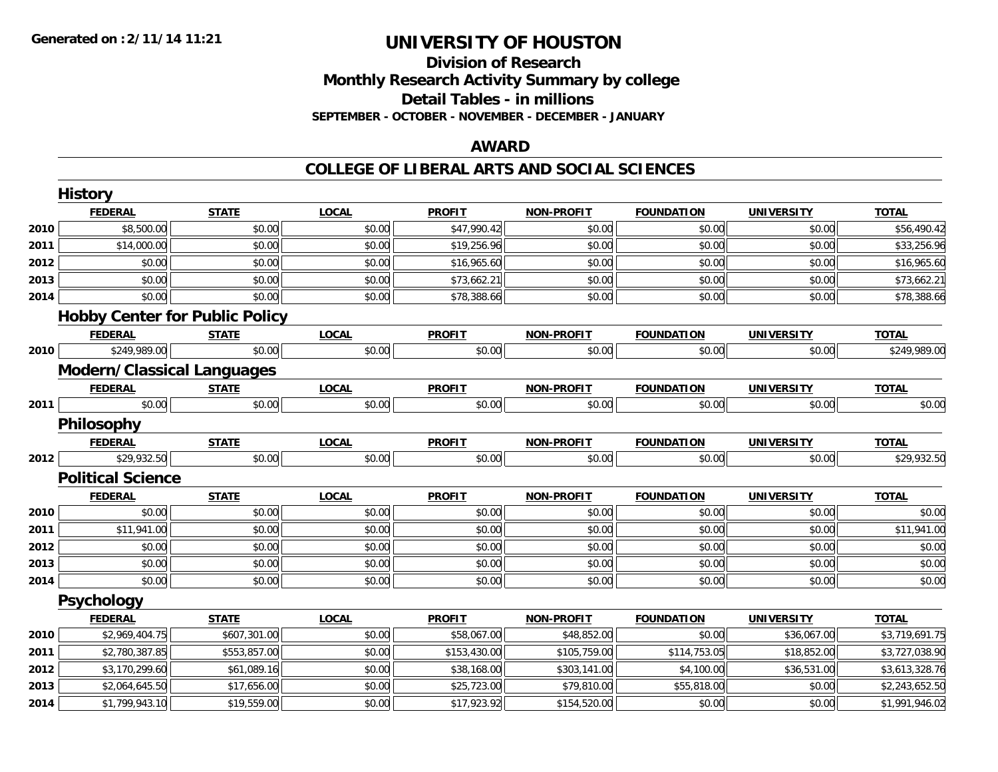# **Division of ResearchMonthly Research Activity Summary by college Detail Tables - in millions SEPTEMBER - OCTOBER - NOVEMBER - DECEMBER - JANUARY**

### **AWARD**

#### **COLLEGE OF LIBERAL ARTS AND SOCIAL SCIENCES**

|      | <b>History</b>                        |              |              |               |                   |                   |                   |                |
|------|---------------------------------------|--------------|--------------|---------------|-------------------|-------------------|-------------------|----------------|
|      | <b>FEDERAL</b>                        | <b>STATE</b> | <b>LOCAL</b> | <b>PROFIT</b> | <b>NON-PROFIT</b> | <b>FOUNDATION</b> | <b>UNIVERSITY</b> | <b>TOTAL</b>   |
| 2010 | \$8,500.00                            | \$0.00       | \$0.00       | \$47,990.42   | \$0.00            | \$0.00            | \$0.00            | \$56,490.42    |
| 2011 | \$14,000.00                           | \$0.00       | \$0.00       | \$19,256.96   | \$0.00            | \$0.00            | \$0.00            | \$33,256.96    |
| 2012 | \$0.00                                | \$0.00       | \$0.00       | \$16,965.60   | \$0.00            | \$0.00            | \$0.00            | \$16,965.60    |
| 2013 | \$0.00                                | \$0.00       | \$0.00       | \$73,662.21   | \$0.00            | \$0.00            | \$0.00            | \$73,662.21    |
| 2014 | \$0.00                                | \$0.00       | \$0.00       | \$78,388.66   | \$0.00            | \$0.00            | \$0.00            | \$78,388.66    |
|      | <b>Hobby Center for Public Policy</b> |              |              |               |                   |                   |                   |                |
|      | <b>FEDERAL</b>                        | <b>STATE</b> | <b>LOCAL</b> | <b>PROFIT</b> | <b>NON-PROFIT</b> | <b>FOUNDATION</b> | <b>UNIVERSITY</b> | <b>TOTAL</b>   |
| 2010 | \$249,989.00                          | \$0.00       | \$0.00       | \$0.00        | \$0.00            | \$0.00            | \$0.00            | \$249,989.00   |
|      | <b>Modern/Classical Languages</b>     |              |              |               |                   |                   |                   |                |
|      | <b>FEDERAL</b>                        | <b>STATE</b> | <b>LOCAL</b> | <b>PROFIT</b> | <b>NON-PROFIT</b> | <b>FOUNDATION</b> | <b>UNIVERSITY</b> | <b>TOTAL</b>   |
| 2011 | \$0.00                                | \$0.00       | \$0.00       | \$0.00        | \$0.00            | \$0.00            | \$0.00            | \$0.00         |
|      | Philosophy                            |              |              |               |                   |                   |                   |                |
|      | <b>FEDERAL</b>                        | <b>STATE</b> | <b>LOCAL</b> | <b>PROFIT</b> | <b>NON-PROFIT</b> | <b>FOUNDATION</b> | <b>UNIVERSITY</b> | <b>TOTAL</b>   |
| 2012 | \$29,932.50                           | \$0.00       | \$0.00       | \$0.00        | \$0.00            | \$0.00            | \$0.00            | \$29,932.50    |
|      | <b>Political Science</b>              |              |              |               |                   |                   |                   |                |
|      | <b>FEDERAL</b>                        | <b>STATE</b> | <b>LOCAL</b> | <b>PROFIT</b> | <b>NON-PROFIT</b> | <b>FOUNDATION</b> | <b>UNIVERSITY</b> | <b>TOTAL</b>   |
| 2010 | \$0.00                                | \$0.00       | \$0.00       | \$0.00        | \$0.00            | \$0.00            | \$0.00            | \$0.00         |
| 2011 | \$11,941.00                           | \$0.00       | \$0.00       | \$0.00        | \$0.00            | \$0.00            | \$0.00            | \$11,941.00    |
| 2012 | \$0.00                                | \$0.00       | \$0.00       | \$0.00        | \$0.00            | \$0.00            | \$0.00            | \$0.00         |
| 2013 | \$0.00                                | \$0.00       | \$0.00       | \$0.00        | \$0.00            | \$0.00            | \$0.00            | \$0.00         |
| 2014 | \$0.00                                | \$0.00       | \$0.00       | \$0.00        | \$0.00            | \$0.00            | \$0.00            | \$0.00         |
|      | Psychology                            |              |              |               |                   |                   |                   |                |
|      | <b>FEDERAL</b>                        | <b>STATE</b> | <b>LOCAL</b> | <b>PROFIT</b> | <b>NON-PROFIT</b> | <b>FOUNDATION</b> | <b>UNIVERSITY</b> | <b>TOTAL</b>   |
| 2010 | \$2,969,404.75                        | \$607,301.00 | \$0.00       | \$58,067.00   | \$48,852.00       | \$0.00            | \$36,067.00       | \$3,719,691.75 |
| 2011 | \$2,780,387.85                        | \$553,857.00 | \$0.00       | \$153,430.00  | \$105,759.00      | \$114,753.05      | \$18,852.00       | \$3,727,038.90 |
| 2012 | \$3,170,299.60                        | \$61,089.16  | \$0.00       | \$38,168.00   | \$303,141.00      | \$4,100.00        | \$36,531.00       | \$3,613,328.76 |
| 2013 | \$2,064,645.50                        | \$17,656.00  | \$0.00       | \$25,723.00   | \$79,810.00       | \$55,818.00       | \$0.00            | \$2,243,652.50 |
| 2014 | \$1,799,943.10                        | \$19,559.00  | \$0.00       | \$17,923.92   | \$154,520.00      | \$0.00            | \$0.00            | \$1,991,946.02 |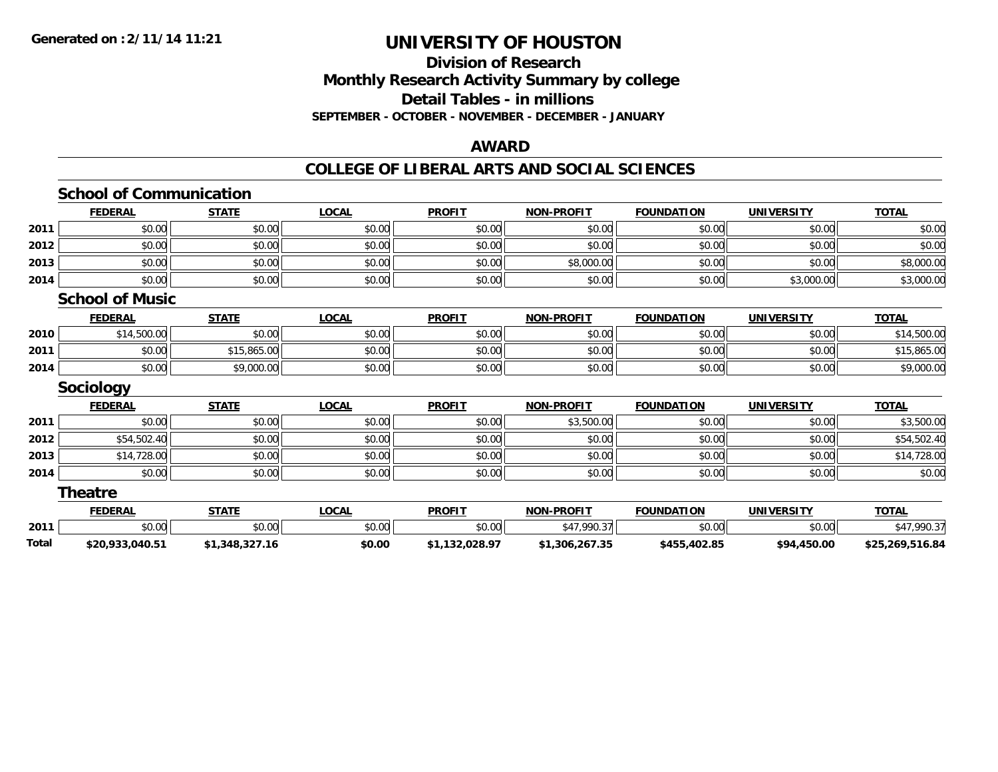### **Division of Research Monthly Research Activity Summary by college Detail Tables - in millions SEPTEMBER - OCTOBER - NOVEMBER - DECEMBER - JANUARY**

#### **AWARD**

#### **COLLEGE OF LIBERAL ARTS AND SOCIAL SCIENCES**

|       | <b>School of Communication</b> |                |              |                |                   |                   |                   |                 |
|-------|--------------------------------|----------------|--------------|----------------|-------------------|-------------------|-------------------|-----------------|
|       | <b>FEDERAL</b>                 | <b>STATE</b>   | <b>LOCAL</b> | <b>PROFIT</b>  | <b>NON-PROFIT</b> | <b>FOUNDATION</b> | <b>UNIVERSITY</b> | <b>TOTAL</b>    |
| 2011  | \$0.00                         | \$0.00         | \$0.00       | \$0.00         | \$0.00            | \$0.00            | \$0.00            | \$0.00          |
| 2012  | \$0.00                         | \$0.00         | \$0.00       | \$0.00         | \$0.00            | \$0.00            | \$0.00            | \$0.00          |
| 2013  | \$0.00                         | \$0.00         | \$0.00       | \$0.00         | \$8,000.00        | \$0.00            | \$0.00            | \$8,000.00      |
| 2014  | \$0.00                         | \$0.00         | \$0.00       | \$0.00         | \$0.00            | \$0.00            | \$3,000.00        | \$3,000.00      |
|       | <b>School of Music</b>         |                |              |                |                   |                   |                   |                 |
|       | <b>FEDERAL</b>                 | <b>STATE</b>   | <b>LOCAL</b> | <b>PROFIT</b>  | <b>NON-PROFIT</b> | <b>FOUNDATION</b> | <b>UNIVERSITY</b> | <b>TOTAL</b>    |
| 2010  | \$14,500.00                    | \$0.00         | \$0.00       | \$0.00         | \$0.00            | \$0.00            | \$0.00            | \$14,500.00     |
| 2011  | \$0.00                         | \$15,865.00    | \$0.00       | \$0.00         | \$0.00            | \$0.00            | \$0.00            | \$15,865.00     |
| 2014  | \$0.00                         | \$9,000.00     | \$0.00       | \$0.00         | \$0.00            | \$0.00            | \$0.00            | \$9,000.00      |
|       | <b>Sociology</b>               |                |              |                |                   |                   |                   |                 |
|       | <b>FEDERAL</b>                 | <b>STATE</b>   | <b>LOCAL</b> | <b>PROFIT</b>  | <b>NON-PROFIT</b> | <b>FOUNDATION</b> | <b>UNIVERSITY</b> | <b>TOTAL</b>    |
| 2011  | \$0.00                         | \$0.00         | \$0.00       | \$0.00         | \$3,500.00        | \$0.00            | \$0.00            | \$3,500.00      |
| 2012  | \$54,502.40                    | \$0.00         | \$0.00       | \$0.00         | \$0.00            | \$0.00            | \$0.00            | \$54,502.40     |
| 2013  | \$14,728.00                    | \$0.00         | \$0.00       | \$0.00         | \$0.00            | \$0.00            | \$0.00            | \$14,728.00     |
| 2014  | \$0.00                         | \$0.00         | \$0.00       | \$0.00         | \$0.00            | \$0.00            | \$0.00            | \$0.00          |
|       | <b>Theatre</b>                 |                |              |                |                   |                   |                   |                 |
|       | <b>FEDERAL</b>                 | <b>STATE</b>   | <b>LOCAL</b> | <b>PROFIT</b>  | <b>NON-PROFIT</b> | <b>FOUNDATION</b> | <b>UNIVERSITY</b> | <b>TOTAL</b>    |
| 2011  | \$0.00                         | \$0.00         | \$0.00       | \$0.00         | \$47,990.37       | \$0.00            | \$0.00            | \$47,990.37     |
| Total | \$20,933,040.51                | \$1,348,327.16 | \$0.00       | \$1,132,028.97 | \$1,306,267.35    | \$455,402.85      | \$94,450.00       | \$25,269,516.84 |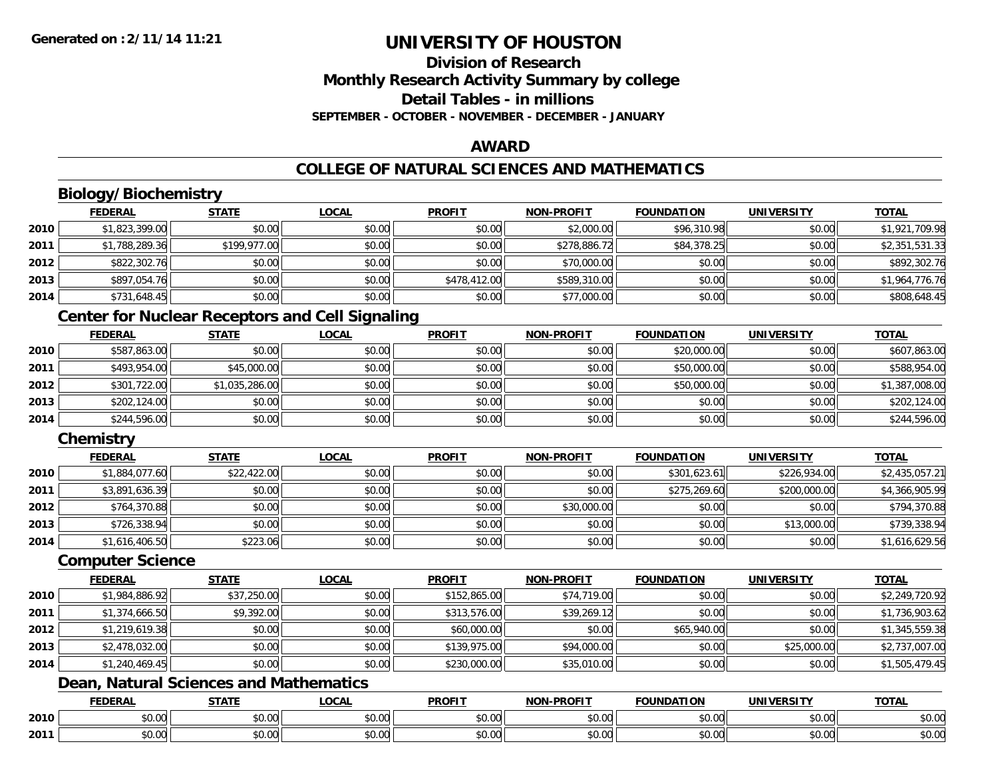# **Division of ResearchMonthly Research Activity Summary by college Detail Tables - in millionsSEPTEMBER - OCTOBER - NOVEMBER - DECEMBER - JANUARY**

### **AWARD**

# **COLLEGE OF NATURAL SCIENCES AND MATHEMATICS**

# **Biology/Biochemistry**

|      | <b>FEDERAL</b> | <b>STATE</b> | <u>LOCAL</u> | <b>PROFIT</b> | <b>NON-PROFIT</b> | <b>FOUNDATION</b> | <b>UNIVERSITY</b> | <b>TOTAL</b>   |
|------|----------------|--------------|--------------|---------------|-------------------|-------------------|-------------------|----------------|
| 2010 | \$1,823,399.00 | \$0.00       | \$0.00       | \$0.00        | \$2,000.00        | \$96,310.98       | \$0.00            | \$1,921,709.98 |
| 2011 | \$1,788,289.36 | \$199,977.00 | \$0.00       | \$0.00        | \$278,886.72      | \$84,378.25       | \$0.00            | \$2,351,531.33 |
| 2012 | \$822,302.76   | \$0.00       | \$0.00       | \$0.00        | \$70,000.00       | \$0.00            | \$0.00            | \$892,302.76   |
| 2013 | \$897,054.76   | \$0.00       | \$0.00       | \$478,412.00  | \$589,310.00      | \$0.00            | \$0.00            | \$1,964,776.76 |
| 2014 | \$731,648.45   | \$0.00       | \$0.00       | \$0.00        | \$77,000.00       | \$0.00            | \$0.00            | \$808,648.45   |

### **Center for Nuclear Receptors and Cell Signaling**

|      | <b>FEDERAL</b> | <b>STATE</b>   | <u>LOCAL</u> | <b>PROFIT</b> | <b>NON-PROFIT</b> | <b>FOUNDATION</b> | <b>UNIVERSITY</b> | <b>TOTAL</b>   |
|------|----------------|----------------|--------------|---------------|-------------------|-------------------|-------------------|----------------|
| 2010 | \$587,863.00   | \$0.00         | \$0.00       | \$0.00        | \$0.00            | \$20,000.00       | \$0.00            | \$607,863.00   |
| 2011 | \$493,954.00   | \$45,000.00    | \$0.00       | \$0.00        | \$0.00            | \$50,000.00       | \$0.00            | \$588,954.00   |
| 2012 | \$301,722.00   | \$1,035,286.00 | \$0.00       | \$0.00        | \$0.00            | \$50,000.00       | \$0.00            | \$1,387,008.00 |
| 2013 | \$202,124.00   | \$0.00         | \$0.00       | \$0.00        | \$0.00            | \$0.00            | \$0.00            | \$202,124.00   |
| 2014 | \$244,596.00   | \$0.00         | \$0.00       | \$0.00        | \$0.00            | \$0.00            | \$0.00            | \$244,596.00   |

# **Chemistry**

|      | <b>FEDERAL</b> | <u>STATE</u> | <u>LOCAL</u> | <b>PROFIT</b> | <b>NON-PROFIT</b> | <b>FOUNDATION</b> | <b>UNIVERSITY</b> | <b>TOTAL</b>   |
|------|----------------|--------------|--------------|---------------|-------------------|-------------------|-------------------|----------------|
| 2010 | \$1,884,077.60 | \$22,422.00  | \$0.00       | \$0.00        | \$0.00            | \$301,623.61      | \$226,934.00      | \$2,435,057.21 |
| 2011 | \$3,891,636.39 | \$0.00       | \$0.00       | \$0.00        | \$0.00            | \$275,269.60      | \$200,000.00      | \$4,366,905.99 |
| 2012 | \$764,370.88   | \$0.00       | \$0.00       | \$0.00        | \$30,000.00       | \$0.00            | \$0.00            | \$794,370.88   |
| 2013 | \$726,338.94   | \$0.00       | \$0.00       | \$0.00        | \$0.00            | \$0.00            | \$13,000.00       | \$739,338.94   |
| 2014 | \$1,616,406.50 | \$223.06     | \$0.00       | \$0.00        | \$0.00            | \$0.00            | \$0.00            | \$1,616,629.56 |

#### **Computer Science**

|      | <b>FEDERAL</b> | <b>STATE</b> | <b>LOCAL</b> | <b>PROFIT</b> | <b>NON-PROFIT</b> | <b>FOUNDATION</b> | UNIVERSITY  | <b>TOTAL</b>   |
|------|----------------|--------------|--------------|---------------|-------------------|-------------------|-------------|----------------|
| 2010 | \$1,984,886.92 | \$37,250.00  | \$0.00       | \$152,865.00  | \$74,719.00       | \$0.00            | \$0.00      | \$2,249,720.92 |
| 2011 | \$1,374,666.50 | \$9,392.00   | \$0.00       | \$313,576.00  | \$39,269.12       | \$0.00            | \$0.00      | \$1,736,903.62 |
| 2012 | \$1,219,619.38 | \$0.00       | \$0.00       | \$60,000.00   | \$0.00            | \$65,940.00       | \$0.00      | \$1,345,559.38 |
| 2013 | \$2,478,032.00 | \$0.00       | \$0.00       | \$139,975.00  | \$94,000.00       | \$0.00            | \$25,000.00 | \$2,737,007.00 |
| 2014 | \$1,240,469.45 | \$0.00       | \$0.00       | \$230,000.00  | \$35,010.00       | \$0.00            | \$0.00      | \$1,505,479.45 |

# **Dean, Natural Sciences and Mathematics**

|      | <b>FEDERAL</b> | <b>CTATE</b>    | LOCAI              | <b>PROFIT</b> | <b>DDAEIT</b><br><b>MAN</b><br>ж. | <b>FOUNDATION</b> | UNIVERSITY           | <b>TOTAL</b>             |
|------|----------------|-----------------|--------------------|---------------|-----------------------------------|-------------------|----------------------|--------------------------|
| 2010 | ልስ ባህ<br>שט.טע | ሖጣ<br>JU.UU     | $\sim$ 00<br>DU.UU | 0000<br>JU.UU | $\sim$<br>$\sim$<br>PO.OO         | 0.00<br>JU.UU     | 0000<br><b>DU.UG</b> | $\sim$<br><b>JU.UU</b>   |
| 2011 | \$0.00         | $\sim$<br>JU.UU | $\sim$ 00<br>PU.UU | 0000<br>JU.UU | 0.00<br>vv.vv                     | 0.00<br>JU.UU     | 0000<br><b>DU.UG</b> | $\cdots$<br><b>JU.UU</b> |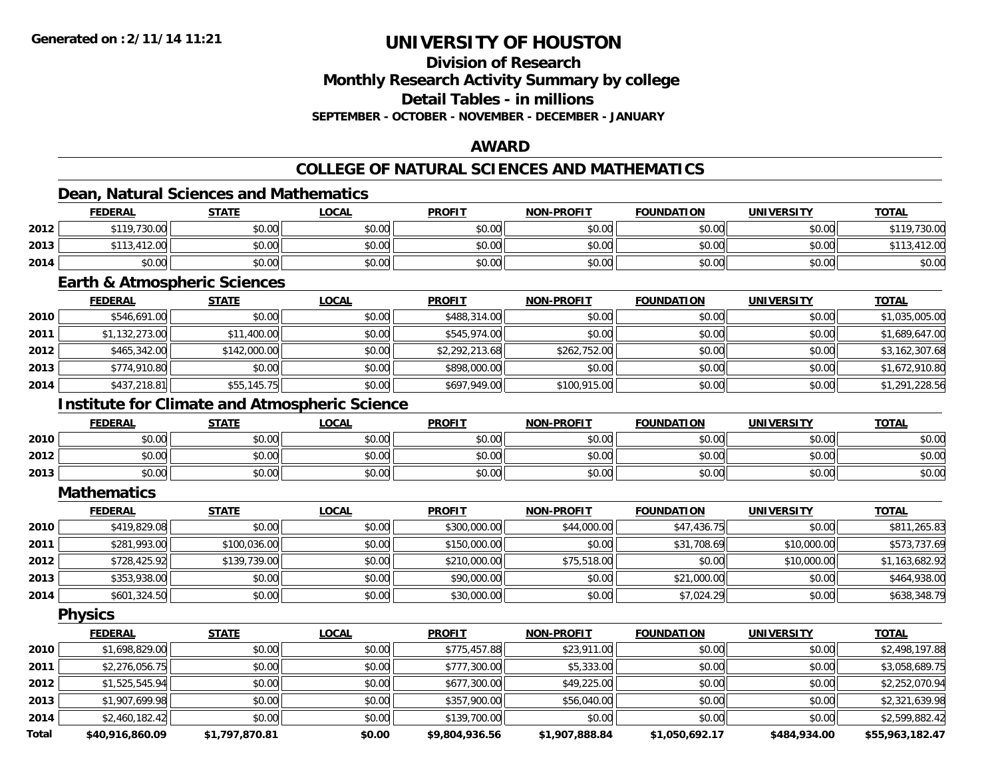**Division of Research**

**Monthly Research Activity Summary by college**

**Detail Tables - in millions**

**SEPTEMBER - OCTOBER - NOVEMBER - DECEMBER - JANUARY**

### **AWARD**

## **COLLEGE OF NATURAL SCIENCES AND MATHEMATICS**

### **Dean, Natural Sciences and Mathematics**

|      | <b>FEDERAL</b>             | <b>STATE</b> | <b>LOCAL</b> | <b>PROFIT</b> | <b>NON-PROFIT</b> | <b>FOUNDATION</b> | <b>UNIVERSITY</b> | <b>TOTAL</b> |
|------|----------------------------|--------------|--------------|---------------|-------------------|-------------------|-------------------|--------------|
| 2012 | \$119,730.00               | \$0.00       | \$0.00       | \$0.00        | \$0.00            | \$0.00            | \$0.00            | \$119,730.00 |
| 2013 | .412.00<br>0.110<br>ىن د ۱ | \$0.00       | \$0.00       | \$0.00        | \$0.00            | \$0.00            | \$0.00            | 412.00       |
| 2014 | \$0.00                     | \$0.00       | \$0.00       | \$0.00        | \$0.00            | \$0.00            | \$0.00            | \$0.00       |

#### **Earth & Atmospheric Sciences**

|      | <b>FEDERAL</b> | <b>STATE</b> | <u>LOCAL</u> | <b>PROFIT</b>  | <b>NON-PROFIT</b> | <b>FOUNDATION</b> | <b>UNIVERSITY</b> | <b>TOTAL</b>   |
|------|----------------|--------------|--------------|----------------|-------------------|-------------------|-------------------|----------------|
| 2010 | \$546,691.00   | \$0.00       | \$0.00       | \$488,314.00   | \$0.00            | \$0.00            | \$0.00            | \$1,035,005.00 |
| 2011 | \$1,132,273.00 | \$11,400.00  | \$0.00       | \$545,974.00   | \$0.00            | \$0.00            | \$0.00            | \$1,689,647.00 |
| 2012 | \$465,342.00   | \$142,000.00 | \$0.00       | \$2,292,213.68 | \$262,752.00      | \$0.00            | \$0.00            | \$3,162,307.68 |
| 2013 | \$774,910.80   | \$0.00       | \$0.00       | \$898,000.00   | \$0.00            | \$0.00            | \$0.00            | \$1,672,910.80 |
| 2014 | \$437,218.81   | \$55,145.75  | \$0.00       | \$697,949.00   | \$100,915.00      | \$0.00            | \$0.00            | \$1,291,228.56 |

### **Institute for Climate and Atmospheric Science**

|      | <b>FEDERAL</b> | <b>STATE</b> | <b>LOCAL</b> | <b>PROFIT</b> | <b>NON-PROFIT</b> | <b>FOUNDATION</b> | <b>UNIVERSITY</b> | <u>TOTAL</u> |
|------|----------------|--------------|--------------|---------------|-------------------|-------------------|-------------------|--------------|
| 2010 | \$0.00         | \$0.00       | \$0.00       | \$0.00        | \$0.00            | \$0.00            | \$0.00            | \$0.00       |
| 2012 | \$0.00         | \$0.00       | \$0.00       | \$0.00        | \$0.00            | \$0.00            | \$0.00            | \$0.00       |
| 2013 | \$0.00         | \$0.00       | \$0.00       | \$0.00        | \$0.00            | \$0.00            | \$0.00            | \$0.00       |

#### **Mathematics**

|      | <b>FEDERAL</b> | <u>STATE</u> | <u>LOCAL</u> | <b>PROFIT</b> | <b>NON-PROFIT</b> | <b>FOUNDATION</b> | <b>UNIVERSITY</b> | <b>TOTAL</b>   |
|------|----------------|--------------|--------------|---------------|-------------------|-------------------|-------------------|----------------|
| 2010 | \$419,829.08   | \$0.00       | \$0.00       | \$300,000.00  | \$44,000.00       | \$47,436.75       | \$0.00            | \$811,265.83   |
| 2011 | \$281,993.00   | \$100,036.00 | \$0.00       | \$150,000.00  | \$0.00            | \$31,708.69       | \$10,000.00       | \$573,737.69   |
| 2012 | \$728,425.92   | \$139,739.00 | \$0.00       | \$210,000.00  | \$75,518.00       | \$0.00            | \$10,000.00       | \$1,163,682.92 |
| 2013 | \$353,938.00   | \$0.00       | \$0.00       | \$90,000.00   | \$0.00            | \$21,000.00       | \$0.00            | \$464,938.00   |
| 2014 | \$601,324.50   | \$0.00       | \$0.00       | \$30,000.00   | \$0.00            | \$7,024.29        | \$0.00            | \$638,348.79   |

**Physics**

|       | <b>FEDERAL</b>  | <b>STATE</b>   | <u>LOCAL</u> | <b>PROFIT</b>  | <b>NON-PROFIT</b> | <b>FOUNDATION</b> | <b>UNIVERSITY</b> | <b>TOTAL</b>    |
|-------|-----------------|----------------|--------------|----------------|-------------------|-------------------|-------------------|-----------------|
| 2010  | \$1,698,829.00  | \$0.00         | \$0.00       | \$775,457.88   | \$23,911.00       | \$0.00            | \$0.00            | \$2,498,197.88  |
| 2011  | \$2,276,056.75  | \$0.00         | \$0.00       | \$777,300.00   | \$5,333.00        | \$0.00            | \$0.00            | \$3,058,689.75  |
| 2012  | \$1,525,545.94  | \$0.00         | \$0.00       | \$677,300.00   | \$49,225.00       | \$0.00            | \$0.00            | \$2,252,070.94  |
| 2013  | \$1,907,699.98  | \$0.00         | \$0.00       | \$357,900.00   | \$56,040.00       | \$0.00            | \$0.00            | \$2,321,639.98  |
| 2014  | \$2,460,182.42  | \$0.00         | \$0.00       | \$139,700.00   | \$0.00            | \$0.00            | \$0.00            | \$2,599,882.42  |
| Total | \$40,916,860.09 | \$1,797,870.81 | \$0.00       | \$9,804,936.56 | \$1,907,888.84    | \$1,050,692.17    | \$484,934.00      | \$55,963,182.47 |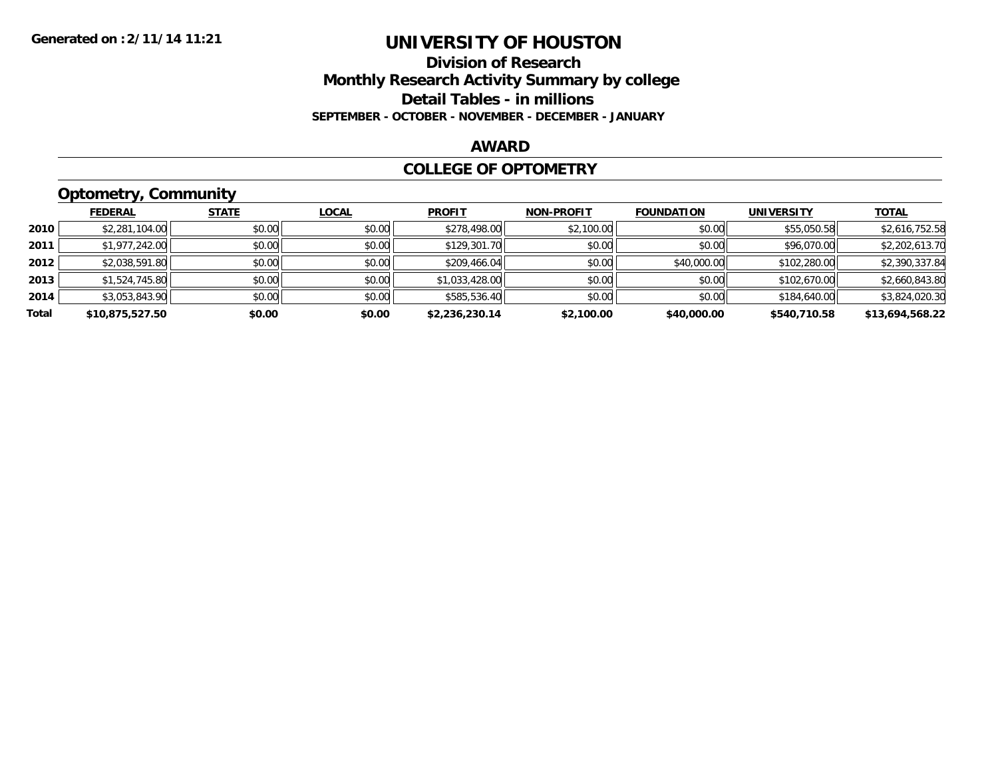### **Division of Research Monthly Research Activity Summary by college Detail Tables - in millions SEPTEMBER - OCTOBER - NOVEMBER - DECEMBER - JANUARY**

#### **AWARD**

#### **COLLEGE OF OPTOMETRY**

## **Optometry, Community**

|       | <b>FEDERAL</b>  | <b>STATE</b> | <b>LOCAL</b> | <b>PROFIT</b>  | <b>NON-PROFIT</b> | <b>FOUNDATION</b> | <b>UNIVERSITY</b> | <u>TOTAL</u>    |
|-------|-----------------|--------------|--------------|----------------|-------------------|-------------------|-------------------|-----------------|
| 2010  | \$2,281,104.00  | \$0.00       | \$0.00       | \$278,498.00   | \$2,100.00        | \$0.00            | \$55,050.58       | \$2,616,752.58  |
| 2011  | \$1,977,242.00  | \$0.00       | \$0.00       | \$129,301.70   | \$0.00            | \$0.00            | \$96,070.00       | \$2,202,613.70  |
| 2012  | \$2,038,591.80  | \$0.00       | \$0.00       | \$209,466.04   | \$0.00            | \$40,000.00       | \$102,280.00      | \$2,390,337.84  |
| 2013  | \$1,524,745.80  | \$0.00       | \$0.00       | \$1,033,428.00 | \$0.00            | \$0.00            | \$102,670.00      | \$2,660,843.80  |
| 2014  | \$3,053,843.90  | \$0.00       | \$0.00       | \$585,536.40   | \$0.00            | \$0.00            | \$184,640.00      | \$3,824,020.30  |
| Total | \$10,875,527.50 | \$0.00       | \$0.00       | \$2,236,230.14 | \$2,100.00        | \$40,000.00       | \$540,710.58      | \$13,694,568.22 |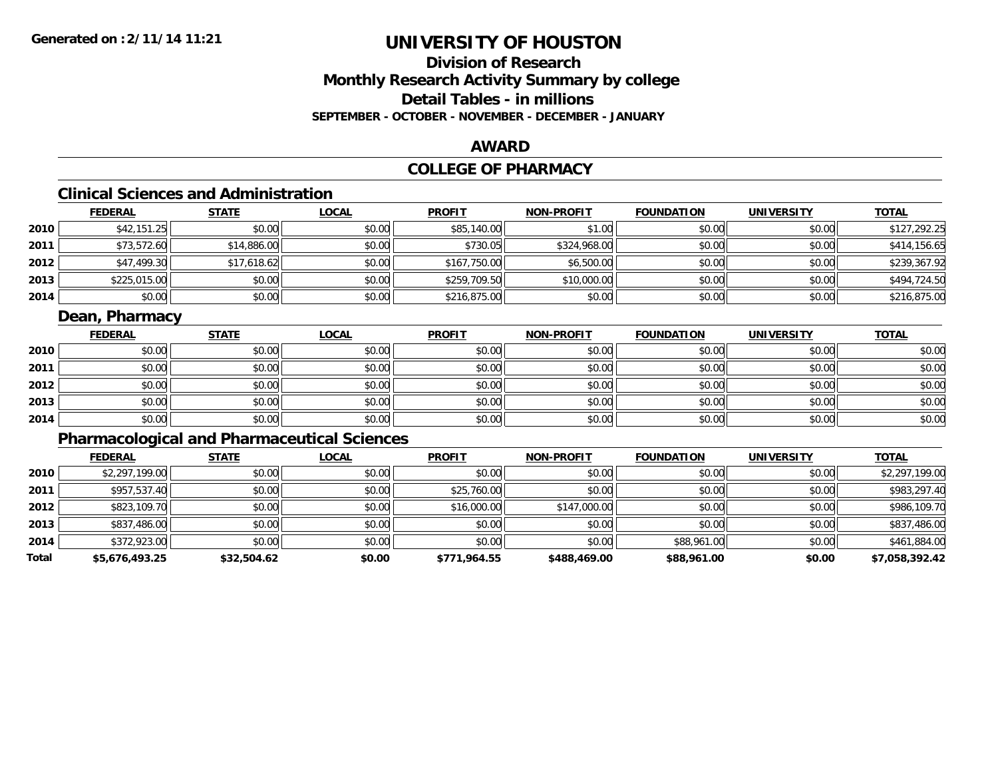## **Division of ResearchMonthly Research Activity Summary by college Detail Tables - in millionsSEPTEMBER - OCTOBER - NOVEMBER - DECEMBER - JANUARY**

#### **AWARD**

## **COLLEGE OF PHARMACY**

## **Clinical Sciences and Administration**

|      | <b>FEDERAL</b> | <b>STATE</b> | <u>LOCAL</u> | <b>PROFIT</b> | <b>NON-PROFIT</b> | <b>FOUNDATION</b> | <b>UNIVERSITY</b> | <b>TOTAL</b> |
|------|----------------|--------------|--------------|---------------|-------------------|-------------------|-------------------|--------------|
| 2010 | \$42,151.25    | \$0.00       | \$0.00       | \$85,140.00   | \$1.00            | \$0.00            | \$0.00            | \$127,292.25 |
| 2011 | \$73,572.60    | \$14,886.00  | \$0.00       | \$730.05      | \$324,968.00      | \$0.00            | \$0.00            | \$414,156.65 |
| 2012 | \$47,499.30    | \$17,618.62  | \$0.00       | \$167,750.00  | \$6,500.00        | \$0.00            | \$0.00            | \$239,367.92 |
| 2013 | \$225,015.00   | \$0.00       | \$0.00       | \$259,709.50  | \$10,000.00       | \$0.00            | \$0.00            | \$494,724.50 |
| 2014 | \$0.00         | \$0.00       | \$0.00       | \$216,875.00  | \$0.00            | \$0.00            | \$0.00            | \$216,875.00 |

### **Dean, Pharmacy**

|      | <b>FEDERAL</b> | <b>STATE</b> | <b>LOCAL</b> | <b>PROFIT</b> | <b>NON-PROFIT</b> | <b>FOUNDATION</b> | <b>UNIVERSITY</b> | <b>TOTAL</b> |
|------|----------------|--------------|--------------|---------------|-------------------|-------------------|-------------------|--------------|
| 2010 | \$0.00         | \$0.00       | \$0.00       | \$0.00        | \$0.00            | \$0.00            | \$0.00            | \$0.00       |
| 2011 | \$0.00         | \$0.00       | \$0.00       | \$0.00        | \$0.00            | \$0.00            | \$0.00            | \$0.00       |
| 2012 | \$0.00         | \$0.00       | \$0.00       | \$0.00        | \$0.00            | \$0.00            | \$0.00            | \$0.00       |
| 2013 | \$0.00         | \$0.00       | \$0.00       | \$0.00        | \$0.00            | \$0.00            | \$0.00            | \$0.00       |
| 2014 | \$0.00         | \$0.00       | \$0.00       | \$0.00        | \$0.00            | \$0.00            | \$0.00            | \$0.00       |

## **Pharmacological and Pharmaceutical Sciences**

|       | <b>FEDERAL</b> | <b>STATE</b> | <b>LOCAL</b> | <b>PROFIT</b> | <b>NON-PROFIT</b> | <b>FOUNDATION</b> | <b>UNIVERSITY</b> | <b>TOTAL</b>   |
|-------|----------------|--------------|--------------|---------------|-------------------|-------------------|-------------------|----------------|
| 2010  | \$2,297,199.00 | \$0.00       | \$0.00       | \$0.00        | \$0.00            | \$0.00            | \$0.00            | \$2,297,199.00 |
| 2011  | \$957,537.40   | \$0.00       | \$0.00       | \$25,760.00   | \$0.00            | \$0.00            | \$0.00            | \$983,297.40   |
| 2012  | \$823,109.70   | \$0.00       | \$0.00       | \$16,000.00   | \$147,000.00      | \$0.00            | \$0.00            | \$986,109.70   |
| 2013  | \$837,486.00   | \$0.00       | \$0.00       | \$0.00        | \$0.00            | \$0.00            | \$0.00            | \$837,486.00   |
| 2014  | \$372,923.00   | \$0.00       | \$0.00       | \$0.00        | \$0.00            | \$88,961.00       | \$0.00            | \$461,884.00   |
| Total | \$5,676,493.25 | \$32,504.62  | \$0.00       | \$771,964.55  | \$488,469.00      | \$88,961.00       | \$0.00            | \$7,058,392.42 |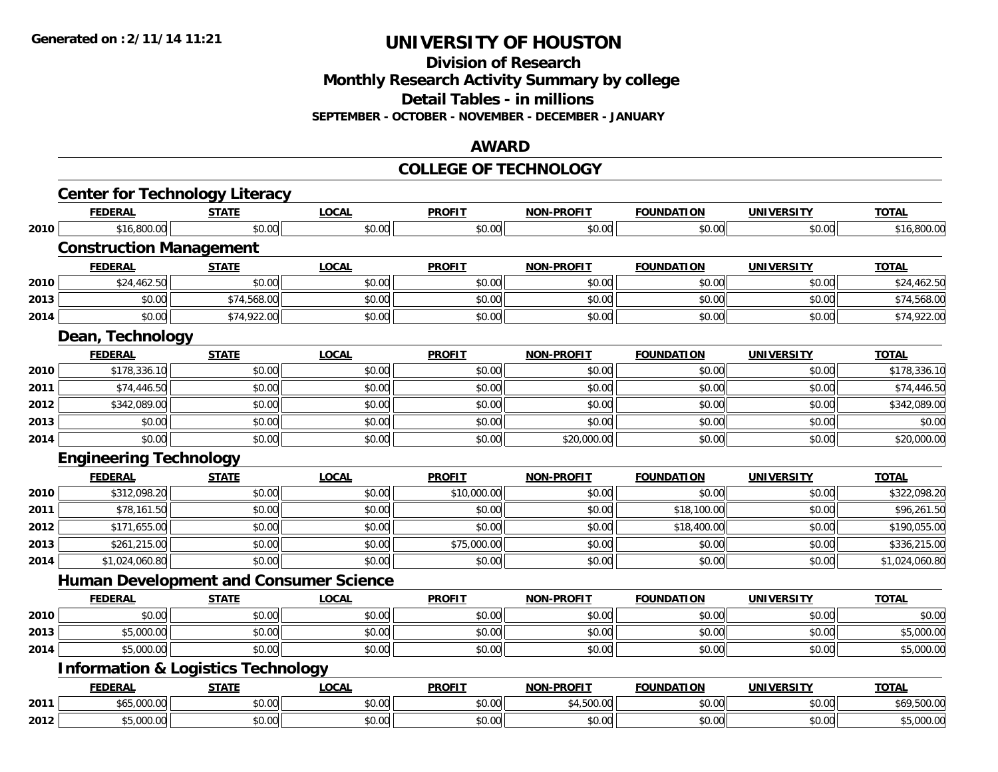**Division of Research**

**Monthly Research Activity Summary by college**

**Detail Tables - in millions**

**SEPTEMBER - OCTOBER - NOVEMBER - DECEMBER - JANUARY**

#### **AWARD**

#### **COLLEGE OF TECHNOLOGY**

|      | <b>Center for Technology Literacy</b>         |              |              |               |                   |                   |                   |                |
|------|-----------------------------------------------|--------------|--------------|---------------|-------------------|-------------------|-------------------|----------------|
|      | <b>FEDERAL</b>                                | <b>STATE</b> | <b>LOCAL</b> | <b>PROFIT</b> | <b>NON-PROFIT</b> | <b>FOUNDATION</b> | <b>UNIVERSITY</b> | <b>TOTAL</b>   |
| 2010 | \$16,800.00                                   | \$0.00       | \$0.00       | \$0.00        | \$0.00            | \$0.00            | \$0.00            | \$16,800.00    |
|      | <b>Construction Management</b>                |              |              |               |                   |                   |                   |                |
|      | <b>FEDERAL</b>                                | <b>STATE</b> | <b>LOCAL</b> | <b>PROFIT</b> | NON-PROFIT        | <b>FOUNDATION</b> | <b>UNIVERSITY</b> | <b>TOTAL</b>   |
| 2010 | \$24,462.50                                   | \$0.00       | \$0.00       | \$0.00        | \$0.00            | \$0.00            | \$0.00            | \$24,462.50    |
| 2013 | \$0.00                                        | \$74,568.00  | \$0.00       | \$0.00        | \$0.00            | \$0.00            | \$0.00            | \$74,568.00    |
| 2014 | \$0.00                                        | \$74,922.00  | \$0.00       | \$0.00        | \$0.00            | \$0.00            | \$0.00            | \$74,922.00    |
|      | Dean, Technology                              |              |              |               |                   |                   |                   |                |
|      | <b>FEDERAL</b>                                | <b>STATE</b> | <b>LOCAL</b> | <b>PROFIT</b> | <b>NON-PROFIT</b> | <b>FOUNDATION</b> | <b>UNIVERSITY</b> | <b>TOTAL</b>   |
| 2010 | \$178,336.10                                  | \$0.00       | \$0.00       | \$0.00        | \$0.00            | \$0.00            | \$0.00            | \$178,336.10   |
| 2011 | \$74,446.50                                   | \$0.00       | \$0.00       | \$0.00        | \$0.00            | \$0.00            | \$0.00            | \$74,446.50    |
| 2012 | \$342,089.00                                  | \$0.00       | \$0.00       | \$0.00        | \$0.00            | \$0.00            | \$0.00            | \$342,089.00   |
| 2013 | \$0.00                                        | \$0.00       | \$0.00       | \$0.00        | \$0.00            | \$0.00            | \$0.00            | \$0.00         |
| 2014 | \$0.00                                        | \$0.00       | \$0.00       | \$0.00        | \$20,000.00       | \$0.00            | \$0.00            | \$20,000.00    |
|      | <b>Engineering Technology</b>                 |              |              |               |                   |                   |                   |                |
|      | <b>FEDERAL</b>                                | <b>STATE</b> | <b>LOCAL</b> | <b>PROFIT</b> | <b>NON-PROFIT</b> | <b>FOUNDATION</b> | <b>UNIVERSITY</b> | <b>TOTAL</b>   |
| 2010 | \$312,098.20                                  | \$0.00       | \$0.00       | \$10,000.00   | \$0.00            | \$0.00            | \$0.00            | \$322,098.20   |
| 2011 | \$78,161.50                                   | \$0.00       | \$0.00       | \$0.00        | \$0.00            | \$18,100.00       | \$0.00            | \$96,261.50    |
| 2012 | \$171,655.00                                  | \$0.00       | \$0.00       | \$0.00        | \$0.00            | \$18,400.00       | \$0.00            | \$190,055.00   |
| 2013 | \$261,215.00                                  | \$0.00       | \$0.00       | \$75,000.00   | \$0.00            | \$0.00            | \$0.00            | \$336,215.00   |
| 2014 | \$1,024,060.80                                | \$0.00       | \$0.00       | \$0.00        | \$0.00            | \$0.00            | \$0.00            | \$1,024,060.80 |
|      | <b>Human Development and Consumer Science</b> |              |              |               |                   |                   |                   |                |
|      | <b>FEDERAL</b>                                | <b>STATE</b> | <b>LOCAL</b> | <b>PROFIT</b> | <b>NON-PROFIT</b> | <b>FOUNDATION</b> | <b>UNIVERSITY</b> | <b>TOTAL</b>   |
| 2010 | \$0.00                                        | \$0.00       | \$0.00       | \$0.00        | \$0.00            | \$0.00            | \$0.00            | \$0.00         |
| 2013 | \$5,000.00                                    | \$0.00       | \$0.00       | \$0.00        | \$0.00            | \$0.00            | \$0.00            | \$5,000.00     |
| 2014 | \$5,000.00                                    | \$0.00       | \$0.00       | \$0.00        | \$0.00            | \$0.00            | \$0.00            | \$5,000.00     |
|      | <b>Information &amp; Logistics Technology</b> |              |              |               |                   |                   |                   |                |
|      | <b>FEDERAL</b>                                | <b>STATE</b> | <b>LOCAL</b> | <b>PROFIT</b> | <b>NON-PROFIT</b> | <b>FOUNDATION</b> | <b>UNIVERSITY</b> | <b>TOTAL</b>   |
| 2011 | \$65,000.00                                   | \$0.00       | \$0.00       | \$0.00        | \$4,500.00        | \$0.00            | \$0.00            | \$69,500.00    |
| 2012 | \$5,000.00                                    | \$0.00       | \$0.00       | \$0.00        | \$0.00            | \$0.00            | \$0.00            | \$5,000.00     |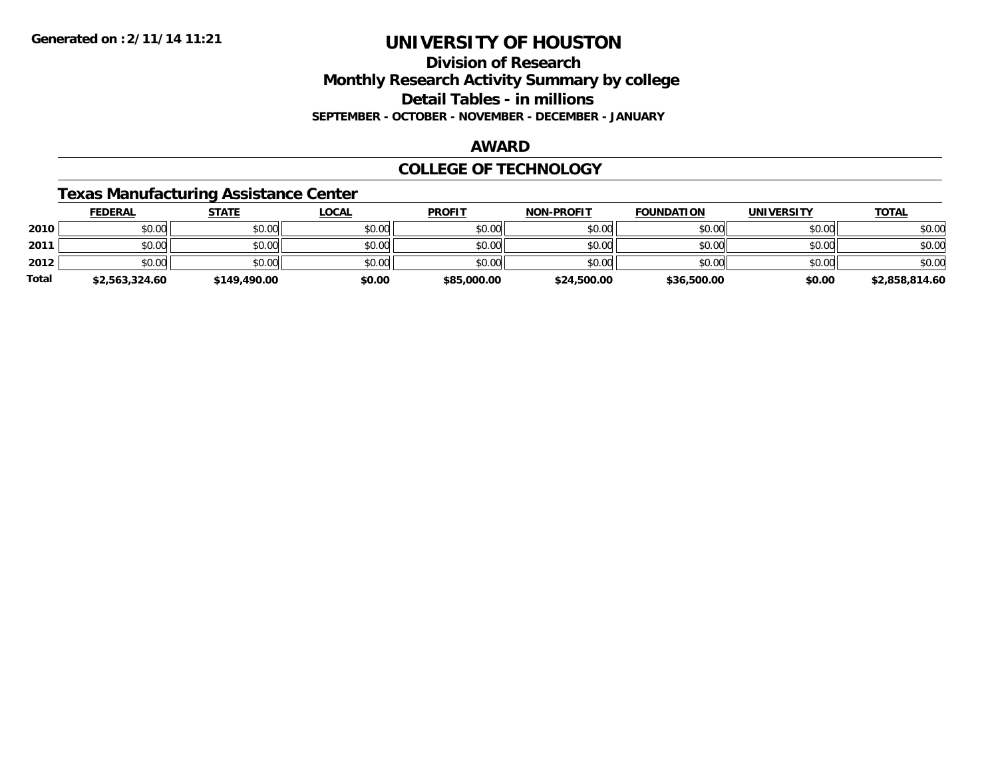### **Division of Research Monthly Research Activity Summary by college Detail Tables - in millions SEPTEMBER - OCTOBER - NOVEMBER - DECEMBER - JANUARY**

#### **AWARD**

#### **COLLEGE OF TECHNOLOGY**

### **Texas Manufacturing Assistance Center**

|              | <b>FEDERAL</b> | <b>STATE</b> | <u>LOCAL</u> | <b>PROFIT</b> | <b>NON-PROFIT</b> | <b>FOUNDATION</b> | <b>UNIVERSITY</b> | <b>TOTAL</b>   |
|--------------|----------------|--------------|--------------|---------------|-------------------|-------------------|-------------------|----------------|
| 2010         | \$0.00         | \$0.00       | \$0.00       | \$0.00        | \$0.00            | \$0.00            | \$0.00            | \$0.00         |
| 2011         | \$0.00         | \$0.00       | \$0.00       | \$0.00        | \$0.00            | \$0.00            | \$0.00            | \$0.00         |
| 2012         | \$0.00         | \$0.00       | \$0.00       | \$0.00        | \$0.00            | \$0.00            | \$0.00            | \$0.00         |
| <b>Total</b> | \$2,563,324.60 | \$149,490.00 | \$0.00       | \$85,000.00   | \$24,500.00       | \$36,500.00       | \$0.00            | \$2,858,814.60 |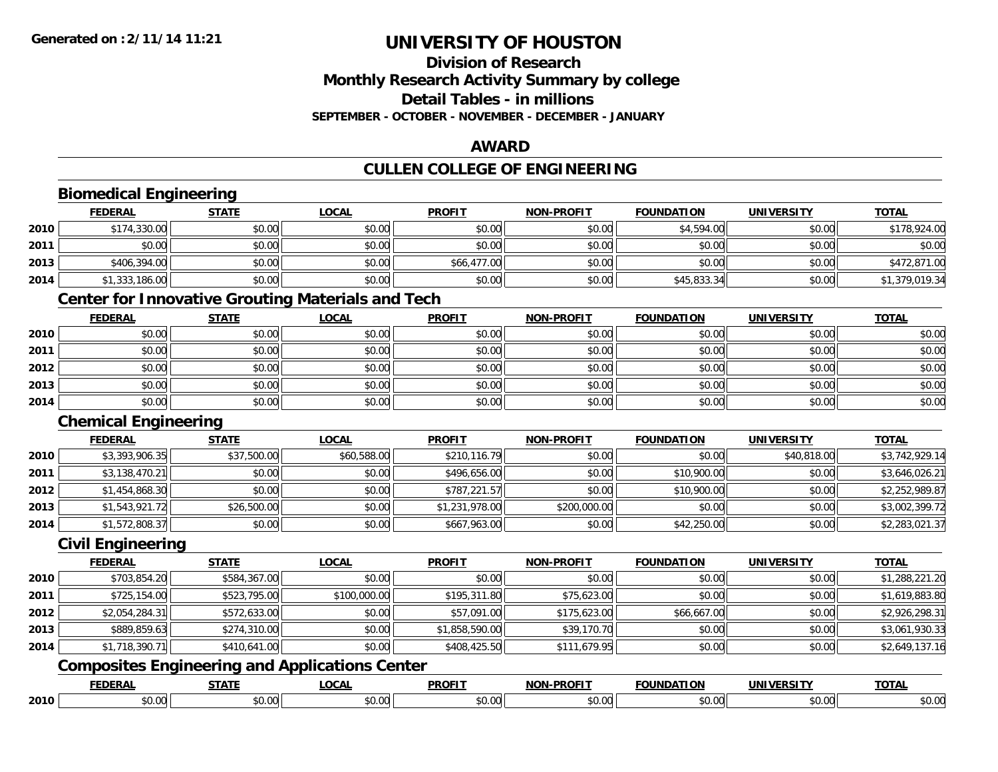**2010**

# **UNIVERSITY OF HOUSTON**

### **Division of ResearchMonthly Research Activity Summary by college Detail Tables - in millions SEPTEMBER - OCTOBER - NOVEMBER - DECEMBER - JANUARY**

#### **AWARD**

## **CULLEN COLLEGE OF ENGINEERING**

|      | <b>Biomedical Engineering</b> |              |                                                          |                |                   |                   |                   |                |
|------|-------------------------------|--------------|----------------------------------------------------------|----------------|-------------------|-------------------|-------------------|----------------|
|      | <b>FEDERAL</b>                | <b>STATE</b> | <b>LOCAL</b>                                             | <b>PROFIT</b>  | <b>NON-PROFIT</b> | <b>FOUNDATION</b> | <b>UNIVERSITY</b> | <b>TOTAL</b>   |
| 2010 | \$174,330.00                  | \$0.00       | \$0.00                                                   | \$0.00         | \$0.00            | \$4,594.00        | \$0.00            | \$178,924.00   |
| 2011 | \$0.00                        | \$0.00       | \$0.00                                                   | \$0.00         | \$0.00            | \$0.00            | \$0.00            | \$0.00         |
| 2013 | \$406,394.00                  | \$0.00       | \$0.00                                                   | \$66,477.00    | \$0.00            | \$0.00            | \$0.00            | \$472,871.00   |
| 2014 | \$1,333,186.00                | \$0.00       | \$0.00                                                   | \$0.00         | \$0.00            | \$45,833.34       | \$0.00            | \$1,379,019.34 |
|      |                               |              | <b>Center for Innovative Grouting Materials and Tech</b> |                |                   |                   |                   |                |
|      | <b>FEDERAL</b>                | <b>STATE</b> | <b>LOCAL</b>                                             | <b>PROFIT</b>  | <b>NON-PROFIT</b> | <b>FOUNDATION</b> | <b>UNIVERSITY</b> | <b>TOTAL</b>   |
| 2010 | \$0.00                        | \$0.00       | \$0.00                                                   | \$0.00         | \$0.00            | \$0.00            | \$0.00            | \$0.00         |
| 2011 | \$0.00                        | \$0.00       | \$0.00                                                   | \$0.00         | \$0.00            | \$0.00            | \$0.00            | \$0.00         |
| 2012 | \$0.00                        | \$0.00       | \$0.00                                                   | \$0.00         | \$0.00            | \$0.00            | \$0.00            | \$0.00         |
| 2013 | \$0.00                        | \$0.00       | \$0.00                                                   | \$0.00         | \$0.00            | \$0.00            | \$0.00            | \$0.00         |
| 2014 | \$0.00                        | \$0.00       | \$0.00                                                   | \$0.00         | \$0.00            | \$0.00            | \$0.00            | \$0.00         |
|      | <b>Chemical Engineering</b>   |              |                                                          |                |                   |                   |                   |                |
|      | <b>FEDERAL</b>                | <b>STATE</b> | <b>LOCAL</b>                                             | <b>PROFIT</b>  | <b>NON-PROFIT</b> | <b>FOUNDATION</b> | <b>UNIVERSITY</b> | <b>TOTAL</b>   |
| 2010 | \$3,393,906.35                | \$37,500.00  | \$60,588.00                                              | \$210,116.79   | \$0.00            | \$0.00            | \$40,818.00       | \$3,742,929.14 |
| 2011 | \$3,138,470.21                | \$0.00       | \$0.00                                                   | \$496,656.00   | \$0.00            | \$10,900.00       | \$0.00            | \$3,646,026.21 |
| 2012 | \$1,454,868.30                | \$0.00       | \$0.00                                                   | \$787,221.57   | \$0.00            | \$10,900.00       | \$0.00            | \$2,252,989.87 |
| 2013 | \$1,543,921.72                | \$26,500.00  | \$0.00                                                   | \$1,231,978.00 | \$200,000.00      | \$0.00            | \$0.00            | \$3,002,399.72 |
| 2014 | \$1,572,808.37                | \$0.00       | \$0.00                                                   | \$667,963.00   | \$0.00            | \$42,250.00       | \$0.00            | \$2,283,021.37 |
|      | <b>Civil Engineering</b>      |              |                                                          |                |                   |                   |                   |                |
|      | <b>FEDERAL</b>                | <b>STATE</b> | <b>LOCAL</b>                                             | <b>PROFIT</b>  | <b>NON-PROFIT</b> | <b>FOUNDATION</b> | <b>UNIVERSITY</b> | <b>TOTAL</b>   |
| 2010 | \$703,854.20                  | \$584,367.00 | \$0.00                                                   | \$0.00         | \$0.00            | \$0.00            | \$0.00            | \$1,288,221.20 |
| 2011 | \$725,154.00                  | \$523,795.00 | \$100,000.00                                             | \$195,311.80   | \$75,623.00       | \$0.00            | \$0.00            | \$1,619,883.80 |
| 2012 | \$2,054,284.31                | \$572,633.00 | \$0.00                                                   | \$57,091.00    | \$175,623.00      | \$66,667.00       | \$0.00            | \$2,926,298.31 |
| 2013 | \$889,859.63                  | \$274,310.00 | \$0.00                                                   | \$1,858,590.00 | \$39,170.70       | \$0.00            | \$0.00            | \$3,061,930.33 |
| 2014 | \$1,718,390.71                | \$410,641.00 | \$0.00                                                   | \$408,425.50   | \$111,679.95      | \$0.00            | \$0.00            | \$2,649,137.16 |
|      |                               |              | <b>Composites Engineering and Applications Center</b>    |                |                   |                   |                   |                |
|      | <b>FEDERAL</b>                | <b>STATE</b> | <b>LOCAL</b>                                             | <b>PROFIT</b>  | <b>NON-PROFIT</b> | <b>FOUNDATION</b> | <b>UNIVERSITY</b> | <b>TOTAL</b>   |

0 \$0.00 \$0.00 \$0.00 \$0.00 \$0.00 \$0.00 \$0.00 \$0.00 \$0.00 \$0.00 \$0.00 \$0.00 \$0.00 \$0.00 \$0.00 \$0.00 \$0.00 \$0.00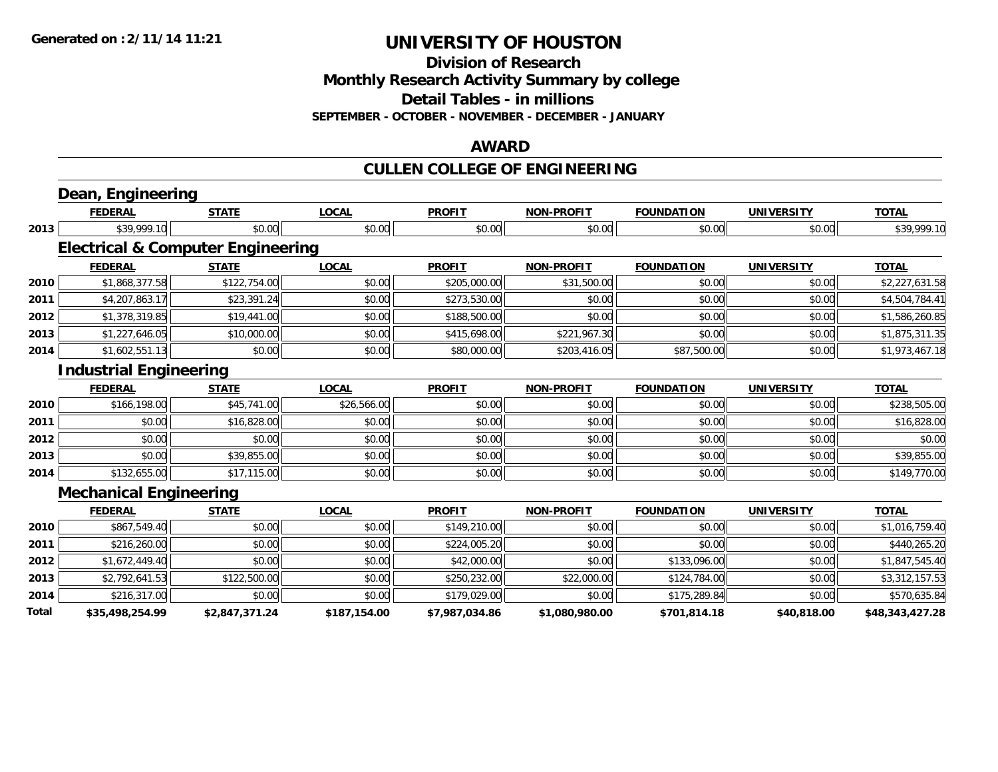**Division of Research**

**Monthly Research Activity Summary by college**

**Detail Tables - in millions**

**SEPTEMBER - OCTOBER - NOVEMBER - DECEMBER - JANUARY**

#### **AWARD**

## **CULLEN COLLEGE OF ENGINEERING**

|       | Dean, Engineering                            |                |              |                |                   |                   |                   |                 |
|-------|----------------------------------------------|----------------|--------------|----------------|-------------------|-------------------|-------------------|-----------------|
|       | <b>FEDERAL</b>                               | <b>STATE</b>   | <b>LOCAL</b> | <b>PROFIT</b>  | <b>NON-PROFIT</b> | <b>FOUNDATION</b> | <b>UNIVERSITY</b> | <b>TOTAL</b>    |
| 2013  | \$39,999.10                                  | \$0.00         | \$0.00       | \$0.00         | \$0.00            | \$0.00            | \$0.00            | \$39,999.10     |
|       | <b>Electrical &amp; Computer Engineering</b> |                |              |                |                   |                   |                   |                 |
|       | <b>FEDERAL</b>                               | <b>STATE</b>   | <b>LOCAL</b> | <b>PROFIT</b>  | <b>NON-PROFIT</b> | <b>FOUNDATION</b> | <b>UNIVERSITY</b> | <b>TOTAL</b>    |
| 2010  | \$1,868,377.58                               | \$122,754.00   | \$0.00       | \$205,000.00   | \$31,500.00       | \$0.00            | \$0.00            | \$2,227,631.58  |
| 2011  | \$4,207,863.17                               | \$23,391.24    | \$0.00       | \$273,530.00   | \$0.00            | \$0.00            | \$0.00            | \$4,504,784.41  |
| 2012  | \$1,378,319.85                               | \$19,441.00    | \$0.00       | \$188,500.00   | \$0.00            | \$0.00            | \$0.00            | \$1,586,260.85  |
| 2013  | \$1,227,646.05                               | \$10,000.00    | \$0.00       | \$415,698.00   | \$221,967.30      | \$0.00            | \$0.00            | \$1,875,311.35  |
| 2014  | \$1,602,551.13                               | \$0.00         | \$0.00       | \$80,000.00    | \$203,416.05      | \$87,500.00       | \$0.00            | \$1,973,467.18  |
|       | <b>Industrial Engineering</b>                |                |              |                |                   |                   |                   |                 |
|       | <b>FEDERAL</b>                               | <b>STATE</b>   | <b>LOCAL</b> | <b>PROFIT</b>  | <b>NON-PROFIT</b> | <b>FOUNDATION</b> | <b>UNIVERSITY</b> | <b>TOTAL</b>    |
| 2010  | \$166,198.00                                 | \$45,741.00    | \$26,566.00  | \$0.00         | \$0.00            | \$0.00            | \$0.00            | \$238,505.00    |
| 2011  | \$0.00                                       | \$16,828.00    | \$0.00       | \$0.00         | \$0.00            | \$0.00            | \$0.00            | \$16,828.00     |
| 2012  | \$0.00                                       | \$0.00         | \$0.00       | \$0.00         | \$0.00            | \$0.00            | \$0.00            | \$0.00          |
| 2013  | \$0.00                                       | \$39,855.00    | \$0.00       | \$0.00         | \$0.00            | \$0.00            | \$0.00            | \$39,855.00     |
| 2014  | \$132,655.00                                 | \$17,115.00    | \$0.00       | \$0.00         | \$0.00            | \$0.00            | \$0.00            | \$149,770.00    |
|       | <b>Mechanical Engineering</b>                |                |              |                |                   |                   |                   |                 |
|       | <b>FEDERAL</b>                               | <b>STATE</b>   | <b>LOCAL</b> | <b>PROFIT</b>  | <b>NON-PROFIT</b> | <b>FOUNDATION</b> | <b>UNIVERSITY</b> | <b>TOTAL</b>    |
| 2010  | \$867,549.40                                 | \$0.00         | \$0.00       | \$149,210.00   | \$0.00            | \$0.00            | \$0.00            | \$1,016,759.40  |
| 2011  | \$216,260.00                                 | \$0.00         | \$0.00       | \$224,005.20   | \$0.00            | \$0.00            | \$0.00            | \$440,265.20    |
| 2012  | \$1,672,449.40                               | \$0.00         | \$0.00       | \$42,000.00    | \$0.00            | \$133,096.00      | \$0.00            | \$1,847,545.40  |
| 2013  | \$2,792,641.53                               | \$122,500.00   | \$0.00       | \$250,232.00   | \$22,000.00       | \$124,784.00      | \$0.00            | \$3,312,157.53  |
| 2014  | \$216,317.00                                 | \$0.00         | \$0.00       | \$179,029.00   | \$0.00            | \$175,289.84      | \$0.00            | \$570,635.84    |
| Total | \$35,498,254.99                              | \$2,847,371.24 | \$187,154.00 | \$7,987,034.86 | \$1,080,980.00    | \$701,814.18      | \$40,818.00       | \$48,343,427.28 |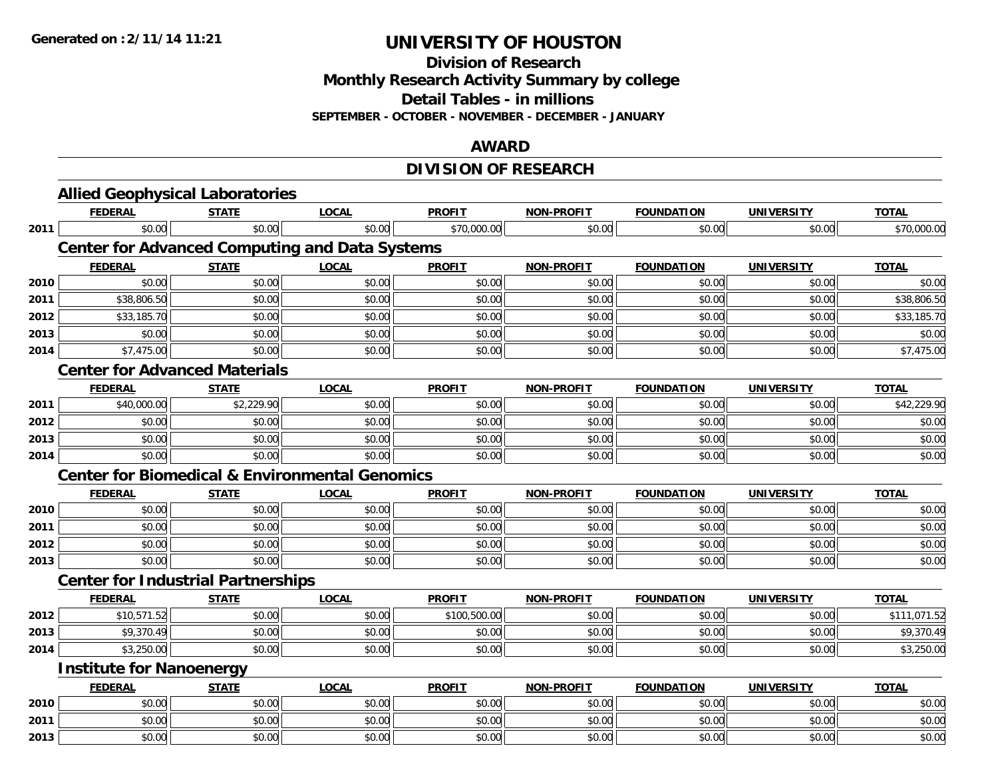**Division of Research**

**Monthly Research Activity Summary by college**

**Detail Tables - in millions**

**SEPTEMBER - OCTOBER - NOVEMBER - DECEMBER - JANUARY**

#### **AWARD**

## **DIVISION OF RESEARCH**

|      | <b>Allied Geophysical Laboratories</b>                    |              |              |               |                   |                   |                   |                           |  |  |  |
|------|-----------------------------------------------------------|--------------|--------------|---------------|-------------------|-------------------|-------------------|---------------------------|--|--|--|
|      | <b>FEDERAL</b>                                            | <b>STATE</b> | <b>LOCAL</b> | <b>PROFIT</b> | NON-PROFIT        | <b>FOUNDATION</b> | <b>UNIVERSITY</b> | <b>TOTAL</b>              |  |  |  |
| 2011 | \$0.00                                                    | \$0.00       | \$0.00       | \$70,000.00   | \$0.00            | \$0.00            | \$0.00            | \$70,000.00               |  |  |  |
|      | <b>Center for Advanced Computing and Data Systems</b>     |              |              |               |                   |                   |                   |                           |  |  |  |
|      | <b>FEDERAL</b>                                            | <b>STATE</b> | <b>LOCAL</b> | <b>PROFIT</b> | <b>NON-PROFIT</b> | <b>FOUNDATION</b> | <b>UNIVERSITY</b> | <b>TOTAL</b>              |  |  |  |
| 2010 | \$0.00                                                    | \$0.00       | \$0.00       | \$0.00        | \$0.00            | \$0.00            | \$0.00            | \$0.00                    |  |  |  |
| 2011 | \$38,806.50                                               | \$0.00       | \$0.00       | \$0.00        | \$0.00            | \$0.00            | \$0.00            | \$38,806.50               |  |  |  |
| 2012 | \$33,185.70                                               | \$0.00       | \$0.00       | \$0.00        | \$0.00            | \$0.00            | \$0.00            | \$33,185.70               |  |  |  |
| 2013 | \$0.00                                                    | \$0.00       | \$0.00       | \$0.00        | \$0.00            | \$0.00            | \$0.00            | \$0.00                    |  |  |  |
| 2014 | \$7,475.00                                                | \$0.00       | \$0.00       | \$0.00        | \$0.00            | \$0.00            | \$0.00            | \$7,475.00                |  |  |  |
|      | <b>Center for Advanced Materials</b>                      |              |              |               |                   |                   |                   |                           |  |  |  |
|      | <b>FEDERAL</b>                                            | <b>STATE</b> | <b>LOCAL</b> | <b>PROFIT</b> | NON-PROFIT        | <b>FOUNDATION</b> | <b>UNIVERSITY</b> | <b>TOTAL</b>              |  |  |  |
| 2011 | \$40,000.00                                               | \$2,229.90   | \$0.00       | \$0.00        | \$0.00            | \$0.00            | \$0.00            | \$42,229.90               |  |  |  |
| 2012 | \$0.00                                                    | \$0.00       | \$0.00       | \$0.00        | \$0.00            | \$0.00            | \$0.00            | \$0.00                    |  |  |  |
| 2013 | \$0.00                                                    | \$0.00       | \$0.00       | \$0.00        | \$0.00            | \$0.00            | \$0.00            | \$0.00                    |  |  |  |
| 2014 | \$0.00                                                    | \$0.00       | \$0.00       | \$0.00        | \$0.00            | \$0.00            | \$0.00            | \$0.00                    |  |  |  |
|      | <b>Center for Biomedical &amp; Environmental Genomics</b> |              |              |               |                   |                   |                   |                           |  |  |  |
|      | <b>FEDERAL</b>                                            | <b>STATE</b> | <b>LOCAL</b> | <b>PROFIT</b> | <b>NON-PROFIT</b> | <b>FOUNDATION</b> | <b>UNIVERSITY</b> | <b>TOTAL</b>              |  |  |  |
| 2010 | \$0.00                                                    | \$0.00       | \$0.00       | \$0.00        | \$0.00            | \$0.00            | \$0.00            | \$0.00                    |  |  |  |
| 2011 | \$0.00                                                    | \$0.00       | \$0.00       | \$0.00        | \$0.00            | \$0.00            | \$0.00            | \$0.00                    |  |  |  |
| 2012 | \$0.00                                                    | \$0.00       | \$0.00       | \$0.00        | \$0.00            | \$0.00            | \$0.00            | \$0.00                    |  |  |  |
| 2013 | \$0.00                                                    | \$0.00       | \$0.00       | \$0.00        | \$0.00            | \$0.00            | \$0.00            | \$0.00                    |  |  |  |
|      | <b>Center for Industrial Partnerships</b>                 |              |              |               |                   |                   |                   |                           |  |  |  |
|      | <b>FEDERAL</b>                                            | <b>STATE</b> | <b>LOCAL</b> | <b>PROFIT</b> | <b>NON-PROFIT</b> | <b>FOUNDATION</b> | <b>UNIVERSITY</b> | <b>TOTAL</b>              |  |  |  |
| 2012 | \$10,571.52                                               | \$0.00       | \$0.00       | \$100,500.00  | \$0.00            | \$0.00            | \$0.00            | $\overline{\$111,071.52}$ |  |  |  |
| 2013 | \$9,370.49                                                | \$0.00       | \$0.00       | \$0.00        | \$0.00            | \$0.00            | \$0.00            | \$9,370.49                |  |  |  |
| 2014 | \$3,250.00                                                | \$0.00       | \$0.00       | \$0.00        | \$0.00            | \$0.00            | \$0.00            | \$3,250.00                |  |  |  |
|      | <b>Institute for Nanoenergy</b>                           |              |              |               |                   |                   |                   |                           |  |  |  |
|      | <b>FEDERAL</b>                                            | <b>STATE</b> | <b>LOCAL</b> | <b>PROFIT</b> | NON-PROFIT        | <b>FOUNDATION</b> | <b>UNIVERSITY</b> | <b>TOTAL</b>              |  |  |  |
| 2010 | \$0.00                                                    | \$0.00       | \$0.00       | \$0.00        | \$0.00            | \$0.00            | \$0.00            | \$0.00                    |  |  |  |
| 2011 | \$0.00                                                    | \$0.00       | \$0.00       | \$0.00        | \$0.00            | \$0.00            | \$0.00            | \$0.00                    |  |  |  |
| 2013 | \$0.00                                                    | \$0.00       | \$0.00       | \$0.00        | \$0.00            | \$0.00            | \$0.00            | \$0.00                    |  |  |  |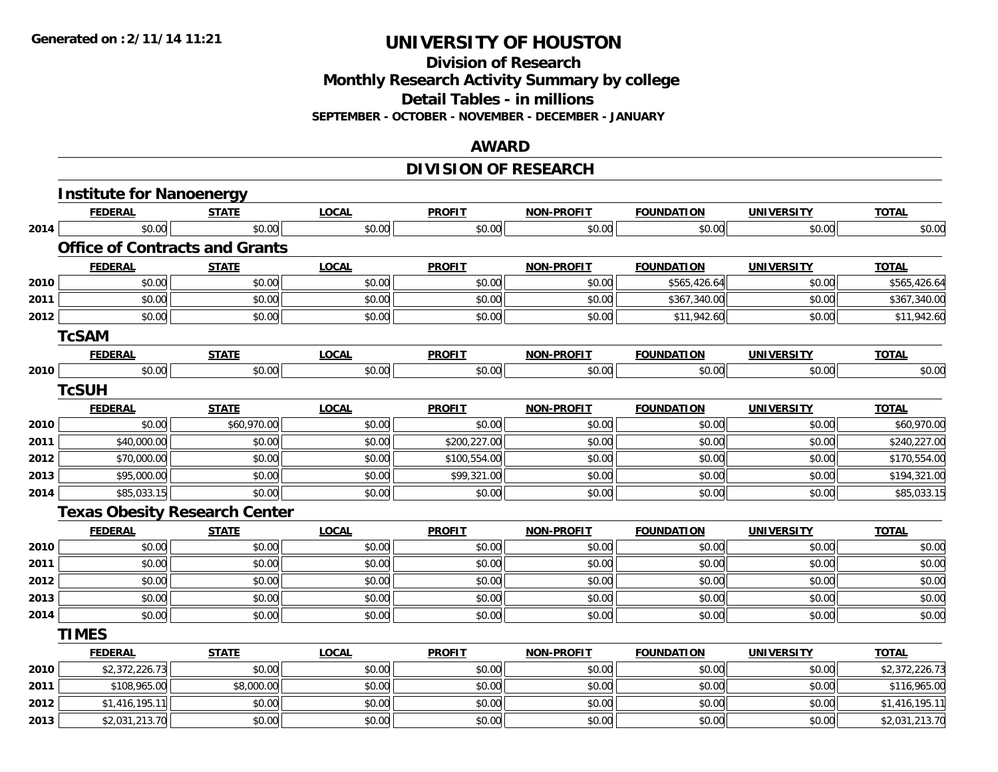#### **Division of Research Monthly Research Activity Summary by college Detail Tables - in millions SEPTEMBER - OCTOBER - NOVEMBER - DECEMBER - JANUARY**

#### **AWARD**

## **DIVISION OF RESEARCH**

|      | <b>Institute for Nanoenergy</b>       |              |              |               |                   |                   |                   |                |
|------|---------------------------------------|--------------|--------------|---------------|-------------------|-------------------|-------------------|----------------|
|      | <b>FEDERAL</b>                        | <b>STATE</b> | <b>LOCAL</b> | <b>PROFIT</b> | NON-PROFIT        | <b>FOUNDATION</b> | <b>UNIVERSITY</b> | <b>TOTAL</b>   |
| 2014 | \$0.00                                | \$0.00       | \$0.00       | \$0.00        | \$0.00            | \$0.00            | \$0.00            | \$0.00         |
|      | <b>Office of Contracts and Grants</b> |              |              |               |                   |                   |                   |                |
|      | <b>FEDERAL</b>                        | <b>STATE</b> | <b>LOCAL</b> | <b>PROFIT</b> | NON-PROFIT        | <b>FOUNDATION</b> | <b>UNIVERSITY</b> | <b>TOTAL</b>   |
| 2010 | \$0.00                                | \$0.00       | \$0.00       | \$0.00        | \$0.00            | \$565,426.64      | \$0.00            | \$565,426.64   |
| 2011 | \$0.00                                | \$0.00       | \$0.00       | \$0.00        | \$0.00            | \$367,340.00      | \$0.00            | \$367,340.00   |
| 2012 | \$0.00                                | \$0.00       | \$0.00       | \$0.00        | \$0.00            | \$11,942.60       | \$0.00            | \$11,942.60    |
|      | <b>TcSAM</b>                          |              |              |               |                   |                   |                   |                |
|      | <b>FEDERAL</b>                        | <b>STATE</b> | <b>LOCAL</b> | <b>PROFIT</b> | <b>NON-PROFIT</b> | <b>FOUNDATION</b> | <b>UNIVERSITY</b> | <b>TOTAL</b>   |
| 2010 | \$0.00                                | \$0.00       | \$0.00       | \$0.00        | \$0.00            | \$0.00            | \$0.00            | \$0.00         |
|      | <b>TcSUH</b>                          |              |              |               |                   |                   |                   |                |
|      | <b>FEDERAL</b>                        | <b>STATE</b> | <b>LOCAL</b> | <b>PROFIT</b> | <b>NON-PROFIT</b> | <b>FOUNDATION</b> | <b>UNIVERSITY</b> | <b>TOTAL</b>   |
| 2010 | \$0.00                                | \$60,970.00  | \$0.00       | \$0.00        | \$0.00            | \$0.00            | \$0.00            | \$60,970.00    |
| 2011 | \$40,000.00                           | \$0.00       | \$0.00       | \$200,227.00  | \$0.00            | \$0.00            | \$0.00            | \$240,227.00   |
| 2012 | \$70,000.00                           | \$0.00       | \$0.00       | \$100,554.00  | \$0.00            | \$0.00            | \$0.00            | \$170,554.00   |
| 2013 | \$95,000.00                           | \$0.00       | \$0.00       | \$99,321.00   | \$0.00            | \$0.00            | \$0.00            | \$194,321.00   |
| 2014 | \$85,033.15                           | \$0.00       | \$0.00       | \$0.00        | \$0.00            | \$0.00            | \$0.00            | \$85,033.15    |
|      | <b>Texas Obesity Research Center</b>  |              |              |               |                   |                   |                   |                |
|      | <b>FEDERAL</b>                        | <b>STATE</b> | <b>LOCAL</b> | <b>PROFIT</b> | <b>NON-PROFIT</b> | <b>FOUNDATION</b> | <b>UNIVERSITY</b> | <b>TOTAL</b>   |
| 2010 | \$0.00                                | \$0.00       | \$0.00       | \$0.00        | \$0.00            | \$0.00            | \$0.00            | \$0.00         |
| 2011 | \$0.00                                | \$0.00       | \$0.00       | \$0.00        | \$0.00            | \$0.00            | \$0.00            | \$0.00         |
| 2012 | \$0.00                                | \$0.00       | \$0.00       | \$0.00        | \$0.00            | \$0.00            | \$0.00            | \$0.00         |
| 2013 | \$0.00                                | \$0.00       | \$0.00       | \$0.00        | \$0.00            | \$0.00            | \$0.00            | \$0.00         |
| 2014 | \$0.00                                | \$0.00       | \$0.00       | \$0.00        | \$0.00            | \$0.00            | \$0.00            | \$0.00         |
|      | <b>TIMES</b>                          |              |              |               |                   |                   |                   |                |
|      | <b>FEDERAL</b>                        | <b>STATE</b> | <b>LOCAL</b> | <b>PROFIT</b> | <b>NON-PROFIT</b> | <b>FOUNDATION</b> | <b>UNIVERSITY</b> | <b>TOTAL</b>   |
| 2010 | \$2,372,226.73                        | \$0.00       | \$0.00       | \$0.00        | \$0.00            | \$0.00            | \$0.00            | \$2,372,226.73 |
| 2011 | \$108,965.00                          | \$8,000.00   | \$0.00       | \$0.00        | \$0.00            | \$0.00            | \$0.00            | \$116,965.00   |
| 2012 | \$1,416,195.11                        | \$0.00       | \$0.00       | \$0.00        | \$0.00            | \$0.00            | \$0.00            | \$1,416,195.11 |
| 2013 | \$2,031,213.70                        | \$0.00       | \$0.00       | \$0.00        | \$0.00            | \$0.00            | \$0.00            | \$2,031,213.70 |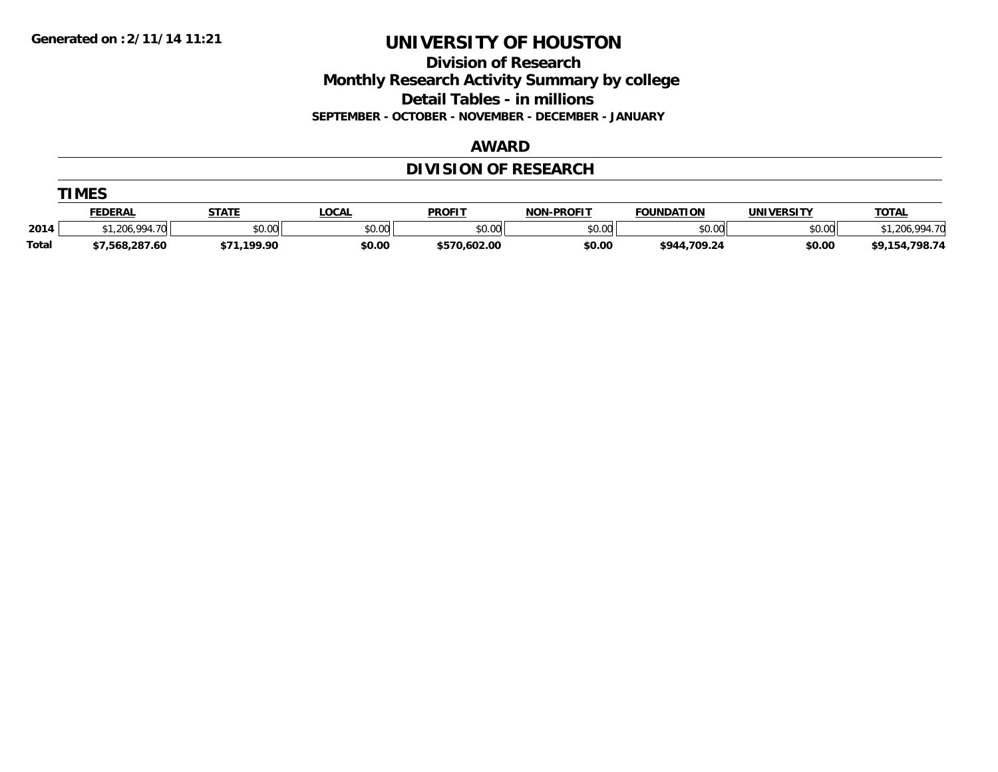**Division of Research**

**Monthly Research Activity Summary by college**

**Detail Tables - in millions**

**SEPTEMBER - OCTOBER - NOVEMBER - DECEMBER - JANUARY**

#### **AWARD**

## **DIVISION OF RESEARCH**

|              | TIMES          |              |              |               |            |                   |                   |                    |  |  |
|--------------|----------------|--------------|--------------|---------------|------------|-------------------|-------------------|--------------------|--|--|
|              | FEDERAL        | <u>STATE</u> | <u>LOCAL</u> | <b>PROFIT</b> | NON-PROFIT | <b>FOUNDATION</b> | <b>UNIVERSITY</b> | <b>TOTAL</b>       |  |  |
| 2014         | .206.994.70    | \$0.00       | \$0.00       | \$0.00        | \$0.00     | \$0.00            | \$0.00            | .994.70<br>\$1.206 |  |  |
| <b>Total</b> | \$7,568,287.60 | \$71.199.90  | \$0.00       | \$570,602.00  | \$0.00     | \$944,709.24      | \$0.00            | \$9,154,798.74     |  |  |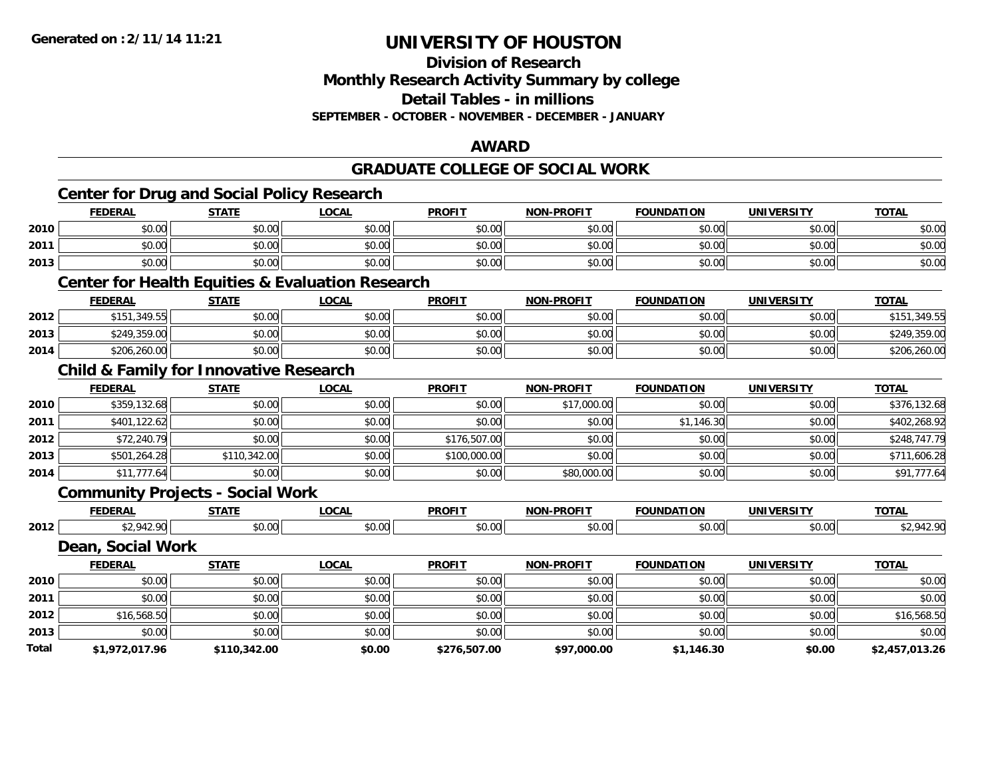**Division of Research**

**Monthly Research Activity Summary by college**

**Detail Tables - in millions**

**SEPTEMBER - OCTOBER - NOVEMBER - DECEMBER - JANUARY**

#### **AWARD**

#### **GRADUATE COLLEGE OF SOCIAL WORK**

|       |                   | <b>Center for Drug and Social Policy Research</b> |                                                             |               |                   |                   |                   |                |
|-------|-------------------|---------------------------------------------------|-------------------------------------------------------------|---------------|-------------------|-------------------|-------------------|----------------|
|       | <b>FEDERAL</b>    | <b>STATE</b>                                      | <b>LOCAL</b>                                                | <b>PROFIT</b> | <b>NON-PROFIT</b> | <b>FOUNDATION</b> | <b>UNIVERSITY</b> | <b>TOTAL</b>   |
| 2010  | \$0.00            | \$0.00                                            | \$0.00                                                      | \$0.00        | \$0.00            | \$0.00            | \$0.00            | \$0.00         |
| 2011  | \$0.00            | \$0.00                                            | \$0.00                                                      | \$0.00        | \$0.00            | \$0.00            | \$0.00            | \$0.00         |
| 2013  | \$0.00            | \$0.00                                            | \$0.00                                                      | \$0.00        | \$0.00            | \$0.00            | \$0.00            | \$0.00         |
|       |                   |                                                   | <b>Center for Health Equities &amp; Evaluation Research</b> |               |                   |                   |                   |                |
|       | <b>FEDERAL</b>    | <b>STATE</b>                                      | <b>LOCAL</b>                                                | <b>PROFIT</b> | <b>NON-PROFIT</b> | <b>FOUNDATION</b> | <b>UNIVERSITY</b> | <b>TOTAL</b>   |
| 2012  | \$151,349.55      | \$0.00                                            | \$0.00                                                      | \$0.00        | \$0.00            | \$0.00            | \$0.00            | \$151,349.55   |
| 2013  | \$249,359.00      | \$0.00                                            | \$0.00                                                      | \$0.00        | \$0.00            | \$0.00            | \$0.00            | \$249,359.00   |
| 2014  | \$206,260.00      | \$0.00                                            | \$0.00                                                      | \$0.00        | \$0.00            | \$0.00            | \$0.00            | \$206,260.00   |
|       |                   | <b>Child &amp; Family for Innovative Research</b> |                                                             |               |                   |                   |                   |                |
|       | <b>FEDERAL</b>    | <b>STATE</b>                                      | <b>LOCAL</b>                                                | <b>PROFIT</b> | <b>NON-PROFIT</b> | <b>FOUNDATION</b> | <b>UNIVERSITY</b> | <b>TOTAL</b>   |
| 2010  | \$359,132.68      | \$0.00                                            | \$0.00                                                      | \$0.00        | \$17,000.00       | \$0.00            | \$0.00            | \$376,132.68   |
| 2011  | \$401,122.62      | \$0.00                                            | \$0.00                                                      | \$0.00        | \$0.00            | \$1,146.30        | \$0.00            | \$402,268.92   |
| 2012  | \$72,240.79       | \$0.00                                            | \$0.00                                                      | \$176,507.00  | \$0.00            | \$0.00            | \$0.00            | \$248,747.79   |
| 2013  | \$501,264.28      | \$110,342.00                                      | \$0.00                                                      | \$100,000.00  | \$0.00            | \$0.00            | \$0.00            | \$711,606.28   |
| 2014  | \$11,777.64       | \$0.00                                            | \$0.00                                                      | \$0.00        | \$80,000.00       | \$0.00            | \$0.00            | \$91,777.64    |
|       |                   | <b>Community Projects - Social Work</b>           |                                                             |               |                   |                   |                   |                |
|       | <b>FEDERAL</b>    | <b>STATE</b>                                      | <b>LOCAL</b>                                                | <b>PROFIT</b> | <b>NON-PROFIT</b> | <b>FOUNDATION</b> | <b>UNIVERSITY</b> | <b>TOTAL</b>   |
| 2012  | \$2,942.90        | \$0.00                                            | \$0.00                                                      | \$0.00        | \$0.00            | \$0.00            | \$0.00            | \$2,942.90     |
|       | Dean, Social Work |                                                   |                                                             |               |                   |                   |                   |                |
|       | <b>FEDERAL</b>    | <b>STATE</b>                                      | <b>LOCAL</b>                                                | <b>PROFIT</b> | <b>NON-PROFIT</b> | <b>FOUNDATION</b> | <b>UNIVERSITY</b> | <b>TOTAL</b>   |
| 2010  | \$0.00            | \$0.00                                            | \$0.00                                                      | \$0.00        | \$0.00            | \$0.00            | \$0.00            | \$0.00         |
| 2011  | \$0.00            | \$0.00                                            | \$0.00                                                      | \$0.00        | \$0.00            | \$0.00            | \$0.00            | \$0.00         |
| 2012  | \$16,568.50       | \$0.00                                            | \$0.00                                                      | \$0.00        | \$0.00            | \$0.00            | \$0.00            | \$16,568.50    |
| 2013  | \$0.00            | \$0.00                                            | \$0.00                                                      | \$0.00        | \$0.00            | \$0.00            | \$0.00            | \$0.00         |
| Total | \$1,972,017.96    | \$110,342.00                                      | \$0.00                                                      | \$276,507.00  | \$97,000.00       | \$1,146.30        | \$0.00            | \$2,457,013.26 |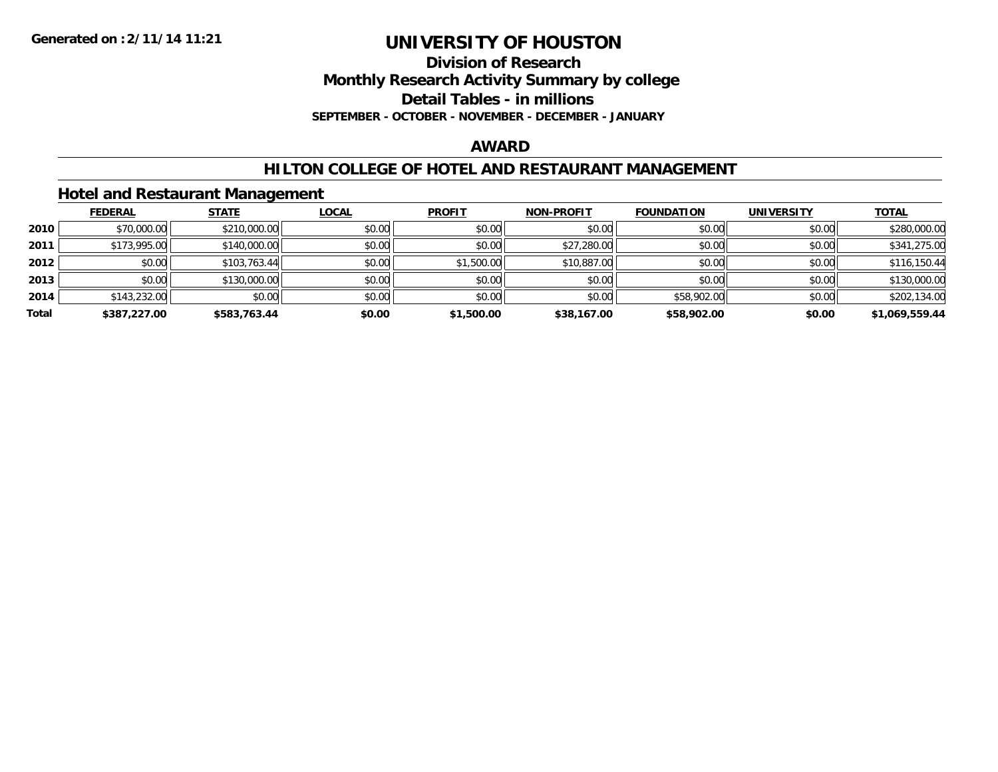**Division of Research**

**Monthly Research Activity Summary by college**

**Detail Tables - in millions**

**SEPTEMBER - OCTOBER - NOVEMBER - DECEMBER - JANUARY**

### **AWARD**

#### **HILTON COLLEGE OF HOTEL AND RESTAURANT MANAGEMENT**

### **Hotel and Restaurant Management**

|       | <b>FEDERAL</b> | <b>STATE</b> | <u>LOCAL</u> | <b>PROFIT</b> | <b>NON-PROFIT</b> | <b>FOUNDATION</b> | <b>UNIVERSITY</b> | <b>TOTAL</b>   |
|-------|----------------|--------------|--------------|---------------|-------------------|-------------------|-------------------|----------------|
| 2010  | \$70,000.00    | \$210,000.00 | \$0.00       | \$0.00        | \$0.00            | \$0.00            | \$0.00            | \$280,000.00   |
| 2011  | \$173,995.00   | \$140,000.00 | \$0.00       | \$0.00        | \$27,280.00       | \$0.00            | \$0.00            | \$341,275.00   |
| 2012  | \$0.00         | \$103,763.44 | \$0.00       | \$1,500.00    | \$10,887.00       | \$0.00            | \$0.00            | \$116,150.44   |
| 2013  | \$0.00         | \$130,000.00 | \$0.00       | \$0.00        | \$0.00            | \$0.00            | \$0.00            | \$130,000.00   |
| 2014  | \$143,232.00   | \$0.00       | \$0.00       | \$0.00        | \$0.00            | \$58,902.00       | \$0.00            | \$202,134.00   |
| Total | \$387,227.00   | \$583,763.44 | \$0.00       | \$1,500.00    | \$38,167.00       | \$58,902.00       | \$0.00            | \$1,069,559.44 |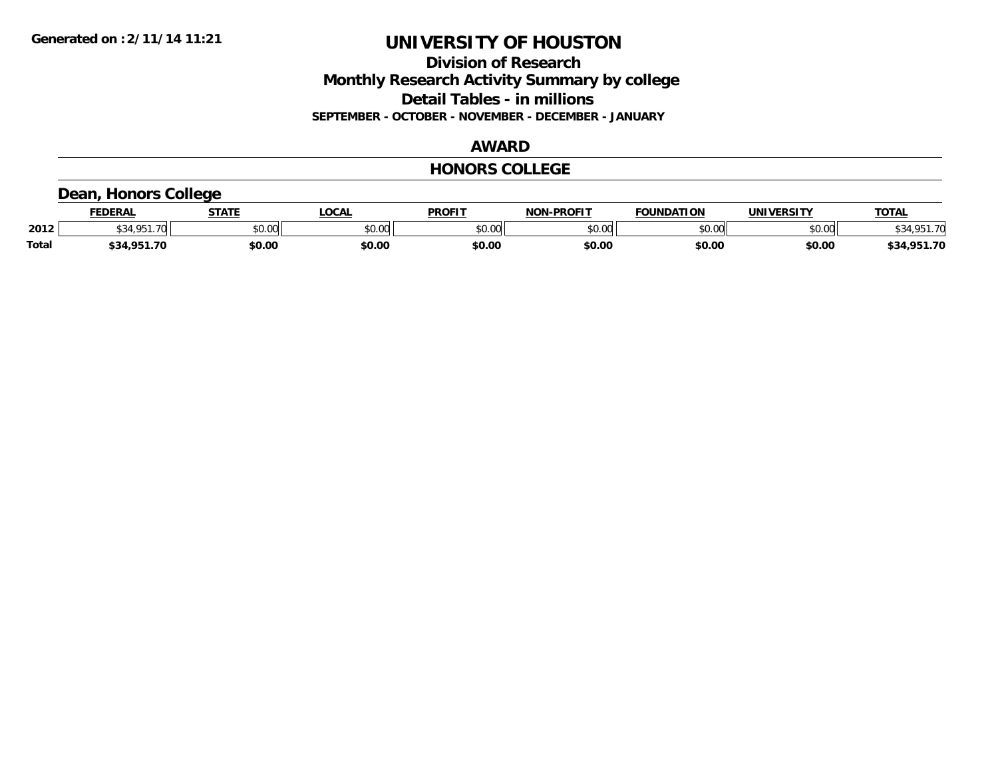**Division of Research Monthly Research Activity Summary by college Detail Tables - in millions SEPTEMBER - OCTOBER - NOVEMBER - DECEMBER - JANUARY**

### **AWARD**

#### **HONORS COLLEGE**

### **Dean, Honors College**

|              | <b>FEDERAL</b>        | <b>STATE</b> | <b>OCAL</b>   | <b>PROFIT</b> | <b>NON-PROFIT</b> | <b>FOUNDATION</b> | <b>UNIVERSITY</b> | <b>TOTAL</b> |
|--------------|-----------------------|--------------|---------------|---------------|-------------------|-------------------|-------------------|--------------|
| 2012         | <b>CO A CD</b><br>.70 | \$0.00       | 0000<br>vu.uu | \$0.00        | ልስ ሰሰ<br>pu.uu    | \$0.00            | \$0.00            | \$34.951.70  |
| <b>Total</b> | \$34.951.70           | \$0.00       | \$0.00        | \$0.00        | \$0.00            | \$0.00            | \$0.00            | \$34,951.70  |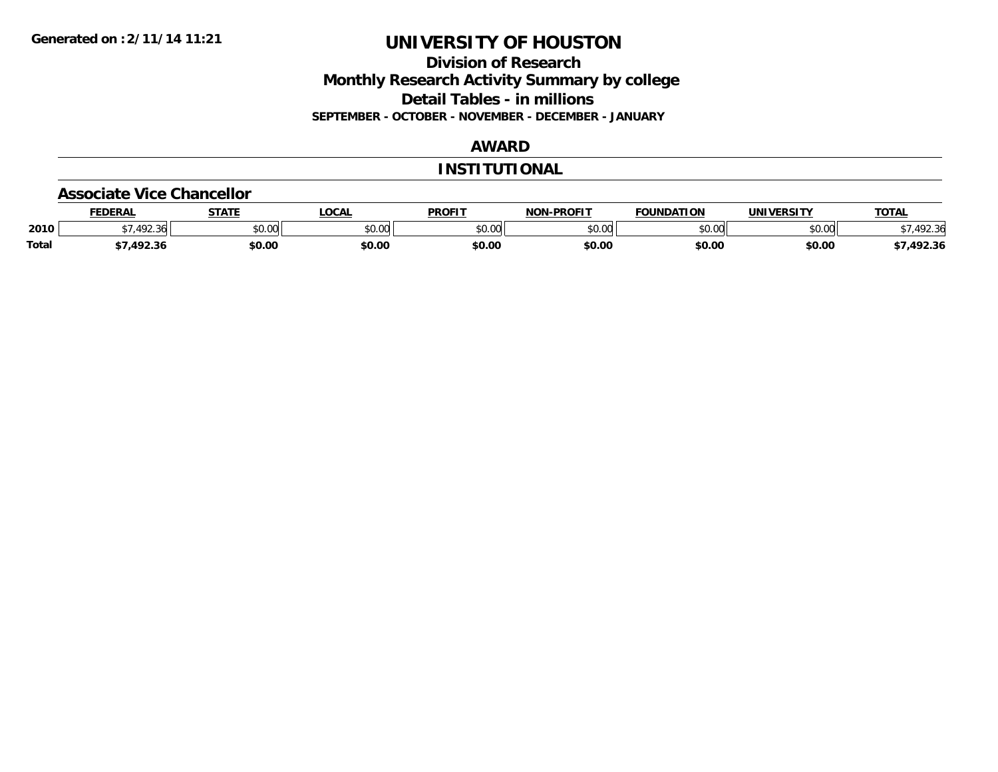### **Division of Research Monthly Research Activity Summary by college Detail Tables - in millions SEPTEMBER - OCTOBER - NOVEMBER - DECEMBER - JANUARY**

### **AWARD**

#### **INSTITUTIONAL**

#### **Associate Vice Chancellor**

|              | <b>FEDERAL</b>       | 670TF<br>"    | <b>OCAL</b>            | <b>PROFIT</b> | -PROFIT<br>NON | <b>FOUNDATION</b> | <b>UNIVERSITY</b> | <b>TOTAL</b> |
|--------------|----------------------|---------------|------------------------|---------------|----------------|-------------------|-------------------|--------------|
| 2010         | $\sqrt{2}$<br>$\sim$ | 0.00<br>JU.UU | $\sim$ $\sim$<br>JU.UU | \$0.00        | 0000<br>vv.vv  | 0000<br>∠∪.∪∪"    | \$0.00            |              |
| <b>Total</b> | 102. P               | \$0.00        | \$0.00                 | \$0.00        | \$0.00         | \$0.00            | \$0.00            | 492.36       |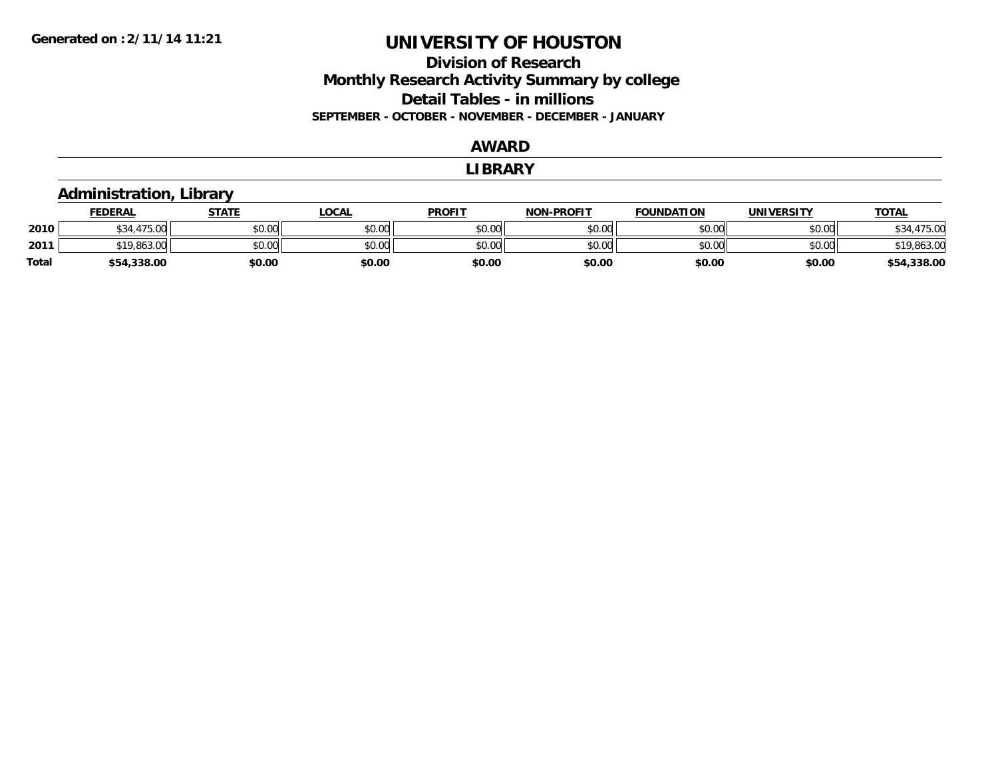### **Division of Research Monthly Research Activity Summary by college Detail Tables - in millions SEPTEMBER - OCTOBER - NOVEMBER - DECEMBER - JANUARY**

#### **AWARD**

#### **LIBRARY**

## **Administration, Library**

|       | <b>FEDERAL</b>        | STATE  | LOCAL  | <b>PROFIT</b> | <b>NON-PROFIT</b> | <b>FOUNDATION</b> | <b>UNIVERSITY</b> | <u>TOTAL</u>    |
|-------|-----------------------|--------|--------|---------------|-------------------|-------------------|-------------------|-----------------|
| 2010  | $\sim$<br>175<br>70.U | \$0.00 | \$0.00 | \$0.00        | \$0.00            | \$0.00            | \$0.00            | 475.00          |
| 2011  | 7.863.0c              | \$0.00 | \$0.00 | \$0.00        | \$0.00            | \$0.00            | \$0.00            | \$19,863.00     |
| Total | \$54,338.00           | \$0.00 | \$0.00 | \$0.00        | \$0.00            | \$0.00            | \$0.00            | ,338.00<br>\$54 |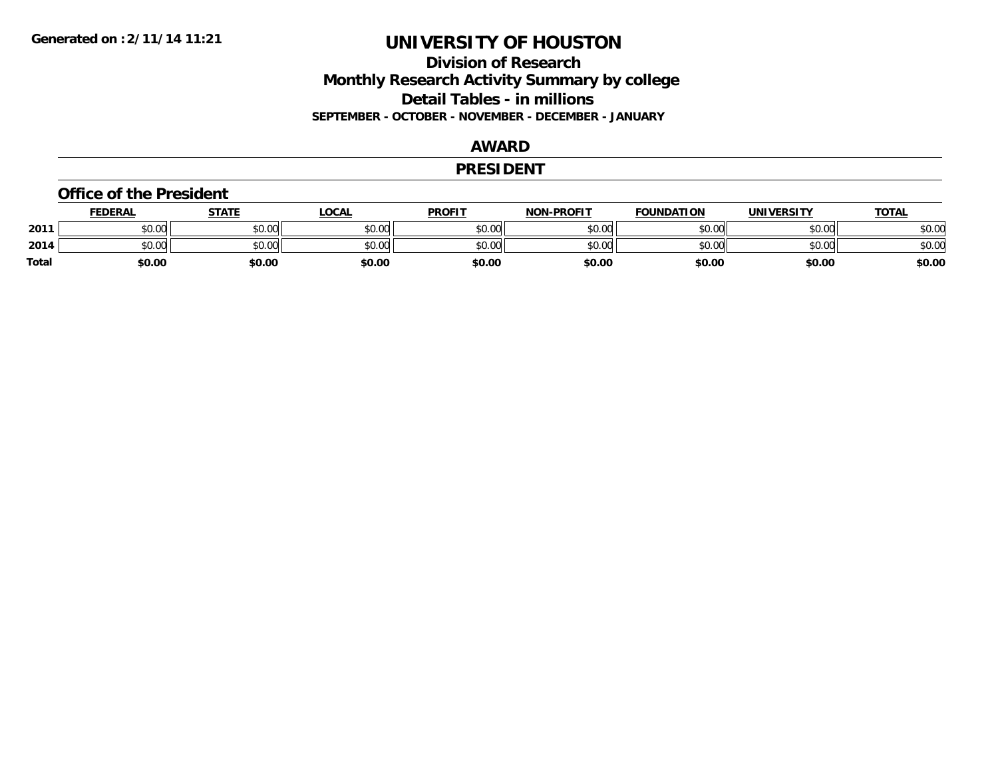### **Division of Research Monthly Research Activity Summary by college Detail Tables - in millions SEPTEMBER - OCTOBER - NOVEMBER - DECEMBER - JANUARY**

### **AWARD**

#### **PRESIDENT**

#### **Office of the President**

|       | <b>FEDERAL</b>         | STATE  | <u>LOCAL</u> | <b>PROFIT</b> | <b>NON-PROFIT</b> | <b>FOUNDATION</b> | <b>UNIVERSITY</b> | <b>TOTAL</b> |
|-------|------------------------|--------|--------------|---------------|-------------------|-------------------|-------------------|--------------|
| 2011  | tn nn<br>JU.UU         | \$0.00 | \$0.00       | \$0.00        | \$0.00            | \$0.00            | \$0.00            | \$0.00       |
| 2014  | $\sim$<br>tn.<br>JU.UU | \$0.00 | \$0.00       | \$0.00        | \$0.00            | \$0.00            | \$0.00            | \$0.00       |
| Total | \$0.00                 | \$0.00 | \$0.00       | \$0.00        | \$0.00            | \$0.00            | \$0.00            | \$0.00       |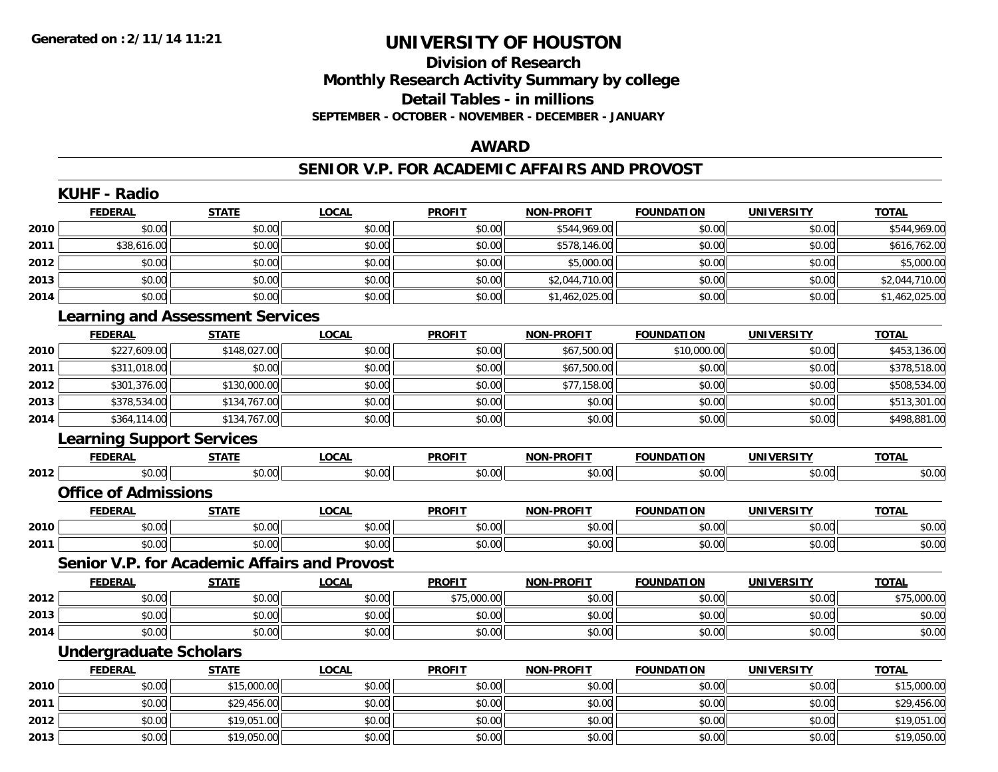### **Division of Research Monthly Research Activity Summary by college Detail Tables - in millions SEPTEMBER - OCTOBER - NOVEMBER - DECEMBER - JANUARY**

#### **AWARD**

#### **SENIOR V.P. FOR ACADEMIC AFFAIRS AND PROVOST**

|      | <b>KUHF - Radio</b>                                 |              |              |               |                   |                   |                   |                |
|------|-----------------------------------------------------|--------------|--------------|---------------|-------------------|-------------------|-------------------|----------------|
|      | <b>FEDERAL</b>                                      | <b>STATE</b> | <b>LOCAL</b> | <b>PROFIT</b> | <b>NON-PROFIT</b> | <b>FOUNDATION</b> | <b>UNIVERSITY</b> | <b>TOTAL</b>   |
| 2010 | \$0.00                                              | \$0.00       | \$0.00       | \$0.00        | \$544,969.00      | \$0.00            | \$0.00            | \$544,969.00   |
| 2011 | \$38,616.00                                         | \$0.00       | \$0.00       | \$0.00        | \$578,146.00      | \$0.00            | \$0.00            | \$616,762.00   |
| 2012 | \$0.00                                              | \$0.00       | \$0.00       | \$0.00        | \$5,000.00        | \$0.00            | \$0.00            | \$5,000.00     |
| 2013 | \$0.00                                              | \$0.00       | \$0.00       | \$0.00        | \$2,044,710.00    | \$0.00            | \$0.00            | \$2,044,710.00 |
| 2014 | \$0.00                                              | \$0.00       | \$0.00       | \$0.00        | \$1,462,025.00    | \$0.00            | \$0.00            | \$1,462,025.00 |
|      | <b>Learning and Assessment Services</b>             |              |              |               |                   |                   |                   |                |
|      | <b>FEDERAL</b>                                      | <b>STATE</b> | <b>LOCAL</b> | <b>PROFIT</b> | <b>NON-PROFIT</b> | <b>FOUNDATION</b> | <b>UNIVERSITY</b> | <b>TOTAL</b>   |
| 2010 | \$227,609.00                                        | \$148,027.00 | \$0.00       | \$0.00        | \$67,500.00       | \$10,000.00       | \$0.00            | \$453,136.00   |
| 2011 | \$311,018.00                                        | \$0.00       | \$0.00       | \$0.00        | \$67,500.00       | \$0.00            | \$0.00            | \$378,518.00   |
| 2012 | \$301,376.00                                        | \$130,000.00 | \$0.00       | \$0.00        | \$77,158.00       | \$0.00            | \$0.00            | \$508,534.00   |
| 2013 | \$378,534.00                                        | \$134,767.00 | \$0.00       | \$0.00        | \$0.00            | \$0.00            | \$0.00            | \$513,301.00   |
| 2014 | \$364,114.00                                        | \$134,767.00 | \$0.00       | \$0.00        | \$0.00            | \$0.00            | \$0.00            | \$498,881.00   |
|      | <b>Learning Support Services</b>                    |              |              |               |                   |                   |                   |                |
|      | <b>FEDERAL</b>                                      | <b>STATE</b> | <b>LOCAL</b> | <b>PROFIT</b> | <b>NON-PROFIT</b> | <b>FOUNDATION</b> | <b>UNIVERSITY</b> | <b>TOTAL</b>   |
| 2012 | \$0.00                                              | \$0.00       | \$0.00       | \$0.00        | \$0.00            | \$0.00            | \$0.00            | \$0.00         |
|      | <b>Office of Admissions</b>                         |              |              |               |                   |                   |                   |                |
|      | <b>FEDERAL</b>                                      | <b>STATE</b> | <b>LOCAL</b> | <b>PROFIT</b> | <b>NON-PROFIT</b> | <b>FOUNDATION</b> | <b>UNIVERSITY</b> | <b>TOTAL</b>   |
| 2010 | \$0.00                                              | \$0.00       | \$0.00       | \$0.00        | \$0.00            | \$0.00            | \$0.00            | \$0.00         |
| 2011 | \$0.00                                              | \$0.00       | \$0.00       | \$0.00        | \$0.00            | \$0.00            | \$0.00            | \$0.00         |
|      | <b>Senior V.P. for Academic Affairs and Provost</b> |              |              |               |                   |                   |                   |                |
|      | <b>FEDERAL</b>                                      | <b>STATE</b> | <b>LOCAL</b> | <b>PROFIT</b> | <b>NON-PROFIT</b> | <b>FOUNDATION</b> | <b>UNIVERSITY</b> | <b>TOTAL</b>   |
| 2012 | \$0.00                                              | \$0.00       | \$0.00       | \$75,000.00   | \$0.00            | \$0.00            | \$0.00            | \$75,000.00    |
| 2013 | \$0.00                                              | \$0.00       | \$0.00       | \$0.00        | \$0.00            | \$0.00            | \$0.00            | \$0.00         |
| 2014 | \$0.00                                              | \$0.00       | \$0.00       | \$0.00        | \$0.00            | \$0.00            | \$0.00            | \$0.00         |
|      | <b>Undergraduate Scholars</b>                       |              |              |               |                   |                   |                   |                |
|      | <b>FEDERAL</b>                                      | <b>STATE</b> | <b>LOCAL</b> | <b>PROFIT</b> | NON-PROFIT        | <b>FOUNDATION</b> | <b>UNIVERSITY</b> | <b>TOTAL</b>   |
| 2010 | \$0.00                                              | \$15,000.00  | \$0.00       | \$0.00        | \$0.00            | \$0.00            | \$0.00            | \$15,000.00    |
| 2011 | \$0.00                                              | \$29,456.00  | \$0.00       | \$0.00        | \$0.00            | \$0.00            | \$0.00            | \$29,456.00    |
| 2012 | \$0.00                                              | \$19,051.00  | \$0.00       | \$0.00        | \$0.00            | \$0.00            | \$0.00            | \$19,051.00    |
| 2013 | \$0.00                                              | \$19,050.00  | \$0.00       | \$0.00        | \$0.00            | \$0.00            | \$0.00            | \$19,050.00    |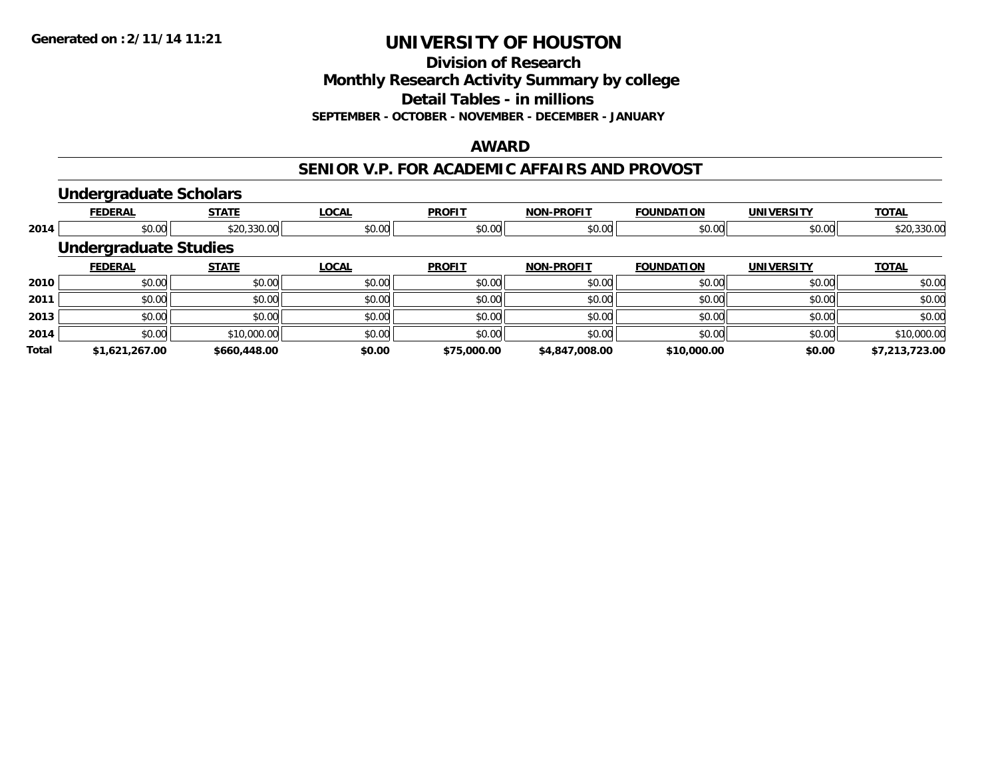**Division of Research**

**Monthly Research Activity Summary by college**

**Detail Tables - in millions**

**SEPTEMBER - OCTOBER - NOVEMBER - DECEMBER - JANUARY**

#### **AWARD**

#### **SENIOR V.P. FOR ACADEMIC AFFAIRS AND PROVOST**

#### **Undergraduate Scholars**

|              | <b>FEDERAL</b>               | <b>STATE</b> | <b>LOCAL</b> | <b>PROFIT</b> | <b>NON-PROFIT</b> | <b>FOUNDATION</b> | <b>UNIVERSITY</b> | <b>TOTAL</b>   |
|--------------|------------------------------|--------------|--------------|---------------|-------------------|-------------------|-------------------|----------------|
| 2014         | \$0.00                       | \$20,330.00  | \$0.00       | \$0.00        | \$0.00            | \$0.00            | \$0.00            | \$20,330.00    |
|              | <b>Undergraduate Studies</b> |              |              |               |                   |                   |                   |                |
|              | <b>FEDERAL</b>               | <b>STATE</b> | <b>LOCAL</b> | <b>PROFIT</b> | <b>NON-PROFIT</b> | <b>FOUNDATION</b> | <b>UNIVERSITY</b> | <b>TOTAL</b>   |
| 2010         | \$0.00                       | \$0.00       | \$0.00       | \$0.00        | \$0.00            | \$0.00            | \$0.00            | \$0.00         |
| 2011         | \$0.00                       | \$0.00       | \$0.00       | \$0.00        | \$0.00            | \$0.00            | \$0.00            | \$0.00         |
| 2013         | \$0.00                       | \$0.00       | \$0.00       | \$0.00        | \$0.00            | \$0.00            | \$0.00            | \$0.00         |
| 2014         | \$0.00                       | \$10,000.00  | \$0.00       | \$0.00        | \$0.00            | \$0.00            | \$0.00            | \$10,000.00    |
| <b>Total</b> | \$1,621,267.00               | \$660,448.00 | \$0.00       | \$75,000.00   | \$4,847,008.00    | \$10,000.00       | \$0.00            | \$7,213,723.00 |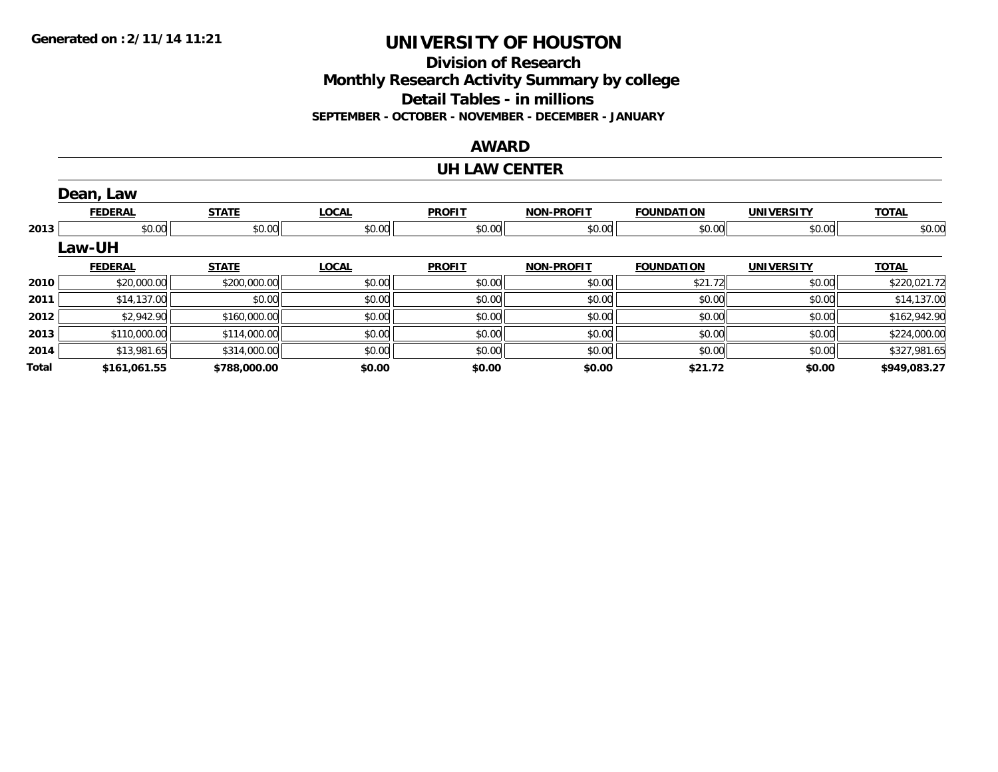**Division of ResearchMonthly Research Activity Summary by college Detail Tables - in millions SEPTEMBER - OCTOBER - NOVEMBER - DECEMBER - JANUARY**

#### **AWARD**

#### **UH LAW CENTER**

|       | Dean, Law      |              |              |               |                   |                   |                   |              |
|-------|----------------|--------------|--------------|---------------|-------------------|-------------------|-------------------|--------------|
|       | <b>FEDERAL</b> | <b>STATE</b> | <b>LOCAL</b> | <b>PROFIT</b> | <b>NON-PROFIT</b> | <b>FOUNDATION</b> | <b>UNIVERSITY</b> | <b>TOTAL</b> |
| 2013  | \$0.00         | \$0.00       | \$0.00       | \$0.00        | \$0.00            | \$0.00            | \$0.00            | \$0.00       |
|       | Law-UH         |              |              |               |                   |                   |                   |              |
|       | <b>FEDERAL</b> | <b>STATE</b> | <b>LOCAL</b> | <b>PROFIT</b> | <b>NON-PROFIT</b> | <b>FOUNDATION</b> | <b>UNIVERSITY</b> | <b>TOTAL</b> |
| 2010  | \$20,000.00    | \$200,000.00 | \$0.00       | \$0.00        | \$0.00            | \$21.72           | \$0.00            | \$220,021.72 |
| 2011  | \$14,137.00    | \$0.00       | \$0.00       | \$0.00        | \$0.00            | \$0.00            | \$0.00            | \$14,137.00  |
| 2012  | \$2,942.90     | \$160,000.00 | \$0.00       | \$0.00        | \$0.00            | \$0.00            | \$0.00            | \$162,942.90 |
| 2013  | \$110,000.00   | \$114,000.00 | \$0.00       | \$0.00        | \$0.00            | \$0.00            | \$0.00            | \$224,000.00 |
| 2014  | \$13,981.65    | \$314,000.00 | \$0.00       | \$0.00        | \$0.00            | \$0.00            | \$0.00            | \$327,981.65 |
| Total | \$161,061.55   | \$788,000.00 | \$0.00       | \$0.00        | \$0.00            | \$21.72           | \$0.00            | \$949,083.27 |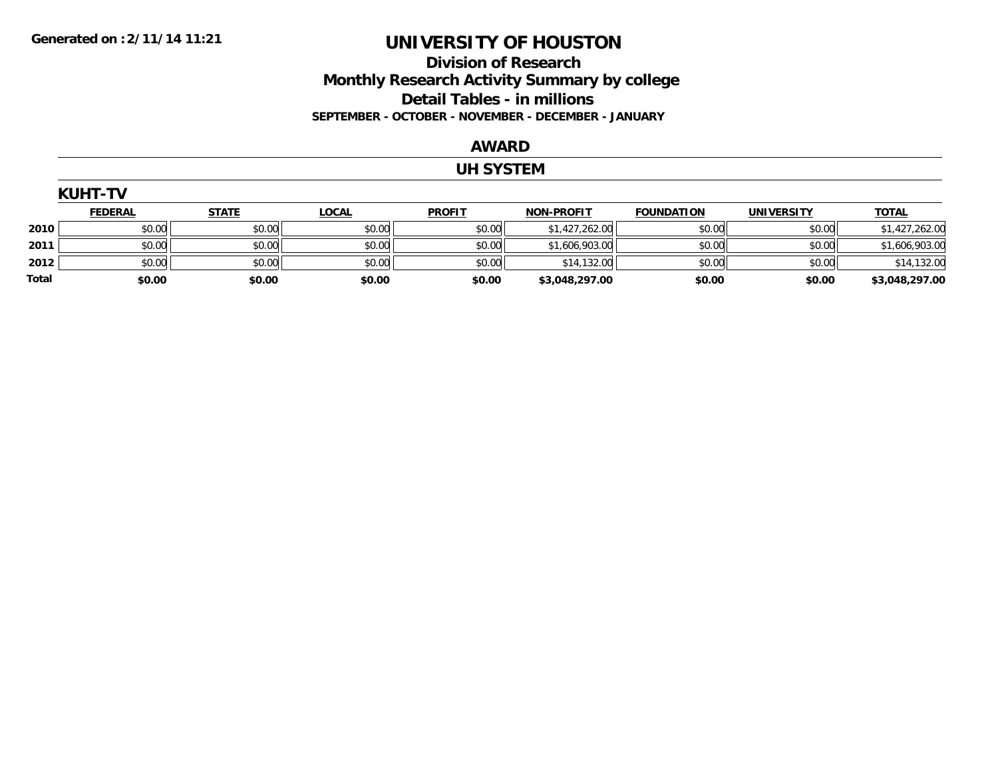### **Division of Research Monthly Research Activity Summary by college Detail Tables - in millions SEPTEMBER - OCTOBER - NOVEMBER - DECEMBER - JANUARY**

#### **AWARD**

#### **UH SYSTEM**

| <b>KUHT-TV</b> |                |              |              |               |                   |                   |                   |                |  |  |  |
|----------------|----------------|--------------|--------------|---------------|-------------------|-------------------|-------------------|----------------|--|--|--|
|                | <b>FEDERAL</b> | <b>STATE</b> | <b>LOCAL</b> | <b>PROFIT</b> | <b>NON-PROFIT</b> | <b>FOUNDATION</b> | <b>UNIVERSITY</b> | <b>TOTAL</b>   |  |  |  |
| 2010           | \$0.00         | \$0.00       | \$0.00       | \$0.00        | \$1,427,262.00    | \$0.00            | \$0.00            | \$1,427,262.00 |  |  |  |
| 2011           | \$0.00         | \$0.00       | \$0.00       | \$0.00        | \$1,606,903.00    | \$0.00            | \$0.00            | \$1,606,903.00 |  |  |  |
| 2012           | \$0.00         | \$0.00       | \$0.00       | \$0.00        | \$14,132.00       | \$0.00            | \$0.00            | \$14,132.00    |  |  |  |
| Total          | \$0.00         | \$0.00       | \$0.00       | \$0.00        | \$3,048,297.00    | \$0.00            | \$0.00            | \$3,048,297.00 |  |  |  |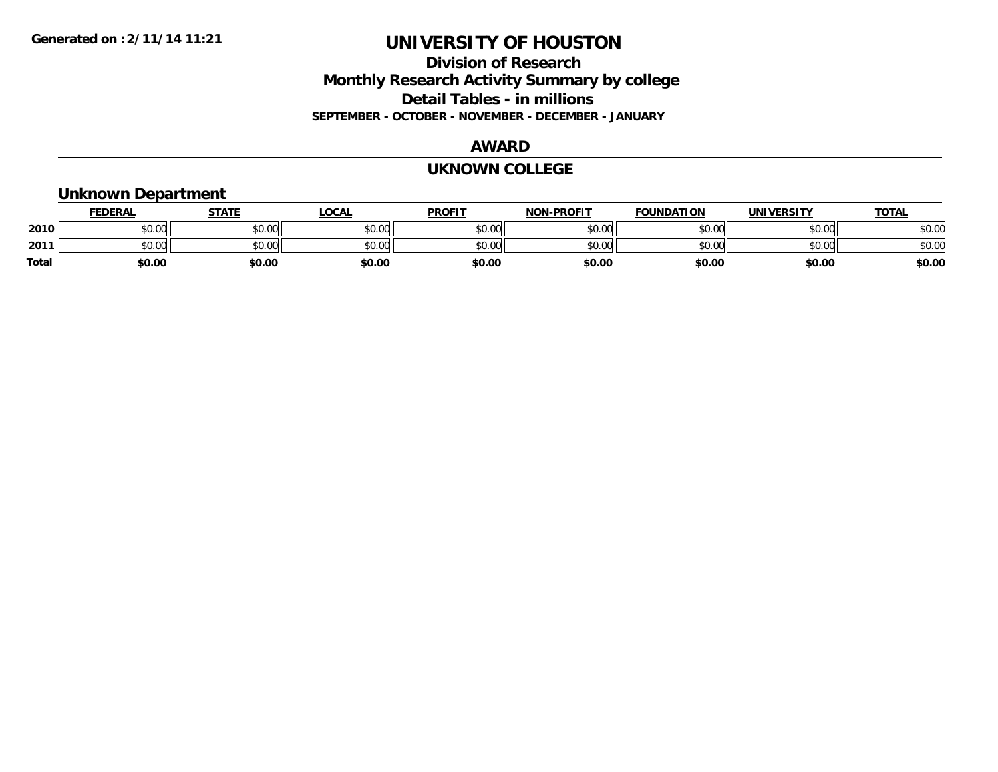### **Division of Research Monthly Research Activity Summary by college Detail Tables - in millions SEPTEMBER - OCTOBER - NOVEMBER - DECEMBER - JANUARY**

#### **AWARD**

#### **UKNOWN COLLEGE**

### **Unknown Department**

|       | <b>FEDERAL</b>   | <b>STATE</b> | LOCAL  | <b>PROFIT</b> | <b>NON-PROFIT</b> | <b>FOUNDATION</b> | <b>UNIVERSITY</b> | <b>TOTAL</b> |
|-------|------------------|--------------|--------|---------------|-------------------|-------------------|-------------------|--------------|
| 2010  | nn nn<br>JU.UU   | \$0.00       | \$0.00 | \$0.00        | \$0.00            | \$0.00            | \$0.00            | \$0.00       |
| 2011  | $\sim$<br>\$0.00 | \$0.00       | \$0.00 | \$0.00        | \$0.00            | \$0.00            | \$0.00            | \$0.00       |
| Total | \$0.00           | \$0.00       | \$0.00 | \$0.00        | \$0.00            | \$0.00            | \$0.00            | \$0.00       |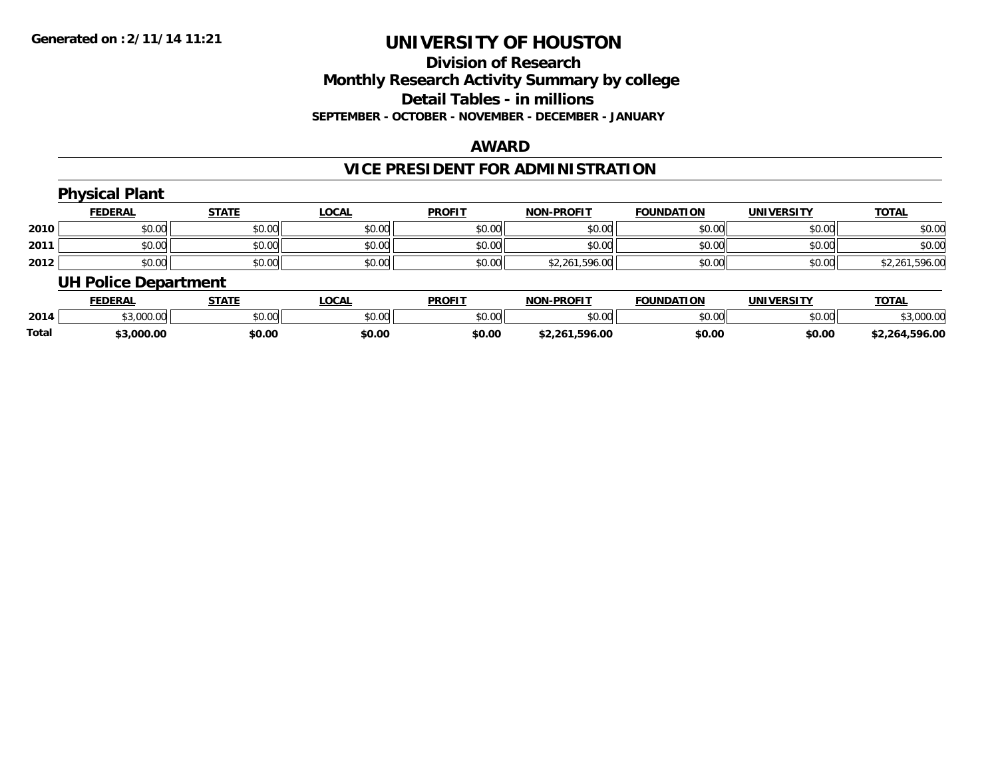#### **Division of Research Monthly Research Activity Summary by college Detail Tables - in millions SEPTEMBER - OCTOBER - NOVEMBER - DECEMBER - JANUARY**

#### **AWARD**

### **VICE PRESIDENT FOR ADMINISTRATION**

|      | <b>Physical Plant</b>       |              |              |               |                   |                   |                   |                |
|------|-----------------------------|--------------|--------------|---------------|-------------------|-------------------|-------------------|----------------|
|      | <b>FEDERAL</b>              | <b>STATE</b> | <b>LOCAL</b> | <b>PROFIT</b> | <b>NON-PROFIT</b> | <b>FOUNDATION</b> | <b>UNIVERSITY</b> | <b>TOTAL</b>   |
| 2010 | \$0.00                      | \$0.00       | \$0.00       | \$0.00        | \$0.00            | \$0.00            | \$0.00            | \$0.00         |
| 2011 | \$0.00                      | \$0.00       | \$0.00       | \$0.00        | \$0.00            | \$0.00            | \$0.00            | \$0.00         |
| 2012 | \$0.00                      | \$0.00       | \$0.00       | \$0.00        | \$2,261,596.00    | \$0.00            | \$0.00            | \$2,261,596.00 |
|      | <b>UH Police Department</b> |              |              |               |                   |                   |                   |                |

|              | <b>FEDERAL</b> | <b>STATE</b> | LOCAL  | <b>PROFIT</b> | <b>NON-PROFIT</b> | <b>FOUNDATION</b> | <b>UNIVERSITY</b> | <u>TOTAL</u>   |
|--------------|----------------|--------------|--------|---------------|-------------------|-------------------|-------------------|----------------|
| 2014         | \$3,000.00     | \$0.00       | \$0.00 | \$0.00        | \$0.00            | \$0.00            | \$0.00            | \$3,000.00     |
| <b>Total</b> | 3.000.00;      | \$0.00       | \$0.00 | \$0.00        | \$2,261,596.00    | \$0.00            | \$0.00            | \$2.264.596.00 |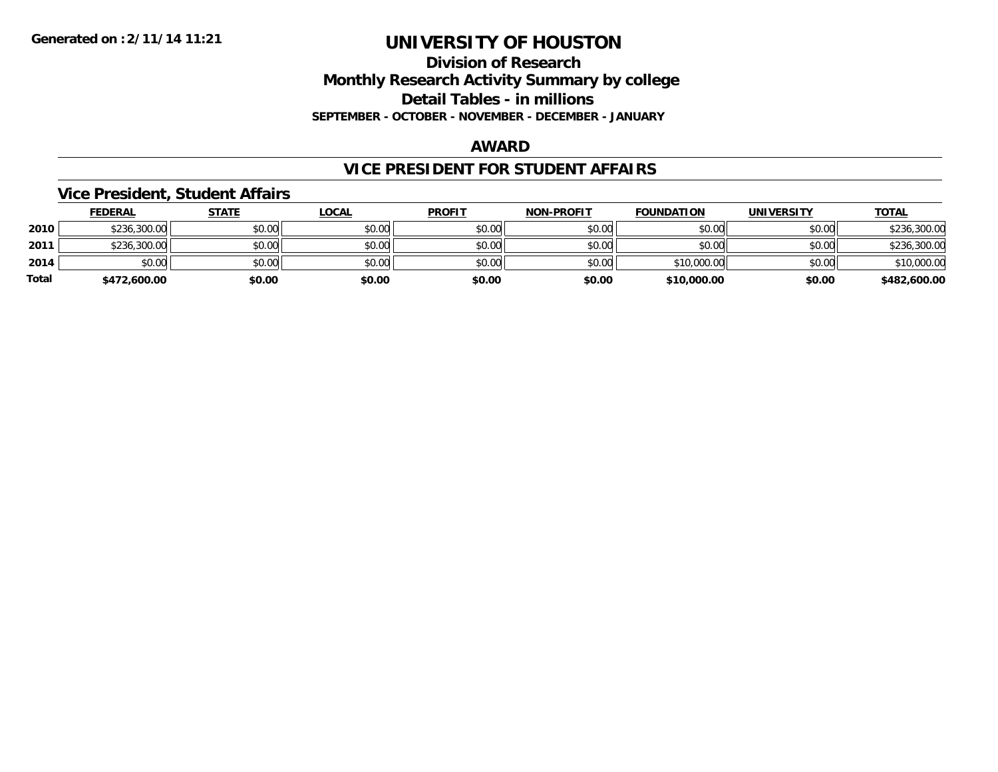### **Division of Research Monthly Research Activity Summary by college Detail Tables - in millions SEPTEMBER - OCTOBER - NOVEMBER - DECEMBER - JANUARY**

#### **AWARD**

### **VICE PRESIDENT FOR STUDENT AFFAIRS**

#### **Vice President, Student Affairs**

|       | <b>FEDERAL</b> | <u>STATE</u> | <b>LOCAL</b> | <b>PROFIT</b> | <b>NON-PROFIT</b> | <b>FOUNDATION</b> | <b>UNIVERSITY</b> | <b>TOTAL</b> |
|-------|----------------|--------------|--------------|---------------|-------------------|-------------------|-------------------|--------------|
| 2010  | \$236,300.00   | \$0.00       | \$0.00       | \$0.00        | \$0.00            | \$0.00            | \$0.00            | \$236,300.00 |
| 2011  | \$236,300.00   | \$0.00       | \$0.00       | \$0.00        | \$0.00            | \$0.00            | \$0.00            | \$236,300.00 |
| 2014  | \$0.00         | \$0.00       | \$0.00       | \$0.00        | \$0.00            | \$10,000.00       | \$0.00            | \$10,000.00  |
| Total | \$472,600.00   | \$0.00       | \$0.00       | \$0.00        | \$0.00            | \$10,000.00       | \$0.00            | \$482,600.00 |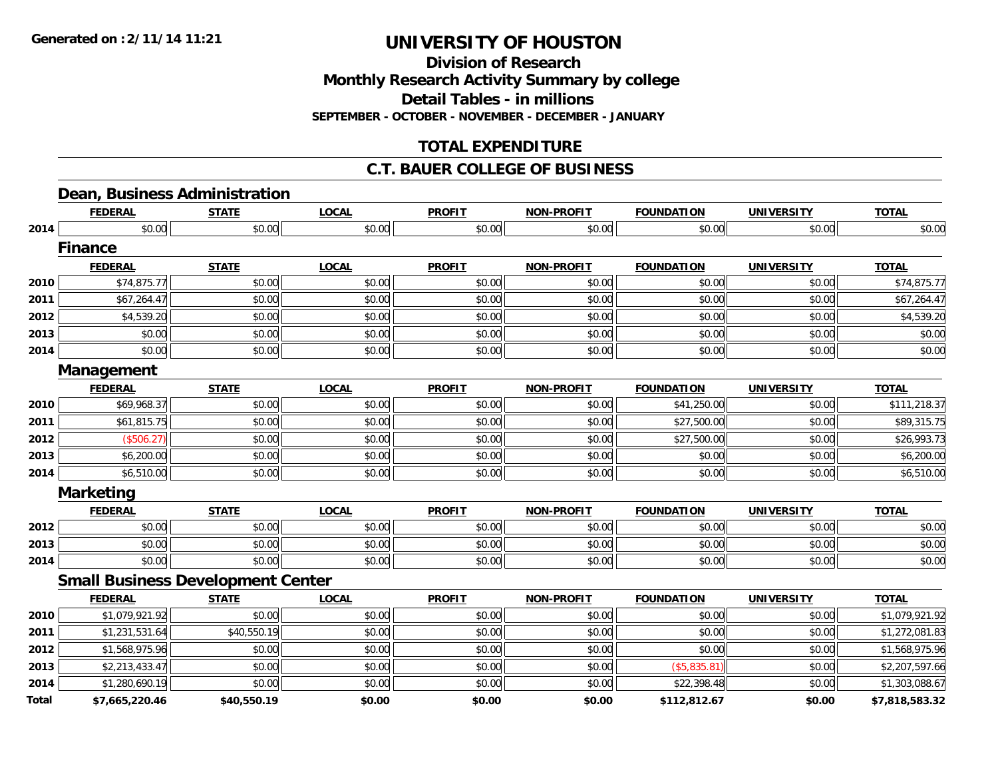**Division of Research**

**Monthly Research Activity Summary by college**

**Detail Tables - in millions**

**SEPTEMBER - OCTOBER - NOVEMBER - DECEMBER - JANUARY**

### **TOTAL EXPENDITURE**

### **C.T. BAUER COLLEGE OF BUSINESS**

### **Dean, Business Administration**

|              | <b>FEDERAL</b>                           | <b>STATE</b> | <b>LOCAL</b> | <b>PROFIT</b> | <b>NON-PROFIT</b> | <b>FOUNDATION</b> | <b>UNIVERSITY</b> | <b>TOTAL</b>   |
|--------------|------------------------------------------|--------------|--------------|---------------|-------------------|-------------------|-------------------|----------------|
| 2014         | \$0.00                                   | \$0.00       | \$0.00       | \$0.00        | \$0.00            | \$0.00            | \$0.00            | \$0.00         |
|              | <b>Finance</b>                           |              |              |               |                   |                   |                   |                |
|              | <b>FEDERAL</b>                           | <b>STATE</b> | <b>LOCAL</b> | <b>PROFIT</b> | <b>NON-PROFIT</b> | <b>FOUNDATION</b> | <b>UNIVERSITY</b> | <b>TOTAL</b>   |
| 2010         | \$74,875.77                              | \$0.00       | \$0.00       | \$0.00        | \$0.00            | \$0.00            | \$0.00            | \$74,875.77    |
| 2011         | \$67,264.47                              | \$0.00       | \$0.00       | \$0.00        | \$0.00            | \$0.00            | \$0.00            | \$67,264.47    |
| 2012         | \$4,539.20                               | \$0.00       | \$0.00       | \$0.00        | \$0.00            | \$0.00            | \$0.00            | \$4,539.20     |
| 2013         | \$0.00                                   | \$0.00       | \$0.00       | \$0.00        | \$0.00            | \$0.00            | \$0.00            | \$0.00         |
| 2014         | \$0.00                                   | \$0.00       | \$0.00       | \$0.00        | \$0.00            | \$0.00            | \$0.00            | \$0.00         |
|              | Management                               |              |              |               |                   |                   |                   |                |
|              | <b>FEDERAL</b>                           | <b>STATE</b> | <b>LOCAL</b> | <b>PROFIT</b> | <b>NON-PROFIT</b> | <b>FOUNDATION</b> | <b>UNIVERSITY</b> | <b>TOTAL</b>   |
| 2010         | \$69,968.37                              | \$0.00       | \$0.00       | \$0.00        | \$0.00            | \$41,250.00       | \$0.00            | \$111,218.37   |
| 2011         | \$61,815.75                              | \$0.00       | \$0.00       | \$0.00        | \$0.00            | \$27,500.00       | \$0.00            | \$89,315.75    |
| 2012         | (\$506.27)                               | \$0.00       | \$0.00       | \$0.00        | \$0.00            | \$27,500.00       | \$0.00            | \$26,993.73    |
| 2013         | \$6,200.00                               | \$0.00       | \$0.00       | \$0.00        | \$0.00            | \$0.00            | \$0.00            | \$6,200.00     |
| 2014         | \$6,510.00                               | \$0.00       | \$0.00       | \$0.00        | \$0.00            | \$0.00            | \$0.00            | \$6,510.00     |
|              | <b>Marketing</b>                         |              |              |               |                   |                   |                   |                |
|              | <b>FEDERAL</b>                           | <b>STATE</b> | <b>LOCAL</b> | <b>PROFIT</b> | <b>NON-PROFIT</b> | <b>FOUNDATION</b> | <b>UNIVERSITY</b> | <b>TOTAL</b>   |
| 2012         | \$0.00                                   | \$0.00       | \$0.00       | \$0.00        | \$0.00            | \$0.00            | \$0.00            | \$0.00         |
| 2013         | \$0.00                                   | \$0.00       | \$0.00       | \$0.00        | \$0.00            | \$0.00            | \$0.00            | \$0.00         |
| 2014         | \$0.00                                   | \$0.00       | \$0.00       | \$0.00        | \$0.00            | \$0.00            | \$0.00            | \$0.00         |
|              | <b>Small Business Development Center</b> |              |              |               |                   |                   |                   |                |
|              | <b>FEDERAL</b>                           | <b>STATE</b> | <b>LOCAL</b> | <b>PROFIT</b> | <b>NON-PROFIT</b> | <b>FOUNDATION</b> | <b>UNIVERSITY</b> | <b>TOTAL</b>   |
| 2010         | \$1,079,921.92                           | \$0.00       | \$0.00       | \$0.00        | \$0.00            | \$0.00            | \$0.00            | \$1,079,921.92 |
| 2011         | \$1,231,531.64                           | \$40,550.19  | \$0.00       | \$0.00        | \$0.00            | \$0.00            | \$0.00            | \$1,272,081.83 |
| 2012         | \$1,568,975.96                           | \$0.00       | \$0.00       | \$0.00        | \$0.00            | \$0.00            | \$0.00            | \$1,568,975.96 |
| 2013         | \$2,213,433.47                           | \$0.00       | \$0.00       | \$0.00        | \$0.00            | (\$5,835.81)      | \$0.00            | \$2,207,597.66 |
| 2014         | \$1,280,690.19                           | \$0.00       | \$0.00       | \$0.00        | \$0.00            | \$22,398.48       | \$0.00            | \$1,303,088.67 |
| <b>Total</b> | \$7,665,220.46                           | \$40,550.19  | \$0.00       | \$0.00        | \$0.00            | \$112,812.67      | \$0.00            | \$7,818,583.32 |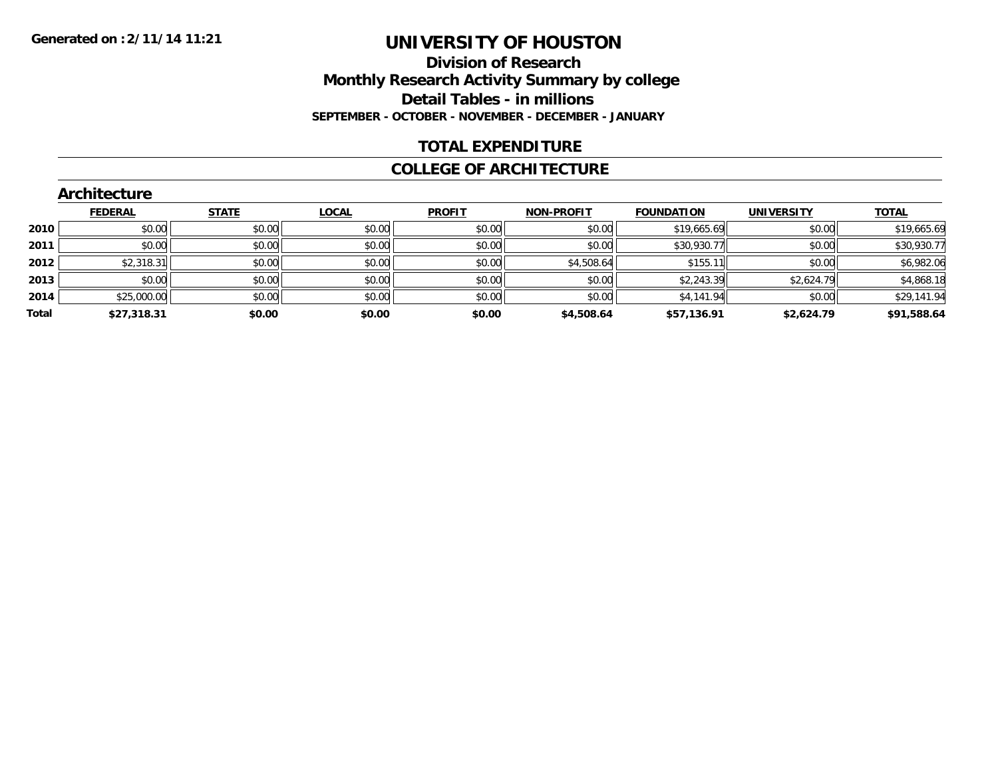### **Division of Research Monthly Research Activity Summary by college Detail Tables - in millions SEPTEMBER - OCTOBER - NOVEMBER - DECEMBER - JANUARY**

### **TOTAL EXPENDITURE**

#### **COLLEGE OF ARCHITECTURE**

|       | Architecture   |              |              |               |                   |                   |                   |              |  |  |  |
|-------|----------------|--------------|--------------|---------------|-------------------|-------------------|-------------------|--------------|--|--|--|
|       | <b>FEDERAL</b> | <b>STATE</b> | <b>LOCAL</b> | <b>PROFIT</b> | <b>NON-PROFIT</b> | <b>FOUNDATION</b> | <b>UNIVERSITY</b> | <b>TOTAL</b> |  |  |  |
| 2010  | \$0.00         | \$0.00       | \$0.00       | \$0.00        | \$0.00            | \$19,665.69       | \$0.00            | \$19,665.69  |  |  |  |
| 2011  | \$0.00         | \$0.00       | \$0.00       | \$0.00        | \$0.00            | \$30,930.77       | \$0.00            | \$30,930.77  |  |  |  |
| 2012  | \$2,318.31     | \$0.00       | \$0.00       | \$0.00        | \$4,508.64        | \$155.11          | \$0.00            | \$6,982.06   |  |  |  |
| 2013  | \$0.00         | \$0.00       | \$0.00       | \$0.00        | \$0.00            | \$2,243.39        | \$2,624.79        | \$4,868.18   |  |  |  |
| 2014  | \$25,000.00    | \$0.00       | \$0.00       | \$0.00        | \$0.00            | \$4,141.94        | \$0.00            | \$29,141.94  |  |  |  |
| Total | \$27,318.31    | \$0.00       | \$0.00       | \$0.00        | \$4,508.64        | \$57,136.91       | \$2,624.79        | \$91,588.64  |  |  |  |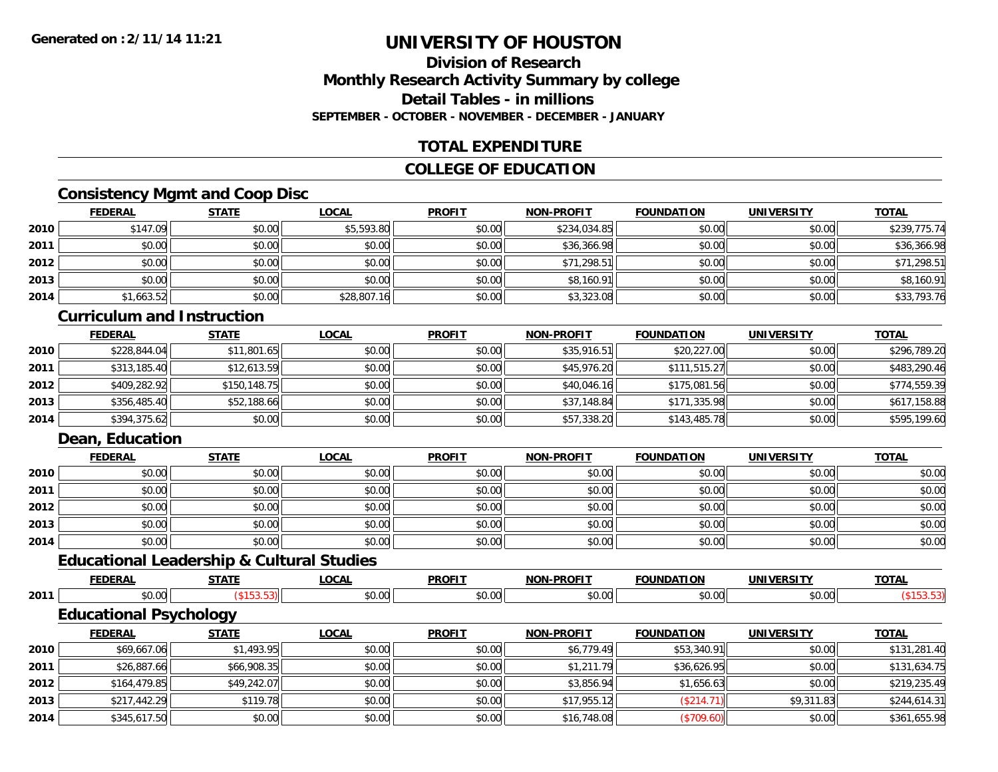### **Division of ResearchMonthly Research Activity Summary by college Detail Tables - in millionsSEPTEMBER - OCTOBER - NOVEMBER - DECEMBER - JANUARY**

### **TOTAL EXPENDITURE**

### **COLLEGE OF EDUCATION**

## **Consistency Mgmt and Coop Disc**

|      | <b>FEDERAL</b> | <b>STATE</b> | <u>LOCAL</u> | <b>PROFIT</b> | <b>NON-PROFIT</b> | <b>FOUNDATION</b> | <b>UNIVERSITY</b> | <b>TOTAL</b> |
|------|----------------|--------------|--------------|---------------|-------------------|-------------------|-------------------|--------------|
| 2010 | \$147.09       | \$0.00       | \$5,593.80   | \$0.00        | \$234,034.85      | \$0.00            | \$0.00            | \$239,775.74 |
| 2011 | \$0.00         | \$0.00       | \$0.00       | \$0.00        | \$36,366.98       | \$0.00            | \$0.00            | \$36,366.98  |
| 2012 | \$0.00         | \$0.00       | \$0.00       | \$0.00        | \$71,298.51       | \$0.00            | \$0.00            | \$71,298.51  |
| 2013 | \$0.00         | \$0.00       | \$0.00       | \$0.00        | \$8,160.91        | \$0.00            | \$0.00            | \$8,160.91   |
| 2014 | \$1,663.52     | \$0.00       | \$28,807.16  | \$0.00        | \$3,323.08        | \$0.00            | \$0.00            | \$33,793.76  |

#### **Curriculum and Instruction**

|      | <b>FEDERAL</b> | <b>STATE</b> | <u>LOCAL</u> | <b>PROFIT</b> | <b>NON-PROFIT</b> | <b>FOUNDATION</b> | <b>UNIVERSITY</b> | <b>TOTAL</b> |
|------|----------------|--------------|--------------|---------------|-------------------|-------------------|-------------------|--------------|
| 2010 | \$228,844.04   | \$11,801.65  | \$0.00       | \$0.00        | \$35,916.51       | \$20,227.00       | \$0.00            | \$296,789.20 |
| 2011 | \$313,185.40   | \$12,613.59  | \$0.00       | \$0.00        | \$45,976.20       | \$111,515.27      | \$0.00            | \$483,290.46 |
| 2012 | \$409,282.92   | \$150,148.75 | \$0.00       | \$0.00        | \$40,046.16       | \$175,081.56      | \$0.00            | \$774,559.39 |
| 2013 | \$356,485.40   | \$52,188.66  | \$0.00       | \$0.00        | \$37,148.84       | \$171,335.98      | \$0.00            | \$617,158.88 |
| 2014 | \$394,375.62   | \$0.00       | \$0.00       | \$0.00        | \$57,338.20       | \$143,485.78      | \$0.00            | \$595,199.60 |

### **Dean, Education**

|      | <b>FEDERAL</b> | <b>STATE</b> | <b>LOCAL</b> | <b>PROFIT</b> | <b>NON-PROFIT</b> | <b>FOUNDATION</b> | <b>UNIVERSITY</b> | <b>TOTAL</b> |
|------|----------------|--------------|--------------|---------------|-------------------|-------------------|-------------------|--------------|
| 2010 | \$0.00         | \$0.00       | \$0.00       | \$0.00        | \$0.00            | \$0.00            | \$0.00            | \$0.00       |
| 2011 | \$0.00         | \$0.00       | \$0.00       | \$0.00        | \$0.00            | \$0.00            | \$0.00            | \$0.00       |
| 2012 | \$0.00         | \$0.00       | \$0.00       | \$0.00        | \$0.00            | \$0.00            | \$0.00            | \$0.00       |
| 2013 | \$0.00         | \$0.00       | \$0.00       | \$0.00        | \$0.00            | \$0.00            | \$0.00            | \$0.00       |
| 2014 | \$0.00         | \$0.00       | \$0.00       | \$0.00        | \$0.00            | \$0.00            | \$0.00            | \$0.00       |

# **Educational Leadership & Cultural Studies**

|      | <b>FEDERAL</b>                | <b>STATE</b>      | <b>LOCAL</b> | <b>PROFIT</b> | <b>NON-PROFIT</b> | <b>FOUNDATION</b> | <b>UNIVERSITY</b> | <b>TOTAL</b> |
|------|-------------------------------|-------------------|--------------|---------------|-------------------|-------------------|-------------------|--------------|
| 2011 | \$0.00                        | $($ \$153.53) $ $ | \$0.00       | \$0.00        | \$0.00            | \$0.00            | \$0.00            | (\$153.53)   |
|      | <b>Educational Psychology</b> |                   |              |               |                   |                   |                   |              |
|      | <b>FEDERAL</b>                | <b>STATE</b>      | <b>LOCAL</b> | <b>PROFIT</b> | <b>NON-PROFIT</b> | <b>FOUNDATION</b> | <b>UNIVERSITY</b> | <b>TOTAL</b> |
| 2010 | \$69,667.06                   | \$1,493.95        | \$0.00       | \$0.00        | \$6,779.49        | \$53,340.91       | \$0.00            | \$131,281.40 |
| 2011 | \$26,887.66                   | \$66,908.35       | \$0.00       | \$0.00        | \$1,211.79        | \$36,626.95       | \$0.00            | \$131,634.75 |
| 2012 | \$164,479.85                  | \$49,242.07       | \$0.00       | \$0.00        | \$3,856.94        | \$1,656.63        | \$0.00            | \$219,235.49 |
| 2013 | \$217,442.29                  | \$119.78          | \$0.00       | \$0.00        | \$17,955.12       | (\$214.71)        | \$9,311.83        | \$244,614.31 |
| 2014 | \$345,617.50                  | \$0.00            | \$0.00       | \$0.00        | \$16,748.08       | (\$709.60)        | \$0.00            | \$361,655.98 |
|      |                               |                   |              |               |                   |                   |                   |              |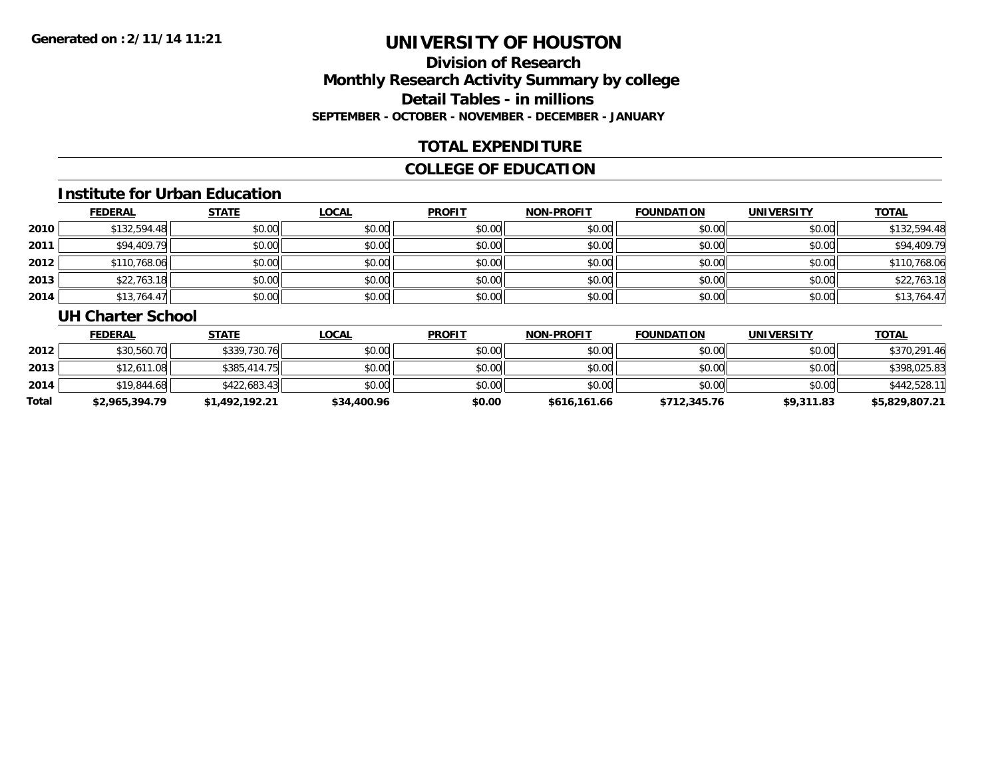## **Division of ResearchMonthly Research Activity Summary by college Detail Tables - in millions SEPTEMBER - OCTOBER - NOVEMBER - DECEMBER - JANUARY**

### **TOTAL EXPENDITURE**

### **COLLEGE OF EDUCATION**

#### **Institute for Urban Education**

|      | <b>FEDERAL</b> | <b>STATE</b> | <b>LOCAL</b> | <b>PROFIT</b> | <b>NON-PROFIT</b> | FOUNDATION | <b>UNIVERSITY</b> | <b>TOTAL</b> |
|------|----------------|--------------|--------------|---------------|-------------------|------------|-------------------|--------------|
| 2010 | \$132,594.48   | \$0.00       | \$0.00       | \$0.00        | \$0.00            | \$0.00     | \$0.00            | \$132,594.48 |
| 2011 | \$94,409.79    | \$0.00       | \$0.00       | \$0.00        | \$0.00            | \$0.00     | \$0.00            | \$94,409.79  |
| 2012 | \$110,768.06   | \$0.00       | \$0.00       | \$0.00        | \$0.00            | \$0.00     | \$0.00            | \$110,768.06 |
| 2013 | \$22,763.18    | \$0.00       | \$0.00       | \$0.00        | \$0.00            | \$0.00     | \$0.00            | \$22,763.18  |
| 2014 | \$13,764.47    | \$0.00       | \$0.00       | \$0.00        | \$0.00            | \$0.00     | \$0.00            | \$13,764.47  |

#### **UH Charter School**

|       | <b>FEDERAL</b> | <u>STATE</u>   | <u>LOCAL</u> | <b>PROFIT</b> | <b>NON-PROFIT</b> | <b>FOUNDATION</b> | UNIVERSITY | <b>TOTAL</b>   |
|-------|----------------|----------------|--------------|---------------|-------------------|-------------------|------------|----------------|
| 2012  | \$30,560.70    | \$339,730.76   | \$0.00       | \$0.00        | \$0.00            | \$0.00            | \$0.00     | \$370,291.46   |
| 2013  | \$12,611.08    | \$385,414.75   | \$0.00       | \$0.00        | \$0.00            | \$0.00            | \$0.00     | \$398,025.83   |
| 2014  | \$19,844.68    | \$422,683.43   | \$0.00       | \$0.00        | \$0.00            | \$0.00            | \$0.00     | \$442,528.11   |
| Total | \$2,965,394.79 | \$1,492,192.21 | \$34,400.96  | \$0.00        | \$616,161.66      | \$712,345.76      | \$9,311.83 | \$5,829,807.21 |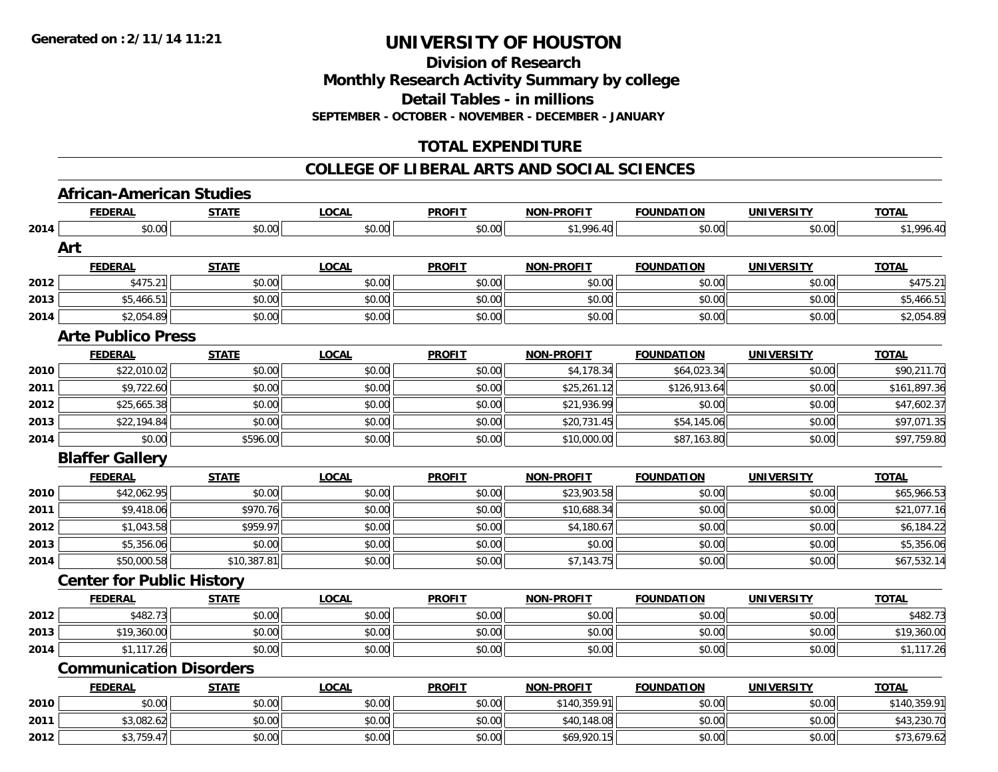**Division of Research**

**Monthly Research Activity Summary by college**

**Detail Tables - in millions**

**SEPTEMBER - OCTOBER - NOVEMBER - DECEMBER - JANUARY**

### **TOTAL EXPENDITURE**

#### **COLLEGE OF LIBERAL ARTS AND SOCIAL SCIENCES**

### **African-American Studies**

|      | <b>FEDERAL</b>                   | <b>STATE</b> | <b>LOCAL</b> | <b>PROFIT</b> | <b>NON-PROFIT</b> | <b>FOUNDATION</b> | <b>UNIVERSITY</b> | <b>TOTAL</b> |
|------|----------------------------------|--------------|--------------|---------------|-------------------|-------------------|-------------------|--------------|
| 2014 | \$0.00                           | \$0.00       | \$0.00       | \$0.00        | \$1,996.40        | \$0.00            | \$0.00            | \$1,996.40   |
|      | Art                              |              |              |               |                   |                   |                   |              |
|      | <b>FEDERAL</b>                   | <b>STATE</b> | <b>LOCAL</b> | <b>PROFIT</b> | <b>NON-PROFIT</b> | <b>FOUNDATION</b> | <b>UNIVERSITY</b> | <b>TOTAL</b> |
| 2012 | \$475.21                         | \$0.00       | \$0.00       | \$0.00        | \$0.00            | \$0.00            | \$0.00            | \$475.21     |
| 2013 | \$5,466.51                       | \$0.00       | \$0.00       | \$0.00        | \$0.00            | \$0.00            | \$0.00            | \$5,466.51   |
| 2014 | \$2,054.89                       | \$0.00       | \$0.00       | \$0.00        | \$0.00            | \$0.00            | \$0.00            | \$2,054.89   |
|      | <b>Arte Publico Press</b>        |              |              |               |                   |                   |                   |              |
|      | <b>FEDERAL</b>                   | <b>STATE</b> | <b>LOCAL</b> | <b>PROFIT</b> | <b>NON-PROFIT</b> | <b>FOUNDATION</b> | <b>UNIVERSITY</b> | <b>TOTAL</b> |
| 2010 | \$22,010.02                      | \$0.00       | \$0.00       | \$0.00        | \$4,178.34        | \$64,023.34       | \$0.00            | \$90,211.70  |
| 2011 | \$9,722.60                       | \$0.00       | \$0.00       | \$0.00        | \$25,261.12       | \$126,913.64      | \$0.00            | \$161,897.36 |
| 2012 | \$25,665.38                      | \$0.00       | \$0.00       | \$0.00        | \$21,936.99       | \$0.00            | \$0.00            | \$47,602.37  |
| 2013 | \$22,194.84                      | \$0.00       | \$0.00       | \$0.00        | \$20,731.45       | \$54,145.06       | \$0.00            | \$97,071.35  |
| 2014 | \$0.00                           | \$596.00     | \$0.00       | \$0.00        | \$10,000.00       | \$87,163.80       | \$0.00            | \$97,759.80  |
|      | <b>Blaffer Gallery</b>           |              |              |               |                   |                   |                   |              |
|      | <b>FEDERAL</b>                   | <b>STATE</b> | <b>LOCAL</b> | <b>PROFIT</b> | <b>NON-PROFIT</b> | <b>FOUNDATION</b> | <b>UNIVERSITY</b> | <b>TOTAL</b> |
| 2010 | \$42,062.95                      | \$0.00       | \$0.00       | \$0.00        | \$23,903.58       | \$0.00            | \$0.00            | \$65,966.53  |
| 2011 | \$9,418.06                       | \$970.76     | \$0.00       | \$0.00        | \$10,688.34       | \$0.00            | \$0.00            | \$21,077.16  |
| 2012 | \$1,043.58                       | \$959.97     | \$0.00       | \$0.00        | \$4,180.67        | \$0.00            | \$0.00            | \$6,184.22   |
| 2013 | \$5,356.06                       | \$0.00       | \$0.00       | \$0.00        | \$0.00            | \$0.00            | \$0.00            | \$5,356.06   |
| 2014 | \$50,000.58                      | \$10,387.81  | \$0.00       | \$0.00        | \$7,143.75        | \$0.00            | \$0.00            | \$67,532.14  |
|      | <b>Center for Public History</b> |              |              |               |                   |                   |                   |              |
|      | <b>FEDERAL</b>                   | <b>STATE</b> | <b>LOCAL</b> | <b>PROFIT</b> | NON-PROFIT        | <b>FOUNDATION</b> | <b>UNIVERSITY</b> | <b>TOTAL</b> |
| 2012 | \$482.73                         | \$0.00       | \$0.00       | \$0.00        | \$0.00            | \$0.00            | \$0.00            | \$482.73     |
| 2013 | \$19,360.00                      | \$0.00       | \$0.00       | \$0.00        | \$0.00            | \$0.00            | \$0.00            | \$19,360.00  |
| 2014 | \$1,117.26                       | \$0.00       | \$0.00       | \$0.00        | \$0.00            | \$0.00            | \$0.00            | \$1,117.26   |
|      | <b>Communication Disorders</b>   |              |              |               |                   |                   |                   |              |
|      | <b>FEDERAL</b>                   | <b>STATE</b> | <b>LOCAL</b> | <b>PROFIT</b> | <b>NON-PROFIT</b> | <b>FOUNDATION</b> | <b>UNIVERSITY</b> | <b>TOTAL</b> |
| 2010 | \$0.00                           | \$0.00       | \$0.00       | \$0.00        | \$140,359.91      | \$0.00            | \$0.00            | \$140,359.91 |
| 2011 | \$3,082.62                       | \$0.00       | \$0.00       | \$0.00        | \$40,148.08       | \$0.00            | \$0.00            | \$43,230.70  |
| 2012 | \$3,759.47                       | \$0.00       | \$0.00       | \$0.00        | \$69,920.15       | \$0.00            | \$0.00            | \$73,679.62  |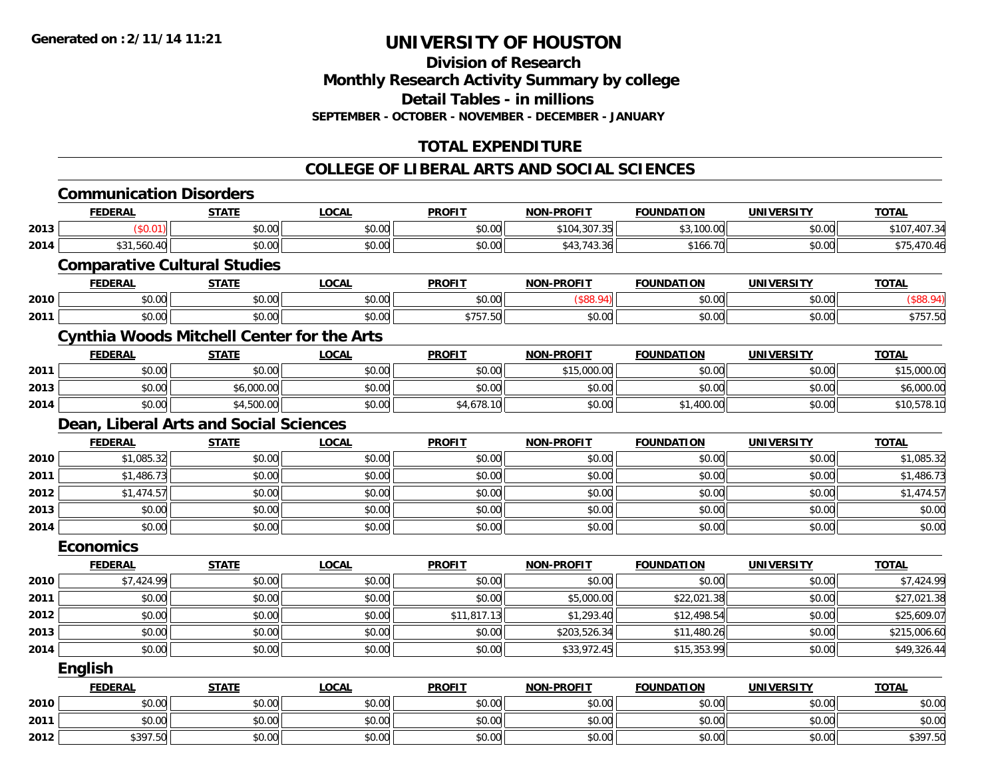**Division of ResearchMonthly Research Activity Summary by college Detail Tables - in millions SEPTEMBER - OCTOBER - NOVEMBER - DECEMBER - JANUARY**

### **TOTAL EXPENDITURE**

#### **COLLEGE OF LIBERAL ARTS AND SOCIAL SCIENCES**

|      | <b>Communication Disorders</b>                    |              |              |               |                   |                   |                   |              |
|------|---------------------------------------------------|--------------|--------------|---------------|-------------------|-------------------|-------------------|--------------|
|      | <b>FEDERAL</b>                                    | <b>STATE</b> | <b>LOCAL</b> | <b>PROFIT</b> | <b>NON-PROFIT</b> | <b>FOUNDATION</b> | <b>UNIVERSITY</b> | <b>TOTAL</b> |
| 2013 | (\$0.01)                                          | \$0.00       | \$0.00       | \$0.00        | \$104,307.35      | \$3,100.00        | \$0.00            | \$107,407.34 |
| 2014 | \$31,560.40                                       | \$0.00       | \$0.00       | \$0.00        | \$43,743.36       | \$166.70          | \$0.00            | \$75,470.46  |
|      | <b>Comparative Cultural Studies</b>               |              |              |               |                   |                   |                   |              |
|      | <b>FEDERAL</b>                                    | <b>STATE</b> | <b>LOCAL</b> | <b>PROFIT</b> | <b>NON-PROFIT</b> | <b>FOUNDATION</b> | <b>UNIVERSITY</b> | <b>TOTAL</b> |
| 2010 | \$0.00                                            | \$0.00       | \$0.00       | \$0.00        | (\$88.94)         | \$0.00            | \$0.00            | (\$88.94)    |
| 2011 | \$0.00                                            | \$0.00       | \$0.00       | \$757.50      | \$0.00            | \$0.00            | \$0.00            | \$757.50     |
|      | <b>Cynthia Woods Mitchell Center for the Arts</b> |              |              |               |                   |                   |                   |              |
|      | <b>FEDERAL</b>                                    | <b>STATE</b> | <b>LOCAL</b> | <b>PROFIT</b> | <b>NON-PROFIT</b> | <b>FOUNDATION</b> | <b>UNIVERSITY</b> | <b>TOTAL</b> |
| 2011 | \$0.00                                            | \$0.00       | \$0.00       | \$0.00        | \$15,000.00       | \$0.00            | \$0.00            | \$15,000.00  |
| 2013 | \$0.00                                            | \$6,000.00   | \$0.00       | \$0.00        | \$0.00            | \$0.00            | \$0.00            | \$6,000.00   |
| 2014 | \$0.00                                            | \$4,500.00   | \$0.00       | \$4,678.10    | \$0.00            | \$1,400.00        | \$0.00            | \$10,578.10  |
|      | Dean, Liberal Arts and Social Sciences            |              |              |               |                   |                   |                   |              |
|      | <b>FEDERAL</b>                                    | <b>STATE</b> | <b>LOCAL</b> | <b>PROFIT</b> | <b>NON-PROFIT</b> | <b>FOUNDATION</b> | <b>UNIVERSITY</b> | <b>TOTAL</b> |
| 2010 | \$1,085.32                                        | \$0.00       | \$0.00       | \$0.00        | \$0.00            | \$0.00            | \$0.00            | \$1,085.32   |
| 2011 | \$1,486.73                                        | \$0.00       | \$0.00       | \$0.00        | \$0.00            | \$0.00            | \$0.00            | \$1,486.73   |
| 2012 | \$1,474.57                                        | \$0.00       | \$0.00       | \$0.00        | \$0.00            | \$0.00            | \$0.00            | \$1,474.57   |
| 2013 | \$0.00                                            | \$0.00       | \$0.00       | \$0.00        | \$0.00            | \$0.00            | \$0.00            | \$0.00       |
| 2014 | \$0.00                                            | \$0.00       | \$0.00       | \$0.00        | \$0.00            | \$0.00            | \$0.00            | \$0.00       |
|      | <b>Economics</b>                                  |              |              |               |                   |                   |                   |              |
|      | <b>FEDERAL</b>                                    | <b>STATE</b> | <b>LOCAL</b> | <b>PROFIT</b> | <b>NON-PROFIT</b> | <b>FOUNDATION</b> | <b>UNIVERSITY</b> | <b>TOTAL</b> |
| 2010 | \$7,424.99                                        | \$0.00       | \$0.00       | \$0.00        | \$0.00            | \$0.00            | \$0.00            | \$7,424.99   |
| 2011 | \$0.00                                            | \$0.00       | \$0.00       | \$0.00        | \$5,000.00        | \$22,021.38       | \$0.00            | \$27,021.38  |
| 2012 | \$0.00                                            | \$0.00       | \$0.00       | \$11,817.13   | \$1,293.40        | \$12,498.54       | \$0.00            | \$25,609.07  |
| 2013 | \$0.00                                            | \$0.00       | \$0.00       | \$0.00        | \$203,526.34      | \$11,480.26       | \$0.00            | \$215,006.60 |
| 2014 | \$0.00                                            | \$0.00       | \$0.00       | \$0.00        | \$33,972.45       | \$15,353.99       | \$0.00            | \$49,326.44  |
|      | <b>English</b>                                    |              |              |               |                   |                   |                   |              |
|      | <b>FEDERAL</b>                                    | <b>STATE</b> | <b>LOCAL</b> | <b>PROFIT</b> | <b>NON-PROFIT</b> | <b>FOUNDATION</b> | <b>UNIVERSITY</b> | <b>TOTAL</b> |
| 2010 | \$0.00                                            | \$0.00       | \$0.00       | \$0.00        | \$0.00            | \$0.00            | \$0.00            | \$0.00       |
| 2011 | \$0.00                                            | \$0.00       | \$0.00       | \$0.00        | \$0.00            | \$0.00            | \$0.00            | \$0.00       |
| 2012 | \$397.50                                          | \$0.00       | \$0.00       | \$0.00        | \$0.00            | \$0.00            | \$0.00            | \$397.50     |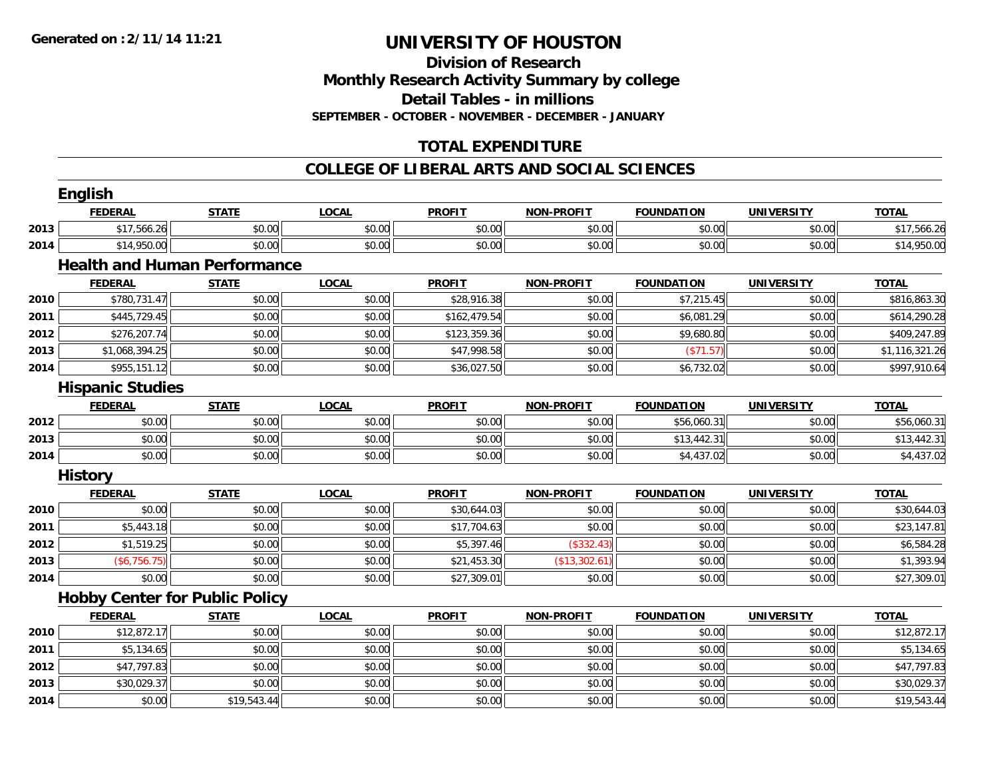**Division of Research Monthly Research Activity Summary by college Detail Tables - in millions SEPTEMBER - OCTOBER - NOVEMBER - DECEMBER - JANUARY**

## **TOTAL EXPENDITURE**

#### **COLLEGE OF LIBERAL ARTS AND SOCIAL SCIENCES**

|      | English                 |                                       |              |               |                   |                   |                   |                |
|------|-------------------------|---------------------------------------|--------------|---------------|-------------------|-------------------|-------------------|----------------|
|      | <b>FEDERAL</b>          | <b>STATE</b>                          | <b>LOCAL</b> | <b>PROFIT</b> | <b>NON-PROFIT</b> | <b>FOUNDATION</b> | <b>UNIVERSITY</b> | <b>TOTAL</b>   |
| 2013 | \$17,566.26             | \$0.00                                | \$0.00       | \$0.00        | \$0.00            | \$0.00            | \$0.00            | \$17,566.26    |
| 2014 | \$14,950.00             | \$0.00                                | \$0.00       | \$0.00        | \$0.00            | \$0.00            | \$0.00            | \$14,950.00    |
|      |                         | <b>Health and Human Performance</b>   |              |               |                   |                   |                   |                |
|      | <b>FEDERAL</b>          | <b>STATE</b>                          | <b>LOCAL</b> | <b>PROFIT</b> | <b>NON-PROFIT</b> | <b>FOUNDATION</b> | <b>UNIVERSITY</b> | <b>TOTAL</b>   |
| 2010 | \$780,731.47            | \$0.00                                | \$0.00       | \$28,916.38   | \$0.00            | \$7,215.45        | \$0.00            | \$816,863.30   |
| 2011 | \$445,729.45            | \$0.00                                | \$0.00       | \$162,479.54  | \$0.00            | \$6,081.29        | \$0.00            | \$614,290.28   |
| 2012 | \$276,207.74            | \$0.00                                | \$0.00       | \$123,359.36  | \$0.00            | \$9,680.80        | \$0.00            | \$409,247.89   |
| 2013 | \$1,068,394.25          | \$0.00                                | \$0.00       | \$47,998.58   | \$0.00            | (\$71.57)         | \$0.00            | \$1,116,321.26 |
| 2014 | \$955,151.12            | \$0.00                                | \$0.00       | \$36,027.50   | \$0.00            | \$6,732.02        | \$0.00            | \$997,910.64   |
|      | <b>Hispanic Studies</b> |                                       |              |               |                   |                   |                   |                |
|      | <b>FEDERAL</b>          | <b>STATE</b>                          | <b>LOCAL</b> | <b>PROFIT</b> | <b>NON-PROFIT</b> | <b>FOUNDATION</b> | <b>UNIVERSITY</b> | <b>TOTAL</b>   |
| 2012 | \$0.00                  | \$0.00                                | \$0.00       | \$0.00        | \$0.00            | \$56,060.31       | \$0.00            | \$56,060.31    |
| 2013 | \$0.00                  | \$0.00                                | \$0.00       | \$0.00        | \$0.00            | \$13,442.31       | \$0.00            | \$13,442.31    |
| 2014 | \$0.00                  | \$0.00                                | \$0.00       | \$0.00        | \$0.00            | \$4,437.02        | \$0.00            | \$4,437.02     |
|      | <b>History</b>          |                                       |              |               |                   |                   |                   |                |
|      | <b>FEDERAL</b>          | <b>STATE</b>                          | <b>LOCAL</b> | <b>PROFIT</b> | <b>NON-PROFIT</b> | <b>FOUNDATION</b> | <b>UNIVERSITY</b> | <b>TOTAL</b>   |
| 2010 | \$0.00                  | \$0.00                                | \$0.00       | \$30,644.03   | \$0.00            | \$0.00            | \$0.00            | \$30,644.03    |
| 2011 | \$5,443.18              | \$0.00                                | \$0.00       | \$17,704.63   | \$0.00            | \$0.00            | \$0.00            | \$23,147.81    |
| 2012 | \$1,519.25              | \$0.00                                | \$0.00       | \$5,397.46    | (\$332.43)        | \$0.00            | \$0.00            | \$6,584.28     |
| 2013 | (\$6,756.75)            | \$0.00                                | \$0.00       | \$21,453.30   | (\$13,302.61)     | \$0.00            | \$0.00            | \$1,393.94     |
| 2014 | \$0.00                  | \$0.00                                | \$0.00       | \$27,309.01   | \$0.00            | \$0.00            | \$0.00            | \$27,309.01    |
|      |                         | <b>Hobby Center for Public Policy</b> |              |               |                   |                   |                   |                |
|      | <b>FEDERAL</b>          | <b>STATE</b>                          | <b>LOCAL</b> | <b>PROFIT</b> | <b>NON-PROFIT</b> | <b>FOUNDATION</b> | <b>UNIVERSITY</b> | <b>TOTAL</b>   |
| 2010 | \$12,872.17             | \$0.00                                | \$0.00       | \$0.00        | \$0.00            | \$0.00            | \$0.00            | \$12,872.17    |
| 2011 | \$5,134.65              | \$0.00                                | \$0.00       | \$0.00        | \$0.00            | \$0.00            | \$0.00            | \$5,134.65     |
| 2012 | \$47,797.83             | \$0.00                                | \$0.00       | \$0.00        | \$0.00            | \$0.00            | \$0.00            | \$47,797.83    |
| 2013 | \$30,029.37             | \$0.00                                | \$0.00       | \$0.00        | \$0.00            | \$0.00            | \$0.00            | \$30,029.37    |
| 2014 | \$0.00                  | \$19,543.44                           | \$0.00       | \$0.00        | \$0.00            | \$0.00            | \$0.00            | \$19,543.44    |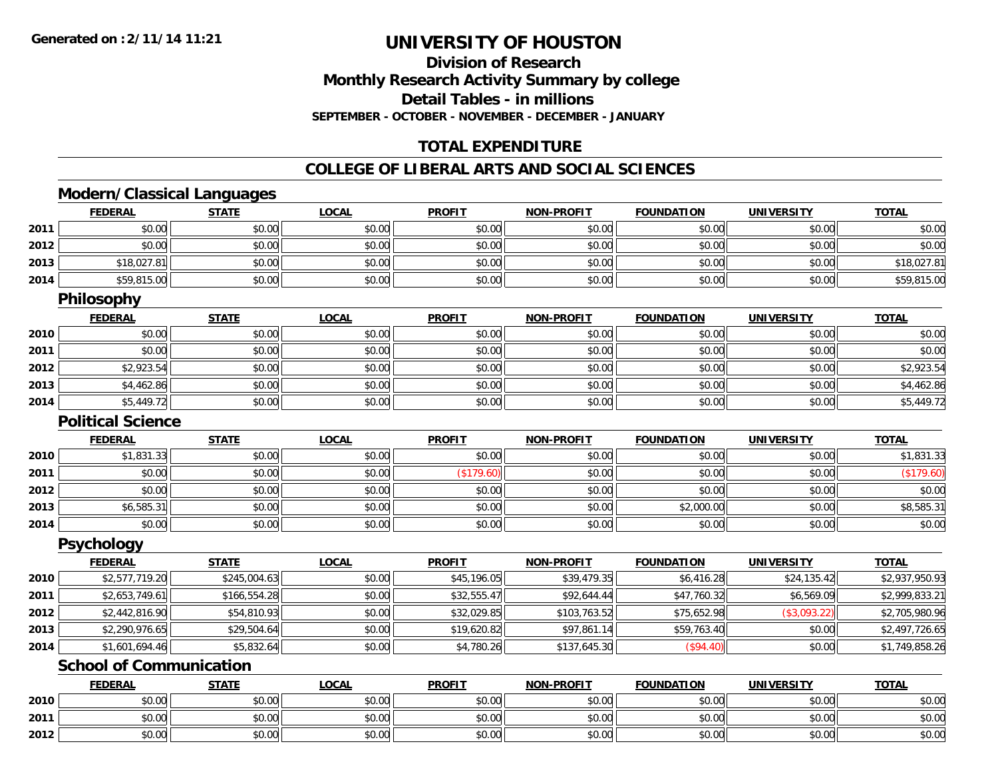**2012**

# **UNIVERSITY OF HOUSTON**

**Division of ResearchMonthly Research Activity Summary by college Detail Tables - in millions SEPTEMBER - OCTOBER - NOVEMBER - DECEMBER - JANUARY**

### **TOTAL EXPENDITURE**

#### **COLLEGE OF LIBERAL ARTS AND SOCIAL SCIENCES**

### **Modern/Classical Languages**

|      | <b>FEDERAL</b>                 | <b>STATE</b> | <b>LOCAL</b> | <b>PROFIT</b> | <b>NON-PROFIT</b> | <b>FOUNDATION</b> | <b>UNIVERSITY</b> | <b>TOTAL</b>   |
|------|--------------------------------|--------------|--------------|---------------|-------------------|-------------------|-------------------|----------------|
| 2011 | \$0.00                         | \$0.00       | \$0.00       | \$0.00        | \$0.00            | \$0.00            | \$0.00            | \$0.00         |
| 2012 | \$0.00                         | \$0.00       | \$0.00       | \$0.00        | \$0.00            | \$0.00            | \$0.00            | \$0.00         |
| 2013 | \$18,027.81                    | \$0.00       | \$0.00       | \$0.00        | \$0.00            | \$0.00            | \$0.00            | \$18,027.81    |
| 2014 | \$59,815.00                    | \$0.00       | \$0.00       | \$0.00        | \$0.00            | \$0.00            | \$0.00            | \$59,815.00    |
|      | <b>Philosophy</b>              |              |              |               |                   |                   |                   |                |
|      | <b>FEDERAL</b>                 | <b>STATE</b> | <b>LOCAL</b> | <b>PROFIT</b> | <b>NON-PROFIT</b> | <b>FOUNDATION</b> | <b>UNIVERSITY</b> | <b>TOTAL</b>   |
| 2010 | \$0.00                         | \$0.00       | \$0.00       | \$0.00        | \$0.00            | \$0.00            | \$0.00            | \$0.00         |
| 2011 | \$0.00                         | \$0.00       | \$0.00       | \$0.00        | \$0.00            | \$0.00            | \$0.00            | \$0.00         |
| 2012 | \$2,923.54                     | \$0.00       | \$0.00       | \$0.00        | \$0.00            | \$0.00            | \$0.00            | \$2,923.54     |
| 2013 | \$4,462.86                     | \$0.00       | \$0.00       | \$0.00        | \$0.00            | \$0.00            | \$0.00            | \$4,462.86     |
| 2014 | \$5,449.72                     | \$0.00       | \$0.00       | \$0.00        | \$0.00            | \$0.00            | \$0.00            | \$5,449.72     |
|      | <b>Political Science</b>       |              |              |               |                   |                   |                   |                |
|      | <b>FEDERAL</b>                 | <b>STATE</b> | <b>LOCAL</b> | <b>PROFIT</b> | <b>NON-PROFIT</b> | <b>FOUNDATION</b> | <b>UNIVERSITY</b> | <b>TOTAL</b>   |
| 2010 | \$1,831.33                     | \$0.00       | \$0.00       | \$0.00        | \$0.00            | \$0.00            | \$0.00            | \$1,831.33     |
| 2011 | \$0.00                         | \$0.00       | \$0.00       | (\$179.60)    | \$0.00            | \$0.00            | \$0.00            | (\$179.60)     |
| 2012 | \$0.00                         | \$0.00       | \$0.00       | \$0.00        | \$0.00            | \$0.00            | \$0.00            | \$0.00         |
| 2013 | \$6,585.31                     | \$0.00       | \$0.00       | \$0.00        | \$0.00            | \$2,000.00        | \$0.00            | \$8,585.31     |
| 2014 | \$0.00                         | \$0.00       | \$0.00       | \$0.00        | \$0.00            | \$0.00            | \$0.00            | \$0.00         |
|      | <b>Psychology</b>              |              |              |               |                   |                   |                   |                |
|      | <b>FEDERAL</b>                 | <b>STATE</b> | <b>LOCAL</b> | <b>PROFIT</b> | <b>NON-PROFIT</b> | <b>FOUNDATION</b> | <b>UNIVERSITY</b> | <b>TOTAL</b>   |
| 2010 | \$2,577,719.20                 | \$245,004.63 | \$0.00       | \$45,196.05   | \$39,479.35       | \$6,416.28        | \$24,135.42       | \$2,937,950.93 |
| 2011 | \$2,653,749.61                 | \$166,554.28 | \$0.00       | \$32,555.47   | \$92,644.44       | \$47,760.32       | \$6,569.09        | \$2,999,833.21 |
| 2012 | \$2,442,816.90                 | \$54,810.93  | \$0.00       | \$32,029.85   | \$103,763.52      | \$75,652.98       | (\$3,093.22)      | \$2,705,980.96 |
| 2013 | \$2,290,976.65                 | \$29,504.64  | \$0.00       | \$19,620.82   | \$97,861.14       | \$59,763.40       | \$0.00            | \$2,497,726.65 |
| 2014 | \$1,601,694.46                 | \$5,832.64   | \$0.00       | \$4,780.26    | \$137,645.30      | (\$94.40)         | \$0.00            | \$1,749,858.26 |
|      | <b>School of Communication</b> |              |              |               |                   |                   |                   |                |
|      | <b>FEDERAL</b>                 | <b>STATE</b> | <b>LOCAL</b> | <b>PROFIT</b> | <b>NON-PROFIT</b> | <b>FOUNDATION</b> | <b>UNIVERSITY</b> | <b>TOTAL</b>   |
| 2010 | \$0.00                         | \$0.00       | \$0.00       | \$0.00        | \$0.00            | \$0.00            | \$0.00            | \$0.00         |
| 2011 | \$0.00                         | \$0.00       | \$0.00       | \$0.00        | \$0.00            | \$0.00            | \$0.00            | \$0.00         |

2 | \$0.00 \$0.00 \$0.00 \$0.00 \$0.00 \$0.00 \$0.00 \$0.00 \$0.00 \$0.00 \$0.00 \$0.00 \$0.00 \$0.00 \$0.00 \$0.00 \$0.00 \$0.0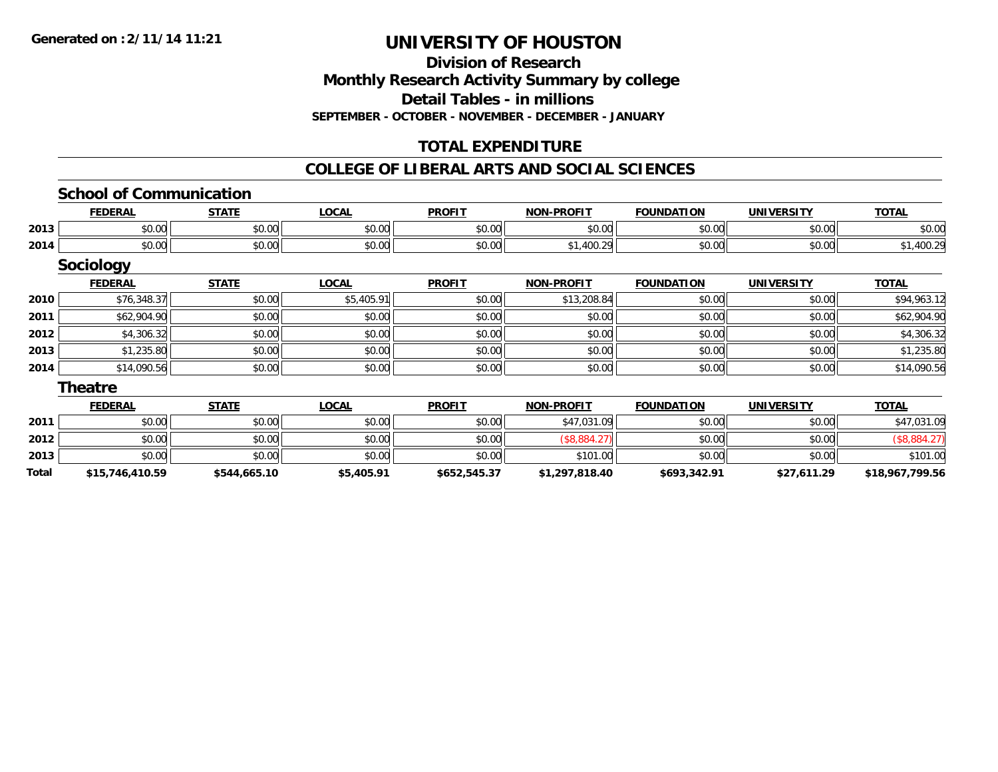**Division of ResearchMonthly Research Activity Summary by college Detail Tables - in millionsSEPTEMBER - OCTOBER - NOVEMBER - DECEMBER - JANUARY**

## **TOTAL EXPENDITURE**

#### **COLLEGE OF LIBERAL ARTS AND SOCIAL SCIENCES**

#### **School of Communication**

|      | ,<br>. D A<br>,crm | 27.77                  | <b>OCAL</b>                   | <b>PROFIT</b> | -PROFIT<br><b>NION</b> | <b>FOUNDATION</b>                                                        | ,,,,,,,,,<br>JN | ----   |
|------|--------------------|------------------------|-------------------------------|---------------|------------------------|--------------------------------------------------------------------------|-----------------|--------|
| 2013 | 0000<br>ิ ∪ ∪ ∪    | $\sim$ $\sim$<br>JU.UU | 0.00<br>וטטיט                 | 0000<br>JU.UU | \$0.00                 | $\begin{array}{c} \uparrow \\ \uparrow \\ \uparrow \end{array}$<br>JU.UU | ⊄∩ ∩∩<br>JU.UU  | \$0.00 |
| 2014 | 0.00<br>DU.UG      | 0000<br>PO.OO          | $n \cap \neg$<br><b>DU.UU</b> | 0000<br>งบ.บบ | $\sim$                 | $\sim$ 00<br>JU.UU                                                       | 0.001<br>JU.UU  |        |

### **Sociology**

|      | <b>FEDERAL</b> | <b>STATE</b> | <b>LOCAL</b> | <b>PROFIT</b> | <b>NON-PROFIT</b> | <b>FOUNDATION</b> | <b>UNIVERSITY</b> | <b>TOTAL</b> |
|------|----------------|--------------|--------------|---------------|-------------------|-------------------|-------------------|--------------|
| 2010 | \$76,348.37    | \$0.00       | \$5,405.91   | \$0.00        | \$13,208.84       | \$0.00            | \$0.00            | \$94,963.12  |
| 2011 | \$62,904.90    | \$0.00       | \$0.00       | \$0.00        | \$0.00            | \$0.00            | \$0.00            | \$62,904.90  |
| 2012 | \$4,306.32     | \$0.00       | \$0.00       | \$0.00        | \$0.00            | \$0.00            | \$0.00            | \$4,306.32   |
| 2013 | \$1,235.80     | \$0.00       | \$0.00       | \$0.00        | \$0.00            | \$0.00            | \$0.00            | \$1,235.80   |
| 2014 | \$14,090.56    | \$0.00       | \$0.00       | \$0.00        | \$0.00            | \$0.00            | \$0.00            | \$14,090.56  |

#### **Theatre**

|       | <b>FEDERAL</b>  | <u>STATE</u> | <b>LOCAL</b> | <b>PROFIT</b> | <b>NON-PROFIT</b> | <b>FOUNDATION</b> | <b>UNIVERSITY</b> | <b>TOTAL</b>    |
|-------|-----------------|--------------|--------------|---------------|-------------------|-------------------|-------------------|-----------------|
| 2011  | \$0.00          | \$0.00       | \$0.00       | \$0.00        | \$47,031.09       | \$0.00            | \$0.00            | \$47,031.09     |
| 2012  | \$0.00          | \$0.00       | \$0.00       | \$0.00        | \$8,884.2,        | \$0.00            | \$0.00            | \$8,884.27      |
| 2013  | \$0.00          | \$0.00       | \$0.00       | \$0.00        | \$101.00          | \$0.00            | \$0.00            | \$101.00        |
| Total | \$15,746,410.59 | \$544,665.10 | \$5,405.91   | \$652,545.37  | \$1,297,818.40    | \$693,342.91      | \$27,611.29       | \$18,967,799.56 |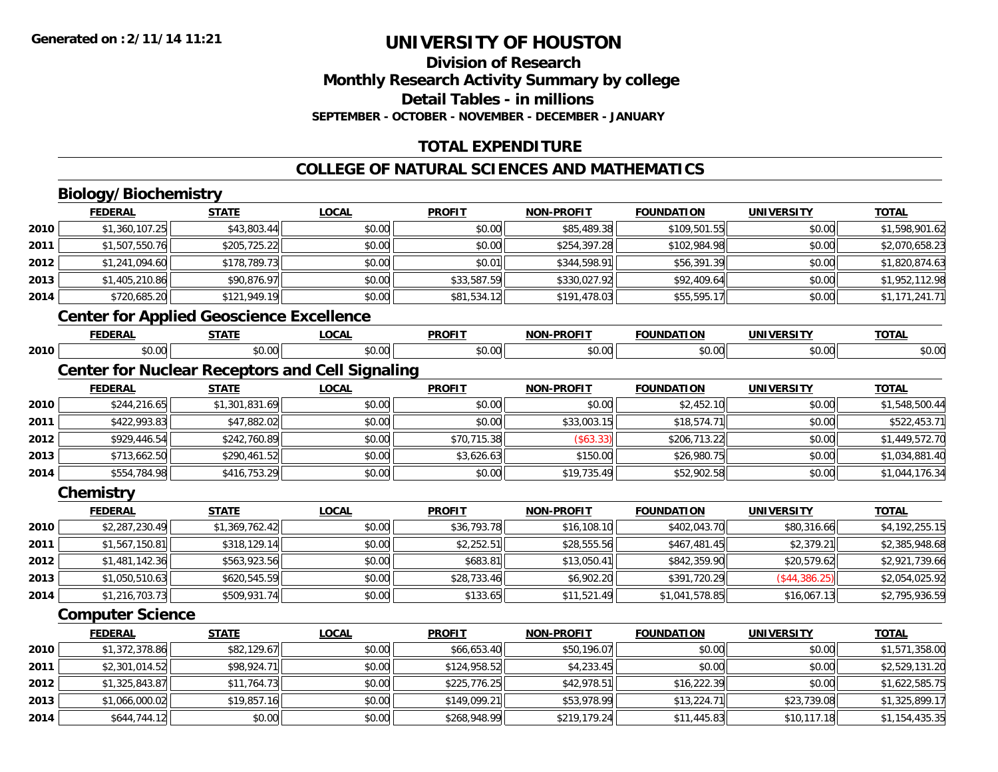### **Division of ResearchMonthly Research Activity Summary by college Detail Tables - in millions SEPTEMBER - OCTOBER - NOVEMBER - DECEMBER - JANUARY**

## **TOTAL EXPENDITURE**

#### **COLLEGE OF NATURAL SCIENCES AND MATHEMATICS**

## **Biology/Biochemistry**

**2014**

|      | <b>FEDERAL</b>                                         | <b>STATE</b>   | <b>LOCAL</b> | <b>PROFIT</b> | <b>NON-PROFIT</b> | <b>FOUNDATION</b> | <b>UNIVERSITY</b> | <b>TOTAL</b>   |
|------|--------------------------------------------------------|----------------|--------------|---------------|-------------------|-------------------|-------------------|----------------|
| 2010 | \$1,360,107.25                                         | \$43,803.44    | \$0.00       | \$0.00        | \$85,489.38       | \$109,501.55      | \$0.00            | \$1,598,901.62 |
| 2011 | \$1,507,550.76                                         | \$205,725.22   | \$0.00       | \$0.00        | \$254,397.28      | \$102,984.98      | \$0.00            | \$2,070,658.23 |
| 2012 | \$1,241,094.60                                         | \$178,789.73   | \$0.00       | \$0.01        | \$344,598.91      | \$56,391.39       | \$0.00            | \$1,820,874.63 |
| 2013 | \$1,405,210.86                                         | \$90,876.97    | \$0.00       | \$33,587.59   | \$330,027.92      | \$92,409.64       | \$0.00            | \$1,952,112.98 |
| 2014 | \$720,685.20                                           | \$121,949.19   | \$0.00       | \$81,534.12   | \$191,478.03      | \$55,595.17       | \$0.00            | \$1,171,241.71 |
|      | <b>Center for Applied Geoscience Excellence</b>        |                |              |               |                   |                   |                   |                |
|      | <b>FEDERAL</b>                                         | <b>STATE</b>   | <b>LOCAL</b> | <b>PROFIT</b> | <b>NON-PROFIT</b> | <b>FOUNDATION</b> | <b>UNIVERSITY</b> | <b>TOTAL</b>   |
| 2010 | \$0.00                                                 | \$0.00         | \$0.00       | \$0.00        | \$0.00            | \$0.00            | \$0.00            | \$0.00         |
|      | <b>Center for Nuclear Receptors and Cell Signaling</b> |                |              |               |                   |                   |                   |                |
|      | <b>FEDERAL</b>                                         | <b>STATE</b>   | <b>LOCAL</b> | <b>PROFIT</b> | <b>NON-PROFIT</b> | <b>FOUNDATION</b> | <b>UNIVERSITY</b> | <b>TOTAL</b>   |
| 2010 | \$244,216.65                                           | \$1,301,831.69 | \$0.00       | \$0.00        | \$0.00            | \$2,452.10        | \$0.00            | \$1,548,500.44 |
| 2011 | \$422,993.83                                           | \$47,882.02    | \$0.00       | \$0.00        | \$33,003.15       | \$18,574.71       | \$0.00            | \$522,453.71   |
| 2012 | \$929,446.54                                           | \$242,760.89   | \$0.00       | \$70,715.38   | (\$63.33)         | \$206,713.22      | \$0.00            | \$1,449,572.70 |
| 2013 | \$713,662.50                                           | \$290,461.52   | \$0.00       | \$3,626.63    | \$150.00          | \$26,980.75       | \$0.00            | \$1,034,881.40 |
| 2014 | \$554,784.98                                           | \$416,753.29   | \$0.00       | \$0.00        | \$19,735.49       | \$52,902.58       | \$0.00            | \$1,044,176.34 |
|      | Chemistry                                              |                |              |               |                   |                   |                   |                |
|      | <b>FEDERAL</b>                                         | <b>STATE</b>   | <b>LOCAL</b> | <b>PROFIT</b> | <b>NON-PROFIT</b> | <b>FOUNDATION</b> | <b>UNIVERSITY</b> | <b>TOTAL</b>   |
| 2010 | \$2,287,230.49                                         | \$1,369,762.42 | \$0.00       | \$36,793.78   | \$16,108.10       | \$402,043.70      | \$80,316.66       | \$4,192,255.15 |
| 2011 | \$1,567,150.81                                         | \$318,129.14   | \$0.00       | \$2,252.51    | \$28,555.56       | \$467,481.45      | \$2,379.21        | \$2,385,948.68 |
| 2012 | \$1,481,142.36                                         | \$563,923.56   | \$0.00       | \$683.81      | \$13,050.41       | \$842,359.90      | \$20,579.62       | \$2,921,739.66 |
| 2013 | \$1,050,510.63                                         | \$620,545.59   | \$0.00       | \$28,733.46   | \$6,902.20        | \$391,720.29      | (\$44,386.25)     | \$2,054,025.92 |
| 2014 | \$1,216,703.73                                         | \$509,931.74   | \$0.00       | \$133.65      | \$11,521.49       | \$1,041,578.85    | \$16,067.13       | \$2,795,936.59 |
|      | <b>Computer Science</b>                                |                |              |               |                   |                   |                   |                |
|      | <b>FEDERAL</b>                                         | <b>STATE</b>   | <b>LOCAL</b> | <b>PROFIT</b> | <b>NON-PROFIT</b> | <b>FOUNDATION</b> | <b>UNIVERSITY</b> | <b>TOTAL</b>   |
| 2010 | \$1,372,378.86                                         | \$82,129.67    | \$0.00       | \$66,653.40   | \$50,196.07       | \$0.00            | \$0.00            | \$1,571,358.00 |
| 2011 | \$2,301,014.52                                         | \$98,924.71    | \$0.00       | \$124,958.52  | \$4,233.45        | \$0.00            | \$0.00            | \$2,529,131.20 |
| 2012 | \$1,325,843.87                                         | \$11,764.73    | \$0.00       | \$225,776.25  | \$42,978.51       | \$16,222.39       | \$0.00            | \$1,622,585.75 |
| 2013 | \$1,066,000.02                                         | \$19,857.16    | \$0.00       | \$149,099.21  | \$53,978.99       | \$13,224.71       | \$23,739.08       | \$1,325,899.17 |

\$644,744.12 \$0.00 \$0.00 \$268,948.99 \$219,179.24 \$11,445.83 \$10,117.18 \$1,154,435.35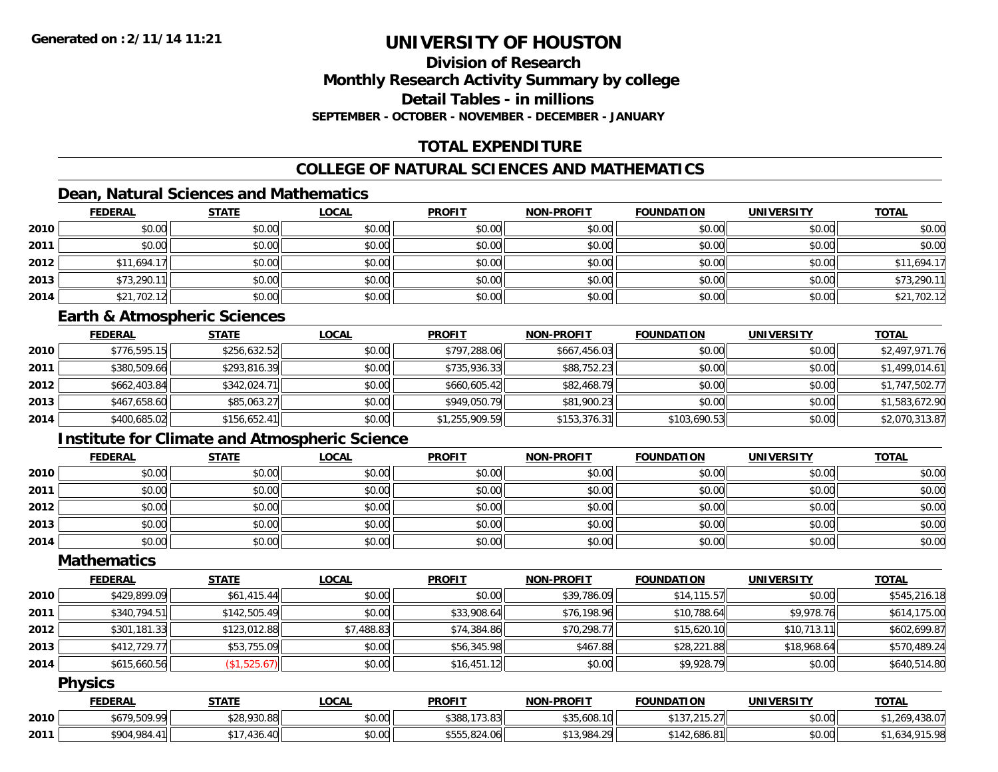### **Division of ResearchMonthly Research Activity Summary by college Detail Tables - in millionsSEPTEMBER - OCTOBER - NOVEMBER - DECEMBER - JANUARY**

## **TOTAL EXPENDITURE**

## **COLLEGE OF NATURAL SCIENCES AND MATHEMATICS**

## **Dean, Natural Sciences and Mathematics**

|      | <b>FEDERAL</b> | <b>STATE</b> | <u>LOCAL</u> | <b>PROFIT</b> | <b>NON-PROFIT</b> | <b>FOUNDATION</b> | <b>UNIVERSITY</b> | <b>TOTAL</b> |
|------|----------------|--------------|--------------|---------------|-------------------|-------------------|-------------------|--------------|
| 2010 | \$0.00         | \$0.00       | \$0.00       | \$0.00        | \$0.00            | \$0.00            | \$0.00            | \$0.00       |
| 2011 | \$0.00         | \$0.00       | \$0.00       | \$0.00        | \$0.00            | \$0.00            | \$0.00            | \$0.00       |
| 2012 | \$11,694.17    | \$0.00       | \$0.00       | \$0.00        | \$0.00            | \$0.00            | \$0.00            | \$11,694.17  |
| 2013 | \$73,290.11    | \$0.00       | \$0.00       | \$0.00        | \$0.00            | \$0.00            | \$0.00            | \$73,290.11  |
| 2014 | \$21,702.12    | \$0.00       | \$0.00       | \$0.00        | \$0.00            | \$0.00            | \$0.00            | \$21,702.12  |

#### **Earth & Atmospheric Sciences**

|      | <b>FEDERAL</b> | <u>STATE</u> | <u>LOCAL</u> | <b>PROFIT</b>  | <b>NON-PROFIT</b> | <b>FOUNDATION</b> | <b>UNIVERSITY</b> | <b>TOTAL</b>   |
|------|----------------|--------------|--------------|----------------|-------------------|-------------------|-------------------|----------------|
| 2010 | \$776,595.15   | \$256,632.52 | \$0.00       | \$797,288.06   | \$667,456.03      | \$0.00            | \$0.00            | \$2,497,971.76 |
| 2011 | \$380,509.66   | \$293,816.39 | \$0.00       | \$735,936.33   | \$88,752.23       | \$0.00            | \$0.00            | \$1,499,014.61 |
| 2012 | \$662,403.84   | \$342,024.71 | \$0.00       | \$660,605.42   | \$82,468.79       | \$0.00            | \$0.00            | \$1,747,502.77 |
| 2013 | \$467,658.60   | \$85,063.27  | \$0.00       | \$949,050.79   | \$81,900.23       | \$0.00            | \$0.00            | \$1,583,672.90 |
| 2014 | \$400,685.02   | \$156,652.41 | \$0.00       | \$1,255,909.59 | \$153,376.31      | \$103,690.53      | \$0.00            | \$2,070,313.87 |

### **Institute for Climate and Atmospheric Science**

|      | <b>FEDERAL</b> | <b>STATE</b> | <b>LOCAL</b> | <b>PROFIT</b> | <b>NON-PROFIT</b> | <b>FOUNDATION</b> | <b>UNIVERSITY</b> | <b>TOTAL</b> |
|------|----------------|--------------|--------------|---------------|-------------------|-------------------|-------------------|--------------|
| 2010 | \$0.00         | \$0.00       | \$0.00       | \$0.00        | \$0.00            | \$0.00            | \$0.00            | \$0.00       |
| 2011 | \$0.00         | \$0.00       | \$0.00       | \$0.00        | \$0.00            | \$0.00            | \$0.00            | \$0.00       |
| 2012 | \$0.00         | \$0.00       | \$0.00       | \$0.00        | \$0.00            | \$0.00            | \$0.00            | \$0.00       |
| 2013 | \$0.00         | \$0.00       | \$0.00       | \$0.00        | \$0.00            | \$0.00            | \$0.00            | \$0.00       |
| 2014 | \$0.00         | \$0.00       | \$0.00       | \$0.00        | \$0.00            | \$0.00            | \$0.00            | \$0.00       |

### **Mathematics**

|      | <b>FEDERAL</b> | <b>STATE</b> | <b>LOCAL</b> | <b>PROFIT</b> | <b>NON-PROFIT</b> | <b>FOUNDATION</b> | UNIVERSITY  | <b>TOTAL</b> |
|------|----------------|--------------|--------------|---------------|-------------------|-------------------|-------------|--------------|
| 2010 | \$429,899.09   | \$61,415.44  | \$0.00       | \$0.00        | \$39,786.09       | \$14,115.57       | \$0.00      | \$545,216.18 |
| 2011 | \$340,794.51   | \$142,505.49 | \$0.00       | \$33,908.64   | \$76,198.96       | \$10,788.64       | \$9,978.76  | \$614,175.00 |
| 2012 | \$301,181.33   | \$123,012.88 | \$7,488.83   | \$74,384.86   | \$70,298.77       | \$15,620.10       | \$10,713.11 | \$602,699.87 |
| 2013 | \$412,729.77   | \$53,755.09  | \$0.00       | \$56,345.98   | \$467.88          | \$28,221.88       | \$18,968.64 | \$570,489.24 |
| 2014 | \$615,660.56   | (\$1,525.67) | \$0.00       | \$16,451.12   | \$0.00            | \$9,928.79        | \$0.00      | \$640,514.80 |

### **Physics**

|      | <b>FEDERAL</b> | STATE                                 | LOCAI  | <b>PROFIT</b> | <b>NON-PROFIT</b> | <b>FOUNDATION</b>   | <b>UNIVERSITY</b> | <b>TOTAL</b>                                        |
|------|----------------|---------------------------------------|--------|---------------|-------------------|---------------------|-------------------|-----------------------------------------------------|
| 2010 | \$679,509.99   | \$28,930.88                           | \$0.00 | \$388,173.83  | \$35,608.10       | 4197 915 97         | \$0.00            | $\Lambda$ 20 $\Lambda$<br>$\sim$<br>,438.U <i>I</i> |
| 2011 | $*904.984.4.$  | 436.40<br>* 4 -<br>$\Lambda$ $\Omega$ | \$0.00 | \$555,824.06  | \$13,984.29       | $+2.686.81$<br>A 10 | \$0.00            | $\cdot$ 215.00<br>⊸د ס. ا                           |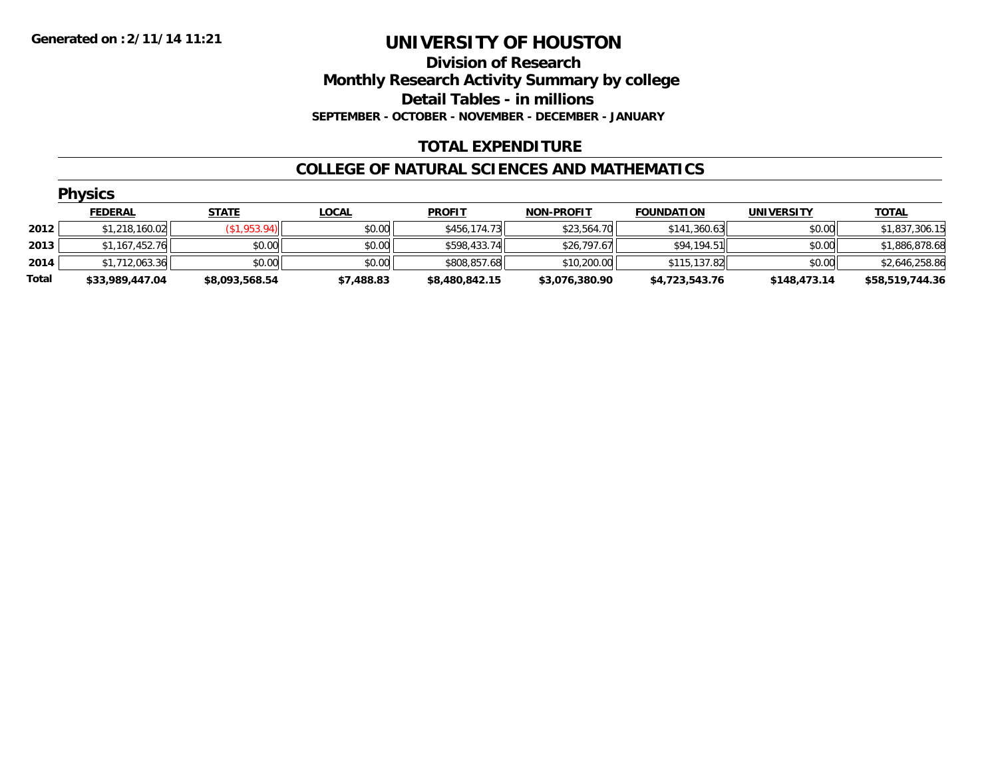**Division of Research Monthly Research Activity Summary by college Detail Tables - in millions SEPTEMBER - OCTOBER - NOVEMBER - DECEMBER - JANUARY**

### **TOTAL EXPENDITURE**

#### **COLLEGE OF NATURAL SCIENCES AND MATHEMATICS**

|       | <b>Physics</b>  |                |              |                |                   |                   |                   |                 |
|-------|-----------------|----------------|--------------|----------------|-------------------|-------------------|-------------------|-----------------|
|       | <b>FEDERAL</b>  | <b>STATE</b>   | <u>LOCAL</u> | <b>PROFIT</b>  | <b>NON-PROFIT</b> | <b>FOUNDATION</b> | <b>UNIVERSITY</b> | <b>TOTAL</b>    |
| 2012  | \$1,218,160.02  | (\$1,953.94)   | \$0.00       | \$456,174.73   | \$23,564.70       | \$141,360.63      | \$0.00            | \$1,837,306.15  |
| 2013  | \$1,167,452.76  | \$0.00         | \$0.00       | \$598,433.74   | \$26,797.67       | \$94,194.51       | \$0.00            | \$1,886,878.68  |
| 2014  | \$1,712,063.36  | \$0.00         | \$0.00       | \$808,857.68   | \$10,200.00       | \$115,137.82      | \$0.00            | \$2,646,258.86  |
| Total | \$33,989,447.04 | \$8,093,568.54 | \$7,488.83   | \$8,480,842.15 | \$3,076,380.90    | \$4,723,543.76    | \$148,473.14      | \$58,519,744.36 |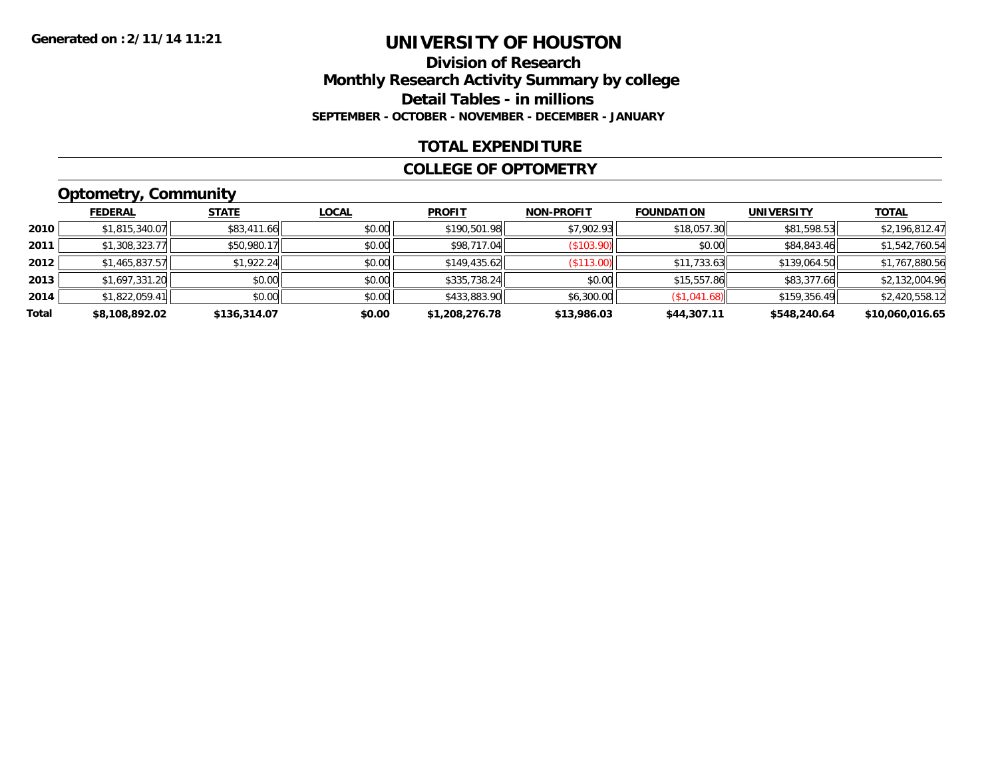### **Division of Research Monthly Research Activity Summary by college Detail Tables - in millions SEPTEMBER - OCTOBER - NOVEMBER - DECEMBER - JANUARY**

#### **TOTAL EXPENDITURE**

#### **COLLEGE OF OPTOMETRY**

## **Optometry, Community**

|       | <b>FEDERAL</b> | <b>STATE</b> | <u>LOCAL</u> | <b>PROFIT</b>  | <b>NON-PROFIT</b> | <b>FOUNDATION</b> | <b>UNIVERSITY</b> | <b>TOTAL</b>    |
|-------|----------------|--------------|--------------|----------------|-------------------|-------------------|-------------------|-----------------|
| 2010  | \$1,815,340.07 | \$83,411.66  | \$0.00       | \$190,501.98   | \$7,902.93        | \$18,057.30       | \$81,598.53       | \$2,196,812.47  |
| 2011  | \$1,308,323.77 | \$50,980.17  | \$0.00       | \$98,717.04    | (S103.90)         | \$0.00            | \$84,843.46       | \$1,542,760.54  |
| 2012  | \$1,465,837.57 | \$1,922.24   | \$0.00       | \$149,435.62   | (S113.00)         | \$11,733.63       | \$139,064.50      | \$1,767,880.56  |
| 2013  | \$1,697,331.20 | \$0.00       | \$0.00       | \$335,738.24   | \$0.00            | \$15,557.86       | \$83,377.66       | \$2,132,004.96  |
| 2014  | \$1,822,059.41 | \$0.00       | \$0.00       | \$433,883.90   | \$6,300.00        | (\$1,041.68)      | \$159,356.49      | \$2,420,558.12  |
| Total | \$8,108,892.02 | \$136,314.07 | \$0.00       | \$1,208,276.78 | \$13,986.03       | \$44,307.11       | \$548,240.64      | \$10,060,016.65 |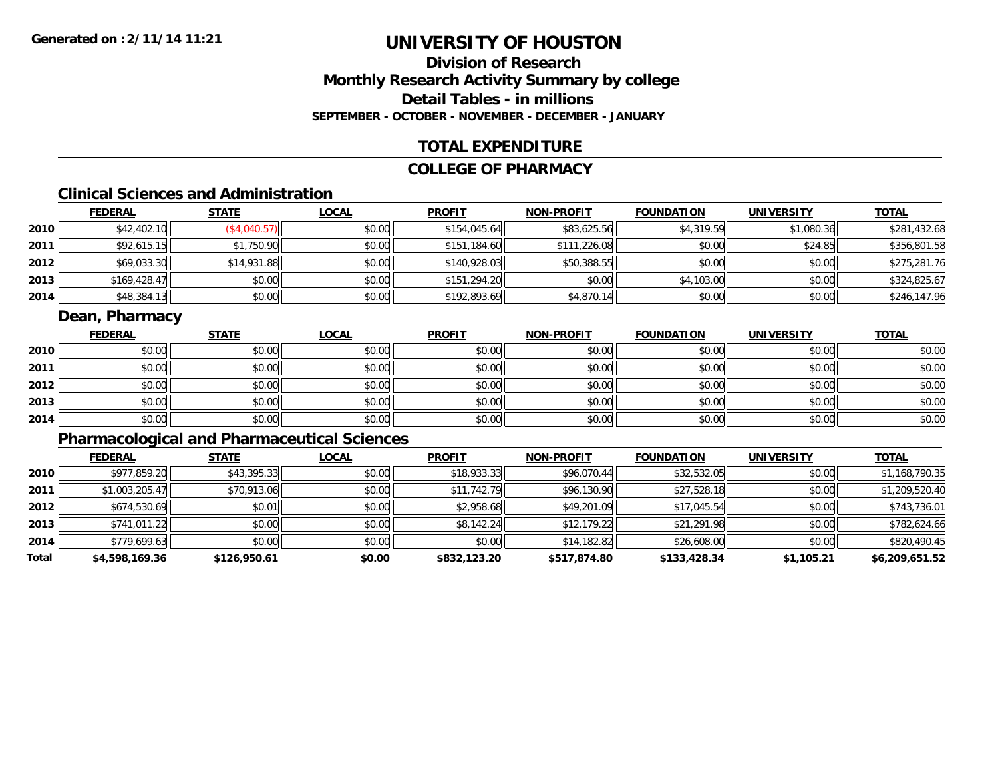## **Division of ResearchMonthly Research Activity Summary by college Detail Tables - in millionsSEPTEMBER - OCTOBER - NOVEMBER - DECEMBER - JANUARY**

### **TOTAL EXPENDITURE**

#### **COLLEGE OF PHARMACY**

# **Clinical Sciences and Administration**

|      | <b>FEDERAL</b> | <b>STATE</b> | <u>LOCAL</u> | <b>PROFIT</b> | <b>NON-PROFIT</b> | <b>FOUNDATION</b> | <b>UNIVERSITY</b> | <u>TOTAL</u> |
|------|----------------|--------------|--------------|---------------|-------------------|-------------------|-------------------|--------------|
| 2010 | \$42,402.10    | (\$4,040.57) | \$0.00       | \$154.045.64  | \$83,625.56       | \$4,319.59        | \$1,080.36        | \$281,432.68 |
| 2011 | \$92,615.15    | \$1,750.90   | \$0.00       | \$151,184.60  | \$111,226.08      | \$0.00            | \$24.85           | \$356,801.58 |
| 2012 | \$69,033.30    | \$14,931.88  | \$0.00       | \$140,928.03  | \$50,388.55       | \$0.00            | \$0.00            | \$275,281.76 |
| 2013 | \$169,428.47   | \$0.00       | \$0.00       | \$151,294.20  | \$0.00            | \$4,103.00        | \$0.00            | \$324,825.67 |
| 2014 | \$48,384.13    | \$0.00       | \$0.00       | \$192,893.69  | \$4,870.14        | \$0.00            | \$0.00            | \$246,147.96 |

### **Dean, Pharmacy**

|      | <u>FEDERAL</u> | <b>STATE</b> | <b>LOCAL</b> | <b>PROFIT</b> | <b>NON-PROFIT</b> | <b>FOUNDATION</b> | <b>UNIVERSITY</b> | <b>TOTAL</b> |
|------|----------------|--------------|--------------|---------------|-------------------|-------------------|-------------------|--------------|
| 2010 | \$0.00         | \$0.00       | \$0.00       | \$0.00        | \$0.00            | \$0.00            | \$0.00            | \$0.00       |
| 2011 | \$0.00         | \$0.00       | \$0.00       | \$0.00        | \$0.00            | \$0.00            | \$0.00            | \$0.00       |
| 2012 | \$0.00         | \$0.00       | \$0.00       | \$0.00        | \$0.00            | \$0.00            | \$0.00            | \$0.00       |
| 2013 | \$0.00         | \$0.00       | \$0.00       | \$0.00        | \$0.00            | \$0.00            | \$0.00            | \$0.00       |
| 2014 | \$0.00         | \$0.00       | \$0.00       | \$0.00        | \$0.00            | \$0.00            | \$0.00            | \$0.00       |

## **Pharmacological and Pharmaceutical Sciences**

|       | <b>FEDERAL</b> | <b>STATE</b> | <b>LOCAL</b> | <b>PROFIT</b> | <b>NON-PROFIT</b> | <b>FOUNDATION</b> | <b>UNIVERSITY</b> | <b>TOTAL</b>   |
|-------|----------------|--------------|--------------|---------------|-------------------|-------------------|-------------------|----------------|
| 2010  | \$977,859.20   | \$43,395.33  | \$0.00       | \$18,933.33   | \$96,070.44       | \$32,532.05       | \$0.00            | \$1,168,790.35 |
| 2011  | \$1,003,205.47 | \$70,913.06  | \$0.00       | \$11,742.79   | \$96,130.90       | \$27,528.18       | \$0.00            | \$1,209,520.40 |
| 2012  | \$674,530.69   | \$0.01       | \$0.00       | \$2,958.68    | \$49,201.09       | \$17,045.54       | \$0.00            | \$743,736.01   |
| 2013  | \$741,011.22   | \$0.00       | \$0.00       | \$8,142.24    | \$12,179.22       | \$21,291.98       | \$0.00            | \$782,624.66   |
| 2014  | \$779,699.63   | \$0.00       | \$0.00       | \$0.00        | \$14,182.82       | \$26,608.00       | \$0.00            | \$820,490.45   |
| Total | \$4,598,169.36 | \$126,950.61 | \$0.00       | \$832,123.20  | \$517,874.80      | \$133,428.34      | \$1,105.21        | \$6,209,651.52 |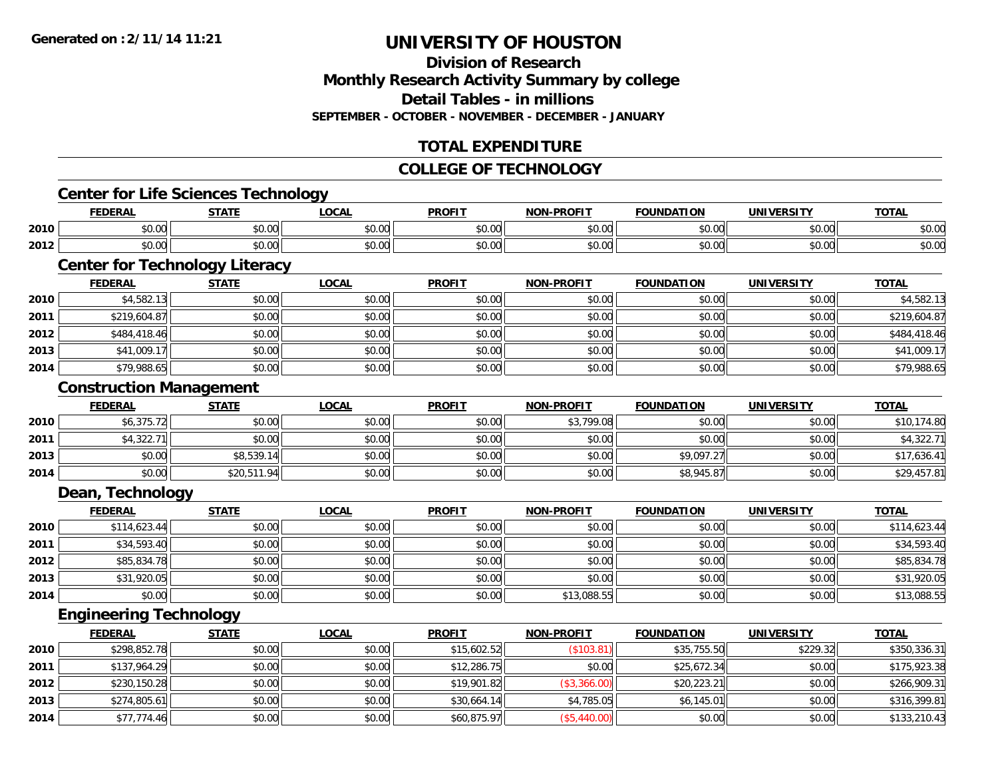**Division of ResearchMonthly Research Activity Summary by college Detail Tables - in millionsSEPTEMBER - OCTOBER - NOVEMBER - DECEMBER - JANUARY**

## **TOTAL EXPENDITURE**

### **COLLEGE OF TECHNOLOGY**

### **Center for Life Sciences Technology**

|      | DAI<br>ERA                     | <b>CTATI</b>          | $\sim$<br>.w.a         | <b>PROFIT</b> | -----  | אנ                  |                    | <b>TOT</b>     |
|------|--------------------------------|-----------------------|------------------------|---------------|--------|---------------------|--------------------|----------------|
| 2010 | $\sim$ $\sim$<br>$\sim$<br>w.w | $\sim$ $\sim$<br>JU.U | $\sim$ $\sim$<br>vv.vv | 0000<br>∿∪.∪∿ | \$0.00 | 0000<br>. UU<br>, J | 0.00<br>pu.uu      | 0000<br>PU.UU  |
| 2012 | $\sim$<br>וטט.טי               | ሖ ^<br>י טיש          | $\sim$ 00<br>vv.vv     | 0000<br>JU.UU | \$0.00 | $\sim$ 00<br>JU.UU  | $\sim$ 00<br>JU.UU | ቀስ ሰሰ<br>DU.UU |

# **Center for Technology Literacy**

|      | <b>FEDERAL</b> | <b>STATE</b> | <u>LOCAL</u> | <b>PROFIT</b> | <b>NON-PROFIT</b> | <b>FOUNDATION</b> | <b>UNIVERSITY</b> | <b>TOTAL</b> |
|------|----------------|--------------|--------------|---------------|-------------------|-------------------|-------------------|--------------|
| 2010 | \$4,582.13     | \$0.00       | \$0.00       | \$0.00        | \$0.00            | \$0.00            | \$0.00            | \$4,582.13   |
| 2011 | \$219,604.87   | \$0.00       | \$0.00       | \$0.00        | \$0.00            | \$0.00            | \$0.00            | \$219,604.87 |
| 2012 | \$484,418.46   | \$0.00       | \$0.00       | \$0.00        | \$0.00            | \$0.00            | \$0.00            | \$484,418.46 |
| 2013 | \$41,009.17    | \$0.00       | \$0.00       | \$0.00        | \$0.00            | \$0.00            | \$0.00            | \$41,009.17  |
| 2014 | \$79,988.65    | \$0.00       | \$0.00       | \$0.00        | \$0.00            | \$0.00            | \$0.00            | \$79,988.65  |

#### **Construction Management**

|      | <b>FEDERAL</b> | STATE       | <u>LOCAL</u> | <b>PROFIT</b> | <b>NON-PROFIT</b> | <b>FOUNDATION</b> | <b>UNIVERSITY</b> | <b>TOTAL</b> |
|------|----------------|-------------|--------------|---------------|-------------------|-------------------|-------------------|--------------|
| 2010 | \$6,375.72     | \$0.00      | \$0.00       | \$0.00        | \$3,799.08        | \$0.00            | \$0.00            | \$10,174.80  |
| 2011 | \$4,322.7      | \$0.00      | \$0.00       | \$0.00        | \$0.00            | \$0.00            | \$0.00            | \$4,322.71   |
| 2013 | \$0.00         | \$8,539.14  | \$0.00       | \$0.00        | \$0.00            | \$9,097.27        | \$0.00            | \$17,636.41  |
| 2014 | \$0.00         | \$20,511.94 | \$0.00       | \$0.00        | \$0.00            | \$8,945.87        | \$0.00            | \$29,457.81  |

#### **Dean, Technology**

|      | <b>FEDERAL</b> | <b>STATE</b> | <b>LOCAL</b> | <b>PROFIT</b> | <b>NON-PROFIT</b> | <b>FOUNDATION</b> | <b>UNIVERSITY</b> | <b>TOTAL</b> |
|------|----------------|--------------|--------------|---------------|-------------------|-------------------|-------------------|--------------|
| 2010 | \$114,623.44   | \$0.00       | \$0.00       | \$0.00        | \$0.00            | \$0.00            | \$0.00            | \$114,623.44 |
| 2011 | \$34,593.40    | \$0.00       | \$0.00       | \$0.00        | \$0.00            | \$0.00            | \$0.00            | \$34,593.40  |
| 2012 | \$85,834.78    | \$0.00       | \$0.00       | \$0.00        | \$0.00            | \$0.00            | \$0.00            | \$85,834.78  |
| 2013 | \$31,920.05    | \$0.00       | \$0.00       | \$0.00        | \$0.00            | \$0.00            | \$0.00            | \$31,920.05  |
| 2014 | \$0.00         | \$0.00       | \$0.00       | \$0.00        | \$13,088.55       | \$0.00            | \$0.00            | \$13,088.55  |

### **Engineering Technology**

|      | <b>FEDERAL</b> | <b>STATE</b> | <b>LOCAL</b> | <b>PROFIT</b> | <b>NON-PROFIT</b> | <b>FOUNDATION</b> | <b>UNIVERSITY</b> | <b>TOTAL</b> |
|------|----------------|--------------|--------------|---------------|-------------------|-------------------|-------------------|--------------|
| 2010 | \$298,852.78   | \$0.00       | \$0.00       | \$15,602.52   | (\$103.81)        | \$35,755.50       | \$229.32          | \$350,336.31 |
| 2011 | \$137,964.29   | \$0.00       | \$0.00       | \$12,286.75   | \$0.00            | \$25,672.34       | \$0.00            | \$175,923.38 |
| 2012 | \$230,150.28   | \$0.00       | \$0.00       | \$19,901.82   | (\$3,366.00)      | \$20,223.21       | \$0.00            | \$266,909.31 |
| 2013 | \$274,805.61   | \$0.00       | \$0.00       | \$30.664.14   | \$4,785.05        | \$6,145.01        | \$0.00            | \$316,399.81 |
| 2014 | \$77,774.46    | \$0.00       | \$0.00       | \$60,875.97   | (\$5,440.00)      | \$0.00            | \$0.00            | \$133,210.43 |

<u> 1989 - Johann Stoff, deutscher Stoffen und der Stoffen und der Stoffen und der Stoffen und der Stoffen und de</u>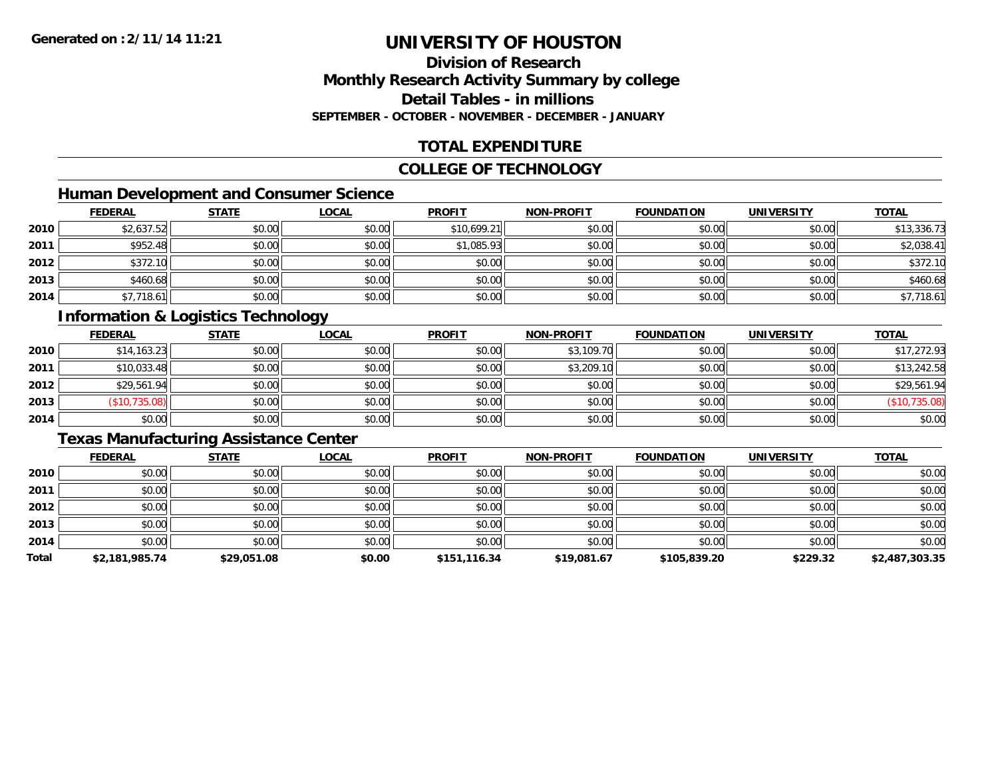### **Division of ResearchMonthly Research Activity Summary by college Detail Tables - in millionsSEPTEMBER - OCTOBER - NOVEMBER - DECEMBER - JANUARY**

## **TOTAL EXPENDITURE**

#### **COLLEGE OF TECHNOLOGY**

## **Human Development and Consumer Science**

|      | <b>FEDERAL</b> | <b>STATE</b> | <b>LOCAL</b> | <b>PROFIT</b> | <b>NON-PROFIT</b> | <b>FOUNDATION</b> | <b>UNIVERSITY</b> | <b>TOTAL</b> |
|------|----------------|--------------|--------------|---------------|-------------------|-------------------|-------------------|--------------|
| 2010 | \$2,637.52     | \$0.00       | \$0.00       | \$10,699.21   | \$0.00            | \$0.00            | \$0.00            | \$13,336.73  |
| 2011 | \$952.48       | \$0.00       | \$0.00       | \$1,085.93    | \$0.00            | \$0.00            | \$0.00            | \$2,038.41   |
| 2012 | \$372.10       | \$0.00       | \$0.00       | \$0.00        | \$0.00            | \$0.00            | \$0.00            | \$372.10     |
| 2013 | \$460.68       | \$0.00       | \$0.00       | \$0.00        | \$0.00            | \$0.00            | \$0.00            | \$460.68     |
| 2014 | \$7,718.61     | \$0.00       | \$0.00       | \$0.00        | \$0.00            | \$0.00            | \$0.00            | \$7,718.61   |

## **Information & Logistics Technology**

|      | <b>FEDERAL</b> | <b>STATE</b> | <u>LOCAL</u> | <b>PROFIT</b> | <b>NON-PROFIT</b> | <b>FOUNDATION</b> | <b>UNIVERSITY</b> | <b>TOTAL</b>             |
|------|----------------|--------------|--------------|---------------|-------------------|-------------------|-------------------|--------------------------|
| 2010 | \$14,163.23    | \$0.00       | \$0.00       | \$0.00        | \$3,109.70        | \$0.00            | \$0.00            | \$17,272.93              |
| 2011 | \$10,033.48    | \$0.00       | \$0.00       | \$0.00        | \$3,209.10        | \$0.00            | \$0.00            | \$13,242.58              |
| 2012 | \$29,561.94    | \$0.00       | \$0.00       | \$0.00        | \$0.00            | \$0.00            | \$0.00            | \$29,561.94              |
| 2013 | \$10,735.08    | \$0.00       | \$0.00       | \$0.00        | \$0.00            | \$0.00            | \$0.00            | 735.08<br>$′$ \$10. $\r$ |
| 2014 | \$0.00         | \$0.00       | \$0.00       | \$0.00        | \$0.00            | \$0.00            | \$0.00            | \$0.00                   |

## **Texas Manufacturing Assistance Center**

|       | <b>FEDERAL</b> | <b>STATE</b> | <b>LOCAL</b> | <b>PROFIT</b> | <b>NON-PROFIT</b> | <b>FOUNDATION</b> | <b>UNIVERSITY</b> | <b>TOTAL</b>   |
|-------|----------------|--------------|--------------|---------------|-------------------|-------------------|-------------------|----------------|
| 2010  | \$0.00         | \$0.00       | \$0.00       | \$0.00        | \$0.00            | \$0.00            | \$0.00            | \$0.00         |
| 2011  | \$0.00         | \$0.00       | \$0.00       | \$0.00        | \$0.00            | \$0.00            | \$0.00            | \$0.00         |
| 2012  | \$0.00         | \$0.00       | \$0.00       | \$0.00        | \$0.00            | \$0.00            | \$0.00            | \$0.00         |
| 2013  | \$0.00         | \$0.00       | \$0.00       | \$0.00        | \$0.00            | \$0.00            | \$0.00            | \$0.00         |
| 2014  | \$0.00         | \$0.00       | \$0.00       | \$0.00        | \$0.00            | \$0.00            | \$0.00            | \$0.00         |
| Total | \$2,181,985.74 | \$29,051.08  | \$0.00       | \$151,116.34  | \$19,081.67       | \$105,839.20      | \$229.32          | \$2,487,303.35 |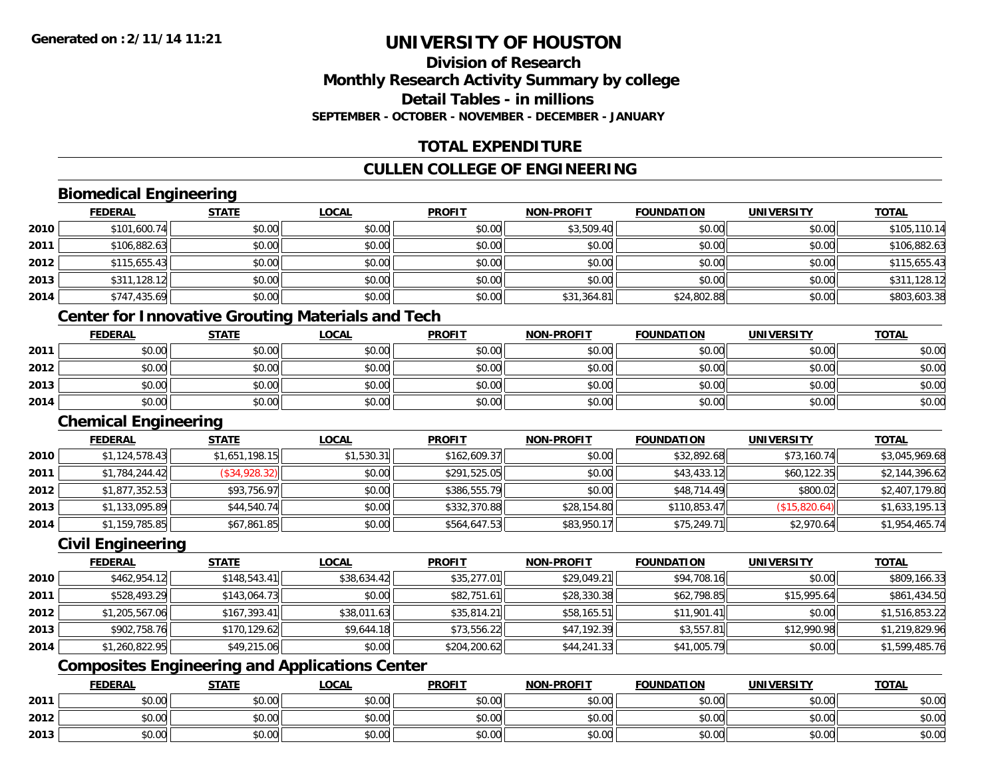## **Division of ResearchMonthly Research Activity Summary by college Detail Tables - in millionsSEPTEMBER - OCTOBER - NOVEMBER - DECEMBER - JANUARY**

## **TOTAL EXPENDITURE**

## **CULLEN COLLEGE OF ENGINEERING**

## **Biomedical Engineering**

|      | <b>FEDERAL</b> | <b>STATE</b> | <b>LOCAL</b> | <b>PROFIT</b> | <b>NON-PROFIT</b> | <b>FOUNDATION</b> | <b>UNIVERSITY</b> | <b>TOTAL</b> |
|------|----------------|--------------|--------------|---------------|-------------------|-------------------|-------------------|--------------|
| 2010 | \$101,600.74   | \$0.00       | \$0.00       | \$0.00        | \$3,509.40        | \$0.00            | \$0.00            | \$105,110.14 |
| 2011 | \$106,882.63   | \$0.00       | \$0.00       | \$0.00        | \$0.00            | \$0.00            | \$0.00            | \$106,882.63 |
| 2012 | \$115,655.43   | \$0.00       | \$0.00       | \$0.00        | \$0.00            | \$0.00            | \$0.00            | \$115,655.43 |
| 2013 | \$311,128.12   | \$0.00       | \$0.00       | \$0.00        | \$0.00            | \$0.00            | \$0.00            | \$311,128.12 |
| 2014 | \$747,435.69   | \$0.00       | \$0.00       | \$0.00        | \$31,364.81       | \$24,802.88       | \$0.00            | \$803,603.38 |

### **Center for Innovative Grouting Materials and Tech**

|      | <u>FEDERAL</u> | <b>STATE</b> | <u>LOCAL</u> | <b>PROFIT</b> | <b>NON-PROFIT</b> | <b>FOUNDATION</b> | <b>UNIVERSITY</b> | <u>TOTAL</u> |
|------|----------------|--------------|--------------|---------------|-------------------|-------------------|-------------------|--------------|
| 2011 | \$0.00         | \$0.00       | \$0.00       | \$0.00        | \$0.00            | \$0.00            | \$0.00            | \$0.00       |
| 2012 | \$0.00         | \$0.00       | \$0.00       | \$0.00        | \$0.00            | \$0.00            | \$0.00            | \$0.00       |
| 2013 | \$0.00         | \$0.00       | \$0.00       | \$0.00        | \$0.00            | \$0.00            | \$0.00            | \$0.00       |
| 2014 | \$0.00         | \$0.00       | \$0.00       | \$0.00        | \$0.00            | \$0.00            | \$0.00            | \$0.00       |

#### **Chemical Engineering**

|      | <b>FEDERAL</b> | <b>STATE</b>   | <u>LOCAL</u> | <b>PROFIT</b> | <b>NON-PROFIT</b> | <b>FOUNDATION</b> | UNIVERSITY    | <b>TOTAL</b>   |
|------|----------------|----------------|--------------|---------------|-------------------|-------------------|---------------|----------------|
| 2010 | \$1,124,578.43 | \$1,651,198.15 | \$1,530.31   | \$162,609.37  | \$0.00            | \$32,892.68       | \$73,160.74   | \$3,045,969.68 |
| 2011 | \$1,784,244.42 | (\$34,928.32)  | \$0.00       | \$291,525.05  | \$0.00            | \$43,433.12       | \$60,122.35   | \$2,144,396.62 |
| 2012 | \$1,877,352.53 | \$93,756.97    | \$0.00       | \$386,555.79  | \$0.00            | \$48,714.49       | \$800.02      | \$2,407,179.80 |
| 2013 | \$1,133,095.89 | \$44,540.74    | \$0.00       | \$332,370.88  | \$28,154.80       | \$110,853.47      | (\$15,820.64) | \$1,633,195.13 |
| 2014 | \$1,159,785.85 | \$67,861.85    | \$0.00       | \$564,647.53  | \$83,950.17       | \$75,249.71       | \$2,970.64    | \$1,954,465.74 |

#### **Civil Engineering**

|      | <b>FEDERAL</b> | <b>STATE</b> | <b>LOCAL</b> | <b>PROFIT</b> | <b>NON-PROFIT</b> | <b>FOUNDATION</b> | <b>UNIVERSITY</b> | <b>TOTAL</b>   |
|------|----------------|--------------|--------------|---------------|-------------------|-------------------|-------------------|----------------|
| 2010 | \$462,954.12   | \$148,543.41 | \$38,634.42  | \$35,277.01   | \$29,049.21       | \$94,708.16       | \$0.00            | \$809,166.33   |
| 2011 | \$528,493.29   | \$143,064.73 | \$0.00       | \$82,751.61   | \$28,330.38       | \$62,798.85       | \$15,995.64       | \$861,434.50   |
| 2012 | \$1,205,567.06 | \$167,393.41 | \$38,011.63  | \$35,814.21   | \$58,165.51       | \$11,901.41       | \$0.00            | \$1,516,853.22 |
| 2013 | \$902,758.76   | \$170,129.62 | \$9,644.18   | \$73,556.22   | \$47,192.39       | \$3,557.81        | \$12,990.98       | \$1,219,829.96 |
| 2014 | \$1,260,822.95 | \$49,215.06  | \$0.00       | \$204,200.62  | \$44,241.33       | \$41,005.79       | \$0.00            | \$1,599,485.76 |

## **Composites Engineering and Applications Center**

|      | <u>FEDERAL</u> | <b>STATE</b> | <u>LOCAL</u> | <b>PROFIT</b> | <b>NON-PROFIT</b> | <b>FOUNDATION</b> | <b>UNIVERSITY</b> | <b>TOTAL</b> |
|------|----------------|--------------|--------------|---------------|-------------------|-------------------|-------------------|--------------|
| 2011 | \$0.00         | \$0.00       | \$0.00       | \$0.00        | \$0.00            | \$0.00            | \$0.00            | \$0.00       |
| 2012 | \$0.00         | \$0.00       | \$0.00       | \$0.00        | \$0.00            | \$0.00            | \$0.00            | \$0.00       |
| 2013 | \$0.00         | \$0.00       | \$0.00       | \$0.00        | \$0.00            | \$0.00            | \$0.00            | \$0.00       |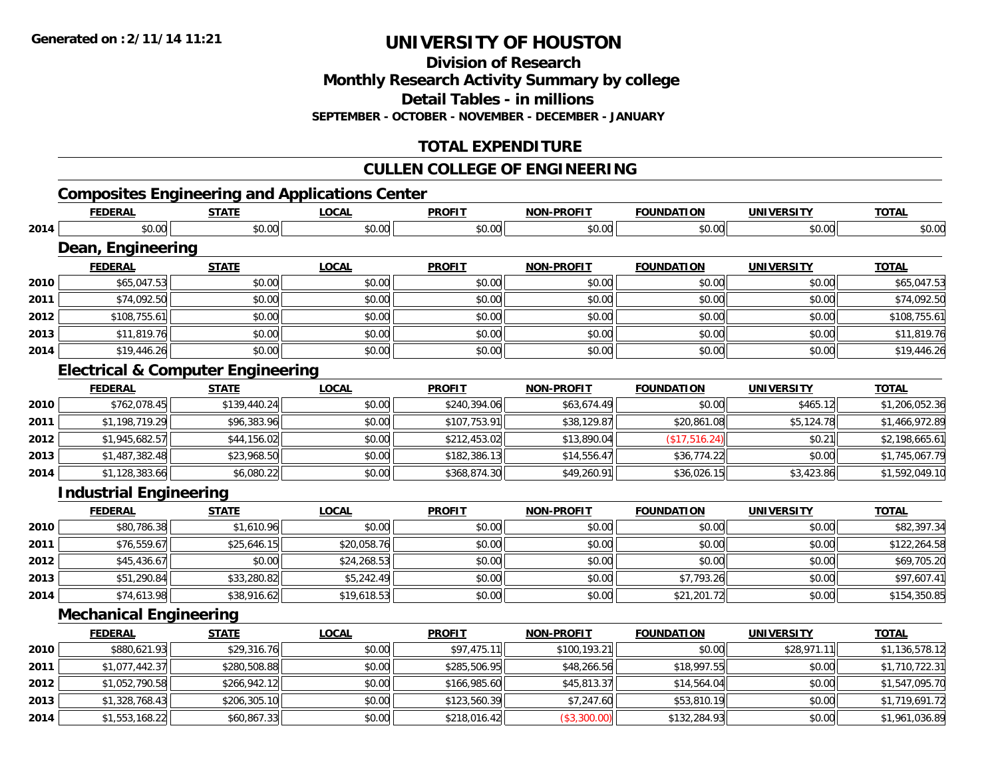**Division of Research**

**Monthly Research Activity Summary by college**

**Detail Tables - in millions**

**SEPTEMBER - OCTOBER - NOVEMBER - DECEMBER - JANUARY**

## **TOTAL EXPENDITURE**

### **CULLEN COLLEGE OF ENGINEERING**

## **Composites Engineering and Applications Center**

|      | <b>FEDERAL</b>                               | <b>STATE</b> | <b>LOCAL</b> | <b>PROFIT</b> | <b>NON-PROFIT</b> | <b>FOUNDATION</b> | <b>UNIVERSITY</b> | <b>TOTAL</b>   |
|------|----------------------------------------------|--------------|--------------|---------------|-------------------|-------------------|-------------------|----------------|
| 2014 | \$0.00                                       | \$0.00       | \$0.00       | \$0.00        | \$0.00            | \$0.00            | \$0.00            | \$0.00         |
|      | Dean, Engineering                            |              |              |               |                   |                   |                   |                |
|      | <b>FEDERAL</b>                               | <b>STATE</b> | <b>LOCAL</b> | <b>PROFIT</b> | <b>NON-PROFIT</b> | <b>FOUNDATION</b> | <b>UNIVERSITY</b> | <b>TOTAL</b>   |
| 2010 | \$65,047.53                                  | \$0.00       | \$0.00       | \$0.00        | \$0.00            | \$0.00            | \$0.00            | \$65,047.53    |
| 2011 | \$74,092.50                                  | \$0.00       | \$0.00       | \$0.00        | \$0.00            | \$0.00            | \$0.00            | \$74,092.50    |
| 2012 | \$108,755.61                                 | \$0.00       | \$0.00       | \$0.00        | \$0.00            | \$0.00            | \$0.00            | \$108,755.61   |
| 2013 | \$11,819.76                                  | \$0.00       | \$0.00       | \$0.00        | \$0.00            | \$0.00            | \$0.00            | \$11,819.76    |
| 2014 | \$19,446.26                                  | \$0.00       | \$0.00       | \$0.00        | \$0.00            | \$0.00            | \$0.00            | \$19,446.26    |
|      | <b>Electrical &amp; Computer Engineering</b> |              |              |               |                   |                   |                   |                |
|      | <b>FEDERAL</b>                               | <b>STATE</b> | <b>LOCAL</b> | <b>PROFIT</b> | <b>NON-PROFIT</b> | <b>FOUNDATION</b> | <b>UNIVERSITY</b> | <b>TOTAL</b>   |
| 2010 | \$762,078.45                                 | \$139,440.24 | \$0.00       | \$240,394.06  | \$63,674.49       | \$0.00            | \$465.12          | \$1,206,052.36 |
| 2011 | \$1,198,719.29                               | \$96,383.96  | \$0.00       | \$107,753.91  | \$38,129.87       | \$20,861.08       | \$5,124.78        | \$1,466,972.89 |
| 2012 | \$1,945,682.57                               | \$44,156.02  | \$0.00       | \$212,453.02  | \$13,890.04       | (\$17,516.24)     | \$0.21            | \$2,198,665.61 |
| 2013 | \$1,487,382.48                               | \$23,968.50  | \$0.00       | \$182,386.13  | \$14,556.47       | \$36,774.22       | \$0.00            | \$1,745,067.79 |
| 2014 | \$1,128,383.66                               | \$6,080.22   | \$0.00       | \$368,874.30  | \$49,260.91       | \$36,026.15       | \$3,423.86        | \$1,592,049.10 |
|      | <b>Industrial Engineering</b>                |              |              |               |                   |                   |                   |                |
|      | <b>FEDERAL</b>                               | <b>STATE</b> | <b>LOCAL</b> | <b>PROFIT</b> | <b>NON-PROFIT</b> | <b>FOUNDATION</b> | <b>UNIVERSITY</b> | <b>TOTAL</b>   |
| 2010 | \$80,786.38                                  | \$1,610.96   | \$0.00       | \$0.00        | \$0.00            | \$0.00            | \$0.00            | \$82,397.34    |
| 2011 | \$76,559.67                                  | \$25,646.15  | \$20,058.76  | \$0.00        | \$0.00            | \$0.00            | \$0.00            | \$122,264.58   |
| 2012 | \$45,436.67                                  | \$0.00       | \$24,268.53  | \$0.00        | \$0.00            | \$0.00            | \$0.00            | \$69,705.20    |
| 2013 | \$51,290.84                                  | \$33,280.82  | \$5,242.49   | \$0.00        | \$0.00            | \$7,793.26        | \$0.00            | \$97,607.41    |
| 2014 | \$74,613.98                                  | \$38,916.62  | \$19,618.53  | \$0.00        | \$0.00            | \$21,201.72       | \$0.00            | \$154,350.85   |
|      | <b>Mechanical Engineering</b>                |              |              |               |                   |                   |                   |                |
|      | <b>FEDERAL</b>                               | <b>STATE</b> | <b>LOCAL</b> | <b>PROFIT</b> | <b>NON-PROFIT</b> | <b>FOUNDATION</b> | <b>UNIVERSITY</b> | <b>TOTAL</b>   |
| 2010 | \$880,621.93                                 | \$29,316.76  | \$0.00       | \$97,475.11   | \$100,193.21      | \$0.00            | \$28,971.11       | \$1,136,578.12 |
| 2011 | \$1,077,442.37                               | \$280,508.88 | \$0.00       | \$285,506.95  | \$48,266.56       | \$18,997.55       | \$0.00            | \$1,710,722.31 |
| 2012 | \$1,052,790.58                               | \$266,942.12 | \$0.00       | \$166,985.60  | \$45,813.37       | \$14,564.04       | \$0.00            | \$1,547,095.70 |
| 2013 | \$1,328,768.43                               | \$206,305.10 | \$0.00       | \$123,560.39  | \$7,247.60        | \$53,810.19       | \$0.00            | \$1,719,691.72 |
| 2014 | \$1,553,168.22                               | \$60,867.33  | \$0.00       | \$218,016.42  | (\$3,300.00)      | \$132,284.93      | \$0.00            | \$1,961,036.89 |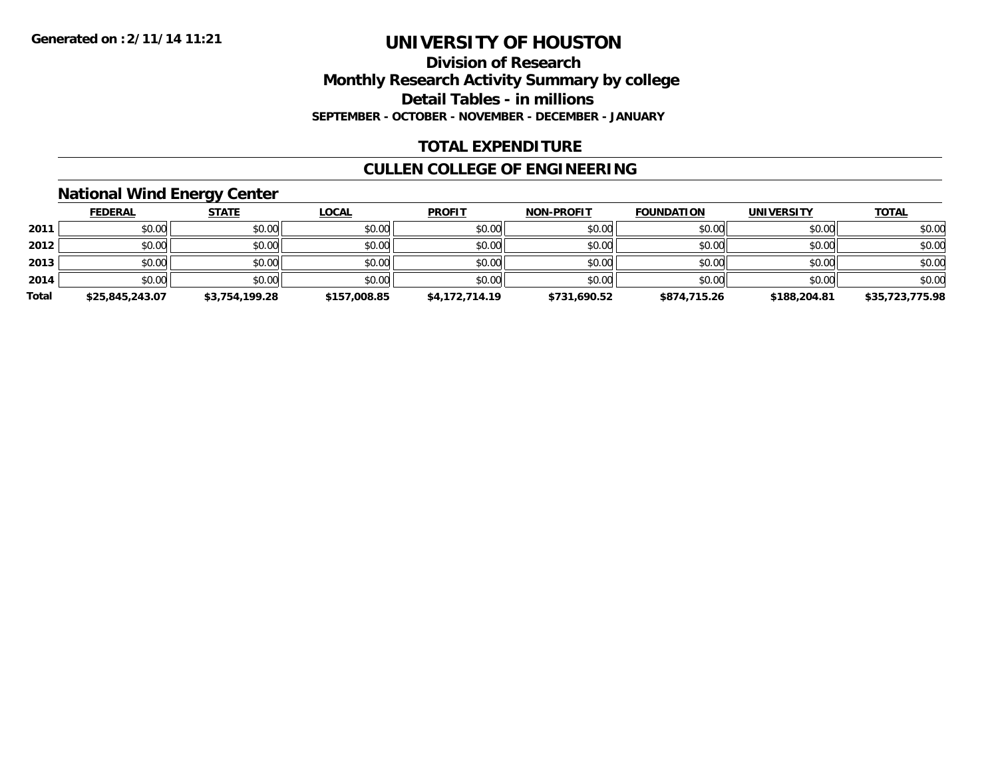### **Division of Research Monthly Research Activity Summary by college Detail Tables - in millions SEPTEMBER - OCTOBER - NOVEMBER - DECEMBER - JANUARY**

### **TOTAL EXPENDITURE**

## **CULLEN COLLEGE OF ENGINEERING**

### **National Wind Energy Center**

|       | <b>FEDERAL</b>  | <u>STATE</u>   | <b>LOCAL</b> | <b>PROFIT</b>  | <b>NON-PROFIT</b> | <b>FOUNDATION</b> | <b>UNIVERSITY</b> | <b>TOTAL</b>    |
|-------|-----------------|----------------|--------------|----------------|-------------------|-------------------|-------------------|-----------------|
| 2011  | \$0.00          | \$0.00         | \$0.00       | \$0.00         | \$0.00            | \$0.00            | \$0.00            | \$0.00          |
| 2012  | \$0.00          | \$0.00         | \$0.00       | \$0.00         | \$0.00            | \$0.00            | \$0.00            | \$0.00          |
| 2013  | \$0.00          | \$0.00         | \$0.00       | \$0.00         | \$0.00            | \$0.00            | \$0.00            | \$0.00          |
| 2014  | \$0.00          | \$0.00         | \$0.00       | \$0.00         | \$0.00            | \$0.00            | \$0.00            | \$0.00          |
| Total | \$25,845,243.07 | \$3,754,199.28 | \$157,008.85 | \$4,172,714.19 | \$731,690.52      | \$874,715.26      | \$188,204.81      | \$35,723,775.98 |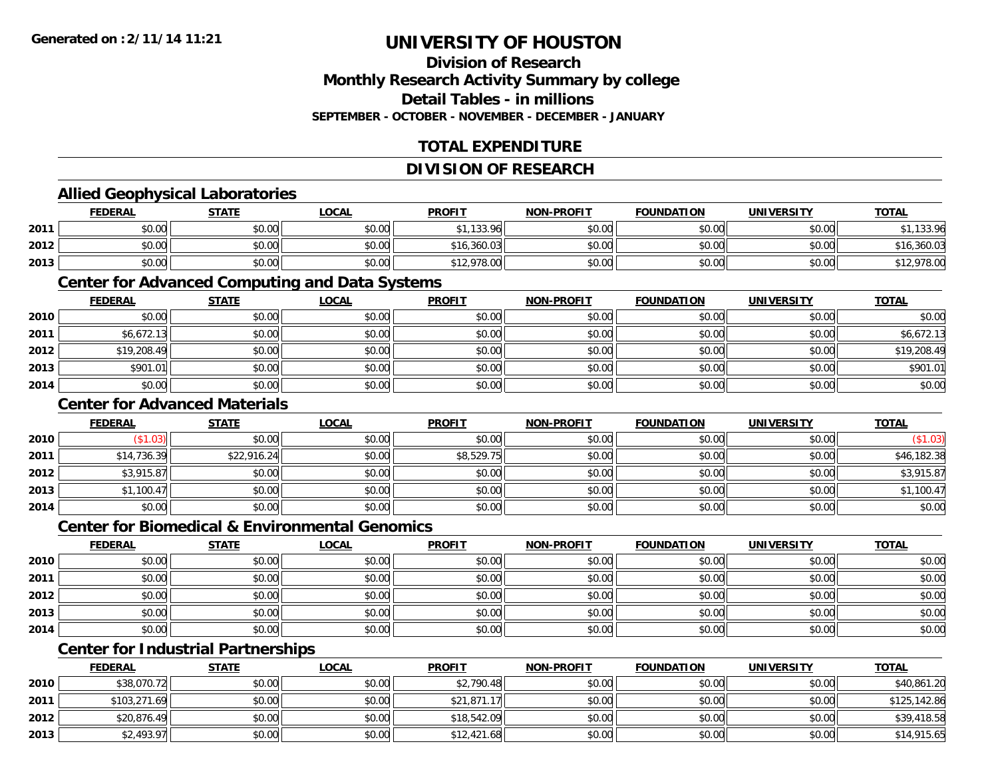### **Division of ResearchMonthly Research Activity Summary by college Detail Tables - in millions SEPTEMBER - OCTOBER - NOVEMBER - DECEMBER - JANUARY**

## **TOTAL EXPENDITURE**

#### **DIVISION OF RESEARCH**

### **Allied Geophysical Laboratories**

|      | <b>FEDERAL</b> | STATE  | LOCAL  | <b>PROFIT</b> | <b>NON-PROFIT</b> | <b>FOUNDATION</b> | UNIVERSITY | <b>TOTAL</b> |
|------|----------------|--------|--------|---------------|-------------------|-------------------|------------|--------------|
| 2011 | \$0.00         | \$0.00 | \$0.00 | \$1,133.96    | \$0.00            | \$0.00            | \$0.00     | ,133.96      |
| 2012 | \$0.00         | \$0.00 | \$0.00 | \$16,360.03   | \$0.00            | \$0.00            | \$0.00     | \$16,360.03  |
| 2013 | \$0.00         | \$0.00 | \$0.00 | \$12,978.00   | \$0.00            | \$0.00            | \$0.00     | ,978.00      |

#### **Center for Advanced Computing and Data Systems**

|      | <u>FEDERAL</u> | <u>STATE</u> | <u>LOCAL</u> | <b>PROFIT</b> | <b>NON-PROFIT</b> | <b>FOUNDATION</b> | <b>UNIVERSITY</b> | <b>TOTAL</b> |
|------|----------------|--------------|--------------|---------------|-------------------|-------------------|-------------------|--------------|
| 2010 | \$0.00         | \$0.00       | \$0.00       | \$0.00        | \$0.00            | \$0.00            | \$0.00            | \$0.00       |
| 2011 | \$6,672.13     | \$0.00       | \$0.00       | \$0.00        | \$0.00            | \$0.00            | \$0.00            | \$6,672.13   |
| 2012 | \$19,208.49    | \$0.00       | \$0.00       | \$0.00        | \$0.00            | \$0.00            | \$0.00            | \$19,208.49  |
| 2013 | \$901.01       | \$0.00       | \$0.00       | \$0.00        | \$0.00            | \$0.00            | \$0.00            | \$901.01     |
| 2014 | \$0.00         | \$0.00       | \$0.00       | \$0.00        | \$0.00            | \$0.00            | \$0.00            | \$0.00       |

### **Center for Advanced Materials**

|      | <b>FEDERAL</b> | <b>STATE</b> | <b>LOCAL</b> | <b>PROFIT</b> | <b>NON-PROFIT</b> | <b>FOUNDATION</b> | <b>UNIVERSITY</b> | <b>TOTAL</b> |
|------|----------------|--------------|--------------|---------------|-------------------|-------------------|-------------------|--------------|
| 2010 | \$1.03)        | \$0.00       | \$0.00       | \$0.00        | \$0.00            | \$0.00            | \$0.00            | (\$1.03)     |
| 2011 | \$14,736.39    | \$22,916.24  | \$0.00       | \$8,529.75    | \$0.00            | \$0.00            | \$0.00            | \$46,182.38  |
| 2012 | \$3,915.87     | \$0.00       | \$0.00       | \$0.00        | \$0.00            | \$0.00            | \$0.00            | \$3,915.87   |
| 2013 | \$1,100.47     | \$0.00       | \$0.00       | \$0.00        | \$0.00            | \$0.00            | \$0.00            | \$1,100.47   |
| 2014 | \$0.00         | \$0.00       | \$0.00       | \$0.00        | \$0.00            | \$0.00            | \$0.00            | \$0.00       |

#### **Center for Biomedical & Environmental Genomics**

|      | <u>FEDERAL</u> | <b>STATE</b> | <b>LOCAL</b> | <b>PROFIT</b> | NON-PROFIT | <b>FOUNDATION</b> | <b>UNIVERSITY</b> | <b>TOTAL</b> |
|------|----------------|--------------|--------------|---------------|------------|-------------------|-------------------|--------------|
| 2010 | \$0.00         | \$0.00       | \$0.00       | \$0.00        | \$0.00     | \$0.00            | \$0.00            | \$0.00       |
| 2011 | \$0.00         | \$0.00       | \$0.00       | \$0.00        | \$0.00     | \$0.00            | \$0.00            | \$0.00       |
| 2012 | \$0.00         | \$0.00       | \$0.00       | \$0.00        | \$0.00     | \$0.00            | \$0.00            | \$0.00       |
| 2013 | \$0.00         | \$0.00       | \$0.00       | \$0.00        | \$0.00     | \$0.00            | \$0.00            | \$0.00       |
| 2014 | \$0.00         | \$0.00       | \$0.00       | \$0.00        | \$0.00     | \$0.00            | \$0.00            | \$0.00       |

## **Center for Industrial Partnerships**

|      | <b>FEDERAL</b> | <b>STATE</b> | <u>LOCAL</u> | <b>PROFIT</b> | <b>NON-PROFIT</b> | <b>FOUNDATION</b> | <b>UNIVERSITY</b> | <b>TOTAL</b> |
|------|----------------|--------------|--------------|---------------|-------------------|-------------------|-------------------|--------------|
| 2010 | \$38,070.72    | \$0.00       | \$0.00       | \$2,790.48    | \$0.00            | \$0.00            | \$0.00            | \$40,861.20  |
| 2011 | \$103,271.69   | \$0.00       | \$0.00       | \$21,871.17   | \$0.00            | \$0.00            | \$0.00            | \$125,142.86 |
| 2012 | \$20,876.49    | \$0.00       | \$0.00       | \$18,542.09   | \$0.00            | \$0.00            | \$0.00            | \$39,418.58  |
| 2013 | \$2,493.97     | \$0.00       | \$0.00       | \$12,421.68   | \$0.00            | \$0.00            | \$0.00            | \$14,915.65  |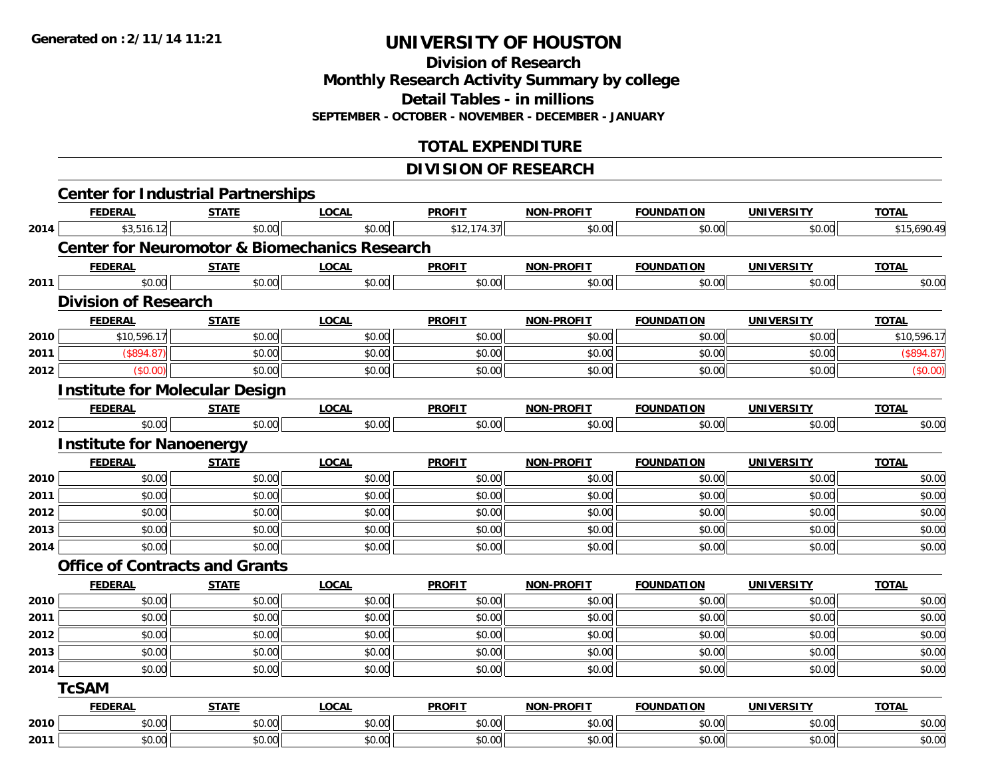**Division of Research Monthly Research Activity Summary by college**

**Detail Tables - in millions**

**SEPTEMBER - OCTOBER - NOVEMBER - DECEMBER - JANUARY**

### **TOTAL EXPENDITURE**

### **DIVISION OF RESEARCH**

|      | <b>Center for Industrial Partnerships</b>                |              |              |               |                   |                   |                   |              |  |  |  |  |
|------|----------------------------------------------------------|--------------|--------------|---------------|-------------------|-------------------|-------------------|--------------|--|--|--|--|
|      | <b>FEDERAL</b>                                           | <b>STATE</b> | <b>LOCAL</b> | <b>PROFIT</b> | <b>NON-PROFIT</b> | <b>FOUNDATION</b> | <b>UNIVERSITY</b> | <b>TOTAL</b> |  |  |  |  |
| 2014 | \$3,516.12                                               | \$0.00       | \$0.00       | \$12,174.37   | \$0.00            | \$0.00            | \$0.00            | \$15,690.49  |  |  |  |  |
|      | <b>Center for Neuromotor &amp; Biomechanics Research</b> |              |              |               |                   |                   |                   |              |  |  |  |  |
|      | <b>FEDERAL</b>                                           | <b>STATE</b> | <b>LOCAL</b> | <b>PROFIT</b> | <b>NON-PROFIT</b> | <b>FOUNDATION</b> | <b>UNIVERSITY</b> | <b>TOTAL</b> |  |  |  |  |
| 2011 | \$0.00                                                   | \$0.00       | \$0.00       | \$0.00        | \$0.00            | \$0.00            | \$0.00            | \$0.00       |  |  |  |  |
|      | <b>Division of Research</b>                              |              |              |               |                   |                   |                   |              |  |  |  |  |
|      | <b>FEDERAL</b>                                           | <b>STATE</b> | <b>LOCAL</b> | <b>PROFIT</b> | <b>NON-PROFIT</b> | <b>FOUNDATION</b> | <b>UNIVERSITY</b> | <b>TOTAL</b> |  |  |  |  |
| 2010 | \$10,596.17                                              | \$0.00       | \$0.00       | \$0.00        | \$0.00            | \$0.00            | \$0.00            | \$10,596.17  |  |  |  |  |
| 2011 | (S894.87)                                                | \$0.00       | \$0.00       | \$0.00        | \$0.00            | \$0.00            | \$0.00            | (\$894.87)   |  |  |  |  |
| 2012 | (\$0.00)                                                 | \$0.00       | \$0.00       | \$0.00        | \$0.00            | \$0.00            | \$0.00            | (\$0.00)     |  |  |  |  |
|      | <b>Institute for Molecular Design</b>                    |              |              |               |                   |                   |                   |              |  |  |  |  |
|      | <b>FEDERAL</b>                                           | <b>STATE</b> | <b>LOCAL</b> | <b>PROFIT</b> | <b>NON-PROFIT</b> | <b>FOUNDATION</b> | <b>UNIVERSITY</b> | <b>TOTAL</b> |  |  |  |  |
| 2012 | \$0.00                                                   | \$0.00       | \$0.00       | \$0.00        | \$0.00            | \$0.00            | \$0.00            | \$0.00       |  |  |  |  |
|      | <b>Institute for Nanoenergy</b>                          |              |              |               |                   |                   |                   |              |  |  |  |  |
|      | <b>FEDERAL</b>                                           | <b>STATE</b> | <b>LOCAL</b> | <b>PROFIT</b> | <b>NON-PROFIT</b> | <b>FOUNDATION</b> | <b>UNIVERSITY</b> | <b>TOTAL</b> |  |  |  |  |
| 2010 | \$0.00                                                   | \$0.00       | \$0.00       | \$0.00        | \$0.00            | \$0.00            | \$0.00            | \$0.00       |  |  |  |  |
| 2011 | \$0.00                                                   | \$0.00       | \$0.00       | \$0.00        | \$0.00            | \$0.00            | \$0.00            | \$0.00       |  |  |  |  |
| 2012 | \$0.00                                                   | \$0.00       | \$0.00       | \$0.00        | \$0.00            | \$0.00            | \$0.00            | \$0.00       |  |  |  |  |
| 2013 | \$0.00                                                   | \$0.00       | \$0.00       | \$0.00        | \$0.00            | \$0.00            | \$0.00            | \$0.00       |  |  |  |  |
| 2014 | \$0.00                                                   | \$0.00       | \$0.00       | \$0.00        | \$0.00            | \$0.00            | \$0.00            | \$0.00       |  |  |  |  |
|      | <b>Office of Contracts and Grants</b>                    |              |              |               |                   |                   |                   |              |  |  |  |  |
|      | <b>FEDERAL</b>                                           | <b>STATE</b> | <b>LOCAL</b> | <b>PROFIT</b> | <b>NON-PROFIT</b> | <b>FOUNDATION</b> | <b>UNIVERSITY</b> | <b>TOTAL</b> |  |  |  |  |
| 2010 | \$0.00                                                   | \$0.00       | \$0.00       | \$0.00        | \$0.00            | \$0.00            | \$0.00            | \$0.00       |  |  |  |  |
| 2011 | \$0.00                                                   | \$0.00       | \$0.00       | \$0.00        | \$0.00            | \$0.00            | \$0.00            | \$0.00       |  |  |  |  |
| 2012 | \$0.00                                                   | \$0.00       | \$0.00       | \$0.00        | \$0.00            | \$0.00            | \$0.00            | \$0.00       |  |  |  |  |
| 2013 | \$0.00                                                   | \$0.00       | \$0.00       | \$0.00        | \$0.00            | \$0.00            | \$0.00            | \$0.00       |  |  |  |  |
| 2014 | \$0.00                                                   | \$0.00       | \$0.00       | \$0.00        | \$0.00            | \$0.00            | \$0.00            | \$0.00       |  |  |  |  |
|      | <b>TcSAM</b>                                             |              |              |               |                   |                   |                   |              |  |  |  |  |
|      | <b>FEDERAL</b>                                           | <b>STATE</b> | <b>LOCAL</b> | <b>PROFIT</b> | <b>NON-PROFIT</b> | <b>FOUNDATION</b> | <b>UNIVERSITY</b> | <b>TOTAL</b> |  |  |  |  |
| 2010 | \$0.00                                                   | \$0.00       | \$0.00       | \$0.00        | \$0.00            | \$0.00            | \$0.00            | \$0.00       |  |  |  |  |
| 2011 | \$0.00                                                   | \$0.00       | \$0.00       | \$0.00        | \$0.00            | \$0.00            | \$0.00            | \$0.00       |  |  |  |  |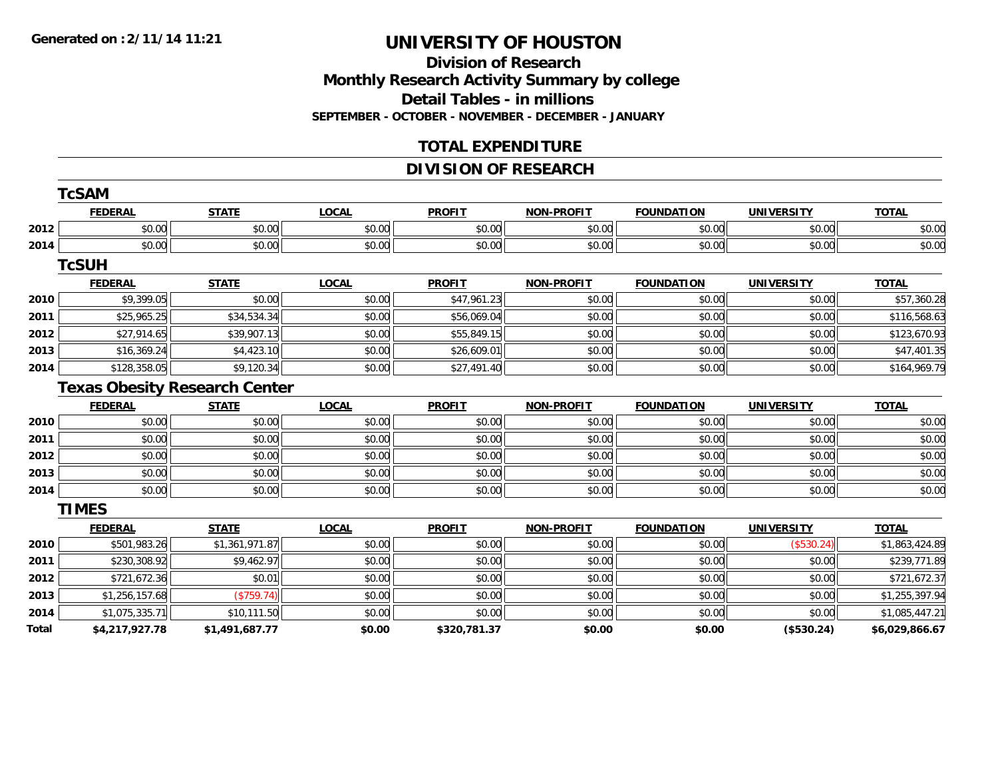#### **Division of Research Monthly Research Activity Summary by college Detail Tables - in millions SEPTEMBER - OCTOBER - NOVEMBER - DECEMBER - JANUARY**

### **TOTAL EXPENDITURE**

### **DIVISION OF RESEARCH**

|              | <b>TcSAM</b>                         |                |              |               |                   |                   |                   |                |  |  |
|--------------|--------------------------------------|----------------|--------------|---------------|-------------------|-------------------|-------------------|----------------|--|--|
|              | <b>FEDERAL</b>                       | <b>STATE</b>   | <b>LOCAL</b> | <b>PROFIT</b> | <b>NON-PROFIT</b> | <b>FOUNDATION</b> | <b>UNIVERSITY</b> | <b>TOTAL</b>   |  |  |
| 2012         | \$0.00                               | \$0.00         | \$0.00       | \$0.00        | \$0.00            | \$0.00            | \$0.00            | \$0.00         |  |  |
| 2014         | \$0.00                               | \$0.00         | \$0.00       | \$0.00        | \$0.00            | \$0.00            | \$0.00            | \$0.00         |  |  |
|              | <b>TcSUH</b>                         |                |              |               |                   |                   |                   |                |  |  |
|              | <b>FEDERAL</b>                       | <b>STATE</b>   | <b>LOCAL</b> | <b>PROFIT</b> | <b>NON-PROFIT</b> | <b>FOUNDATION</b> | <b>UNIVERSITY</b> | <b>TOTAL</b>   |  |  |
| 2010         | \$9,399.05                           | \$0.00         | \$0.00       | \$47,961.23   | \$0.00            | \$0.00            | \$0.00            | \$57,360.28    |  |  |
| 2011         | \$25,965.25                          | \$34,534.34    | \$0.00       | \$56,069.04   | \$0.00            | \$0.00            | \$0.00            | \$116,568.63   |  |  |
| 2012         | \$27,914.65                          | \$39,907.13    | \$0.00       | \$55,849.15   | \$0.00            | \$0.00            | \$0.00            | \$123,670.93   |  |  |
| 2013         | \$16,369.24                          | \$4,423.10     | \$0.00       | \$26,609.01   | \$0.00            | \$0.00            | \$0.00            | \$47,401.35    |  |  |
| 2014         | \$128,358.05                         | \$9,120.34     | \$0.00       | \$27,491.40   | \$0.00            | \$0.00            | \$0.00            | \$164,969.79   |  |  |
|              | <b>Texas Obesity Research Center</b> |                |              |               |                   |                   |                   |                |  |  |
|              | <b>FEDERAL</b>                       | <b>STATE</b>   | <b>LOCAL</b> | <b>PROFIT</b> | <b>NON-PROFIT</b> | <b>FOUNDATION</b> | <b>UNIVERSITY</b> | <b>TOTAL</b>   |  |  |
| 2010         | \$0.00                               | \$0.00         | \$0.00       | \$0.00        | \$0.00            | \$0.00            | \$0.00            | \$0.00         |  |  |
| 2011         | \$0.00                               | \$0.00         | \$0.00       | \$0.00        | \$0.00            | \$0.00            | \$0.00            | \$0.00         |  |  |
| 2012         | \$0.00                               | \$0.00         | \$0.00       | \$0.00        | \$0.00            | \$0.00            | \$0.00            | \$0.00         |  |  |
| 2013         | \$0.00                               | \$0.00         | \$0.00       | \$0.00        | \$0.00            | \$0.00            | \$0.00            | \$0.00         |  |  |
| 2014         | \$0.00                               | \$0.00         | \$0.00       | \$0.00        | \$0.00            | \$0.00            | \$0.00            | \$0.00         |  |  |
|              | <b>TIMES</b>                         |                |              |               |                   |                   |                   |                |  |  |
|              | <b>FEDERAL</b>                       | <b>STATE</b>   | <b>LOCAL</b> | <b>PROFIT</b> | <b>NON-PROFIT</b> | <b>FOUNDATION</b> | <b>UNIVERSITY</b> | <b>TOTAL</b>   |  |  |
| 2010         | \$501,983.26                         | \$1,361,971.87 | \$0.00       | \$0.00        | \$0.00            | \$0.00            | (\$530.24)        | \$1,863,424.89 |  |  |
| 2011         | \$230,308.92                         | \$9,462.97     | \$0.00       | \$0.00        | \$0.00            | \$0.00            | \$0.00            | \$239,771.89   |  |  |
| 2012         | \$721,672.36                         | \$0.01         | \$0.00       | \$0.00        | \$0.00            | \$0.00            | \$0.00            | \$721,672.37   |  |  |
| 2013         | \$1,256,157.68                       | (\$759.74)     | \$0.00       | \$0.00        | \$0.00            | \$0.00            | \$0.00            | \$1,255,397.94 |  |  |
| 2014         | \$1,075,335.71                       | \$10,111.50    | \$0.00       | \$0.00        | \$0.00            | \$0.00            | \$0.00            | \$1,085,447.21 |  |  |
| <b>Total</b> | \$4,217,927.78                       | \$1,491,687.77 | \$0.00       | \$320,781.37  | \$0.00            | \$0.00            | (\$530.24)        | \$6,029,866.67 |  |  |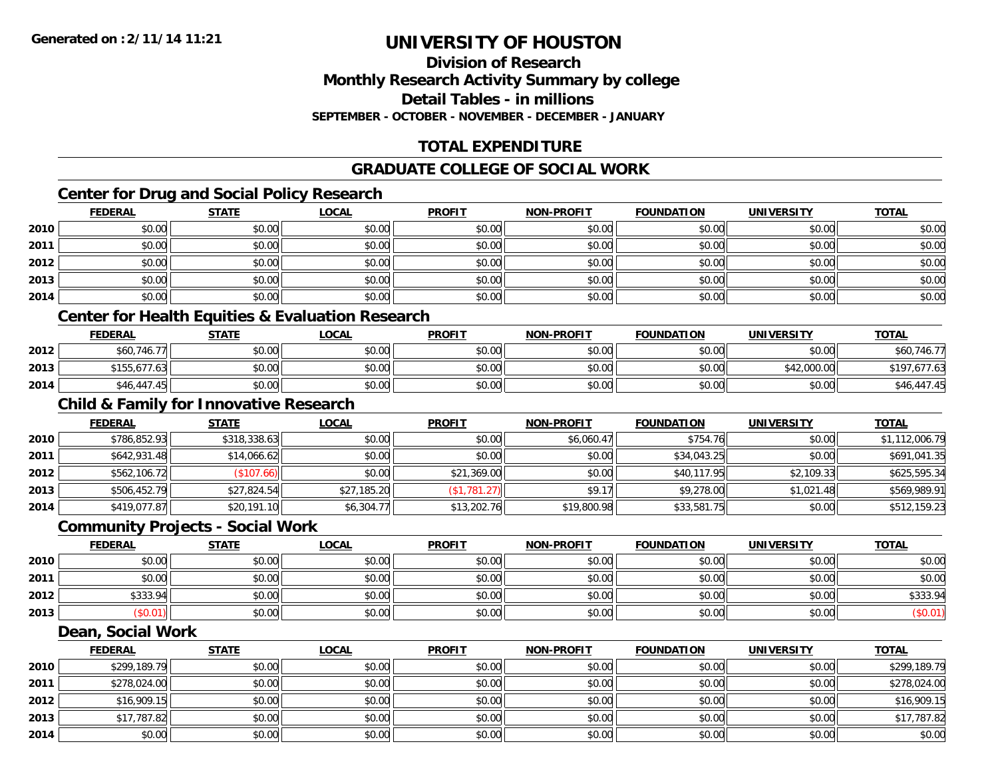## **Division of ResearchMonthly Research Activity Summary by college Detail Tables - in millions SEPTEMBER - OCTOBER - NOVEMBER - DECEMBER - JANUARY**

## **TOTAL EXPENDITURE**

## **GRADUATE COLLEGE OF SOCIAL WORK**

## **Center for Drug and Social Policy Research**

|      | <b>FEDERAL</b> | <b>STATE</b> | <b>LOCAL</b> | <b>PROFIT</b> | NON-PROFIT | <b>FOUNDATION</b> | <b>UNIVERSITY</b> | <b>TOTAL</b> |
|------|----------------|--------------|--------------|---------------|------------|-------------------|-------------------|--------------|
| 2010 | \$0.00         | \$0.00       | \$0.00       | \$0.00        | \$0.00     | \$0.00            | \$0.00            | \$0.00       |
| 2011 | \$0.00         | \$0.00       | \$0.00       | \$0.00        | \$0.00     | \$0.00            | \$0.00            | \$0.00       |
| 2012 | \$0.00         | \$0.00       | \$0.00       | \$0.00        | \$0.00     | \$0.00            | \$0.00            | \$0.00       |
| 2013 | \$0.00         | \$0.00       | \$0.00       | \$0.00        | \$0.00     | \$0.00            | \$0.00            | \$0.00       |
| 2014 | \$0.00         | \$0.00       | \$0.00       | \$0.00        | \$0.00     | \$0.00            | \$0.00            | \$0.00       |
|      |                |              |              |               |            |                   |                   |              |

### **Center for Health Equities & Evaluation Research**

|      | <b>FEDERAL</b> | <b>STATE</b> | <u>LOCAL</u> | <b>PROFIT</b> | <b>NON-PROFIT</b> | <b>FOUNDATION</b> | UNIVERSITY  | <b>TOTAL</b> |
|------|----------------|--------------|--------------|---------------|-------------------|-------------------|-------------|--------------|
| 2012 | \$60,746.77    | \$0.00       | \$0.00       | \$0.00        | \$0.00            | \$0.00            | \$0.00      | \$60,746.77  |
| 2013 | \$155,677.63   | \$0.00       | \$0.00       | \$0.00        | \$0.00            | \$0.00            | \$42,000.00 | \$197,677.63 |
| 2014 | \$46,447.45    | \$0.00       | \$0.00       | \$0.00        | \$0.00            | \$0.00            | \$0.00      | \$46,447.45  |

## **Child & Family for Innovative Research**

|      | <b>FEDERAL</b> | <u>STATE</u> | <b>LOCAL</b> | <b>PROFIT</b> | <b>NON-PROFIT</b> | <b>FOUNDATION</b> | <b>UNIVERSITY</b> | <b>TOTAL</b>   |
|------|----------------|--------------|--------------|---------------|-------------------|-------------------|-------------------|----------------|
| 2010 | \$786,852.93   | \$318,338.63 | \$0.00       | \$0.00        | \$6,060.47        | \$754.76          | \$0.00            | \$1,112,006.79 |
| 2011 | \$642,931.48   | \$14,066.62  | \$0.00       | \$0.00        | \$0.00            | \$34,043.25       | \$0.00            | \$691,041.35   |
| 2012 | \$562,106.72   | (\$107.66)   | \$0.00       | \$21,369.00   | \$0.00            | \$40,117.95       | \$2,109.33        | \$625,595.34   |
| 2013 | \$506,452.79   | \$27,824.54  | \$27,185.20  | (\$1,781.27)  | \$9.17            | \$9,278.00        | \$1,021.48        | \$569,989.91   |
| 2014 | \$419,077.87   | \$20,191.10  | \$6,304.77   | \$13,202.76   | \$19,800.98       | \$33,581.75       | \$0.00            | \$512,159.23   |

#### **Community Projects - Social Work**

|      | <b>FEDERAL</b> | STATE  | <u>LOCAL</u> | <b>PROFIT</b> | <b>NON-PROFIT</b> | <b>FOUNDATION</b> | UNIVERSITY | <b>TOTAL</b> |
|------|----------------|--------|--------------|---------------|-------------------|-------------------|------------|--------------|
| 2010 | \$0.00         | \$0.00 | \$0.00       | \$0.00        | \$0.00            | \$0.00            | \$0.00     | \$0.00       |
| 2011 | \$0.00         | \$0.00 | \$0.00       | \$0.00        | \$0.00            | \$0.00            | \$0.00     | \$0.00       |
| 2012 | \$333.94       | \$0.00 | \$0.00       | \$0.00        | \$0.00            | \$0.00            | \$0.00     | \$333.94     |
| 2013 | \$0.01         | \$0.00 | \$0.00       | \$0.00        | \$0.00            | \$0.00            | \$0.00     | (\$0.01)     |

#### **Dean, Social Work**

|      | <b>FEDERAL</b> | <b>STATE</b> | <u>LOCAL</u> | <b>PROFIT</b> | <b>NON-PROFIT</b> | <b>FOUNDATION</b> | <b>UNIVERSITY</b> | <b>TOTAL</b> |
|------|----------------|--------------|--------------|---------------|-------------------|-------------------|-------------------|--------------|
| 2010 | \$299,189.79   | \$0.00       | \$0.00       | \$0.00        | \$0.00            | \$0.00            | \$0.00            | \$299,189.79 |
| 2011 | \$278,024.00   | \$0.00       | \$0.00       | \$0.00        | \$0.00            | \$0.00            | \$0.00            | \$278,024.00 |
| 2012 | \$16,909.15    | \$0.00       | \$0.00       | \$0.00        | \$0.00            | \$0.00            | \$0.00            | \$16,909.15  |
| 2013 | \$17,787.82    | \$0.00       | \$0.00       | \$0.00        | \$0.00            | \$0.00            | \$0.00            | \$17,787.82  |
| 2014 | \$0.00         | \$0.00       | \$0.00       | \$0.00        | \$0.00            | \$0.00            | \$0.00            | \$0.00       |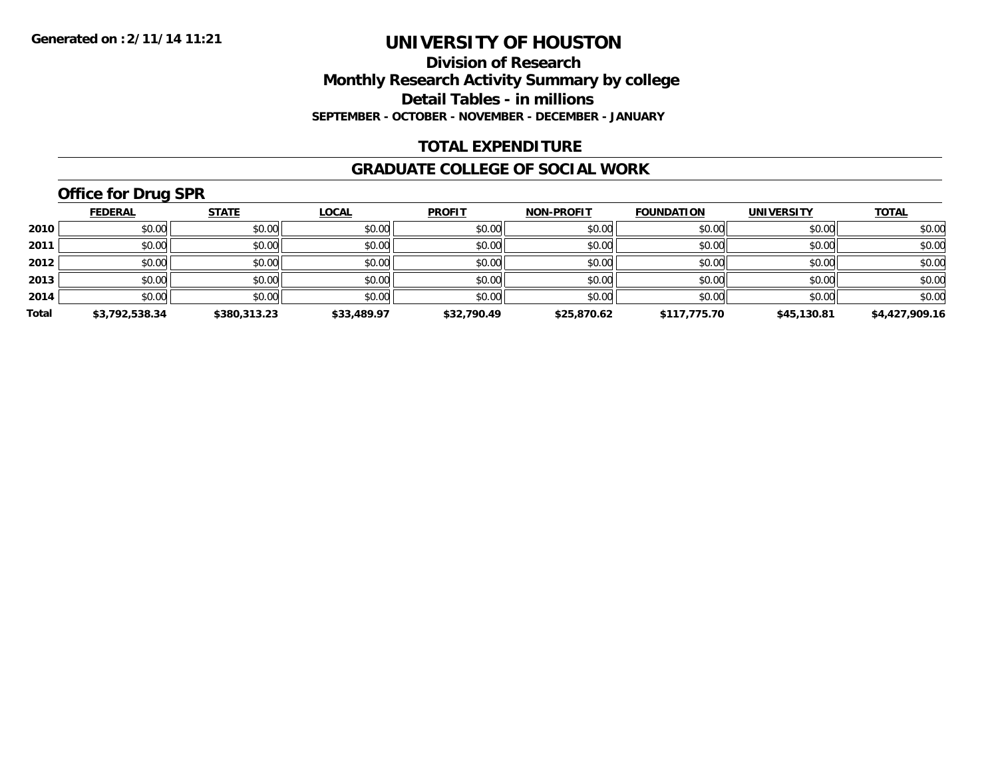**Division of Research Monthly Research Activity Summary by college Detail Tables - in millions SEPTEMBER - OCTOBER - NOVEMBER - DECEMBER - JANUARY**

#### **TOTAL EXPENDITURE**

#### **GRADUATE COLLEGE OF SOCIAL WORK**

# **Office for Drug SPR**

|       | <b>FEDERAL</b> | <b>STATE</b> | <b>LOCAL</b> | <b>PROFIT</b> | <b>NON-PROFIT</b> | <b>FOUNDATION</b> | <b>UNIVERSITY</b> | <b>TOTAL</b>   |
|-------|----------------|--------------|--------------|---------------|-------------------|-------------------|-------------------|----------------|
| 2010  | \$0.00         | \$0.00       | \$0.00       | \$0.00        | \$0.00            | \$0.00            | \$0.00            | \$0.00         |
| 2011  | \$0.00         | \$0.00       | \$0.00       | \$0.00        | \$0.00            | \$0.00            | \$0.00            | \$0.00         |
| 2012  | \$0.00         | \$0.00       | \$0.00       | \$0.00        | \$0.00            | \$0.00            | \$0.00            | \$0.00         |
| 2013  | \$0.00         | \$0.00       | \$0.00       | \$0.00        | \$0.00            | \$0.00            | \$0.00            | \$0.00         |
| 2014  | \$0.00         | \$0.00       | \$0.00       | \$0.00        | \$0.00            | \$0.00            | \$0.00            | \$0.00         |
| Total | \$3,792,538.34 | \$380,313.23 | \$33,489.97  | \$32,790.49   | \$25,870.62       | \$117,775.70      | \$45,130.81       | \$4,427,909.16 |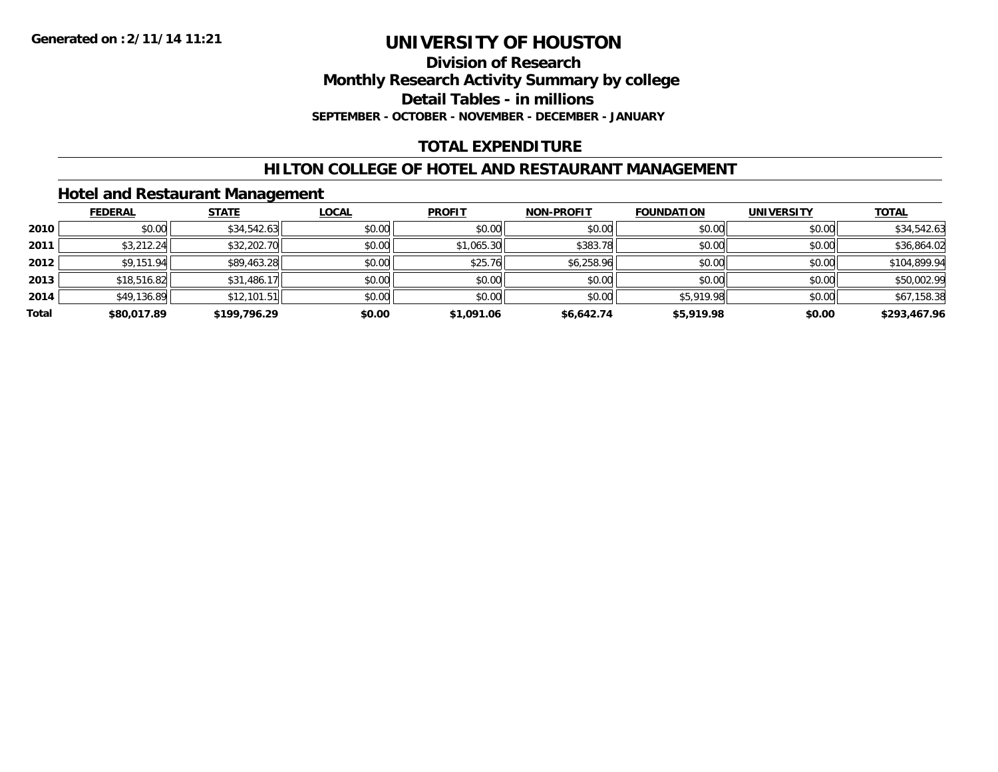#### **Division of Research Monthly Research Activity Summary by college Detail Tables - in millions SEPTEMBER - OCTOBER - NOVEMBER - DECEMBER - JANUARY**

## **TOTAL EXPENDITURE**

### **HILTON COLLEGE OF HOTEL AND RESTAURANT MANAGEMENT**

### **Hotel and Restaurant Management**

|       | <b>FEDERAL</b> | <b>STATE</b> | <b>LOCAL</b> | <b>PROFIT</b> | <b>NON-PROFIT</b> | <b>FOUNDATION</b> | <b>UNIVERSITY</b> | <b>TOTAL</b> |
|-------|----------------|--------------|--------------|---------------|-------------------|-------------------|-------------------|--------------|
| 2010  | \$0.00         | \$34,542.63  | \$0.00       | \$0.00        | \$0.00            | \$0.00            | \$0.00            | \$34,542.63  |
| 2011  | \$3,212.24     | \$32,202.70  | \$0.00       | \$1,065.30    | \$383.78          | \$0.00            | \$0.00            | \$36,864.02  |
| 2012  | \$9,151.94     | \$89,463.28  | \$0.00       | \$25.76       | \$6,258.96        | \$0.00            | \$0.00            | \$104.899.94 |
| 2013  | \$18,516.82    | \$31,486.17  | \$0.00       | \$0.00        | \$0.00            | \$0.00            | \$0.00            | \$50,002.99  |
| 2014  | \$49,136.89    | \$12,101.51  | \$0.00       | \$0.00        | \$0.00            | \$5,919.98        | \$0.00            | \$67,158.38  |
| Total | \$80,017.89    | \$199,796.29 | \$0.00       | \$1,091.06    | \$6,642.74        | \$5,919.98        | \$0.00            | \$293,467.96 |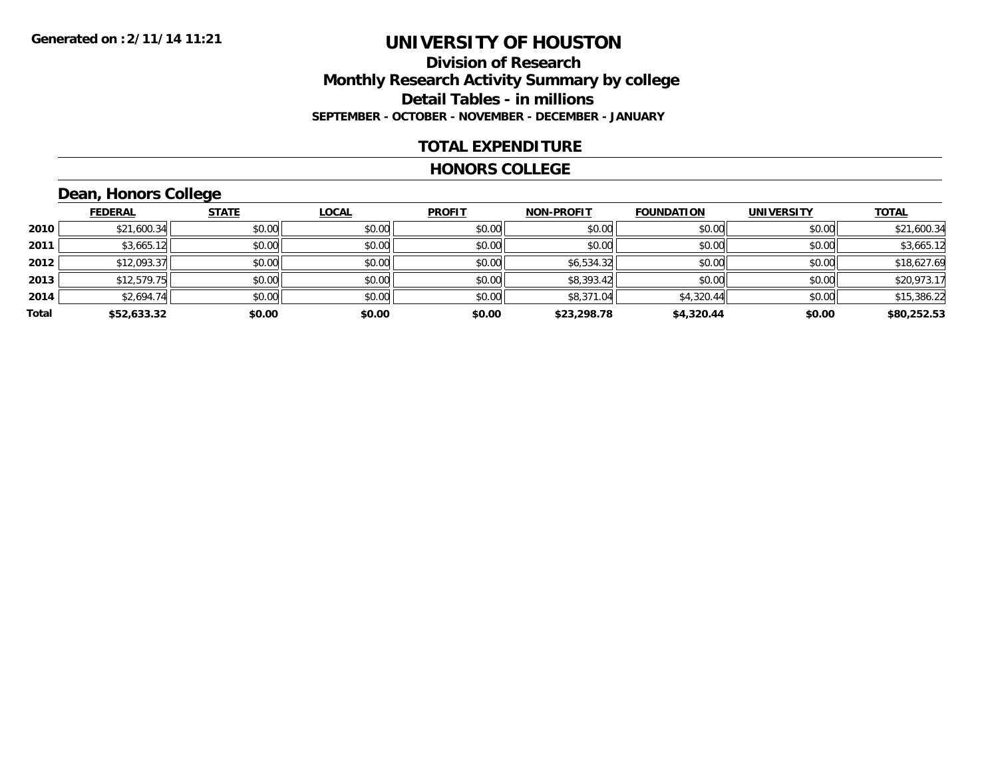### **Division of Research Monthly Research Activity Summary by college Detail Tables - in millions SEPTEMBER - OCTOBER - NOVEMBER - DECEMBER - JANUARY**

#### **TOTAL EXPENDITURE**

#### **HONORS COLLEGE**

# **Dean, Honors College**

|       |                | $\sim$       |              |               |                   |                   |                   |              |
|-------|----------------|--------------|--------------|---------------|-------------------|-------------------|-------------------|--------------|
|       | <b>FEDERAL</b> | <b>STATE</b> | <b>LOCAL</b> | <b>PROFIT</b> | <b>NON-PROFIT</b> | <b>FOUNDATION</b> | <b>UNIVERSITY</b> | <b>TOTAL</b> |
| 2010  | \$21,600.34    | \$0.00       | \$0.00       | \$0.00        | \$0.00            | \$0.00            | \$0.00            | \$21,600.34  |
| 2011  | \$3,665.12     | \$0.00       | \$0.00       | \$0.00        | \$0.00            | \$0.00            | \$0.00            | \$3,665.12   |
| 2012  | \$12,093.37    | \$0.00       | \$0.00       | \$0.00        | \$6,534.32        | \$0.00            | \$0.00            | \$18,627.69  |
| 2013  | \$12,579.75    | \$0.00       | \$0.00       | \$0.00        | \$8,393.42        | \$0.00            | \$0.00            | \$20,973.17  |
| 2014  | \$2,694.74     | \$0.00       | \$0.00       | \$0.00        | \$8,371.04        | \$4,320.44        | \$0.00            | \$15,386.22  |
| Total | \$52,633.32    | \$0.00       | \$0.00       | \$0.00        | \$23,298.78       | \$4,320.44        | \$0.00            | \$80,252.53  |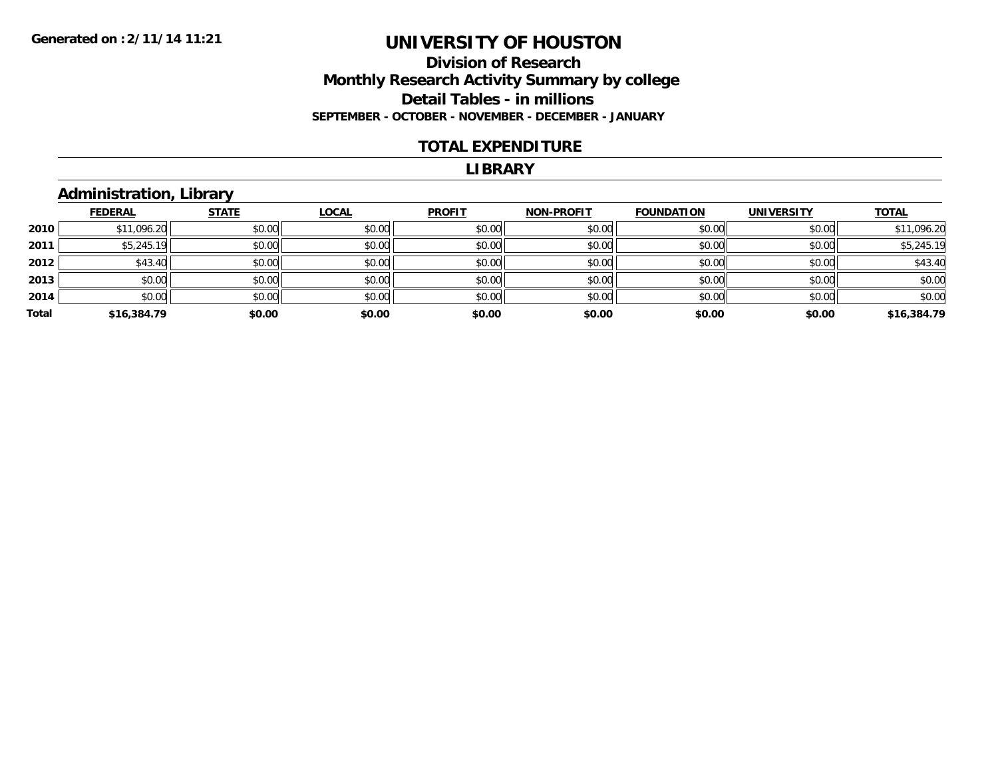### **Division of Research Monthly Research Activity Summary by college Detail Tables - in millions SEPTEMBER - OCTOBER - NOVEMBER - DECEMBER - JANUARY**

#### **TOTAL EXPENDITURE**

#### **LIBRARY**

## **Administration, Library**

|       | <b>FEDERAL</b> | <b>STATE</b> | <b>LOCAL</b> | <b>PROFIT</b> | <b>NON-PROFIT</b> | <b>FOUNDATION</b> | <b>UNIVERSITY</b> | <b>TOTAL</b> |
|-------|----------------|--------------|--------------|---------------|-------------------|-------------------|-------------------|--------------|
| 2010  | \$11,096.20    | \$0.00       | \$0.00       | \$0.00        | \$0.00            | \$0.00            | \$0.00            | \$11,096.20  |
| 2011  | \$5,245.19     | \$0.00       | \$0.00       | \$0.00        | \$0.00            | \$0.00            | \$0.00            | \$5,245.19   |
| 2012  | \$43.40        | \$0.00       | \$0.00       | \$0.00        | \$0.00            | \$0.00            | \$0.00            | \$43.40      |
| 2013  | \$0.00         | \$0.00       | \$0.00       | \$0.00        | \$0.00            | \$0.00            | \$0.00            | \$0.00       |
| 2014  | \$0.00         | \$0.00       | \$0.00       | \$0.00        | \$0.00            | \$0.00            | \$0.00            | \$0.00       |
| Total | \$16,384.79    | \$0.00       | \$0.00       | \$0.00        | \$0.00            | \$0.00            | \$0.00            | \$16,384.79  |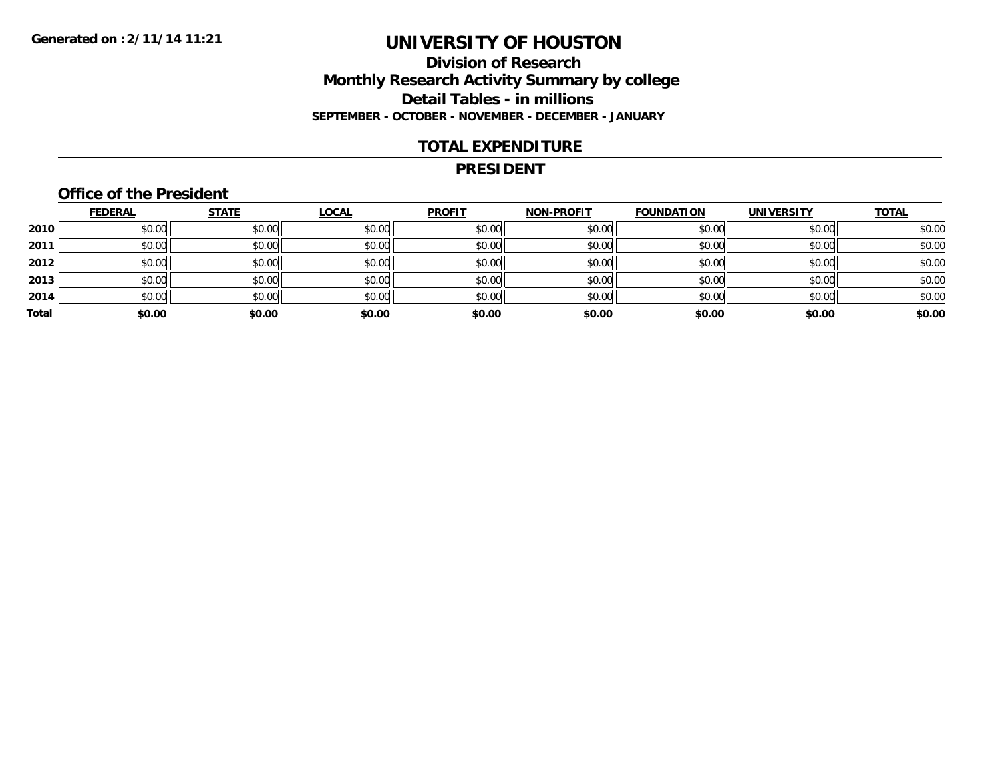### **Division of Research Monthly Research Activity Summary by college Detail Tables - in millions SEPTEMBER - OCTOBER - NOVEMBER - DECEMBER - JANUARY**

#### **TOTAL EXPENDITURE**

#### **PRESIDENT**

### **Office of the President**

|       | <b>FEDERAL</b> | <b>STATE</b> | <b>LOCAL</b> | <b>PROFIT</b> | <b>NON-PROFIT</b> | <b>FOUNDATION</b> | <b>UNIVERSITY</b> | <b>TOTAL</b> |
|-------|----------------|--------------|--------------|---------------|-------------------|-------------------|-------------------|--------------|
| 2010  | \$0.00         | \$0.00       | \$0.00       | \$0.00        | \$0.00            | \$0.00            | \$0.00            | \$0.00       |
| 2011  | \$0.00         | \$0.00       | \$0.00       | \$0.00        | \$0.00            | \$0.00            | \$0.00            | \$0.00       |
| 2012  | \$0.00         | \$0.00       | \$0.00       | \$0.00        | \$0.00            | \$0.00            | \$0.00            | \$0.00       |
| 2013  | \$0.00         | \$0.00       | \$0.00       | \$0.00        | \$0.00            | \$0.00            | \$0.00            | \$0.00       |
| 2014  | \$0.00         | \$0.00       | \$0.00       | \$0.00        | \$0.00            | \$0.00            | \$0.00            | \$0.00       |
| Total | \$0.00         | \$0.00       | \$0.00       | \$0.00        | \$0.00            | \$0.00            | \$0.00            | \$0.00       |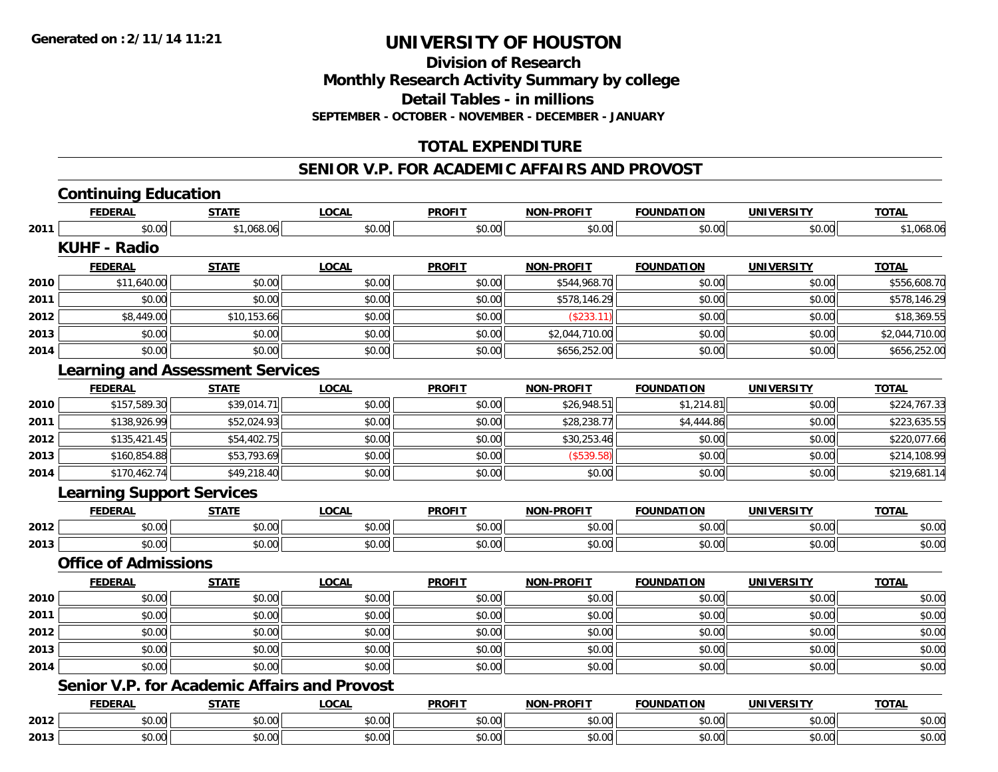**Division of Research**

**Monthly Research Activity Summary by college**

**Detail Tables - in millions**

**SEPTEMBER - OCTOBER - NOVEMBER - DECEMBER - JANUARY**

## **TOTAL EXPENDITURE**

#### **SENIOR V.P. FOR ACADEMIC AFFAIRS AND PROVOST**

|      | <b>Continuing Education</b>                         |              |              |               |                   |                   |                   |                |
|------|-----------------------------------------------------|--------------|--------------|---------------|-------------------|-------------------|-------------------|----------------|
|      | <b>FEDERAL</b>                                      | <b>STATE</b> | <b>LOCAL</b> | <b>PROFIT</b> | <b>NON-PROFIT</b> | <b>FOUNDATION</b> | <b>UNIVERSITY</b> | <b>TOTAL</b>   |
| 2011 | \$0.00                                              | \$1,068.06   | \$0.00       | \$0.00        | \$0.00            | \$0.00            | \$0.00            | \$1,068.06     |
|      | <b>KUHF - Radio</b>                                 |              |              |               |                   |                   |                   |                |
|      | <b>FEDERAL</b>                                      | <b>STATE</b> | <b>LOCAL</b> | <b>PROFIT</b> | <b>NON-PROFIT</b> | <b>FOUNDATION</b> | <b>UNIVERSITY</b> | <b>TOTAL</b>   |
| 2010 | \$11,640.00                                         | \$0.00       | \$0.00       | \$0.00        | \$544,968.70      | \$0.00            | \$0.00            | \$556,608.70   |
| 2011 | \$0.00                                              | \$0.00       | \$0.00       | \$0.00        | \$578,146.29      | \$0.00            | \$0.00            | \$578,146.29   |
| 2012 | \$8,449.00                                          | \$10,153.66  | \$0.00       | \$0.00        | (\$233.11)        | \$0.00            | \$0.00            | \$18,369.55    |
| 2013 | \$0.00                                              | \$0.00       | \$0.00       | \$0.00        | \$2,044,710.00    | \$0.00            | \$0.00            | \$2,044,710.00 |
| 2014 | \$0.00                                              | \$0.00       | \$0.00       | \$0.00        | \$656,252.00      | \$0.00            | \$0.00            | \$656,252.00   |
|      | <b>Learning and Assessment Services</b>             |              |              |               |                   |                   |                   |                |
|      | <b>FEDERAL</b>                                      | <b>STATE</b> | <b>LOCAL</b> | <b>PROFIT</b> | NON-PROFIT        | <b>FOUNDATION</b> | <b>UNIVERSITY</b> | <b>TOTAL</b>   |
| 2010 | \$157,589.30                                        | \$39,014.71  | \$0.00       | \$0.00        | \$26,948.51       | \$1,214.81        | \$0.00            | \$224,767.33   |
| 2011 | \$138,926.99                                        | \$52,024.93  | \$0.00       | \$0.00        | \$28,238.77       | \$4,444.86        | \$0.00            | \$223,635.55   |
| 2012 | \$135,421.45                                        | \$54,402.75  | \$0.00       | \$0.00        | \$30,253.46       | \$0.00            | \$0.00            | \$220,077.66   |
| 2013 | \$160,854.88                                        | \$53,793.69  | \$0.00       | \$0.00        | (\$539.58)        | \$0.00            | \$0.00            | \$214,108.99   |
| 2014 | \$170,462.74                                        | \$49,218.40  | \$0.00       | \$0.00        | \$0.00            | \$0.00            | \$0.00            | \$219,681.14   |
|      | <b>Learning Support Services</b>                    |              |              |               |                   |                   |                   |                |
|      | <b>FEDERAL</b>                                      | <b>STATE</b> | <b>LOCAL</b> | <b>PROFIT</b> | <b>NON-PROFIT</b> | <b>FOUNDATION</b> | <b>UNIVERSITY</b> | <b>TOTAL</b>   |
| 2012 | \$0.00                                              | \$0.00       | \$0.00       | \$0.00        | \$0.00            | \$0.00            | \$0.00            | \$0.00         |
| 2013 | \$0.00                                              | \$0.00       | \$0.00       | \$0.00        | \$0.00            | \$0.00            | \$0.00            | \$0.00         |
|      | <b>Office of Admissions</b>                         |              |              |               |                   |                   |                   |                |
|      | <b>FEDERAL</b>                                      | <b>STATE</b> | <b>LOCAL</b> | <b>PROFIT</b> | <b>NON-PROFIT</b> | <b>FOUNDATION</b> | <b>UNIVERSITY</b> | <b>TOTAL</b>   |
| 2010 | \$0.00                                              | \$0.00       | \$0.00       | \$0.00        | \$0.00            | \$0.00            | \$0.00            | \$0.00         |
| 2011 | \$0.00                                              | \$0.00       | \$0.00       | \$0.00        | \$0.00            | \$0.00            | \$0.00            | \$0.00         |
| 2012 | \$0.00                                              | \$0.00       | \$0.00       | \$0.00        | \$0.00            | \$0.00            | \$0.00            | \$0.00         |
| 2013 | \$0.00                                              | \$0.00       | \$0.00       | \$0.00        | \$0.00            | \$0.00            | \$0.00            | \$0.00         |
| 2014 | \$0.00                                              | \$0.00       | \$0.00       | \$0.00        | \$0.00            | \$0.00            | \$0.00            | \$0.00         |
|      | <b>Senior V.P. for Academic Affairs and Provost</b> |              |              |               |                   |                   |                   |                |
|      | <b>FEDERAL</b>                                      | <b>STATE</b> | <b>LOCAL</b> | <b>PROFIT</b> | <b>NON-PROFIT</b> | <b>FOUNDATION</b> | <b>UNIVERSITY</b> | <b>TOTAL</b>   |
| 2012 | \$0.00                                              | \$0.00       | \$0.00       | \$0.00        | \$0.00            | \$0.00            | \$0.00            | \$0.00         |
| 2013 | \$0.00                                              | \$0.00       | \$0.00       | \$0.00        | \$0.00            | \$0.00            | \$0.00            | \$0.00         |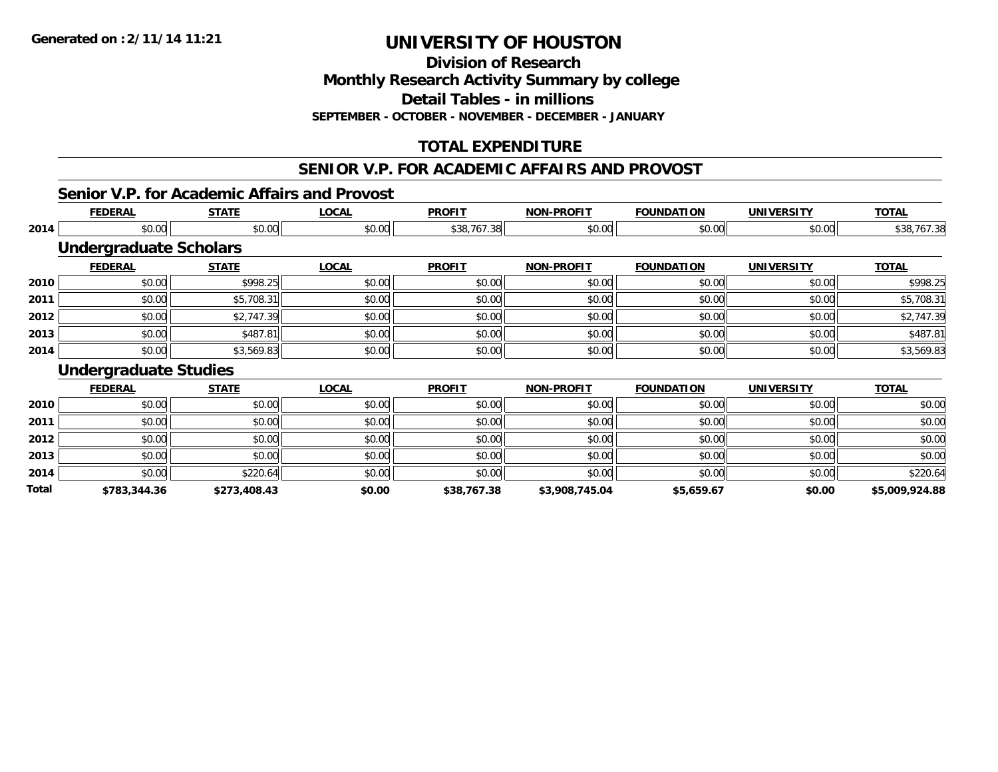**Division of Research**

**Monthly Research Activity Summary by college**

**Detail Tables - in millions**

**SEPTEMBER - OCTOBER - NOVEMBER - DECEMBER - JANUARY**

## **TOTAL EXPENDITURE**

# **SENIOR V.P. FOR ACADEMIC AFFAIRS AND PROVOST**

#### **Senior V.P. for Academic Affairs and Provost**

|       | <b>FEDERAL</b>                | <b>STATE</b> | <b>LOCAL</b> | <b>PROFIT</b> | <b>NON-PROFIT</b> | <b>FOUNDATION</b> | <b>UNIVERSITY</b> | <b>TOTAL</b>   |
|-------|-------------------------------|--------------|--------------|---------------|-------------------|-------------------|-------------------|----------------|
| 2014  | \$0.00                        | \$0.00       | \$0.00       | \$38,767.38   | \$0.00            | \$0.00            | \$0.00            | \$38,767.38    |
|       | <b>Undergraduate Scholars</b> |              |              |               |                   |                   |                   |                |
|       | <b>FEDERAL</b>                | <b>STATE</b> | <b>LOCAL</b> | <b>PROFIT</b> | <b>NON-PROFIT</b> | <b>FOUNDATION</b> | <b>UNIVERSITY</b> | <b>TOTAL</b>   |
| 2010  | \$0.00                        | \$998.25     | \$0.00       | \$0.00        | \$0.00            | \$0.00            | \$0.00            | \$998.25       |
| 2011  | \$0.00                        | \$5,708.31   | \$0.00       | \$0.00        | \$0.00            | \$0.00            | \$0.00            | \$5,708.31     |
| 2012  | \$0.00                        | \$2,747.39   | \$0.00       | \$0.00        | \$0.00            | \$0.00            | \$0.00            | \$2,747.39     |
| 2013  | \$0.00                        | \$487.81     | \$0.00       | \$0.00        | \$0.00            | \$0.00            | \$0.00            | \$487.81       |
| 2014  | \$0.00                        | \$3,569.83   | \$0.00       | \$0.00        | \$0.00            | \$0.00            | \$0.00            | \$3,569.83     |
|       | <b>Undergraduate Studies</b>  |              |              |               |                   |                   |                   |                |
|       | <b>FEDERAL</b>                | <b>STATE</b> | <b>LOCAL</b> | <b>PROFIT</b> | <b>NON-PROFIT</b> | <b>FOUNDATION</b> | <b>UNIVERSITY</b> | <b>TOTAL</b>   |
| 2010  | \$0.00                        | \$0.00       | \$0.00       | \$0.00        | \$0.00            | \$0.00            | \$0.00            | \$0.00         |
| 2011  | \$0.00                        | \$0.00       | \$0.00       | \$0.00        | \$0.00            | \$0.00            | \$0.00            | \$0.00         |
| 2012  | \$0.00                        | \$0.00       | \$0.00       | \$0.00        | \$0.00            | \$0.00            | \$0.00            | \$0.00         |
| 2013  | \$0.00                        | \$0.00       | \$0.00       | \$0.00        | \$0.00            | \$0.00            | \$0.00            | \$0.00         |
| 2014  | \$0.00                        | \$220.64     | \$0.00       | \$0.00        | \$0.00            | \$0.00            | \$0.00            | \$220.64       |
| Total | \$783,344.36                  | \$273,408.43 | \$0.00       | \$38,767.38   | \$3,908,745.04    | \$5,659.67        | \$0.00            | \$5,009,924.88 |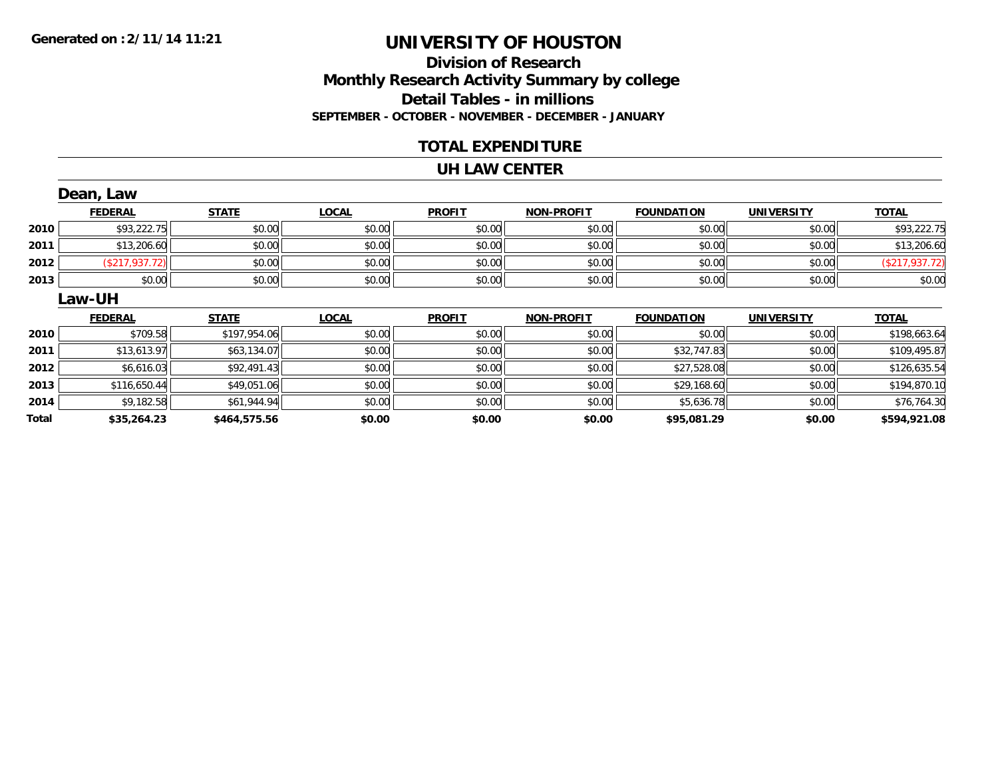## **Division of ResearchMonthly Research Activity Summary by college Detail Tables - in millions SEPTEMBER - OCTOBER - NOVEMBER - DECEMBER - JANUARY**

#### **TOTAL EXPENDITURE**

#### **UH LAW CENTER**

|       | Dean, Law      |              |              |               |                   |                   |                   |                |
|-------|----------------|--------------|--------------|---------------|-------------------|-------------------|-------------------|----------------|
|       | <b>FEDERAL</b> | <b>STATE</b> | <b>LOCAL</b> | <b>PROFIT</b> | <b>NON-PROFIT</b> | <b>FOUNDATION</b> | <b>UNIVERSITY</b> | <b>TOTAL</b>   |
| 2010  | \$93,222.75    | \$0.00       | \$0.00       | \$0.00        | \$0.00            | \$0.00            | \$0.00            | \$93,222.75    |
| 2011  | \$13,206.60    | \$0.00       | \$0.00       | \$0.00        | \$0.00            | \$0.00            | \$0.00            | \$13,206.60    |
| 2012  | (\$217,937.72) | \$0.00       | \$0.00       | \$0.00        | \$0.00            | \$0.00            | \$0.00            | (\$217,937.72) |
| 2013  | \$0.00         | \$0.00       | \$0.00       | \$0.00        | \$0.00            | \$0.00            | \$0.00            | \$0.00         |
|       | <b>Law-UH</b>  |              |              |               |                   |                   |                   |                |
|       | <b>FEDERAL</b> | <b>STATE</b> | <b>LOCAL</b> | <b>PROFIT</b> | <b>NON-PROFIT</b> | <b>FOUNDATION</b> | <b>UNIVERSITY</b> | <b>TOTAL</b>   |
| 2010  | \$709.58       | \$197,954.06 | \$0.00       | \$0.00        | \$0.00            | \$0.00            | \$0.00            | \$198,663.64   |
| 2011  | \$13,613.97    | \$63,134.07  | \$0.00       | \$0.00        | \$0.00            | \$32,747.83       | \$0.00            | \$109,495.87   |
| 2012  | \$6,616.03     | \$92,491.43  | \$0.00       | \$0.00        | \$0.00            | \$27,528.08       | \$0.00            | \$126,635.54   |
| 2013  | \$116,650.44   | \$49,051.06  | \$0.00       | \$0.00        | \$0.00            | \$29,168.60       | \$0.00            | \$194,870.10   |
| 2014  | \$9,182.58     | \$61,944.94  | \$0.00       | \$0.00        | \$0.00            | \$5,636.78        | \$0.00            | \$76,764.30    |
| Total | \$35,264.23    | \$464,575.56 | \$0.00       | \$0.00        | \$0.00            | \$95,081.29       | \$0.00            | \$594,921.08   |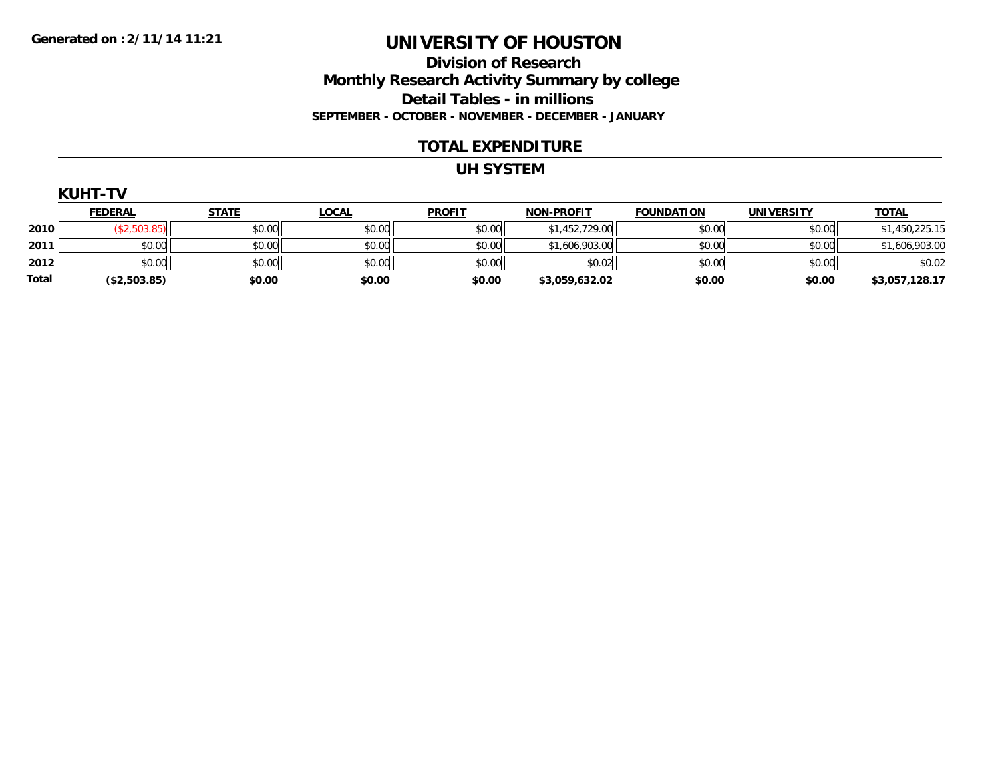**Division of Research Monthly Research Activity Summary by college Detail Tables - in millions SEPTEMBER - OCTOBER - NOVEMBER - DECEMBER - JANUARY**

#### **TOTAL EXPENDITURE**

#### **UH SYSTEM**

|              | <b>KUHT-TV</b> |              |              |               |                   |                   |                   |                |  |  |  |  |
|--------------|----------------|--------------|--------------|---------------|-------------------|-------------------|-------------------|----------------|--|--|--|--|
|              | <b>FEDERAL</b> | <b>STATE</b> | <b>LOCAL</b> | <b>PROFIT</b> | <b>NON-PROFIT</b> | <b>FOUNDATION</b> | <b>UNIVERSITY</b> | <b>TOTAL</b>   |  |  |  |  |
| 2010         | (\$2,503.85)   | \$0.00       | \$0.00       | \$0.00        | \$1,452,729.00    | \$0.00            | \$0.00            | \$1,450,225.15 |  |  |  |  |
| 2011         | \$0.00         | \$0.00       | \$0.00       | \$0.00        | \$1,606,903.00    | \$0.00            | \$0.00            | \$1,606,903.00 |  |  |  |  |
| 2012         | \$0.00         | \$0.00       | \$0.00       | \$0.00        | \$0.02            | \$0.00            | \$0.00            | \$0.02         |  |  |  |  |
| <b>Total</b> | (\$2,503.85)   | \$0.00       | \$0.00       | \$0.00        | \$3,059,632.02    | \$0.00            | \$0.00            | \$3,057,128.17 |  |  |  |  |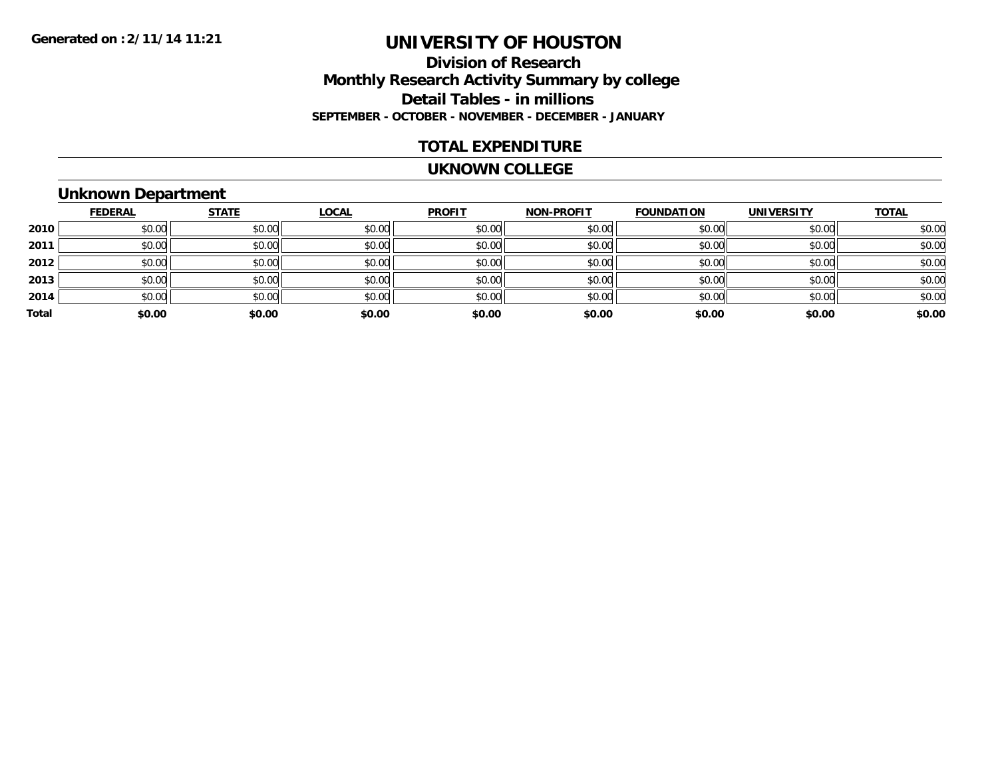### **Division of Research Monthly Research Activity Summary by college Detail Tables - in millions SEPTEMBER - OCTOBER - NOVEMBER - DECEMBER - JANUARY**

#### **TOTAL EXPENDITURE**

#### **UKNOWN COLLEGE**

## **Unknown Department**

|       | <b>FEDERAL</b> | <b>STATE</b> | <b>LOCAL</b> | <b>PROFIT</b> | <b>NON-PROFIT</b> | <b>FOUNDATION</b> | <b>UNIVERSITY</b> | <b>TOTAL</b> |
|-------|----------------|--------------|--------------|---------------|-------------------|-------------------|-------------------|--------------|
| 2010  | \$0.00         | \$0.00       | \$0.00       | \$0.00        | \$0.00            | \$0.00            | \$0.00            | \$0.00       |
| 2011  | \$0.00         | \$0.00       | \$0.00       | \$0.00        | \$0.00            | \$0.00            | \$0.00            | \$0.00       |
| 2012  | \$0.00         | \$0.00       | \$0.00       | \$0.00        | \$0.00            | \$0.00            | \$0.00            | \$0.00       |
| 2013  | \$0.00         | \$0.00       | \$0.00       | \$0.00        | \$0.00            | \$0.00            | \$0.00            | \$0.00       |
| 2014  | \$0.00         | \$0.00       | \$0.00       | \$0.00        | \$0.00            | \$0.00            | \$0.00            | \$0.00       |
| Total | \$0.00         | \$0.00       | \$0.00       | \$0.00        | \$0.00            | \$0.00            | \$0.00            | \$0.00       |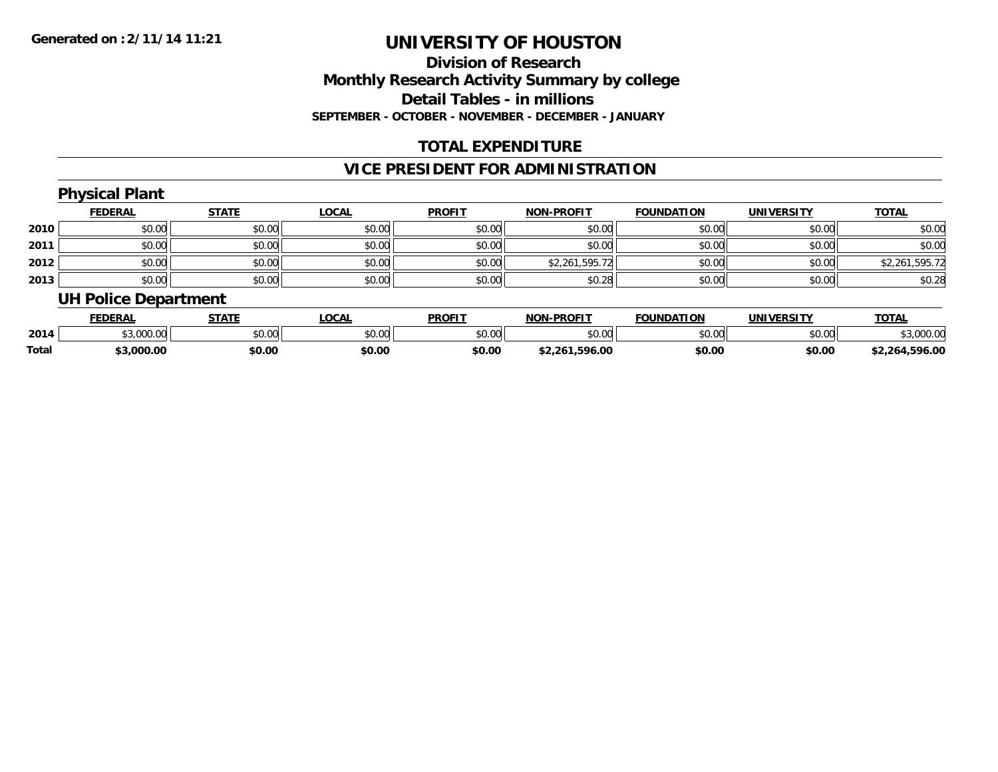## **Division of ResearchMonthly Research Activity Summary by college Detail Tables - in millions SEPTEMBER - OCTOBER - NOVEMBER - DECEMBER - JANUARY**

### **TOTAL EXPENDITURE**

## **VICE PRESIDENT FOR ADMINISTRATION**

# **Physical Plant**

|      | <b>FEDERAL</b> | <b>STATE</b> | <b>LOCAL</b> | <b>PROFIT</b> | NON-PROFIT     | <b>FOUNDATION</b> | <b>UNIVERSITY</b> | <b>TOTAL</b>   |
|------|----------------|--------------|--------------|---------------|----------------|-------------------|-------------------|----------------|
| 2010 | \$0.00         | \$0.00       | \$0.00       | \$0.00        | \$0.00         | \$0.00            | \$0.00            | \$0.00         |
| 2011 | \$0.00         | \$0.00       | \$0.00       | \$0.00        | \$0.00         | \$0.00            | \$0.00            | \$0.00         |
| 2012 | \$0.00         | \$0.00       | \$0.00       | \$0.00        | \$2,261,595.72 | \$0.00            | \$0.00            | \$2,261,595.72 |
| 2013 | \$0.00         | \$0.00       | \$0.00       | \$0.00        | \$0.28         | \$0.00            | \$0.00            | \$0.28         |

### **UH Police Department**

|              | <b>FEDERAI</b>    | <b>STATE</b> | <b>OCAI</b> | <b>PROFIT</b> | -PROFIT<br><b>NON</b>       | <b>FOUNDATION</b> | UNIVERSITY | <b>TOTAL</b>      |
|--------------|-------------------|--------------|-------------|---------------|-----------------------------|-------------------|------------|-------------------|
| 2014         | $\sim$<br>,vvv.vv | \$0.00       | vv.vv       | \$0.00        | 0000<br>DU.UU               | \$0.00            | \$0.00     | 000.00            |
| <b>Total</b> | 3.000.00          | \$0.00       | \$0.00      | \$0.00        | .596.00<br><sup>*2.26</sup> | \$0.00            | \$0.00     | .596.00<br>12.26∗ |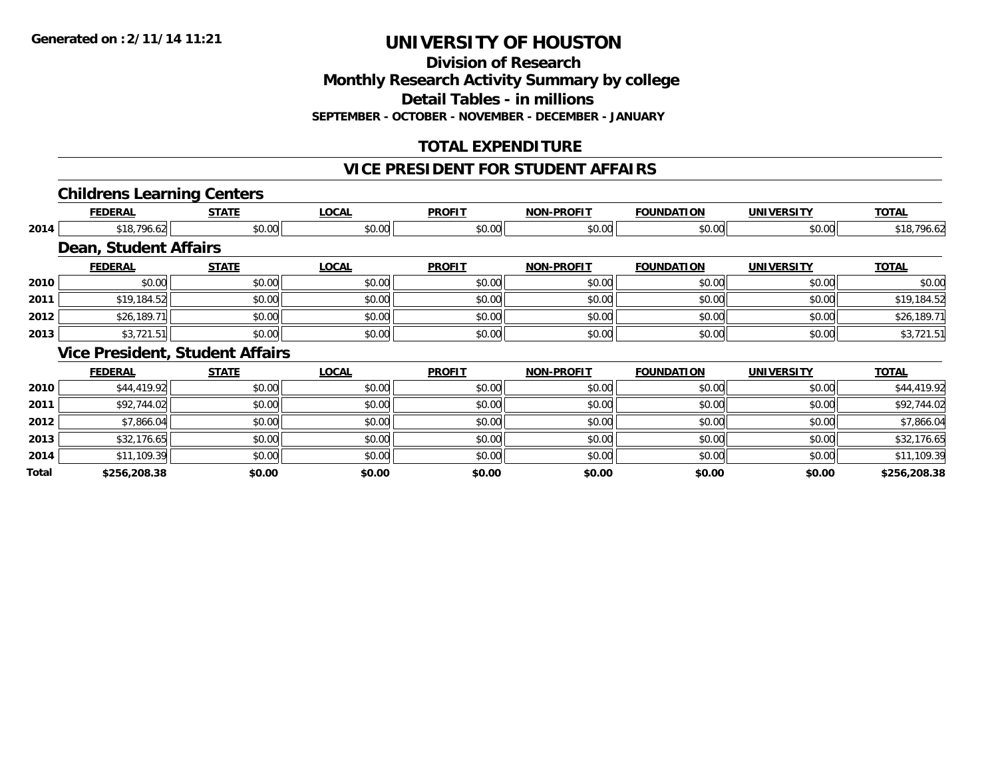**Division of Research**

**Monthly Research Activity Summary by college**

**Detail Tables - in millions**

**SEPTEMBER - OCTOBER - NOVEMBER - DECEMBER - JANUARY**

## **TOTAL EXPENDITURE**

#### **VICE PRESIDENT FOR STUDENT AFFAIRS**

### **Childrens Learning Centers**

|       | <b>FEDERAL</b>               | <b>STATE</b>                           | <b>LOCAL</b> | <b>PROFIT</b> | <b>NON-PROFIT</b> | <b>FOUNDATION</b> | <b>UNIVERSITY</b> | <b>TOTAL</b> |
|-------|------------------------------|----------------------------------------|--------------|---------------|-------------------|-------------------|-------------------|--------------|
| 2014  | \$18,796.62                  | \$0.00                                 | \$0.00       | \$0.00        | \$0.00            | \$0.00            | \$0.00            | \$18,796.62  |
|       | <b>Dean, Student Affairs</b> |                                        |              |               |                   |                   |                   |              |
|       | <b>FEDERAL</b>               | <b>STATE</b>                           | <b>LOCAL</b> | <b>PROFIT</b> | <b>NON-PROFIT</b> | <b>FOUNDATION</b> | <b>UNIVERSITY</b> | <b>TOTAL</b> |
| 2010  | \$0.00                       | \$0.00                                 | \$0.00       | \$0.00        | \$0.00            | \$0.00            | \$0.00            | \$0.00       |
| 2011  | \$19,184.52                  | \$0.00                                 | \$0.00       | \$0.00        | \$0.00            | \$0.00            | \$0.00            | \$19,184.52  |
| 2012  | \$26,189.71                  | \$0.00                                 | \$0.00       | \$0.00        | \$0.00            | \$0.00            | \$0.00            | \$26,189.71  |
| 2013  | \$3,721.51                   | \$0.00                                 | \$0.00       | \$0.00        | \$0.00            | \$0.00            | \$0.00            | \$3,721.51   |
|       |                              | <b>Vice President, Student Affairs</b> |              |               |                   |                   |                   |              |
|       | <b>FEDERAL</b>               | <b>STATE</b>                           | <b>LOCAL</b> | <b>PROFIT</b> | <b>NON-PROFIT</b> | <b>FOUNDATION</b> | <b>UNIVERSITY</b> | <b>TOTAL</b> |
| 2010  | \$44,419.92                  | \$0.00                                 | \$0.00       | \$0.00        | \$0.00            | \$0.00            | \$0.00            | \$44,419.92  |
| 2011  | \$92,744.02                  | \$0.00                                 | \$0.00       | \$0.00        | \$0.00            | \$0.00            | \$0.00            | \$92,744.02  |
| 2012  | \$7,866.04                   | \$0.00                                 | \$0.00       | \$0.00        | \$0.00            | \$0.00            | \$0.00            | \$7,866.04   |
| 2013  | \$32,176.65                  | \$0.00                                 | \$0.00       | \$0.00        | \$0.00            | \$0.00            | \$0.00            | \$32,176.65  |
| 2014  | \$11,109.39                  | \$0.00                                 | \$0.00       | \$0.00        | \$0.00            | \$0.00            | \$0.00            | \$11,109.39  |
| Total | \$256,208.38                 | \$0.00                                 | \$0.00       | \$0.00        | \$0.00            | \$0.00            | \$0.00            | \$256,208.38 |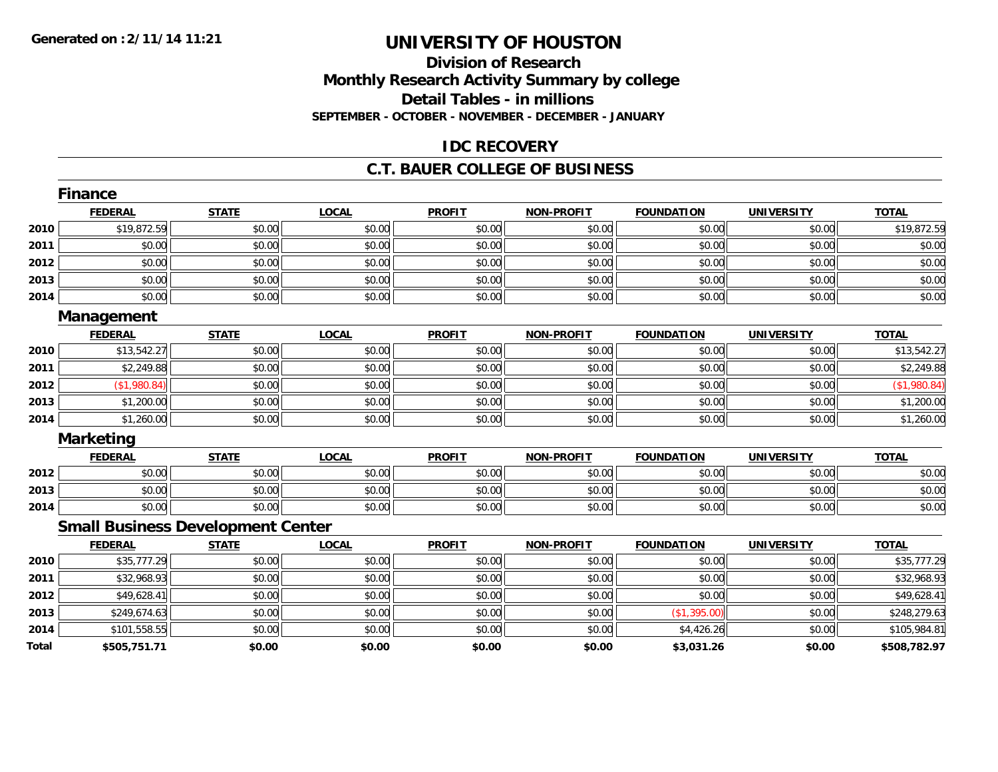## **Division of ResearchMonthly Research Activity Summary by college Detail Tables - in millions SEPTEMBER - OCTOBER - NOVEMBER - DECEMBER - JANUARY**

#### **IDC RECOVERY**

#### **C.T. BAUER COLLEGE OF BUSINESS**

|              | <b>Finance</b>                           |              |              |               |                   |                   |                   |              |
|--------------|------------------------------------------|--------------|--------------|---------------|-------------------|-------------------|-------------------|--------------|
|              | <b>FEDERAL</b>                           | <b>STATE</b> | <b>LOCAL</b> | <b>PROFIT</b> | <b>NON-PROFIT</b> | <b>FOUNDATION</b> | <b>UNIVERSITY</b> | <b>TOTAL</b> |
| 2010         | \$19,872.59                              | \$0.00       | \$0.00       | \$0.00        | \$0.00            | \$0.00            | \$0.00            | \$19,872.59  |
| 2011         | \$0.00                                   | \$0.00       | \$0.00       | \$0.00        | \$0.00            | \$0.00            | \$0.00            | \$0.00       |
| 2012         | \$0.00                                   | \$0.00       | \$0.00       | \$0.00        | \$0.00            | \$0.00            | \$0.00            | \$0.00       |
| 2013         | \$0.00                                   | \$0.00       | \$0.00       | \$0.00        | \$0.00            | \$0.00            | \$0.00            | \$0.00       |
| 2014         | \$0.00                                   | \$0.00       | \$0.00       | \$0.00        | \$0.00            | \$0.00            | \$0.00            | \$0.00       |
|              | Management                               |              |              |               |                   |                   |                   |              |
|              | <b>FEDERAL</b>                           | <b>STATE</b> | <b>LOCAL</b> | <b>PROFIT</b> | <b>NON-PROFIT</b> | <b>FOUNDATION</b> | <b>UNIVERSITY</b> | <b>TOTAL</b> |
| 2010         | \$13,542.27                              | \$0.00       | \$0.00       | \$0.00        | \$0.00            | \$0.00            | \$0.00            | \$13,542.27  |
| 2011         | \$2,249.88                               | \$0.00       | \$0.00       | \$0.00        | \$0.00            | \$0.00            | \$0.00            | \$2,249.88   |
| 2012         | (\$1,980.84)                             | \$0.00       | \$0.00       | \$0.00        | \$0.00            | \$0.00            | \$0.00            | (\$1,980.84) |
| 2013         | \$1,200.00                               | \$0.00       | \$0.00       | \$0.00        | \$0.00            | \$0.00            | \$0.00            | \$1,200.00   |
| 2014         | \$1,260.00                               | \$0.00       | \$0.00       | \$0.00        | \$0.00            | \$0.00            | \$0.00            | \$1,260.00   |
|              | <b>Marketing</b>                         |              |              |               |                   |                   |                   |              |
|              | <b>FEDERAL</b>                           | <b>STATE</b> | <b>LOCAL</b> | <b>PROFIT</b> | <b>NON-PROFIT</b> | <b>FOUNDATION</b> | <b>UNIVERSITY</b> | <b>TOTAL</b> |
| 2012         | \$0.00                                   | \$0.00       | \$0.00       | \$0.00        | \$0.00            | \$0.00            | \$0.00            | \$0.00       |
| 2013         | \$0.00                                   | \$0.00       | \$0.00       | \$0.00        | \$0.00            | \$0.00            | \$0.00            | \$0.00       |
| 2014         | \$0.00                                   | \$0.00       | \$0.00       | \$0.00        | \$0.00            | \$0.00            | \$0.00            | \$0.00       |
|              | <b>Small Business Development Center</b> |              |              |               |                   |                   |                   |              |
|              | <b>FEDERAL</b>                           | <b>STATE</b> | <b>LOCAL</b> | <b>PROFIT</b> | <b>NON-PROFIT</b> | <b>FOUNDATION</b> | <b>UNIVERSITY</b> | <b>TOTAL</b> |
| 2010         | \$35,777.29                              | \$0.00       | \$0.00       | \$0.00        | \$0.00            | \$0.00            | \$0.00            | \$35,777.29  |
| 2011         | \$32,968.93                              | \$0.00       | \$0.00       | \$0.00        | \$0.00            | \$0.00            | \$0.00            | \$32,968.93  |
| 2012         | \$49,628.41                              | \$0.00       | \$0.00       | \$0.00        | \$0.00            | \$0.00            | \$0.00            | \$49,628.41  |
| 2013         | \$249,674.63                             | \$0.00       | \$0.00       | \$0.00        | \$0.00            | (\$1,395.00)      | \$0.00            | \$248,279.63 |
| 2014         | \$101,558.55                             | \$0.00       | \$0.00       | \$0.00        | \$0.00            | \$4,426.26        | \$0.00            | \$105,984.81 |
| <b>Total</b> | \$505,751.71                             | \$0.00       | \$0.00       | \$0.00        | \$0.00            | \$3,031.26        | \$0.00            | \$508,782.97 |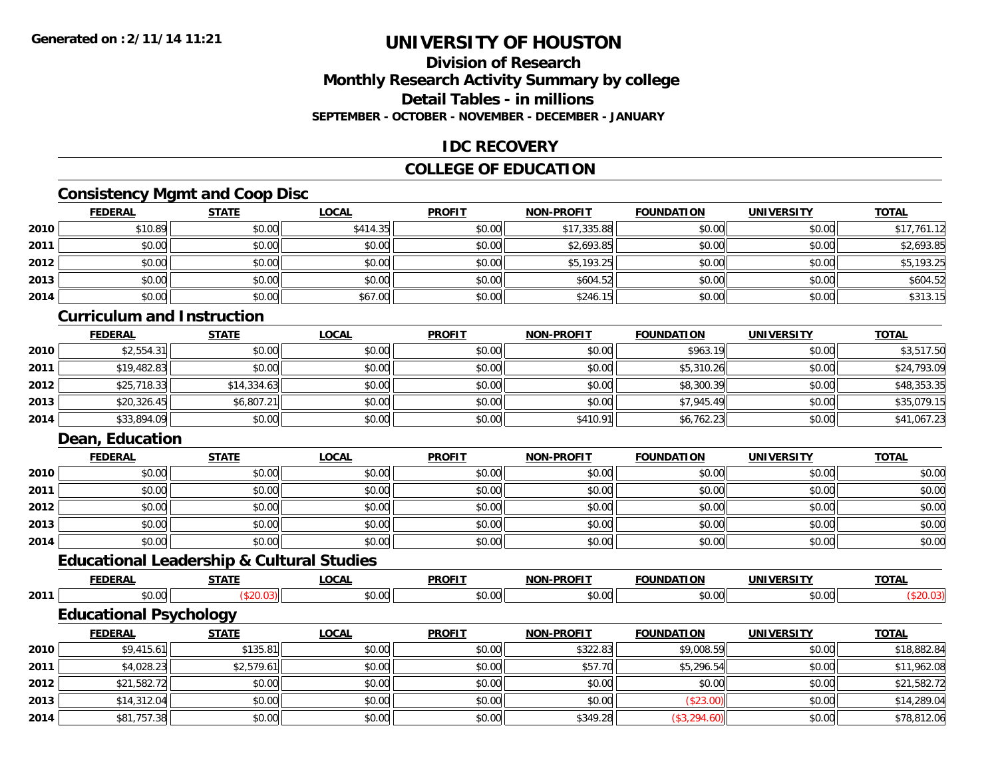### **Division of ResearchMonthly Research Activity Summary by college Detail Tables - in millionsSEPTEMBER - OCTOBER - NOVEMBER - DECEMBER - JANUARY**

### **IDC RECOVERY**

## **COLLEGE OF EDUCATION**

## **Consistency Mgmt and Coop Disc**

|      | <b>FEDERAL</b> | <b>STATE</b> | <b>LOCAL</b> | <b>PROFIT</b> | <b>NON-PROFIT</b> | <b>FOUNDATION</b> | <b>UNIVERSITY</b> | <b>TOTAL</b> |
|------|----------------|--------------|--------------|---------------|-------------------|-------------------|-------------------|--------------|
| 2010 | \$10.89        | \$0.00       | \$414.35     | \$0.00        | \$17,335.88       | \$0.00            | \$0.00            | \$17,761.12  |
| 2011 | \$0.00         | \$0.00       | \$0.00       | \$0.00        | \$2,693.85        | \$0.00            | \$0.00            | \$2,693.85   |
| 2012 | \$0.00         | \$0.00       | \$0.00       | \$0.00        | \$5,193.25        | \$0.00            | \$0.00            | \$5,193.25   |
| 2013 | \$0.00         | \$0.00       | \$0.00       | \$0.00        | \$604.52          | \$0.00            | \$0.00            | \$604.52     |
| 2014 | \$0.00         | \$0.00       | \$67.00      | \$0.00        | \$246.15          | \$0.00            | \$0.00            | \$313.15     |

### **Curriculum and Instruction**

|      | <u>FEDERAL</u> | <u>STATE</u> | <u>LOCAL</u> | <b>PROFIT</b> | <b>NON-PROFIT</b> | <b>FOUNDATION</b> | <b>UNIVERSITY</b> | <b>TOTAL</b> |
|------|----------------|--------------|--------------|---------------|-------------------|-------------------|-------------------|--------------|
| 2010 | \$2,554.31     | \$0.00       | \$0.00       | \$0.00        | \$0.00            | \$963.19          | \$0.00            | \$3,517.50   |
| 2011 | \$19,482.83    | \$0.00       | \$0.00       | \$0.00        | \$0.00            | \$5,310.26        | \$0.00            | \$24,793.09  |
| 2012 | \$25,718.33    | \$14,334.63  | \$0.00       | \$0.00        | \$0.00            | \$8,300.39        | \$0.00            | \$48,353.35  |
| 2013 | \$20,326.45    | \$6,807.21   | \$0.00       | \$0.00        | \$0.00            | \$7,945.49        | \$0.00            | \$35,079.15  |
| 2014 | \$33,894.09    | \$0.00       | \$0.00       | \$0.00        | \$410.91          | \$6,762.23        | \$0.00            | \$41,067.23  |

#### **Dean, Education**

**2014**

|      | <b>FEDERAL</b> | <b>STATE</b> | <u>LOCAL</u> | <b>PROFIT</b> | <b>NON-PROFIT</b> | <b>FOUNDATION</b> | <b>UNIVERSITY</b> | <b>TOTAL</b> |
|------|----------------|--------------|--------------|---------------|-------------------|-------------------|-------------------|--------------|
| 2010 | \$0.00         | \$0.00       | \$0.00       | \$0.00        | \$0.00            | \$0.00            | \$0.00            | \$0.00       |
| 2011 | \$0.00         | \$0.00       | \$0.00       | \$0.00        | \$0.00            | \$0.00            | \$0.00            | \$0.00       |
| 2012 | \$0.00         | \$0.00       | \$0.00       | \$0.00        | \$0.00            | \$0.00            | \$0.00            | \$0.00       |
| 2013 | \$0.00         | \$0.00       | \$0.00       | \$0.00        | \$0.00            | \$0.00            | \$0.00            | \$0.00       |
| 2014 | \$0.00         | \$0.00       | \$0.00       | \$0.00        | \$0.00            | \$0.00            | \$0.00            | \$0.00       |

# **Educational Leadership & Cultural Studies**

|      | <b>FEDERAL</b>                | <b>STATE</b> | LOCAL        | <b>PROFIT</b> | <b>NON-PROFIT</b> | <b>FOUNDATION</b> | <b>UNIVERSITY</b> | <b>TOTAL</b> |
|------|-------------------------------|--------------|--------------|---------------|-------------------|-------------------|-------------------|--------------|
| 2011 | \$0.00                        | ( \$20.03)   | \$0.00       | \$0.00        | \$0.00            | \$0.00            | \$0.00            | (\$20.03)    |
|      | <b>Educational Psychology</b> |              |              |               |                   |                   |                   |              |
|      | <b>FEDERAL</b>                | <b>STATE</b> | <b>LOCAL</b> | <b>PROFIT</b> | <b>NON-PROFIT</b> | <b>FOUNDATION</b> | <b>UNIVERSITY</b> | <b>TOTAL</b> |
| 2010 | \$9,415.61                    | \$135.81     | \$0.00       | \$0.00        | \$322.83          | \$9,008.59        | \$0.00            | \$18,882.84  |
| 2011 | \$4,028.23                    | \$2,579.61   | \$0.00       | \$0.00        | \$57.70           | \$5,296.54        | \$0.00            | \$11,962.08  |
| 2012 | \$21,582.72                   | \$0.00       | \$0.00       | \$0.00        | \$0.00            | \$0.00            | \$0.00            | \$21,582.72  |
| 2013 | \$14,312.04                   | \$0.00       | \$0.00       | \$0.00        | \$0.00            | (\$23.00)         | \$0.00            | \$14,289.04  |

4 \$81,757.38|| \$0.00|| \$0.00|| \$0.00|| \$349.28|| (\$3,294.60)|| \$0.00|| \$78,812.06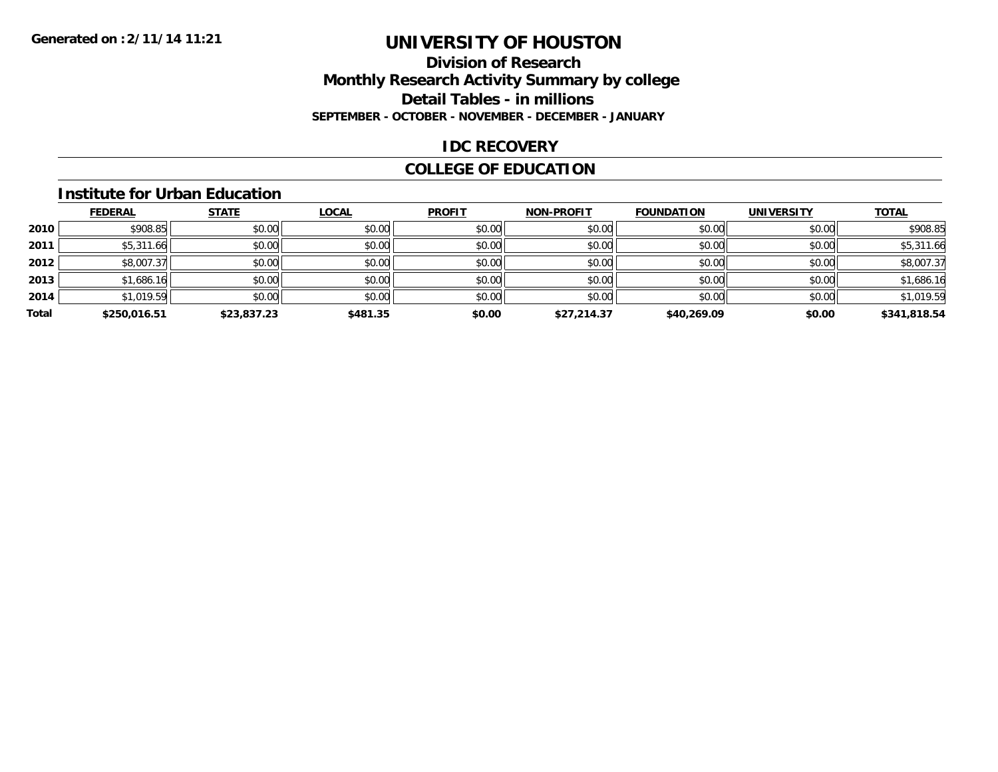### **Division of Research Monthly Research Activity Summary by college Detail Tables - in millions SEPTEMBER - OCTOBER - NOVEMBER - DECEMBER - JANUARY**

#### **IDC RECOVERY**

## **COLLEGE OF EDUCATION**

#### **Institute for Urban Education**

|       | <b>FEDERAL</b> | <b>STATE</b> | <b>LOCAL</b> | <b>PROFIT</b> | <b>NON-PROFIT</b> | <b>FOUNDATION</b> | <b>UNIVERSITY</b> | <b>TOTAL</b> |
|-------|----------------|--------------|--------------|---------------|-------------------|-------------------|-------------------|--------------|
| 2010  | \$908.85       | \$0.00       | \$0.00       | \$0.00        | \$0.00            | \$0.00            | \$0.00            | \$908.85     |
| 2011  | \$5,311.66     | \$0.00       | \$0.00       | \$0.00        | \$0.00            | \$0.00            | \$0.00            | \$5,311.66   |
| 2012  | \$8,007.37     | \$0.00       | \$0.00       | \$0.00        | \$0.00            | \$0.00            | \$0.00            | \$8,007.37   |
| 2013  | \$1,686.16     | \$0.00       | \$0.00       | \$0.00        | \$0.00            | \$0.00            | \$0.00            | \$1,686.16   |
| 2014  | \$1,019.59     | \$0.00       | \$0.00       | \$0.00        | \$0.00            | \$0.00            | \$0.00            | \$1,019.59   |
| Total | \$250,016.51   | \$23,837.23  | \$481.35     | \$0.00        | \$27,214.37       | \$40,269.09       | \$0.00            | \$341,818.54 |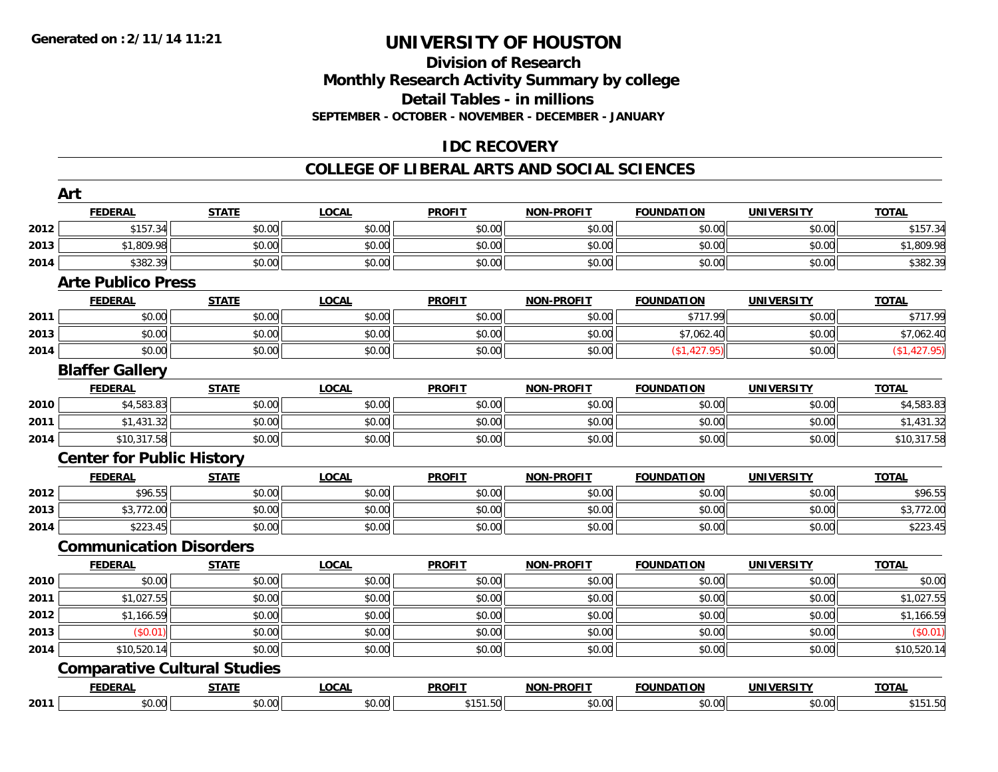#### **Division of Research Monthly Research Activity Summary by college Detail Tables - in millions**

**SEPTEMBER - OCTOBER - NOVEMBER - DECEMBER - JANUARY**

## **IDC RECOVERY**

#### **COLLEGE OF LIBERAL ARTS AND SOCIAL SCIENCES**

|      | Art                              |                                     |              |               |                   |                   |                   |              |
|------|----------------------------------|-------------------------------------|--------------|---------------|-------------------|-------------------|-------------------|--------------|
|      | <b>FEDERAL</b>                   | <b>STATE</b>                        | <b>LOCAL</b> | <b>PROFIT</b> | <b>NON-PROFIT</b> | <b>FOUNDATION</b> | <b>UNIVERSITY</b> | <b>TOTAL</b> |
| 2012 | \$157.34                         | \$0.00                              | \$0.00       | \$0.00        | \$0.00            | \$0.00            | \$0.00            | \$157.34     |
| 2013 | \$1,809.98                       | \$0.00                              | \$0.00       | \$0.00        | \$0.00            | \$0.00            | \$0.00            | \$1,809.98   |
| 2014 | \$382.39                         | \$0.00                              | \$0.00       | \$0.00        | \$0.00            | \$0.00            | \$0.00            | \$382.39     |
|      | <b>Arte Publico Press</b>        |                                     |              |               |                   |                   |                   |              |
|      | <b>FEDERAL</b>                   | <b>STATE</b>                        | <b>LOCAL</b> | <b>PROFIT</b> | <b>NON-PROFIT</b> | <b>FOUNDATION</b> | <b>UNIVERSITY</b> | <b>TOTAL</b> |
| 2011 | \$0.00                           | \$0.00                              | \$0.00       | \$0.00        | \$0.00            | \$717.99          | \$0.00            | \$717.99     |
| 2013 | \$0.00                           | \$0.00                              | \$0.00       | \$0.00        | \$0.00            | \$7,062.40        | \$0.00            | \$7,062.40   |
| 2014 | \$0.00                           | \$0.00                              | \$0.00       | \$0.00        | \$0.00            | (\$1,427.95)      | \$0.00            | (\$1,427.95) |
|      | <b>Blaffer Gallery</b>           |                                     |              |               |                   |                   |                   |              |
|      | <b>FEDERAL</b>                   | <b>STATE</b>                        | <b>LOCAL</b> | <b>PROFIT</b> | <b>NON-PROFIT</b> | <b>FOUNDATION</b> | <b>UNIVERSITY</b> | <b>TOTAL</b> |
| 2010 | \$4,583.83                       | \$0.00                              | \$0.00       | \$0.00        | \$0.00            | \$0.00            | \$0.00            | \$4,583.83   |
| 2011 | \$1,431.32                       | \$0.00                              | \$0.00       | \$0.00        | \$0.00            | \$0.00            | \$0.00            | \$1,431.32   |
| 2014 | \$10,317.58                      | \$0.00                              | \$0.00       | \$0.00        | \$0.00            | \$0.00            | \$0.00            | \$10,317.58  |
|      | <b>Center for Public History</b> |                                     |              |               |                   |                   |                   |              |
|      | <b>FEDERAL</b>                   | <b>STATE</b>                        | <b>LOCAL</b> | <b>PROFIT</b> | <b>NON-PROFIT</b> | <b>FOUNDATION</b> | <b>UNIVERSITY</b> | <b>TOTAL</b> |
| 2012 | \$96.55                          | \$0.00                              | \$0.00       | \$0.00        | \$0.00            | \$0.00            | \$0.00            | \$96.55      |
| 2013 | \$3,772.00                       | \$0.00                              | \$0.00       | \$0.00        | \$0.00            | \$0.00            | \$0.00            | \$3,772.00   |
| 2014 | \$223.45                         | \$0.00                              | \$0.00       | \$0.00        | \$0.00            | \$0.00            | \$0.00            | \$223.45     |
|      | <b>Communication Disorders</b>   |                                     |              |               |                   |                   |                   |              |
|      | <b>FEDERAL</b>                   | <b>STATE</b>                        | <b>LOCAL</b> | <b>PROFIT</b> | <b>NON-PROFIT</b> | <b>FOUNDATION</b> | <b>UNIVERSITY</b> | <b>TOTAL</b> |
| 2010 | \$0.00                           | \$0.00                              | \$0.00       | \$0.00        | \$0.00            | \$0.00            | \$0.00            | \$0.00       |
| 2011 | \$1,027.55                       | \$0.00                              | \$0.00       | \$0.00        | \$0.00            | \$0.00            | \$0.00            | \$1,027.55   |
| 2012 | \$1,166.59                       | \$0.00                              | \$0.00       | \$0.00        | \$0.00            | \$0.00            | \$0.00            | \$1,166.59   |
| 2013 | (\$0.01)                         | \$0.00                              | \$0.00       | \$0.00        | \$0.00            | \$0.00            | \$0.00            | (\$0.01)     |
| 2014 | \$10,520.14                      | \$0.00                              | \$0.00       | \$0.00        | \$0.00            | \$0.00            | \$0.00            | \$10,520.14  |
|      |                                  | <b>Comparative Cultural Studies</b> |              |               |                   |                   |                   |              |
|      | <b>FEDERAL</b>                   | <b>STATE</b>                        | <b>LOCAL</b> | <b>PROFIT</b> | <b>NON-PROFIT</b> | <b>FOUNDATION</b> | <b>UNIVERSITY</b> | <b>TOTAL</b> |
| 2011 | \$0.00                           | \$0.00                              | \$0.00       | \$151.50      | \$0.00            | \$0.00            | \$0.00            | \$151.50     |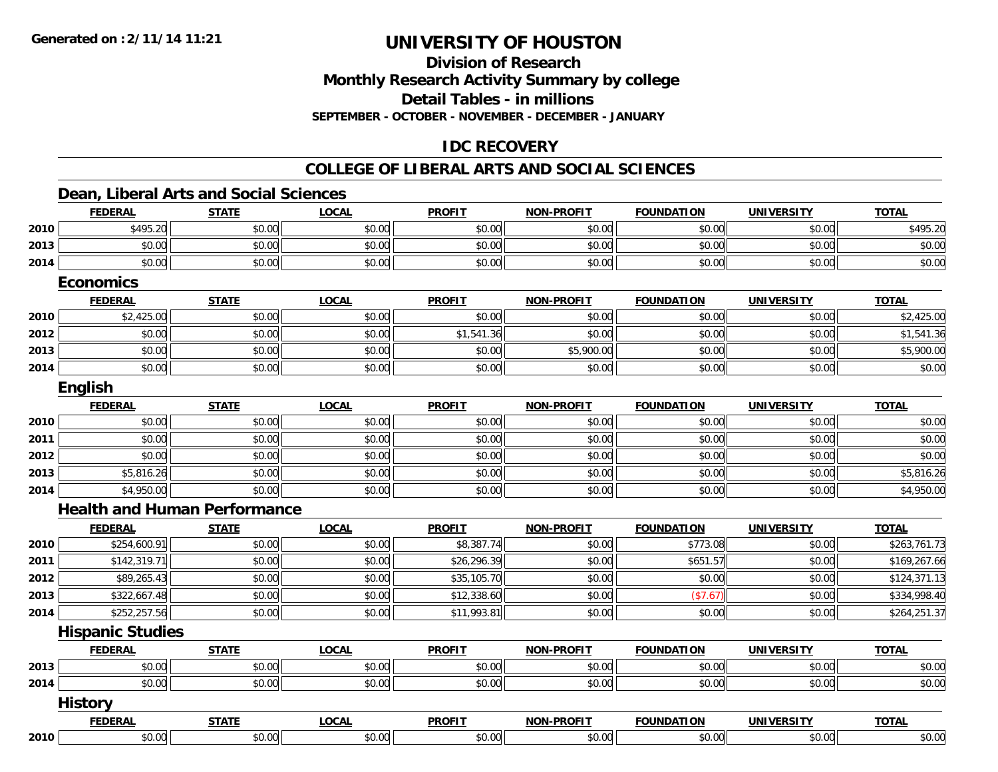# **Division of ResearchMonthly Research Activity Summary by college Detail Tables - in millions**

**SEPTEMBER - OCTOBER - NOVEMBER - DECEMBER - JANUARY**

## **IDC RECOVERY**

#### **COLLEGE OF LIBERAL ARTS AND SOCIAL SCIENCES**

### **Dean, Liberal Arts and Social Sciences**

|      | <b>FEDERAL</b>                      | <b>STATE</b> | <b>LOCAL</b> | <b>PROFIT</b> | <b>NON-PROFIT</b> | <b>FOUNDATION</b> | <b>UNIVERSITY</b> | <b>TOTAL</b> |
|------|-------------------------------------|--------------|--------------|---------------|-------------------|-------------------|-------------------|--------------|
| 2010 | \$495.20                            | \$0.00       | \$0.00       | \$0.00        | \$0.00            | \$0.00            | \$0.00            | \$495.20     |
| 2013 | \$0.00                              | \$0.00       | \$0.00       | \$0.00        | \$0.00            | \$0.00            | \$0.00            | \$0.00       |
| 2014 | \$0.00                              | \$0.00       | \$0.00       | \$0.00        | \$0.00            | \$0.00            | \$0.00            | \$0.00       |
|      | <b>Economics</b>                    |              |              |               |                   |                   |                   |              |
|      | <b>FEDERAL</b>                      | <b>STATE</b> | <b>LOCAL</b> | <b>PROFIT</b> | NON-PROFIT        | <b>FOUNDATION</b> | <b>UNIVERSITY</b> | <b>TOTAL</b> |
| 2010 | \$2,425.00                          | \$0.00       | \$0.00       | \$0.00        | \$0.00            | \$0.00            | \$0.00            | \$2,425.00   |
| 2012 | \$0.00                              | \$0.00       | \$0.00       | \$1,541.36    | \$0.00            | \$0.00            | \$0.00            | \$1,541.36   |
| 2013 | \$0.00                              | \$0.00       | \$0.00       | \$0.00        | \$5,900.00        | \$0.00            | \$0.00            | \$5,900.00   |
| 2014 | \$0.00                              | \$0.00       | \$0.00       | \$0.00        | \$0.00            | \$0.00            | \$0.00            | \$0.00       |
|      | English                             |              |              |               |                   |                   |                   |              |
|      | <b>FEDERAL</b>                      | <b>STATE</b> | <b>LOCAL</b> | <b>PROFIT</b> | <b>NON-PROFIT</b> | <b>FOUNDATION</b> | <b>UNIVERSITY</b> | <b>TOTAL</b> |
| 2010 | \$0.00                              | \$0.00       | \$0.00       | \$0.00        | \$0.00            | \$0.00            | \$0.00            | \$0.00       |
| 2011 | \$0.00                              | \$0.00       | \$0.00       | \$0.00        | \$0.00            | \$0.00            | \$0.00            | \$0.00       |
| 2012 | \$0.00                              | \$0.00       | \$0.00       | \$0.00        | \$0.00            | \$0.00            | \$0.00            | \$0.00       |
| 2013 | \$5,816.26                          | \$0.00       | \$0.00       | \$0.00        | \$0.00            | \$0.00            | \$0.00            | \$5,816.26   |
| 2014 | \$4,950.00                          | \$0.00       | \$0.00       | \$0.00        | \$0.00            | \$0.00            | \$0.00            | \$4,950.00   |
|      | <b>Health and Human Performance</b> |              |              |               |                   |                   |                   |              |
|      | <b>FEDERAL</b>                      | <b>STATE</b> | <b>LOCAL</b> | <b>PROFIT</b> | <b>NON-PROFIT</b> | <b>FOUNDATION</b> | <b>UNIVERSITY</b> | <b>TOTAL</b> |
| 2010 | \$254,600.91                        | \$0.00       | \$0.00       | \$8,387.74    | \$0.00            | \$773.08          | \$0.00            | \$263,761.73 |
| 2011 | \$142,319.71                        | \$0.00       | \$0.00       | \$26,296.39   | \$0.00            | \$651.57          | \$0.00            | \$169,267.66 |
| 2012 | \$89,265.43                         | \$0.00       | \$0.00       | \$35,105.70   | \$0.00            | \$0.00            | \$0.00            | \$124,371.13 |
| 2013 | \$322,667.48                        | \$0.00       | \$0.00       | \$12,338.60   | \$0.00            | (\$7.67)          | \$0.00            | \$334,998.40 |
| 2014 | \$252,257.56                        | \$0.00       | \$0.00       | \$11,993.81   | \$0.00            | \$0.00            | \$0.00            | \$264,251.37 |
|      | <b>Hispanic Studies</b>             |              |              |               |                   |                   |                   |              |
|      | <b>FEDERAL</b>                      | <b>STATE</b> | <b>LOCAL</b> | <b>PROFIT</b> | <b>NON-PROFIT</b> | <b>FOUNDATION</b> | <b>UNIVERSITY</b> | <b>TOTAL</b> |
| 2013 | \$0.00                              | \$0.00       | \$0.00       | \$0.00        | \$0.00            | \$0.00            | \$0.00            | \$0.00       |
| 2014 | \$0.00                              | \$0.00       | \$0.00       | \$0.00        | \$0.00            | \$0.00            | \$0.00            | \$0.00       |
|      | <b>History</b>                      |              |              |               |                   |                   |                   |              |
|      | <b>FEDERAL</b>                      | <b>STATE</b> | <b>LOCAL</b> | <b>PROFIT</b> | <b>NON-PROFIT</b> | <b>FOUNDATION</b> | <b>UNIVERSITY</b> | <b>TOTAL</b> |
| 2010 | \$0.00                              | \$0.00       | \$0.00       | \$0.00        | \$0.00            | \$0.00            | \$0.00            | \$0.00       |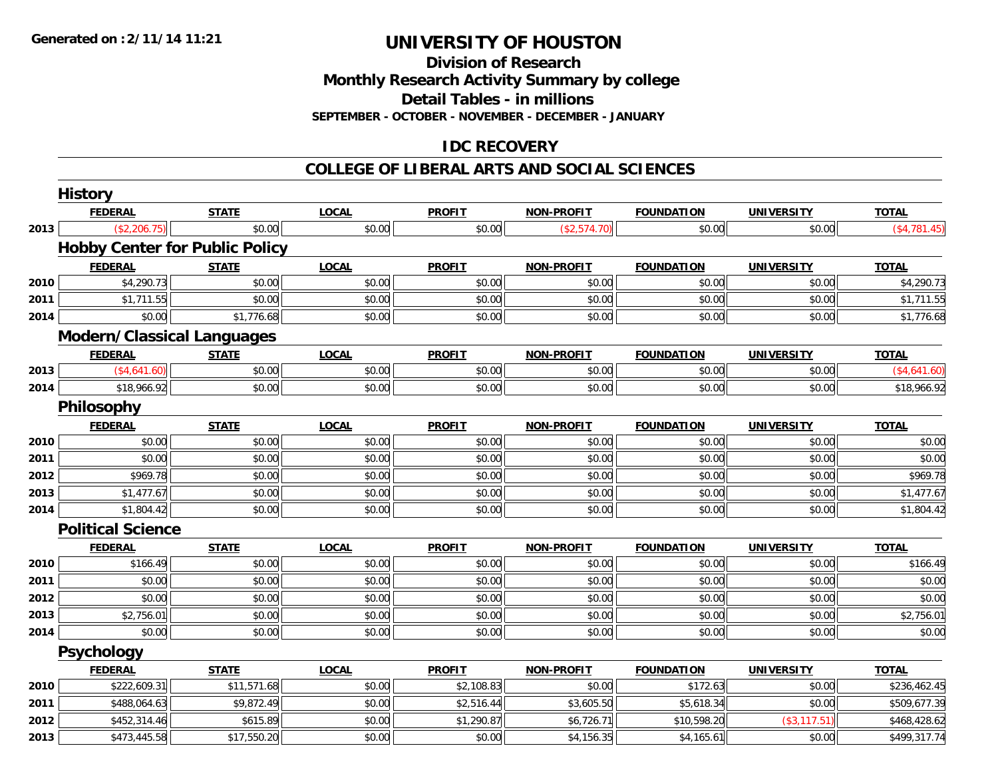**Division of Research**

**Monthly Research Activity Summary by college**

**Detail Tables - in millions**

**SEPTEMBER - OCTOBER - NOVEMBER - DECEMBER - JANUARY**

## **IDC RECOVERY**

#### **COLLEGE OF LIBERAL ARTS AND SOCIAL SCIENCES**

|      | <b>History</b>                        |              |              |               |                   |                   |                   |              |
|------|---------------------------------------|--------------|--------------|---------------|-------------------|-------------------|-------------------|--------------|
|      | <b>FEDERAL</b>                        | <b>STATE</b> | <b>LOCAL</b> | <b>PROFIT</b> | <b>NON-PROFIT</b> | <b>FOUNDATION</b> | <b>UNIVERSITY</b> | <b>TOTAL</b> |
| 2013 | (\$2,206.75)                          | \$0.00       | \$0.00       | \$0.00        | (\$2,574.70)      | \$0.00            | \$0.00            | (\$4,781.45) |
|      | <b>Hobby Center for Public Policy</b> |              |              |               |                   |                   |                   |              |
|      | <b>FEDERAL</b>                        | <b>STATE</b> | <b>LOCAL</b> | <b>PROFIT</b> | <b>NON-PROFIT</b> | <b>FOUNDATION</b> | <b>UNIVERSITY</b> | <b>TOTAL</b> |
| 2010 | \$4,290.73                            | \$0.00       | \$0.00       | \$0.00        | \$0.00            | \$0.00            | \$0.00            | \$4,290.73   |
| 2011 | \$1,711.55                            | \$0.00       | \$0.00       | \$0.00        | \$0.00            | \$0.00            | \$0.00            | \$1,711.55   |
| 2014 | \$0.00                                | \$1,776.68   | \$0.00       | \$0.00        | \$0.00            | \$0.00            | \$0.00            | \$1,776.68   |
|      | Modern/Classical Languages            |              |              |               |                   |                   |                   |              |
|      | <b>FEDERAL</b>                        | <b>STATE</b> | <b>LOCAL</b> | <b>PROFIT</b> | <b>NON-PROFIT</b> | <b>FOUNDATION</b> | <b>UNIVERSITY</b> | <b>TOTAL</b> |
| 2013 | (\$4,641.60)                          | \$0.00       | \$0.00       | \$0.00        | \$0.00            | \$0.00            | \$0.00            | (\$4,641.60) |
| 2014 | \$18,966.92                           | \$0.00       | \$0.00       | \$0.00        | \$0.00            | \$0.00            | \$0.00            | \$18,966.92  |
|      | Philosophy                            |              |              |               |                   |                   |                   |              |
|      | <b>FEDERAL</b>                        | <b>STATE</b> | <b>LOCAL</b> | <b>PROFIT</b> | <b>NON-PROFIT</b> | <b>FOUNDATION</b> | <b>UNIVERSITY</b> | <b>TOTAL</b> |
| 2010 | \$0.00                                | \$0.00       | \$0.00       | \$0.00        | \$0.00            | \$0.00            | \$0.00            | \$0.00       |
| 2011 | \$0.00                                | \$0.00       | \$0.00       | \$0.00        | \$0.00            | \$0.00            | \$0.00            | \$0.00       |
| 2012 | \$969.78                              | \$0.00       | \$0.00       | \$0.00        | \$0.00            | \$0.00            | \$0.00            | \$969.78     |
| 2013 | \$1,477.67                            | \$0.00       | \$0.00       | \$0.00        | \$0.00            | \$0.00            | \$0.00            | \$1,477.67   |
| 2014 | \$1,804.42                            | \$0.00       | \$0.00       | \$0.00        | \$0.00            | \$0.00            | \$0.00            | \$1,804.42   |
|      | <b>Political Science</b>              |              |              |               |                   |                   |                   |              |
|      | <b>FEDERAL</b>                        | <b>STATE</b> | <b>LOCAL</b> | <b>PROFIT</b> | <b>NON-PROFIT</b> | <b>FOUNDATION</b> | <b>UNIVERSITY</b> | <b>TOTAL</b> |
| 2010 | \$166.49                              | \$0.00       | \$0.00       | \$0.00        | \$0.00            | \$0.00            | \$0.00            | \$166.49     |
| 2011 | \$0.00                                | \$0.00       | \$0.00       | \$0.00        | \$0.00            | \$0.00            | \$0.00            | \$0.00       |
| 2012 | \$0.00                                | \$0.00       | \$0.00       | \$0.00        | \$0.00            | \$0.00            | \$0.00            | \$0.00       |
| 2013 | \$2,756.01                            | \$0.00       | \$0.00       | \$0.00        | \$0.00            | \$0.00            | \$0.00            | \$2,756.01   |
| 2014 | \$0.00                                | \$0.00       | \$0.00       | \$0.00        | \$0.00            | \$0.00            | \$0.00            | \$0.00       |
|      | <b>Psychology</b>                     |              |              |               |                   |                   |                   |              |
|      | <b>FEDERAL</b>                        | <b>STATE</b> | <b>LOCAL</b> | <b>PROFIT</b> | <b>NON-PROFIT</b> | <b>FOUNDATION</b> | <b>UNIVERSITY</b> | <b>TOTAL</b> |
| 2010 | \$222,609.31                          | \$11,571.68  | \$0.00       | \$2,108.83    | \$0.00            | \$172.63          | \$0.00            | \$236,462.45 |
| 2011 | \$488,064.63                          | \$9,872.49   | \$0.00       | \$2,516.44    | \$3,605.50        | \$5,618.34        | \$0.00            | \$509,677.39 |
| 2012 | \$452,314.46                          | \$615.89     | \$0.00       | \$1,290.87    | \$6,726.71        | \$10,598.20       | (\$3,117.51)      | \$468,428.62 |
| 2013 | \$473,445.58                          | \$17,550.20  | \$0.00       | \$0.00        | \$4,156.35        | \$4,165.61        | \$0.00            | \$499,317.74 |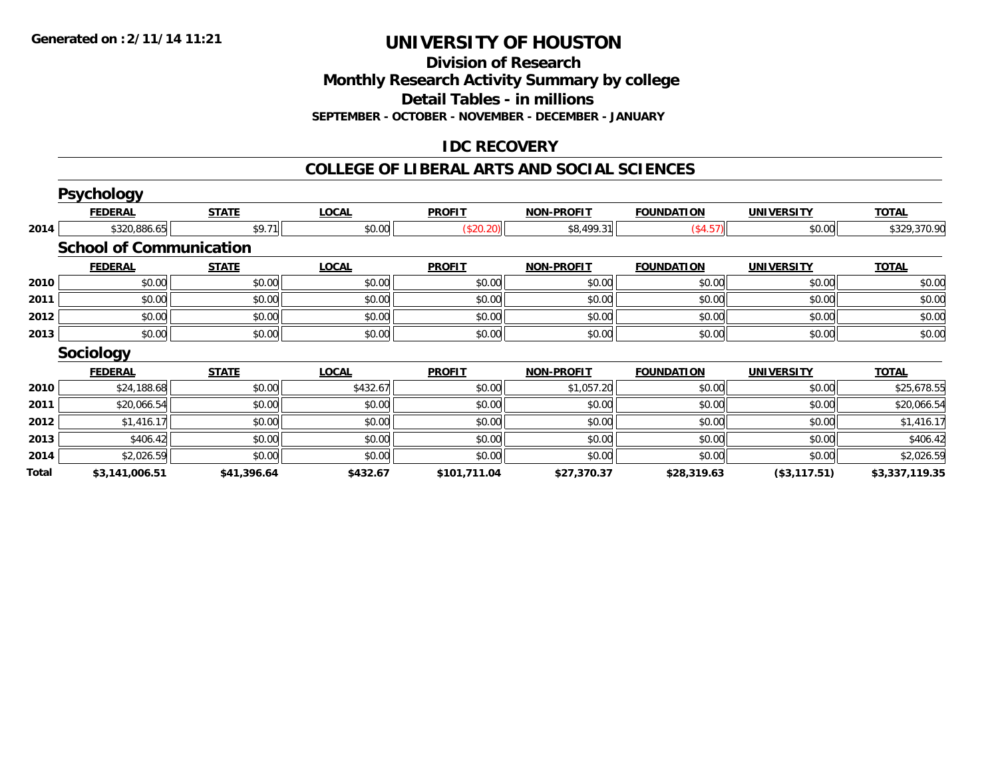**Division of Research**

**Monthly Research Activity Summary by college**

**Detail Tables - in millions**

**SEPTEMBER - OCTOBER - NOVEMBER - DECEMBER - JANUARY**

## **IDC RECOVERY**

#### **COLLEGE OF LIBERAL ARTS AND SOCIAL SCIENCES**

|       | <b>Psychology</b>              |              |              |               |                   |                   |                   |                |
|-------|--------------------------------|--------------|--------------|---------------|-------------------|-------------------|-------------------|----------------|
|       | <b>FEDERAL</b>                 | <b>STATE</b> | <b>LOCAL</b> | <b>PROFIT</b> | <b>NON-PROFIT</b> | <b>FOUNDATION</b> | <b>UNIVERSITY</b> | <u>TOTAL</u>   |
| 2014  | \$320,886.65                   | \$9.71       | \$0.00       | (\$20.20)     | \$8,499.31        | (\$4.57)          | \$0.00            | \$329,370.90   |
|       | <b>School of Communication</b> |              |              |               |                   |                   |                   |                |
|       | <b>FEDERAL</b>                 | <b>STATE</b> | <b>LOCAL</b> | <b>PROFIT</b> | <b>NON-PROFIT</b> | <b>FOUNDATION</b> | <b>UNIVERSITY</b> | <b>TOTAL</b>   |
| 2010  | \$0.00                         | \$0.00       | \$0.00       | \$0.00        | \$0.00            | \$0.00            | \$0.00            | \$0.00         |
| 2011  | \$0.00                         | \$0.00       | \$0.00       | \$0.00        | \$0.00            | \$0.00            | \$0.00            | \$0.00         |
| 2012  | \$0.00                         | \$0.00       | \$0.00       | \$0.00        | \$0.00            | \$0.00            | \$0.00            | \$0.00         |
| 2013  | \$0.00                         | \$0.00       | \$0.00       | \$0.00        | \$0.00            | \$0.00            | \$0.00            | \$0.00         |
|       | <b>Sociology</b>               |              |              |               |                   |                   |                   |                |
|       | <b>FEDERAL</b>                 | <b>STATE</b> | <b>LOCAL</b> | <b>PROFIT</b> | <b>NON-PROFIT</b> | <b>FOUNDATION</b> | <b>UNIVERSITY</b> | <b>TOTAL</b>   |
| 2010  | \$24,188.68                    | \$0.00       | \$432.67     | \$0.00        | \$1,057.20        | \$0.00            | \$0.00            | \$25,678.55    |
| 2011  | \$20,066.54                    | \$0.00       | \$0.00       | \$0.00        | \$0.00            | \$0.00            | \$0.00            | \$20,066.54    |
| 2012  | \$1,416.17                     | \$0.00       | \$0.00       | \$0.00        | \$0.00            | \$0.00            | \$0.00            | \$1,416.17     |
| 2013  | \$406.42                       | \$0.00       | \$0.00       | \$0.00        | \$0.00            | \$0.00            | \$0.00            | \$406.42       |
| 2014  | \$2,026.59                     | \$0.00       | \$0.00       | \$0.00        | \$0.00            | \$0.00            | \$0.00            | \$2,026.59     |
| Total | \$3,141,006.51                 | \$41,396.64  | \$432.67     | \$101,711.04  | \$27,370.37       | \$28,319.63       | (\$3,117.51)      | \$3,337,119.35 |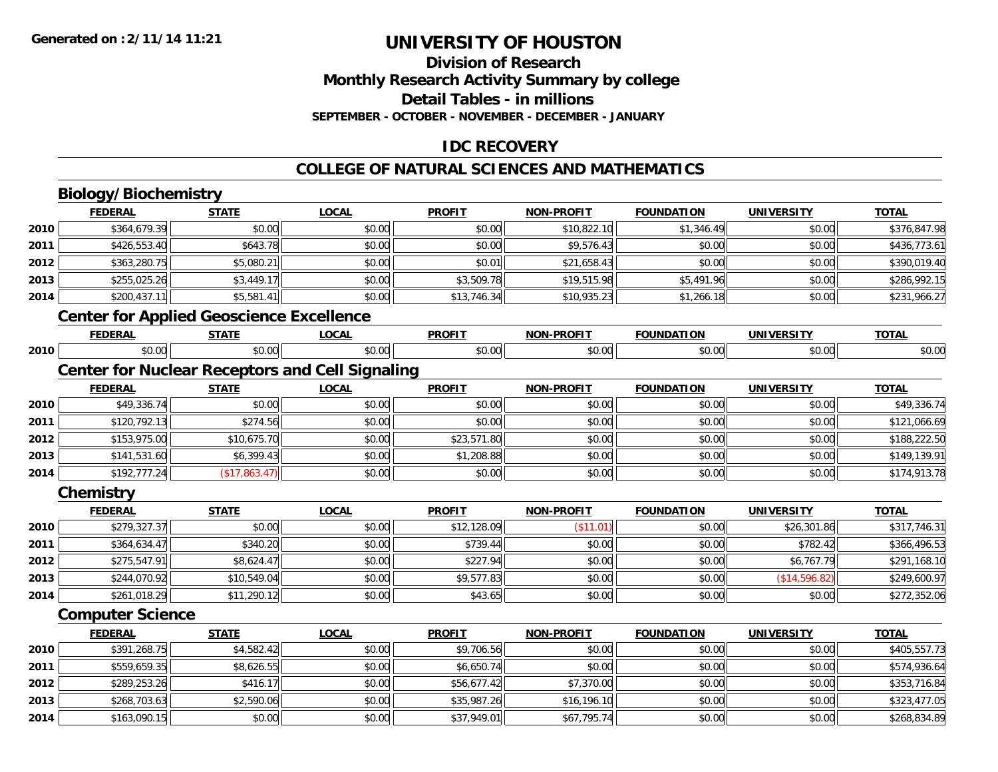## **Division of ResearchMonthly Research Activity Summary by college Detail Tables - in millions SEPTEMBER - OCTOBER - NOVEMBER - DECEMBER - JANUARY**

### **IDC RECOVERY**

#### **COLLEGE OF NATURAL SCIENCES AND MATHEMATICS**

## **Biology/Biochemistry**

|      | <b>FEDERAL</b>                                         | <b>STATE</b>  | <b>LOCAL</b> | <b>PROFIT</b> | <b>NON-PROFIT</b> | <b>FOUNDATION</b> | <b>UNIVERSITY</b> | <b>TOTAL</b> |
|------|--------------------------------------------------------|---------------|--------------|---------------|-------------------|-------------------|-------------------|--------------|
| 2010 | \$364,679.39                                           | \$0.00        | \$0.00       | \$0.00        | \$10,822.10       | \$1,346.49        | \$0.00            | \$376,847.98 |
| 2011 | \$426,553.40                                           | \$643.78      | \$0.00       | \$0.00        | \$9,576.43        | \$0.00            | \$0.00            | \$436,773.61 |
| 2012 | \$363,280.75                                           | \$5,080.21    | \$0.00       | \$0.01        | \$21,658.43       | \$0.00            | \$0.00            | \$390,019.40 |
| 2013 | \$255,025.26                                           | \$3,449.17    | \$0.00       | \$3,509.78    | \$19,515.98       | \$5,491.96        | \$0.00            | \$286,992.15 |
| 2014 | \$200,437.11                                           | \$5,581.41    | \$0.00       | \$13,746.34   | \$10,935.23       | \$1,266.18        | \$0.00            | \$231,966.27 |
|      | <b>Center for Applied Geoscience Excellence</b>        |               |              |               |                   |                   |                   |              |
|      | <b>FEDERAL</b>                                         | <b>STATE</b>  | <b>LOCAL</b> | <b>PROFIT</b> | <b>NON-PROFIT</b> | <b>FOUNDATION</b> | <b>UNIVERSITY</b> | <b>TOTAL</b> |
| 2010 | \$0.00                                                 | \$0.00        | \$0.00       | \$0.00        | \$0.00            | \$0.00            | \$0.00            | \$0.00       |
|      | <b>Center for Nuclear Receptors and Cell Signaling</b> |               |              |               |                   |                   |                   |              |
|      | <b>FEDERAL</b>                                         | <b>STATE</b>  | <b>LOCAL</b> | <b>PROFIT</b> | <b>NON-PROFIT</b> | <b>FOUNDATION</b> | <b>UNIVERSITY</b> | <b>TOTAL</b> |
| 2010 | \$49,336.74                                            | \$0.00        | \$0.00       | \$0.00        | \$0.00            | \$0.00            | \$0.00            | \$49,336.74  |
| 2011 | \$120,792.13                                           | \$274.56      | \$0.00       | \$0.00        | \$0.00            | \$0.00            | \$0.00            | \$121,066.69 |
| 2012 | \$153,975.00                                           | \$10,675.70   | \$0.00       | \$23,571.80   | \$0.00            | \$0.00            | \$0.00            | \$188,222.50 |
| 2013 | \$141,531.60                                           | \$6,399.43    | \$0.00       | \$1,208.88    | \$0.00            | \$0.00            | \$0.00            | \$149,139.91 |
| 2014 | \$192,777.24                                           | (\$17,863.47) | \$0.00       | \$0.00        | \$0.00            | \$0.00            | \$0.00            | \$174,913.78 |
|      | Chemistry                                              |               |              |               |                   |                   |                   |              |
|      | <b>FEDERAL</b>                                         | <b>STATE</b>  | <b>LOCAL</b> | <b>PROFIT</b> | <b>NON-PROFIT</b> | <b>FOUNDATION</b> | <b>UNIVERSITY</b> | <b>TOTAL</b> |
| 2010 | \$279,327.37                                           | \$0.00        | \$0.00       | \$12,128.09   | (\$11.01)         | \$0.00            | \$26,301.86       | \$317,746.31 |
| 2011 | \$364,634.47                                           | \$340.20      | \$0.00       | \$739.44      | \$0.00            | \$0.00            | \$782.42          | \$366,496.53 |
| 2012 | \$275,547.91                                           | \$8,624.47    | \$0.00       | \$227.94      | \$0.00            | \$0.00            | \$6,767.79        | \$291,168.10 |
| 2013 | \$244,070.92                                           | \$10,549.04   | \$0.00       | \$9,577.83    | \$0.00            | \$0.00            | (\$14,596.82)     | \$249,600.97 |
| 2014 | \$261,018.29                                           | \$11,290.12   | \$0.00       | \$43.65       | \$0.00            | \$0.00            | \$0.00            | \$272,352.06 |
|      | <b>Computer Science</b>                                |               |              |               |                   |                   |                   |              |
|      | <b>FEDERAL</b>                                         | <b>STATE</b>  | <b>LOCAL</b> | <b>PROFIT</b> | <b>NON-PROFIT</b> | <b>FOUNDATION</b> | <b>UNIVERSITY</b> | <b>TOTAL</b> |
| 2010 | \$391,268.75                                           | \$4,582.42    | \$0.00       | \$9,706.56    | \$0.00            | \$0.00            | \$0.00            | \$405,557.73 |
| 2011 | \$559,659.35                                           | \$8,626.55    | \$0.00       | \$6,650.74    | \$0.00            | \$0.00            | \$0.00            | \$574,936.64 |
| 2012 | \$289,253.26                                           | \$416.17      | \$0.00       | \$56,677.42   | \$7,370.00        | \$0.00            | \$0.00            | \$353,716.84 |
| 2013 | \$268,703.63                                           | \$2,590.06    | \$0.00       | \$35,987.26   | \$16,196.10       | \$0.00            | \$0.00            | \$323,477.05 |
| 2014 | \$163,090.15                                           | \$0.00        | \$0.00       | \$37,949.01   | \$67,795.74       | \$0.00            | \$0.00            | \$268,834.89 |

\$163,090.15 \$0.00 \$0.00 \$37,949.01 \$67,795.74 \$0.00 \$0.00 \$268,834.89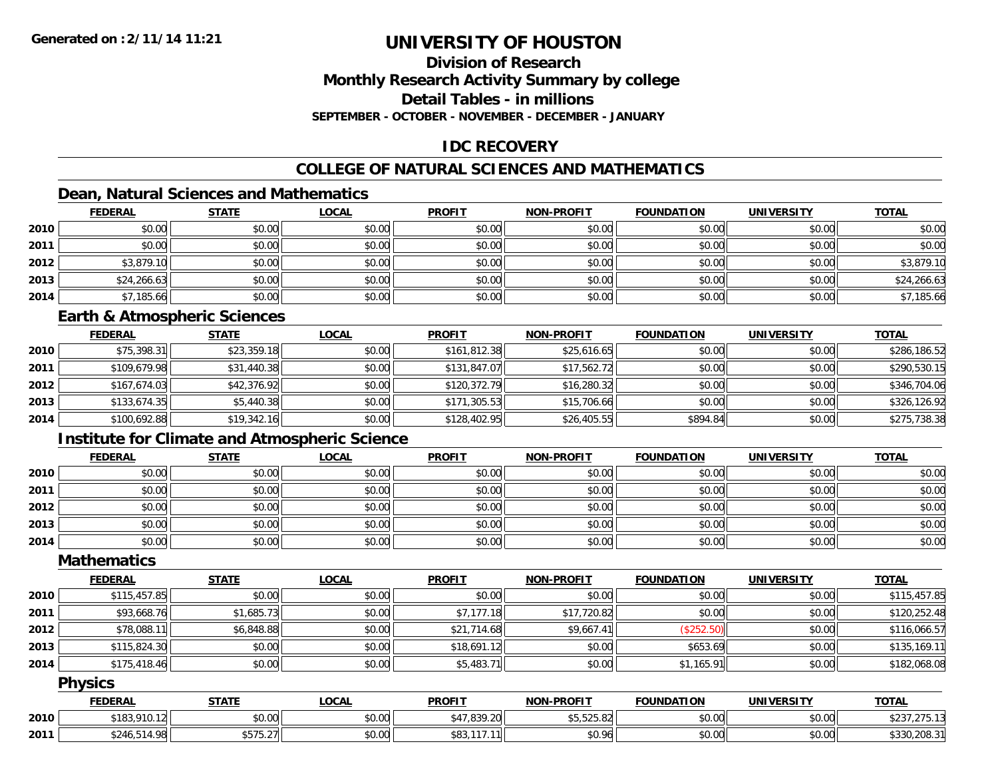### **Division of ResearchMonthly Research Activity Summary by college Detail Tables - in millions**

**SEPTEMBER - OCTOBER - NOVEMBER - DECEMBER - JANUARY**

## **IDC RECOVERY**

## **COLLEGE OF NATURAL SCIENCES AND MATHEMATICS**

## **Dean, Natural Sciences and Mathematics**

|      | <b>FEDERAL</b> | <b>STATE</b> | <u>LOCAL</u> | <b>PROFIT</b> | <b>NON-PROFIT</b> | <b>FOUNDATION</b> | <b>UNIVERSITY</b> | <b>TOTAL</b> |
|------|----------------|--------------|--------------|---------------|-------------------|-------------------|-------------------|--------------|
| 2010 | \$0.00         | \$0.00       | \$0.00       | \$0.00        | \$0.00            | \$0.00            | \$0.00            | \$0.00       |
| 2011 | \$0.00         | \$0.00       | \$0.00       | \$0.00        | \$0.00            | \$0.00            | \$0.00            | \$0.00       |
| 2012 | \$3,879.10     | \$0.00       | \$0.00       | \$0.00        | \$0.00            | \$0.00            | \$0.00            | \$3,879.10   |
| 2013 | \$24,266.63    | \$0.00       | \$0.00       | \$0.00        | \$0.00            | \$0.00            | \$0.00            | \$24,266.63  |
| 2014 | \$7,185.66     | \$0.00       | \$0.00       | \$0.00        | \$0.00            | \$0.00            | \$0.00            | \$7,185.66   |

### **Earth & Atmospheric Sciences**

|      | <b>FEDERAL</b> | <u>STATE</u> | <b>LOCAL</b> | <b>PROFIT</b> | <b>NON-PROFIT</b> | <b>FOUNDATION</b> | <b>UNIVERSITY</b> | <b>TOTAL</b> |
|------|----------------|--------------|--------------|---------------|-------------------|-------------------|-------------------|--------------|
| 2010 | \$75,398.31    | \$23,359.18  | \$0.00       | \$161,812.38  | \$25,616.65       | \$0.00            | \$0.00            | \$286,186.52 |
| 2011 | \$109,679.98   | \$31,440.38  | \$0.00       | \$131,847.07  | \$17,562.72       | \$0.00            | \$0.00            | \$290,530.15 |
| 2012 | \$167,674.03   | \$42,376.92  | \$0.00       | \$120,372.79  | \$16,280.32       | \$0.00            | \$0.00            | \$346,704.06 |
| 2013 | \$133,674.35   | \$5,440.38   | \$0.00       | \$171,305.53  | \$15,706.66       | \$0.00            | \$0.00            | \$326,126.92 |
| 2014 | \$100,692.88   | \$19,342.16  | \$0.00       | \$128,402.95  | \$26,405.55       | \$894.84          | \$0.00            | \$275,738.38 |

## **Institute for Climate and Atmospheric Science**

|      | <b>FEDERAL</b> | <b>STATE</b> | <b>LOCAL</b> | <b>PROFIT</b> | <b>NON-PROFIT</b> | <b>FOUNDATION</b> | <b>UNIVERSITY</b> | <b>TOTAL</b> |
|------|----------------|--------------|--------------|---------------|-------------------|-------------------|-------------------|--------------|
| 2010 | \$0.00         | \$0.00       | \$0.00       | \$0.00        | \$0.00            | \$0.00            | \$0.00            | \$0.00       |
| 2011 | \$0.00         | \$0.00       | \$0.00       | \$0.00        | \$0.00            | \$0.00            | \$0.00            | \$0.00       |
| 2012 | \$0.00         | \$0.00       | \$0.00       | \$0.00        | \$0.00            | \$0.00            | \$0.00            | \$0.00       |
| 2013 | \$0.00         | \$0.00       | \$0.00       | \$0.00        | \$0.00            | \$0.00            | \$0.00            | \$0.00       |
| 2014 | \$0.00         | \$0.00       | \$0.00       | \$0.00        | \$0.00            | \$0.00            | \$0.00            | \$0.00       |

#### **Mathematics**

|      | <b>FEDERAL</b> | <b>STATE</b> | <b>LOCAL</b> | <b>PROFIT</b> | <b>NON-PROFIT</b> | <b>FOUNDATION</b> | <b>UNIVERSITY</b> | <b>TOTAL</b> |
|------|----------------|--------------|--------------|---------------|-------------------|-------------------|-------------------|--------------|
| 2010 | \$115,457.85   | \$0.00       | \$0.00       | \$0.00        | \$0.00            | \$0.00            | \$0.00            | \$115,457.85 |
| 2011 | \$93,668.76    | \$1,685.73   | \$0.00       | \$7,177.18    | \$17,720.82       | \$0.00            | \$0.00            | \$120,252.48 |
| 2012 | \$78,088.11    | \$6,848.88   | \$0.00       | \$21,714.68   | \$9,667.41        | (\$252.50)        | \$0.00            | \$116,066.57 |
| 2013 | \$115,824.30   | \$0.00       | \$0.00       | \$18,691.12   | \$0.00            | \$653.69          | \$0.00            | \$135,169.11 |
| 2014 | \$175,418.46   | \$0.00       | \$0.00       | \$5,483.71    | \$0.00            | \$1,165.91        | \$0.00            | \$182,068.08 |

#### **Physics**

|      | <b>FEDERAL</b>     | <b>STATE</b>                      | <b>LOCAL</b> | <b>PROFIT</b>              | <b>NON-PROFIT</b>              | <b>FOUNDATION</b> | <b>UNIVERSITY</b> | <b>TOTAL</b>                               |
|------|--------------------|-----------------------------------|--------------|----------------------------|--------------------------------|-------------------|-------------------|--------------------------------------------|
| 2010 | \$183,910.12       | \$0.00                            | \$0.00       | \$47,839.20                | <b>AF FOR OO</b><br>13.323.821 | \$0.00            | \$0.00            | $\sim$ 0.0 $\sim$<br>. ت ے پ<br><i>. .</i> |
| 2011 | .514.98<br>\$246.5 | $+ - - - - -$<br>$35/5.2$ / $\pm$ | \$0.00       | <b>cot</b><br>447<br>. აია | \$0.96                         | \$0.00            | \$0.00            | \$330,208.3                                |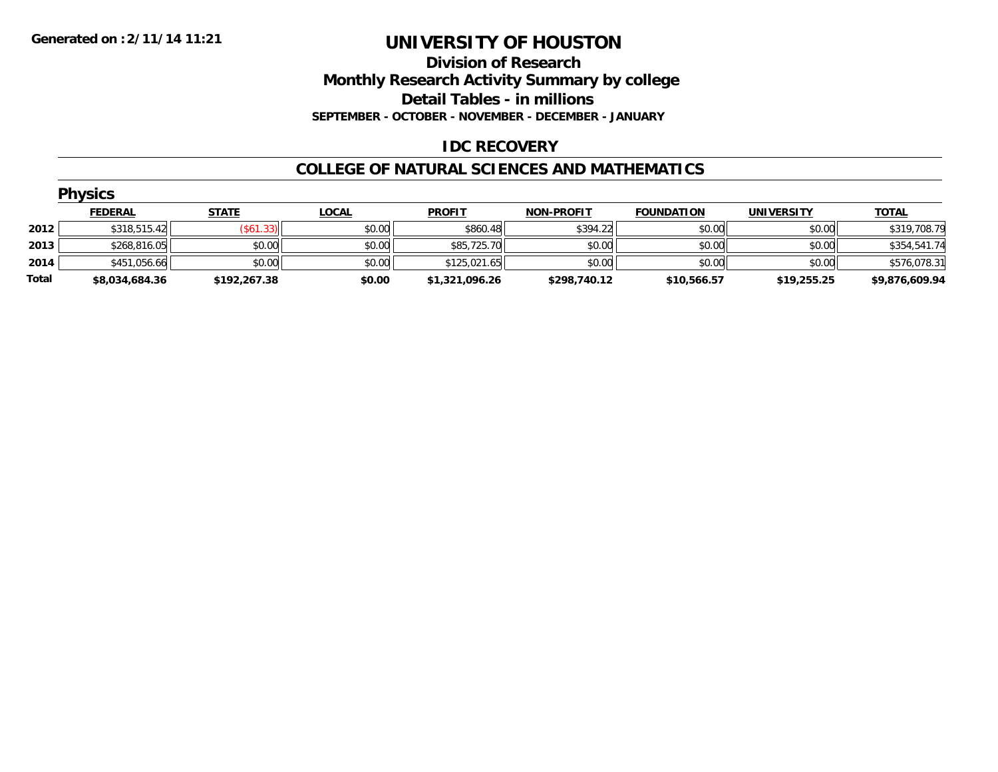#### **Division of Research Monthly Research Activity Summary by college Detail Tables - in millions SEPTEMBER - OCTOBER - NOVEMBER - DECEMBER - JANUARY**

### **IDC RECOVERY**

#### **COLLEGE OF NATURAL SCIENCES AND MATHEMATICS**

|       | <b>Physics</b> |              |              |                |                   |                   |                   |                |  |  |  |  |
|-------|----------------|--------------|--------------|----------------|-------------------|-------------------|-------------------|----------------|--|--|--|--|
|       | <b>FEDERAL</b> | <b>STATE</b> | <b>LOCAL</b> | <b>PROFIT</b>  | <b>NON-PROFIT</b> | <b>FOUNDATION</b> | <b>UNIVERSITY</b> | <b>TOTAL</b>   |  |  |  |  |
| 2012  | \$318,515.42   | (\$61.33)    | \$0.00       | \$860.48       | \$394.22          | \$0.00            | \$0.00            | \$319,708.79   |  |  |  |  |
| 2013  | \$268,816.05   | \$0.00       | \$0.00       | \$85,725.70    | \$0.00            | \$0.00            | \$0.00            | \$354,541.74   |  |  |  |  |
| 2014  | \$451,056.66   | \$0.00       | \$0.00       | \$125,021.65   | \$0.00            | \$0.00            | \$0.00            | \$576,078.31   |  |  |  |  |
| Total | \$8,034,684.36 | \$192,267.38 | \$0.00       | \$1,321,096.26 | \$298,740.12      | \$10,566.57       | \$19,255.25       | \$9,876,609.94 |  |  |  |  |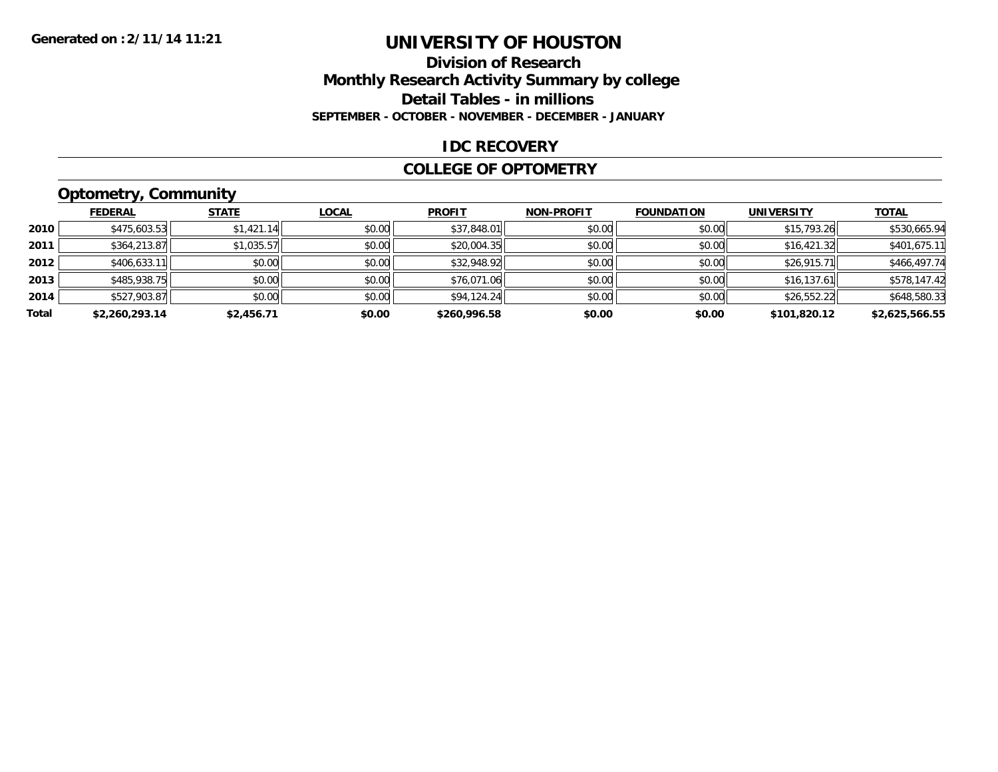#### **Division of Research Monthly Research Activity Summary by college Detail Tables - in millions SEPTEMBER - OCTOBER - NOVEMBER - DECEMBER - JANUARY**

#### **IDC RECOVERY**

#### **COLLEGE OF OPTOMETRY**

# **Optometry, Community**

|       | .              |              |              |               |                   |                   |                   |                |
|-------|----------------|--------------|--------------|---------------|-------------------|-------------------|-------------------|----------------|
|       | <b>FEDERAL</b> | <b>STATE</b> | <b>LOCAL</b> | <b>PROFIT</b> | <b>NON-PROFIT</b> | <b>FOUNDATION</b> | <b>UNIVERSITY</b> | <b>TOTAL</b>   |
| 2010  | \$475,603.53   | \$1,421.14   | \$0.00       | \$37,848.01   | \$0.00            | \$0.00            | \$15,793.26       | \$530,665.94   |
| 2011  | \$364,213.87   | \$1,035.57   | \$0.00       | \$20,004.35   | \$0.00            | \$0.00            | \$16,421.32       | \$401,675.11   |
| 2012  | \$406,633.11   | \$0.00       | \$0.00       | \$32,948.92   | \$0.00            | \$0.00            | \$26,915.71       | \$466,497.74   |
| 2013  | \$485,938.75   | \$0.00       | \$0.00       | \$76,071.06   | \$0.00            | \$0.00            | \$16,137.61       | \$578,147.42   |
| 2014  | \$527,903.87   | \$0.00       | \$0.00       | \$94,124.24   | \$0.00            | \$0.00            | \$26,552.22       | \$648,580.33   |
| Total | \$2,260,293.14 | \$2,456.71   | \$0.00       | \$260,996.58  | \$0.00            | \$0.00            | \$101.820.12      | \$2,625,566.55 |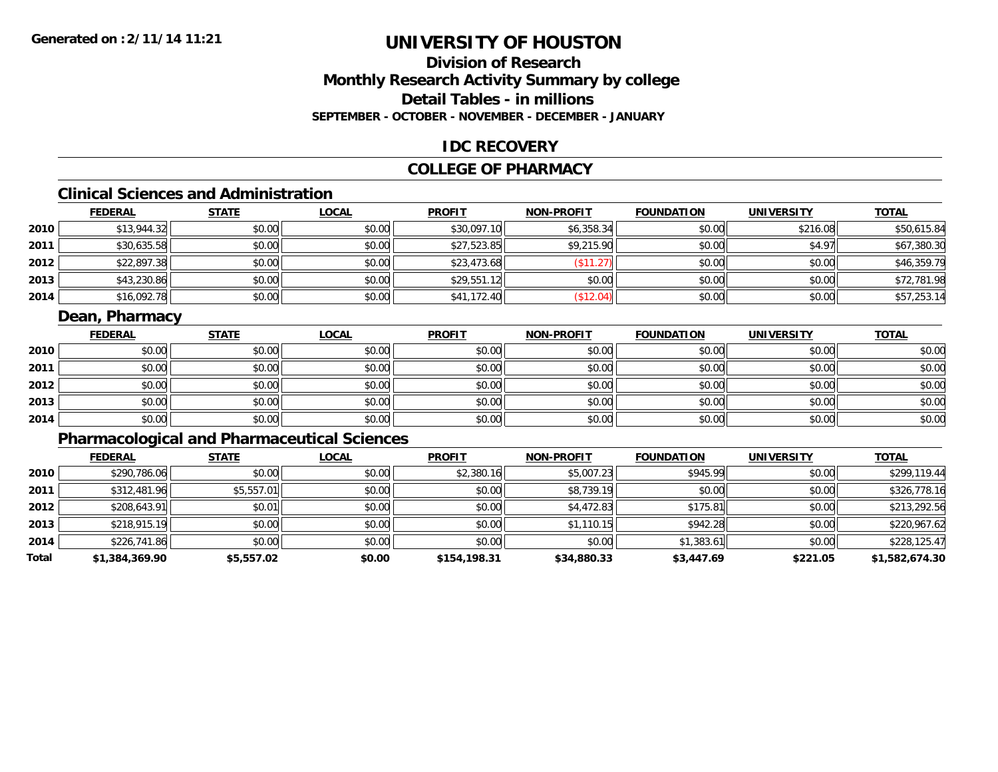## **Division of ResearchMonthly Research Activity Summary by college Detail Tables - in millionsSEPTEMBER - OCTOBER - NOVEMBER - DECEMBER - JANUARY**

### **IDC RECOVERY**

### **COLLEGE OF PHARMACY**

# **Clinical Sciences and Administration**

|        | <b>FEDERAL</b> | <b>STATE</b> | <u>LOCAL</u> | <b>PROFIT</b> | <b>NON-PROFIT</b> | <b>FOUNDATION</b> | <b>UNIVERSITY</b> | <b>TOTAL</b> |
|--------|----------------|--------------|--------------|---------------|-------------------|-------------------|-------------------|--------------|
| ا 2010 | \$13,944.32    | \$0.00       | \$0.00       | \$30,097.10   | \$6,358.34        | \$0.00            | \$216.08          | \$50,615.84  |
| 2011   | \$30,635.58    | \$0.00       | \$0.00       | \$27,523.85   | \$9,215.90        | \$0.00            | \$4.97            | \$67,380.30  |
| 2012   | \$22,897.38    | \$0.00       | \$0.00       | \$23,473.68   | \$11.27           | \$0.00            | \$0.00            | \$46,359.79  |
| 2013   | \$43,230.86    | \$0.00       | \$0.00       | \$29,551.12   | \$0.00            | \$0.00            | \$0.00            | \$72,781.98  |
| 2014   | \$16,092.78    | \$0.00       | \$0.00       | \$41,172.40   | \$12.04)          | \$0.00            | \$0.00            | \$57,253.14  |

### **Dean, Pharmacy**

|      | <b>FEDERAL</b> | <b>STATE</b> | <u>LOCAL</u> | <b>PROFIT</b> | <b>NON-PROFIT</b> | <b>FOUNDATION</b> | <b>UNIVERSITY</b> | <b>TOTAL</b> |
|------|----------------|--------------|--------------|---------------|-------------------|-------------------|-------------------|--------------|
| 2010 | \$0.00         | \$0.00       | \$0.00       | \$0.00        | \$0.00            | \$0.00            | \$0.00            | \$0.00       |
| 2011 | \$0.00         | \$0.00       | \$0.00       | \$0.00        | \$0.00            | \$0.00            | \$0.00            | \$0.00       |
| 2012 | \$0.00         | \$0.00       | \$0.00       | \$0.00        | \$0.00            | \$0.00            | \$0.00            | \$0.00       |
| 2013 | \$0.00         | \$0.00       | \$0.00       | \$0.00        | \$0.00            | \$0.00            | \$0.00            | \$0.00       |
| 2014 | \$0.00         | \$0.00       | \$0.00       | \$0.00        | \$0.00            | \$0.00            | \$0.00            | \$0.00       |

## **Pharmacological and Pharmaceutical Sciences**

|       | <b>FEDERAL</b> | <b>STATE</b> | <b>LOCAL</b> | <b>PROFIT</b> | <b>NON-PROFIT</b> | <b>FOUNDATION</b> | <b>UNIVERSITY</b> | <b>TOTAL</b>   |
|-------|----------------|--------------|--------------|---------------|-------------------|-------------------|-------------------|----------------|
| 2010  | \$290,786.06   | \$0.00       | \$0.00       | \$2,380.16    | \$5,007.23        | \$945.99          | \$0.00            | \$299,119.44   |
| 2011  | \$312,481.96   | \$5,557.01   | \$0.00       | \$0.00        | \$8,739.19        | \$0.00            | \$0.00            | \$326,778.16   |
| 2012  | \$208,643.91   | \$0.01       | \$0.00       | \$0.00        | \$4,472.83        | \$175.81          | \$0.00            | \$213,292.56   |
| 2013  | \$218,915.19   | \$0.00       | \$0.00       | \$0.00        | \$1,110.15        | \$942.28          | \$0.00            | \$220,967.62   |
| 2014  | \$226,741.86   | \$0.00       | \$0.00       | \$0.00        | \$0.00            | \$1,383.61        | \$0.00            | \$228,125.47   |
| Total | \$1,384,369.90 | \$5,557.02   | \$0.00       | \$154,198.31  | \$34,880.33       | \$3,447.69        | \$221.05          | \$1,582,674.30 |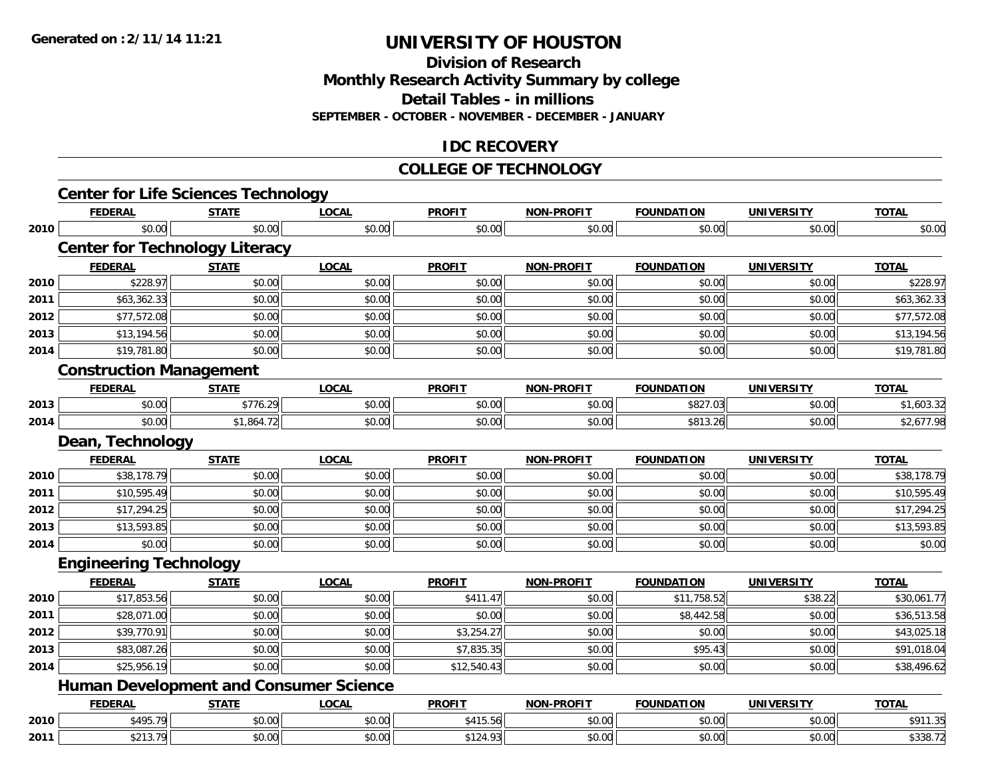**Division of Research**

**Monthly Research Activity Summary by college**

**Detail Tables - in millions**

**SEPTEMBER - OCTOBER - NOVEMBER - DECEMBER - JANUARY**

### **IDC RECOVERY**

#### **COLLEGE OF TECHNOLOGY**

|      |                                | <b>Center for Life Sciences Technology</b>    |              |               |                   |                   |                   |              |
|------|--------------------------------|-----------------------------------------------|--------------|---------------|-------------------|-------------------|-------------------|--------------|
|      | <b>FEDERAL</b>                 | <b>STATE</b>                                  | <b>LOCAL</b> | <b>PROFIT</b> | <b>NON-PROFIT</b> | <b>FOUNDATION</b> | <b>UNIVERSITY</b> | <b>TOTAL</b> |
| 2010 | \$0.00                         | \$0.00                                        | \$0.00       | \$0.00        | \$0.00            | \$0.00            | \$0.00            | \$0.00       |
|      |                                | <b>Center for Technology Literacy</b>         |              |               |                   |                   |                   |              |
|      | <b>FEDERAL</b>                 | <b>STATE</b>                                  | <b>LOCAL</b> | <b>PROFIT</b> | <b>NON-PROFIT</b> | <b>FOUNDATION</b> | <b>UNIVERSITY</b> | <b>TOTAL</b> |
| 2010 | \$228.97                       | \$0.00                                        | \$0.00       | \$0.00        | \$0.00            | \$0.00            | \$0.00            | \$228.97     |
| 2011 | \$63,362.33                    | \$0.00                                        | \$0.00       | \$0.00        | \$0.00            | \$0.00            | \$0.00            | \$63,362.33  |
| 2012 | \$77,572.08                    | \$0.00                                        | \$0.00       | \$0.00        | \$0.00            | \$0.00            | \$0.00            | \$77,572.08  |
| 2013 | \$13,194.56                    | \$0.00                                        | \$0.00       | \$0.00        | \$0.00            | \$0.00            | \$0.00            | \$13,194.56  |
| 2014 | \$19,781.80                    | \$0.00                                        | \$0.00       | \$0.00        | \$0.00            | \$0.00            | \$0.00            | \$19,781.80  |
|      | <b>Construction Management</b> |                                               |              |               |                   |                   |                   |              |
|      | <b>FEDERAL</b>                 | <b>STATE</b>                                  | <b>LOCAL</b> | <b>PROFIT</b> | <b>NON-PROFIT</b> | <b>FOUNDATION</b> | <b>UNIVERSITY</b> | <b>TOTAL</b> |
| 2013 | \$0.00                         | \$776.29                                      | \$0.00       | \$0.00        | \$0.00            | \$827.03          | \$0.00            | \$1,603.32   |
| 2014 | \$0.00                         | \$1,864.72                                    | \$0.00       | \$0.00        | \$0.00            | \$813.26          | \$0.00            | \$2,677.98   |
|      | Dean, Technology               |                                               |              |               |                   |                   |                   |              |
|      | <b>FEDERAL</b>                 | <b>STATE</b>                                  | <b>LOCAL</b> | <b>PROFIT</b> | <b>NON-PROFIT</b> | <b>FOUNDATION</b> | <b>UNIVERSITY</b> | <b>TOTAL</b> |
| 2010 | \$38,178.79                    | \$0.00                                        | \$0.00       | \$0.00        | \$0.00            | \$0.00            | \$0.00            | \$38,178.79  |
| 2011 | \$10,595.49                    | \$0.00                                        | \$0.00       | \$0.00        | \$0.00            | \$0.00            | \$0.00            | \$10,595.49  |
| 2012 | \$17,294.25                    | \$0.00                                        | \$0.00       | \$0.00        | \$0.00            | \$0.00            | \$0.00            | \$17,294.25  |
| 2013 | \$13,593.85                    | \$0.00                                        | \$0.00       | \$0.00        | \$0.00            | \$0.00            | \$0.00            | \$13,593.85  |
| 2014 | \$0.00                         | \$0.00                                        | \$0.00       | \$0.00        | \$0.00            | \$0.00            | \$0.00            | \$0.00       |
|      | <b>Engineering Technology</b>  |                                               |              |               |                   |                   |                   |              |
|      | <b>FEDERAL</b>                 | <b>STATE</b>                                  | <b>LOCAL</b> | <b>PROFIT</b> | <b>NON-PROFIT</b> | <b>FOUNDATION</b> | <b>UNIVERSITY</b> | <b>TOTAL</b> |
| 2010 | \$17,853.56                    | \$0.00                                        | \$0.00       | \$411.47      | \$0.00            | \$11,758.52       | \$38.22           | \$30,061.77  |
| 2011 | \$28,071.00                    | \$0.00                                        | \$0.00       | \$0.00        | \$0.00            | \$8,442.58        | \$0.00            | \$36,513.58  |
| 2012 | \$39,770.91                    | \$0.00                                        | \$0.00       | \$3,254.27    | \$0.00            | \$0.00            | \$0.00            | \$43,025.18  |
| 2013 | \$83,087.26                    | \$0.00                                        | \$0.00       | \$7,835.35    | \$0.00            | \$95.43           | \$0.00            | \$91,018.04  |
| 2014 | \$25,956.19                    | \$0.00                                        | \$0.00       | \$12,540.43   | \$0.00            | \$0.00            | \$0.00            | \$38,496.62  |
|      |                                | <b>Human Development and Consumer Science</b> |              |               |                   |                   |                   |              |
|      | <b>FEDERAL</b>                 | <b>STATE</b>                                  | <b>LOCAL</b> | <b>PROFIT</b> | <b>NON-PROFIT</b> | <b>FOUNDATION</b> | <b>UNIVERSITY</b> | <b>TOTAL</b> |
| 2010 | \$495.79                       | \$0.00                                        | \$0.00       | \$415.56      | \$0.00            | \$0.00            | \$0.00            | \$911.35     |
| 2011 | \$213.79                       | \$0.00                                        | \$0.00       | \$124.93      | \$0.00            | \$0.00            | \$0.00            | \$338.72     |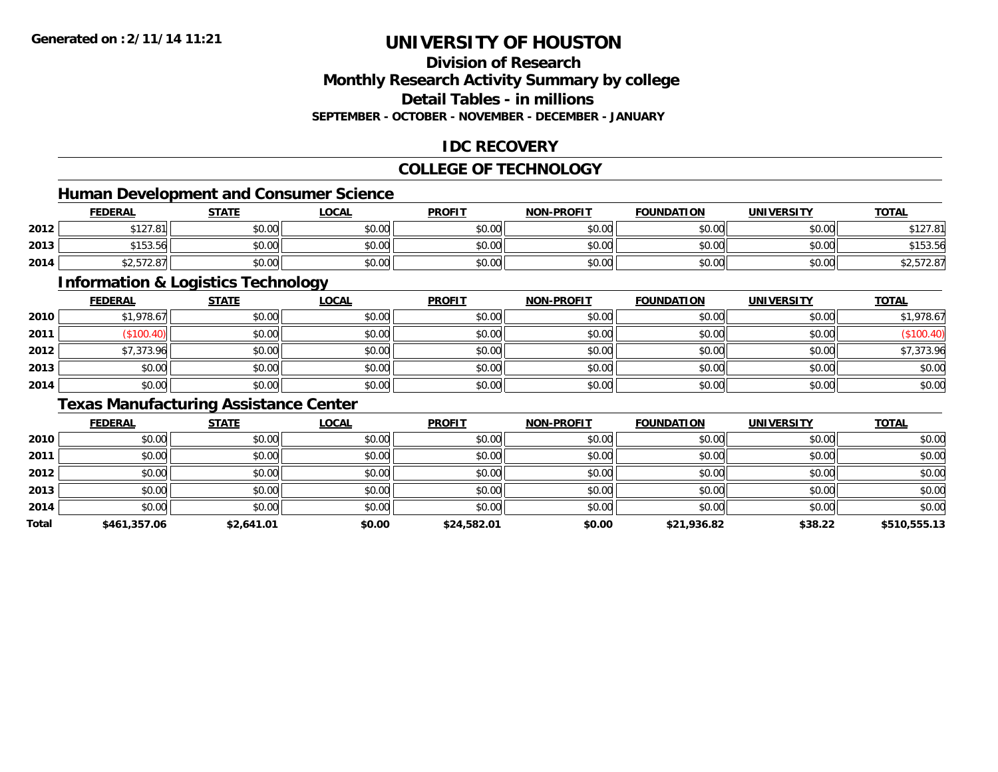### **Division of ResearchMonthly Research Activity Summary by college Detail Tables - in millionsSEPTEMBER - OCTOBER - NOVEMBER - DECEMBER - JANUARY**

### **IDC RECOVERY**

## **COLLEGE OF TECHNOLOGY**

## **Human Development and Consumer Science**

|      | <b>FEDERAL</b>              | <b>STATE</b> | LOCAL  | <b>PROFIT</b> | <b>NON-PROFIT</b> | <b>FOUNDATION</b> | <b>UNIVERSITY</b> | <b>TOTAL</b> |
|------|-----------------------------|--------------|--------|---------------|-------------------|-------------------|-------------------|--------------|
| 2012 | 0.10701<br><b>DIZI.OI</b>   | \$0.00       | \$0.00 | \$0.00        | \$0.00            | \$0.00            | \$0.00            | \$127.81     |
| 2013 | \$153.56                    | \$0.00       | \$0.00 | \$0.00        | \$0.00            | \$0.00l           | \$0.00 l          | \$153.56     |
| 2014 | $\cdots$<br>42, J I Z.O / I | \$0.00       | \$0.00 | \$0.00        | \$0.00            | \$0.00            | \$0.00            | \$2,572.87   |

<u> 1989 - Johann Stoff, deutscher Stoffen und der Stoffen und der Stoffen und der Stoffen und der Stoffen und de</u>

## **Information & Logistics Technology**

|      | <b>FEDERAL</b> | <b>STATE</b> | <u>LOCAL</u> | <b>PROFIT</b> | <b>NON-PROFIT</b> | <b>FOUNDATION</b> | <b>UNIVERSITY</b> | <b>TOTAL</b> |
|------|----------------|--------------|--------------|---------------|-------------------|-------------------|-------------------|--------------|
| 2010 | \$1,978.67     | \$0.00       | \$0.00       | \$0.00        | \$0.00            | \$0.00            | \$0.00            | \$1,978.67   |
| 2011 | \$100.40       | \$0.00       | \$0.00       | \$0.00        | \$0.00            | \$0.00            | \$0.00            | (\$100.40)   |
| 2012 | \$7,373.96     | \$0.00       | \$0.00       | \$0.00        | \$0.00            | \$0.00            | \$0.00            | \$7,373.96   |
| 2013 | \$0.00         | \$0.00       | \$0.00       | \$0.00        | \$0.00            | \$0.00            | \$0.00            | \$0.00       |
| 2014 | \$0.00         | \$0.00       | \$0.00       | \$0.00        | \$0.00            | \$0.00            | \$0.00            | \$0.00       |

### **Texas Manufacturing Assistance Center**

|       | <b>FEDERAL</b> | <b>STATE</b> | <u>LOCAL</u> | <b>PROFIT</b> | <b>NON-PROFIT</b> | <b>FOUNDATION</b> | <b>UNIVERSITY</b> | <b>TOTAL</b> |
|-------|----------------|--------------|--------------|---------------|-------------------|-------------------|-------------------|--------------|
| 2010  | \$0.00         | \$0.00       | \$0.00       | \$0.00        | \$0.00            | \$0.00            | \$0.00            | \$0.00       |
| 2011  | \$0.00         | \$0.00       | \$0.00       | \$0.00        | \$0.00            | \$0.00            | \$0.00            | \$0.00       |
| 2012  | \$0.00         | \$0.00       | \$0.00       | \$0.00        | \$0.00            | \$0.00            | \$0.00            | \$0.00       |
| 2013  | \$0.00         | \$0.00       | \$0.00       | \$0.00        | \$0.00            | \$0.00            | \$0.00            | \$0.00       |
| 2014  | \$0.00         | \$0.00       | \$0.00       | \$0.00        | \$0.00            | \$0.00            | \$0.00            | \$0.00       |
| Total | \$461,357.06   | \$2,641.01   | \$0.00       | \$24,582.01   | \$0.00            | \$21,936.82       | \$38.22           | \$510,555.13 |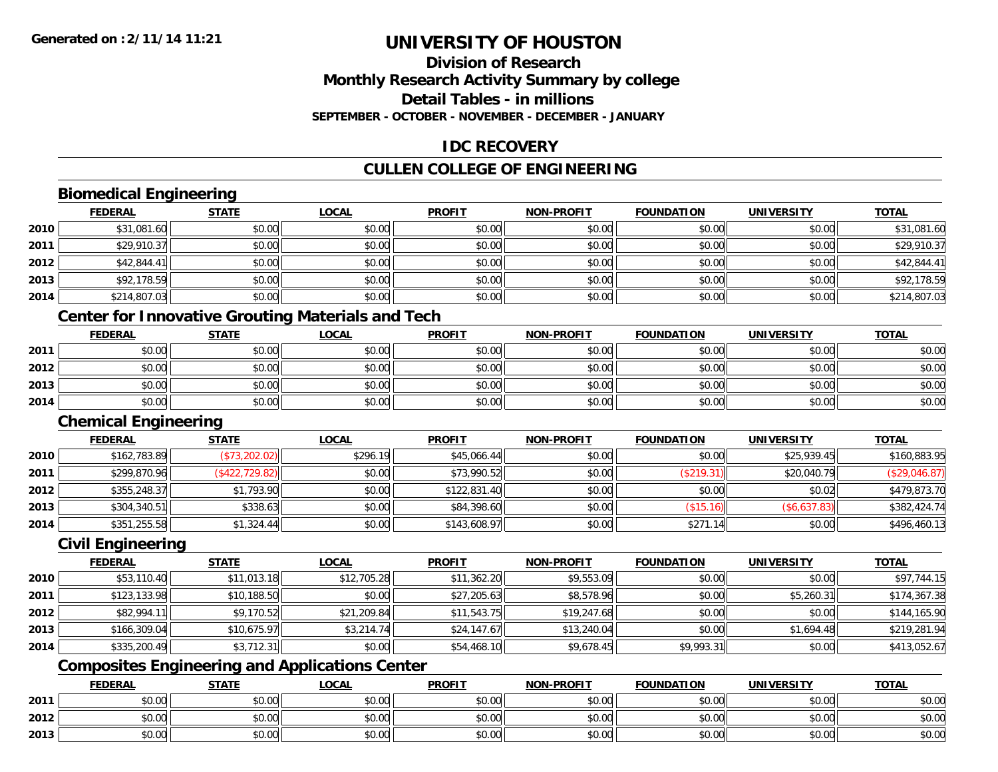# **Division of ResearchMonthly Research Activity Summary by college Detail Tables - in millionsSEPTEMBER - OCTOBER - NOVEMBER - DECEMBER - JANUARY**

# **IDC RECOVERY**

# **CULLEN COLLEGE OF ENGINEERING**

# **Biomedical Engineering**

|      | <b>FEDERAL</b> | <b>STATE</b> | <b>LOCAL</b> | <b>PROFIT</b> | <b>NON-PROFIT</b> | <b>FOUNDATION</b> | <b>UNIVERSITY</b> | <u>TOTAL</u> |
|------|----------------|--------------|--------------|---------------|-------------------|-------------------|-------------------|--------------|
| 2010 | \$31,081.60    | \$0.00       | \$0.00       | \$0.00        | \$0.00            | \$0.00            | \$0.00            | \$31,081.60  |
| 2011 | \$29,910.37    | \$0.00       | \$0.00       | \$0.00        | \$0.00            | \$0.00            | \$0.00            | \$29,910.37  |
| 2012 | \$42,844.41    | \$0.00       | \$0.00       | \$0.00        | \$0.00            | \$0.00            | \$0.00            | \$42,844.41  |
| 2013 | \$92,178.59    | \$0.00       | \$0.00       | \$0.00        | \$0.00            | \$0.00            | \$0.00            | \$92,178.59  |
| 2014 | \$214,807.03   | \$0.00       | \$0.00       | \$0.00        | \$0.00            | \$0.00            | \$0.00            | \$214,807.03 |
|      |                |              |              |               |                   |                   |                   |              |

#### **Center for Innovative Grouting Materials and Tech**

|      | <u>FEDERAL</u> | <b>STATE</b> | <u>LOCAL</u> | <b>PROFIT</b> | <b>NON-PROFIT</b> | <b>FOUNDATION</b> | <b>UNIVERSITY</b> | <b>TOTAL</b> |
|------|----------------|--------------|--------------|---------------|-------------------|-------------------|-------------------|--------------|
| 2011 | \$0.00         | \$0.00       | \$0.00       | \$0.00        | \$0.00            | \$0.00            | \$0.00            | \$0.00       |
| 2012 | \$0.00         | \$0.00       | \$0.00       | \$0.00        | \$0.00            | \$0.00            | \$0.00            | \$0.00       |
| 2013 | \$0.00         | \$0.00       | \$0.00       | \$0.00        | \$0.00            | \$0.00            | \$0.00            | \$0.00       |
| 2014 | \$0.00         | \$0.00       | \$0.00       | \$0.00        | \$0.00            | \$0.00            | \$0.00            | \$0.00       |

#### **Chemical Engineering**

|      | <b>FEDERAL</b> | <u>STATE</u>   | <u>LOCAL</u> | <b>PROFIT</b> | <b>NON-PROFIT</b> | <b>FOUNDATION</b> | <b>UNIVERSITY</b> | <b>TOTAL</b>  |
|------|----------------|----------------|--------------|---------------|-------------------|-------------------|-------------------|---------------|
| 2010 | \$162,783.89   | (\$73,202.02)  | \$296.19     | \$45,066.44   | \$0.00            | \$0.00            | \$25,939.45       | \$160,883.95  |
| 2011 | \$299,870.96   | (\$422,729.82) | \$0.00       | \$73,990.52   | \$0.00            | (\$219.31)        | \$20,040.79       | (\$29,046.87) |
| 2012 | \$355,248.37   | \$1,793.90     | \$0.00       | \$122,831.40  | \$0.00            | \$0.00            | \$0.02            | \$479,873.70  |
| 2013 | \$304,340.51   | \$338.63       | \$0.00       | \$84,398.60   | \$0.00            | \$15.16           | (\$6,637.83)      | \$382,424.74  |
| 2014 | \$351,255.58   | \$1,324.44     | \$0.00       | \$143,608.97  | \$0.00            | \$271.14          | \$0.00            | \$496,460.13  |

### **Civil Engineering**

|      | <b>FEDERAL</b> | <b>STATE</b> | <b>LOCAL</b> | <b>PROFIT</b> | <b>NON-PROFIT</b> | <b>FOUNDATION</b> | <b>UNIVERSITY</b> | <b>TOTAL</b> |
|------|----------------|--------------|--------------|---------------|-------------------|-------------------|-------------------|--------------|
| 2010 | \$53,110.40    | \$11,013.18  | \$12,705.28  | \$11,362.20   | \$9,553.09        | \$0.00            | \$0.00            | \$97,744.15  |
| 2011 | \$123,133.98   | \$10,188.50  | \$0.00       | \$27,205.63   | \$8,578.96        | \$0.00            | \$5,260.31        | \$174,367.38 |
| 2012 | \$82,994.11    | \$9,170.52   | \$21,209.84  | \$11,543.75   | \$19,247.68       | \$0.00            | \$0.00            | \$144,165.90 |
| 2013 | \$166,309.04   | \$10,675.97  | \$3,214.74   | \$24,147.67   | \$13,240.04       | \$0.00            | \$1,694.48        | \$219,281.94 |
| 2014 | \$335,200.49   | \$3,712.31   | \$0.00       | \$54,468.10   | \$9,678.45        | \$9,993.31        | \$0.00            | \$413,052.67 |

# **Composites Engineering and Applications Center**

|      | <b>FEDERAL</b>               | <b>STATE</b> | <u>LOCAL</u>   | <b>PROFIT</b> | <b>NON-PROFIT</b> | <b>FOUNDATION</b> | <b>UNIVERSITY</b> | <b>TOTAL</b> |
|------|------------------------------|--------------|----------------|---------------|-------------------|-------------------|-------------------|--------------|
| 2011 | <b>ተ ∩</b><br>JU.UU          | \$0.00       | 40.00<br>JU.UU | \$0.00        | \$0.00            | \$0.00            | \$0.00            | \$0.00       |
| 2012 | <b>00</b><br>$\sim$<br>pu.uu | \$0.00       | \$0.00         | \$0.00        | \$0.00            | \$0.00            | \$0.00            | \$0.00       |
| 2013 | ¢∩<br>$\sim$<br>JU.UU        | \$0.00       | \$0.00         | \$0.00        | \$0.00            | \$0.00            | \$0.00            | \$0.00       |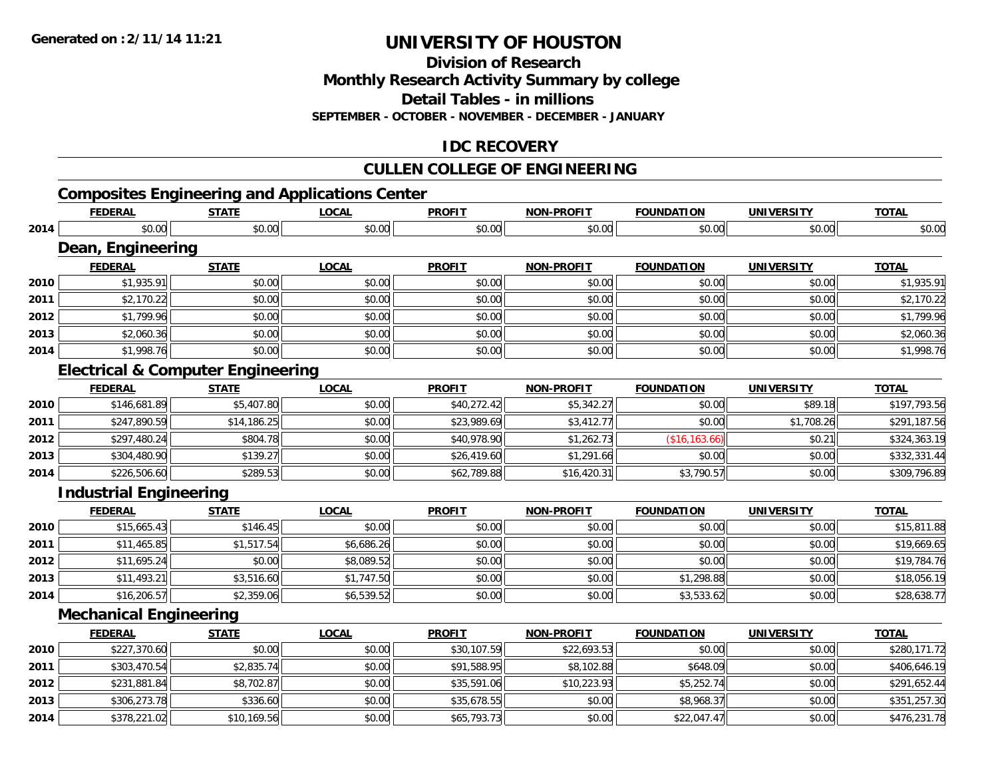**Division of Research**

**Monthly Research Activity Summary by college**

**Detail Tables - in millions**

**SEPTEMBER - OCTOBER - NOVEMBER - DECEMBER - JANUARY**

# **IDC RECOVERY**

# **CULLEN COLLEGE OF ENGINEERING**

# **Composites Engineering and Applications Center**

|      | <b>FEDERAL</b>                               | <b>STATE</b> | <b>LOCAL</b> | <b>PROFIT</b> | <b>NON-PROFIT</b> | <b>FOUNDATION</b> | <b>UNIVERSITY</b> | <b>TOTAL</b> |
|------|----------------------------------------------|--------------|--------------|---------------|-------------------|-------------------|-------------------|--------------|
| 2014 | \$0.00                                       | \$0.00       | \$0.00       | \$0.00        | \$0.00            | \$0.00            | \$0.00            | \$0.00       |
|      | Dean, Engineering                            |              |              |               |                   |                   |                   |              |
|      | <b>FEDERAL</b>                               | <b>STATE</b> | <b>LOCAL</b> | <b>PROFIT</b> | <b>NON-PROFIT</b> | <b>FOUNDATION</b> | <b>UNIVERSITY</b> | <b>TOTAL</b> |
| 2010 | \$1,935.91                                   | \$0.00       | \$0.00       | \$0.00        | \$0.00            | \$0.00            | \$0.00            | \$1,935.91   |
| 2011 | \$2,170.22                                   | \$0.00       | \$0.00       | \$0.00        | \$0.00            | \$0.00            | \$0.00            | \$2,170.22   |
| 2012 | \$1,799.96                                   | \$0.00       | \$0.00       | \$0.00        | \$0.00            | \$0.00            | \$0.00            | \$1,799.96   |
| 2013 | \$2,060.36                                   | \$0.00       | \$0.00       | \$0.00        | \$0.00            | \$0.00            | \$0.00            | \$2,060.36   |
| 2014 | \$1,998.76                                   | \$0.00       | \$0.00       | \$0.00        | \$0.00            | \$0.00            | \$0.00            | \$1,998.76   |
|      | <b>Electrical &amp; Computer Engineering</b> |              |              |               |                   |                   |                   |              |
|      | <b>FEDERAL</b>                               | <b>STATE</b> | <b>LOCAL</b> | <b>PROFIT</b> | <b>NON-PROFIT</b> | <b>FOUNDATION</b> | <b>UNIVERSITY</b> | <b>TOTAL</b> |
| 2010 | \$146,681.89                                 | \$5,407.80   | \$0.00       | \$40,272.42   | \$5,342.27        | \$0.00            | \$89.18           | \$197,793.56 |
| 2011 | \$247,890.59                                 | \$14,186.25  | \$0.00       | \$23,989.69   | \$3,412.77        | \$0.00            | \$1,708.26        | \$291,187.56 |
| 2012 | \$297,480.24                                 | \$804.78     | \$0.00       | \$40,978.90   | \$1,262.73        | (\$16, 163.66)    | \$0.21            | \$324,363.19 |
| 2013 | \$304,480.90                                 | \$139.27     | \$0.00       | \$26,419.60   | \$1,291.66        | \$0.00            | \$0.00            | \$332,331.44 |
| 2014 | \$226,506.60                                 | \$289.53     | \$0.00       | \$62,789.88   | \$16,420.31       | \$3,790.57        | \$0.00            | \$309,796.89 |
|      | <b>Industrial Engineering</b>                |              |              |               |                   |                   |                   |              |
|      | <b>FEDERAL</b>                               | <b>STATE</b> | <b>LOCAL</b> | <b>PROFIT</b> | <b>NON-PROFIT</b> | <b>FOUNDATION</b> | <b>UNIVERSITY</b> | <b>TOTAL</b> |
| 2010 | \$15,665.43                                  | \$146.45     | \$0.00       | \$0.00        | \$0.00            | \$0.00            | \$0.00            | \$15,811.88  |
| 2011 | \$11,465.85                                  | \$1,517.54   | \$6,686.26   | \$0.00        | \$0.00            | \$0.00            | \$0.00            | \$19,669.65  |
| 2012 | \$11,695.24                                  | \$0.00       | \$8,089.52   | \$0.00        | \$0.00            | \$0.00            | \$0.00            | \$19,784.76  |
| 2013 | \$11,493.21                                  | \$3,516.60   | \$1,747.50   | \$0.00        | \$0.00            | \$1,298.88        | \$0.00            | \$18,056.19  |
| 2014 | \$16,206.57                                  | \$2,359.06   | \$6,539.52   | \$0.00        | \$0.00            | \$3,533.62        | \$0.00            | \$28,638.77  |
|      | <b>Mechanical Engineering</b>                |              |              |               |                   |                   |                   |              |
|      | <b>FEDERAL</b>                               | <b>STATE</b> | <b>LOCAL</b> | <b>PROFIT</b> | <b>NON-PROFIT</b> | <b>FOUNDATION</b> | <b>UNIVERSITY</b> | <b>TOTAL</b> |
| 2010 | \$227,370.60                                 | \$0.00       | \$0.00       | \$30,107.59   | \$22,693.53       | \$0.00            | \$0.00            | \$280,171.72 |
| 2011 | \$303,470.54                                 | \$2,835.74   | \$0.00       | \$91,588.95   | \$8,102.88        | \$648.09          | \$0.00            | \$406,646.19 |
| 2012 | \$231,881.84                                 | \$8,702.87   | \$0.00       | \$35,591.06   | \$10,223.93       | \$5,252.74        | \$0.00            | \$291,652.44 |
| 2013 | \$306,273.78                                 | \$336.60     | \$0.00       | \$35,678.55   | \$0.00            | \$8,968.37        | \$0.00            | \$351,257.30 |
| 2014 | \$378,221.02                                 | \$10,169.56  | \$0.00       | \$65,793.73   | \$0.00            | \$22,047.47       | \$0.00            | \$476,231.78 |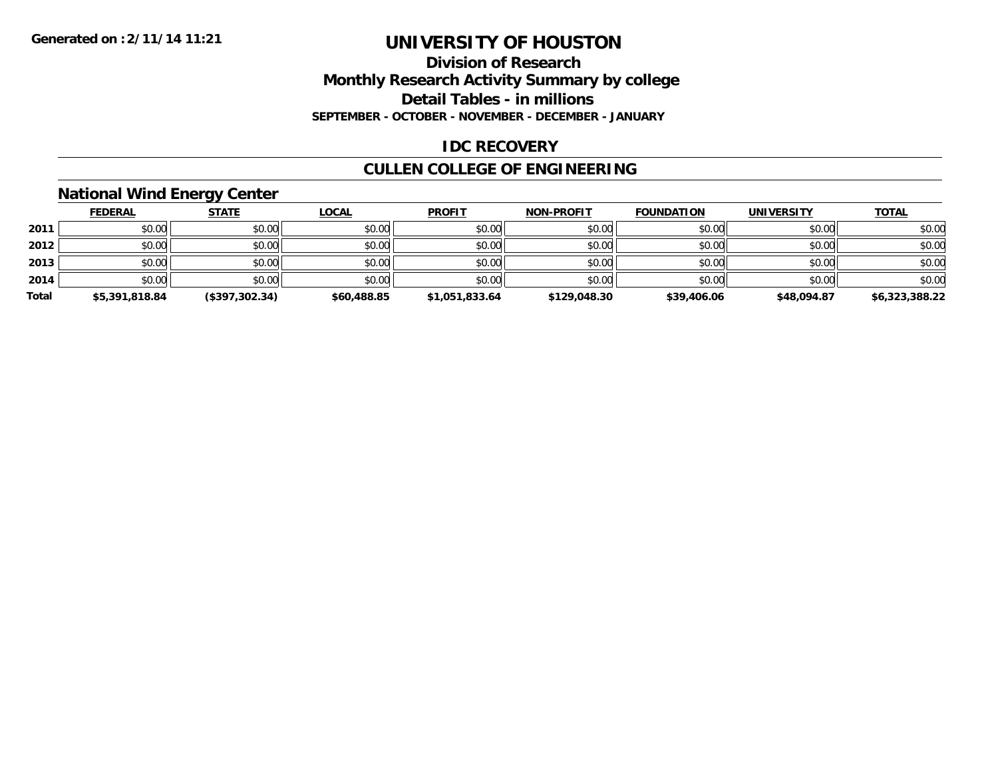### **Division of Research Monthly Research Activity Summary by college Detail Tables - in millions SEPTEMBER - OCTOBER - NOVEMBER - DECEMBER - JANUARY**

### **IDC RECOVERY**

# **CULLEN COLLEGE OF ENGINEERING**

# **National Wind Energy Center**

|       | <b>FEDERAL</b> | <u>STATE</u>   | <b>LOCAL</b> | <b>PROFIT</b>  | <b>NON-PROFIT</b> | <b>FOUNDATION</b> | <b>UNIVERSITY</b> | <b>TOTAL</b>   |
|-------|----------------|----------------|--------------|----------------|-------------------|-------------------|-------------------|----------------|
| 2011  | \$0.00         | \$0.00         | \$0.00       | \$0.00         | \$0.00            | \$0.00            | \$0.00            | \$0.00         |
| 2012  | \$0.00         | \$0.00         | \$0.00       | \$0.00         | \$0.00            | \$0.00            | \$0.00            | \$0.00         |
| 2013  | \$0.00         | \$0.00         | \$0.00       | \$0.00         | \$0.00            | \$0.00            | \$0.00            | \$0.00         |
| 2014  | \$0.00         | \$0.00         | \$0.00       | \$0.00         | \$0.00            | \$0.00            | \$0.00            | \$0.00         |
| Total | \$5,391,818.84 | (\$397,302.34) | \$60,488.85  | \$1,051,833.64 | \$129,048.30      | \$39,406.06       | \$48,094.87       | \$6,323,388.22 |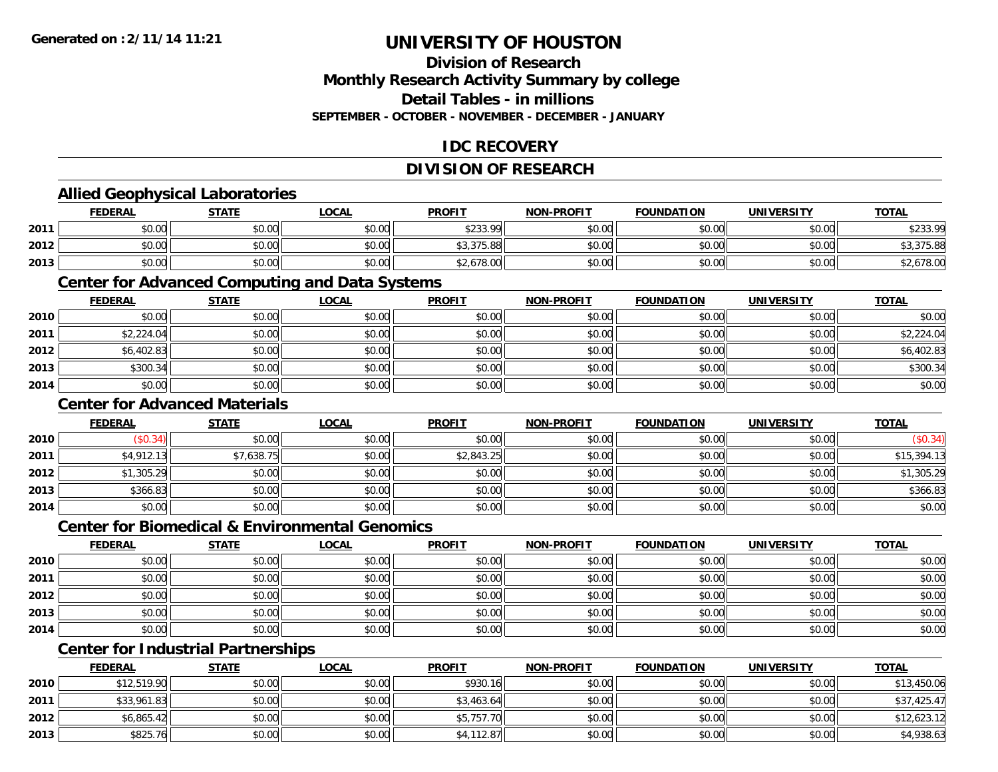## **Division of ResearchMonthly Research Activity Summary by college Detail Tables - in millions SEPTEMBER - OCTOBER - NOVEMBER - DECEMBER - JANUARY**

### **IDC RECOVERY**

# **DIVISION OF RESEARCH**

# **Allied Geophysical Laboratories**

|      | <b>FEDERAL</b>      | <b>STATE</b> | LOCAL  | <b>PROFIT</b> | <b>NON-PROFIT</b> | <b>FOUNDATION</b> | UNIVERSITY | <b>TOTAL</b> |
|------|---------------------|--------------|--------|---------------|-------------------|-------------------|------------|--------------|
| 2011 | ስስ ስስ<br>DU.U¢      | \$0.00       | \$0.00 | \$233.99      | \$0.00            | \$0.00            | \$0.00     | \$233.99     |
| 2012 | $\sim$ 0.0<br>DU.UU | \$0.00       | \$0.00 | \$3,375.88    | \$0.00            | \$0.00            | \$0.00     | \$9,979.OC   |
| 2013 | \$0.00              | \$0.00       | \$0.00 | \$2,678.00    | \$0.00            | \$0.00            | \$0.00     | \$2,678.00   |

#### **Center for Advanced Computing and Data Systems**

|      | <u>FEDERAL</u> | <b>STATE</b> | <u>LOCAL</u> | <b>PROFIT</b> | <b>NON-PROFIT</b> | <b>FOUNDATION</b> | <b>UNIVERSITY</b> | <b>TOTAL</b> |
|------|----------------|--------------|--------------|---------------|-------------------|-------------------|-------------------|--------------|
| 2010 | \$0.00         | \$0.00       | \$0.00       | \$0.00        | \$0.00            | \$0.00            | \$0.00            | \$0.00       |
| 2011 | \$2,224.04     | \$0.00       | \$0.00       | \$0.00        | \$0.00            | \$0.00            | \$0.00            | \$2,224.04   |
| 2012 | \$6,402.83     | \$0.00       | \$0.00       | \$0.00        | \$0.00            | \$0.00            | \$0.00            | \$6,402.83   |
| 2013 | \$300.34       | \$0.00       | \$0.00       | \$0.00        | \$0.00            | \$0.00            | \$0.00            | \$300.34     |
| 2014 | \$0.00         | \$0.00       | \$0.00       | \$0.00        | \$0.00            | \$0.00            | \$0.00            | \$0.00       |

### **Center for Advanced Materials**

|      | <b>FEDERAL</b> | <b>STATE</b> | <b>LOCAL</b> | <b>PROFIT</b> | <b>NON-PROFIT</b> | <b>FOUNDATION</b> | <b>UNIVERSITY</b> | <b>TOTAL</b> |
|------|----------------|--------------|--------------|---------------|-------------------|-------------------|-------------------|--------------|
| 2010 | \$0.34)        | \$0.00       | \$0.00       | \$0.00        | \$0.00            | \$0.00            | \$0.00            | (\$0.34)     |
| 2011 | \$4,912.13     | \$7,638.75   | \$0.00       | \$2,843.25    | \$0.00            | \$0.00            | \$0.00            | \$15,394.13  |
| 2012 | \$1,305.29     | \$0.00       | \$0.00       | \$0.00        | \$0.00            | \$0.00            | \$0.00            | \$1,305.29   |
| 2013 | \$366.83       | \$0.00       | \$0.00       | \$0.00        | \$0.00            | \$0.00            | \$0.00            | \$366.83     |
| 2014 | \$0.00         | \$0.00       | \$0.00       | \$0.00        | \$0.00            | \$0.00            | \$0.00            | \$0.00       |

#### **Center for Biomedical & Environmental Genomics**

|      | <u>FEDERAL</u> | <b>STATE</b> | <b>LOCAL</b> | <b>PROFIT</b> | <b>NON-PROFIT</b> | <b>FOUNDATION</b> | <b>UNIVERSITY</b> | <b>TOTAL</b> |
|------|----------------|--------------|--------------|---------------|-------------------|-------------------|-------------------|--------------|
| 2010 | \$0.00         | \$0.00       | \$0.00       | \$0.00        | \$0.00            | \$0.00            | \$0.00            | \$0.00       |
| 2011 | \$0.00         | \$0.00       | \$0.00       | \$0.00        | \$0.00            | \$0.00            | \$0.00            | \$0.00       |
| 2012 | \$0.00         | \$0.00       | \$0.00       | \$0.00        | \$0.00            | \$0.00            | \$0.00            | \$0.00       |
| 2013 | \$0.00         | \$0.00       | \$0.00       | \$0.00        | \$0.00            | \$0.00            | \$0.00            | \$0.00       |
| 2014 | \$0.00         | \$0.00       | \$0.00       | \$0.00        | \$0.00            | \$0.00            | \$0.00            | \$0.00       |

# **Center for Industrial Partnerships**

|      | <b>FEDERAL</b> | <b>STATE</b> | <u>LOCAL</u> | <b>PROFIT</b> | <b>NON-PROFIT</b> | <b>FOUNDATION</b> | UNIVERSITY | <b>TOTAL</b> |
|------|----------------|--------------|--------------|---------------|-------------------|-------------------|------------|--------------|
| 2010 | \$12,519.90    | \$0.00       | \$0.00       | \$930.16      | \$0.00            | \$0.00            | \$0.00     | \$13,450.06  |
| 2011 | \$33,961.83    | \$0.00       | \$0.00       | \$3,463.64    | \$0.00            | \$0.00            | \$0.00     | \$37,425.47  |
| 2012 | \$6,865.42     | \$0.00       | \$0.00       | \$5,757.70    | \$0.00            | \$0.00            | \$0.00     | \$12,623.12  |
| 2013 | \$825.76       | \$0.00       | \$0.00       | \$4,112.87    | \$0.00            | \$0.00            | \$0.00     | \$4,938.63   |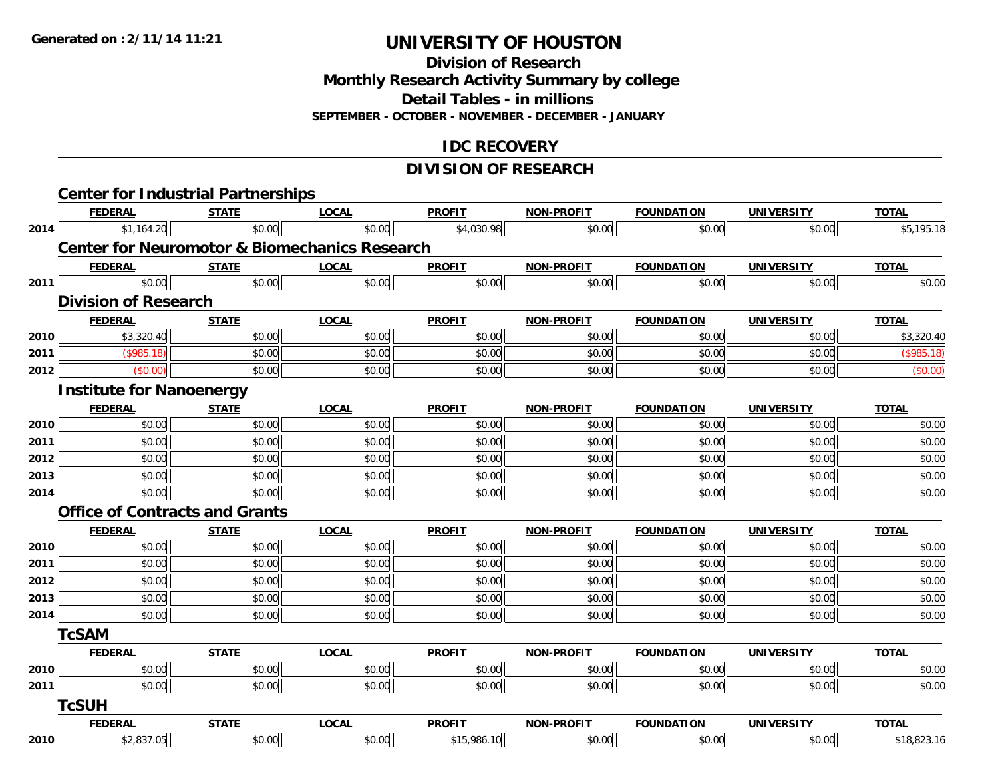**Division of Research**

**Monthly Research Activity Summary by college**

**Detail Tables - in millions**

**SEPTEMBER - OCTOBER - NOVEMBER - DECEMBER - JANUARY**

### **IDC RECOVERY**

# **DIVISION OF RESEARCH**

|      | <b>FEDERAL</b>                                           | <b>STATE</b> | <b>LOCAL</b> | <b>PROFIT</b> | <b>NON-PROFIT</b> | <b>FOUNDATION</b> | <b>UNIVERSITY</b> | <b>TOTAL</b> |
|------|----------------------------------------------------------|--------------|--------------|---------------|-------------------|-------------------|-------------------|--------------|
| 2014 | \$1,164.20                                               | \$0.00       | \$0.00       | \$4,030.98    | \$0.00            | \$0.00            | \$0.00            | \$5,195.18   |
|      | <b>Center for Neuromotor &amp; Biomechanics Research</b> |              |              |               |                   |                   |                   |              |
|      | <b>FEDERAL</b>                                           | <b>STATE</b> | <b>LOCAL</b> | <b>PROFIT</b> | <b>NON-PROFIT</b> | <b>FOUNDATION</b> | <b>UNIVERSITY</b> | <b>TOTAL</b> |
| 2011 | \$0.00                                                   | \$0.00       | \$0.00       | \$0.00        | \$0.00            | \$0.00            | \$0.00            | \$0.00       |
|      | <b>Division of Research</b>                              |              |              |               |                   |                   |                   |              |
|      | <b>FEDERAL</b>                                           | <b>STATE</b> | <b>LOCAL</b> | <b>PROFIT</b> | <b>NON-PROFIT</b> | <b>FOUNDATION</b> | <b>UNIVERSITY</b> | <b>TOTAL</b> |
| 2010 | \$3,320.40                                               | \$0.00       | \$0.00       | \$0.00        | \$0.00            | \$0.00            | \$0.00            | \$3,320.40   |
| 2011 | (\$985.18)                                               | \$0.00       | \$0.00       | \$0.00        | \$0.00            | \$0.00            | \$0.00            | (\$985.18)   |
| 2012 | (\$0.00)                                                 | \$0.00       | \$0.00       | \$0.00        | \$0.00            | \$0.00            | \$0.00            | (\$0.00)     |
|      | <b>Institute for Nanoenergy</b>                          |              |              |               |                   |                   |                   |              |
|      | <b>FEDERAL</b>                                           | <b>STATE</b> | <b>LOCAL</b> | <b>PROFIT</b> | <b>NON-PROFIT</b> | <b>FOUNDATION</b> | <b>UNIVERSITY</b> | <b>TOTAL</b> |
| 2010 | \$0.00                                                   | \$0.00       | \$0.00       | \$0.00        | \$0.00            | \$0.00            | \$0.00            | \$0.00       |
| 2011 | \$0.00                                                   | \$0.00       | \$0.00       | \$0.00        | \$0.00            | \$0.00            | \$0.00            | \$0.00       |
| 2012 | \$0.00                                                   | \$0.00       | \$0.00       | \$0.00        | \$0.00            | \$0.00            | \$0.00            | \$0.00       |
| 2013 | \$0.00                                                   | \$0.00       | \$0.00       | \$0.00        | \$0.00            | \$0.00            | \$0.00            | \$0.00       |
| 2014 | \$0.00                                                   | \$0.00       | \$0.00       | \$0.00        | \$0.00            | \$0.00            | \$0.00            | \$0.00       |
|      | <b>Office of Contracts and Grants</b>                    |              |              |               |                   |                   |                   |              |
|      | <b>FEDERAL</b>                                           | <b>STATE</b> | <b>LOCAL</b> | <b>PROFIT</b> | <b>NON-PROFIT</b> | <b>FOUNDATION</b> | <b>UNIVERSITY</b> | <b>TOTAL</b> |
| 2010 | \$0.00                                                   | \$0.00       | \$0.00       | \$0.00        | \$0.00            | \$0.00            | \$0.00            | \$0.00       |
| 2011 | \$0.00                                                   | \$0.00       | \$0.00       | \$0.00        | \$0.00            | \$0.00            | \$0.00            | \$0.00       |
| 2012 | \$0.00                                                   | \$0.00       | \$0.00       | \$0.00        | \$0.00            | \$0.00            | \$0.00            | \$0.00       |
| 2013 | \$0.00                                                   | \$0.00       | \$0.00       | \$0.00        | \$0.00            | \$0.00            | \$0.00            | \$0.00       |
| 2014 | \$0.00                                                   | \$0.00       | \$0.00       | \$0.00        | \$0.00            | \$0.00            | \$0.00            | \$0.00       |
|      | <b>TcSAM</b>                                             |              |              |               |                   |                   |                   |              |
|      | <b>FEDERAL</b>                                           | <b>STATE</b> | <b>LOCAL</b> | <b>PROFIT</b> | <b>NON-PROFIT</b> | <b>FOUNDATION</b> | <b>UNIVERSITY</b> | <b>TOTAL</b> |
| 2010 | \$0.00                                                   | \$0.00       | \$0.00       | \$0.00        | \$0.00            | \$0.00            | \$0.00            | \$0.00       |
| 2011 | \$0.00                                                   | \$0.00       | \$0.00       | \$0.00        | \$0.00            | \$0.00            | \$0.00            | \$0.00       |
|      | <b>TcSUH</b>                                             |              |              |               |                   |                   |                   |              |
|      | <b>FEDERAL</b>                                           | <b>STATE</b> | <b>LOCAL</b> | <b>PROFIT</b> | <b>NON-PROFIT</b> | <b>FOUNDATION</b> | <b>UNIVERSITY</b> | <b>TOTAL</b> |
| 2010 | \$2,837.05                                               | \$0.00       | \$0.00       | \$15,986.10   | \$0.00            | \$0.00            | \$0.00            | \$18,823.16  |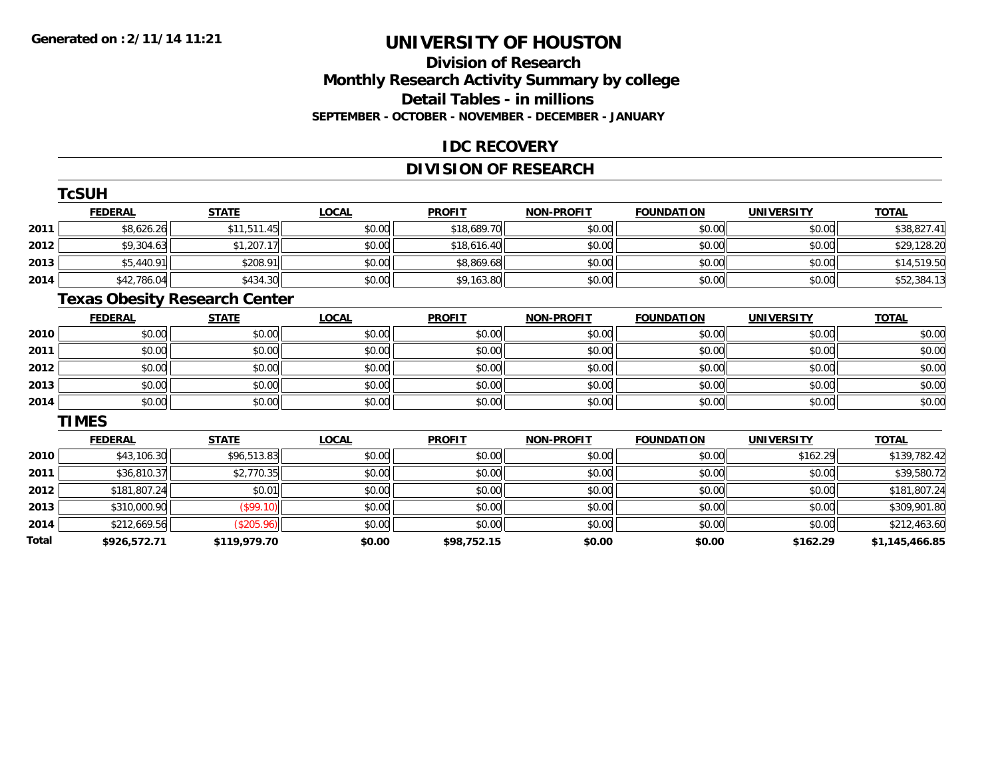# **Division of ResearchMonthly Research Activity Summary by college Detail Tables - in millions SEPTEMBER - OCTOBER - NOVEMBER - DECEMBER - JANUARY**

### **IDC RECOVERY**

# **DIVISION OF RESEARCH**

|       | <b>TcSUH</b>   |                                      |              |               |                   |                   |                   |                |
|-------|----------------|--------------------------------------|--------------|---------------|-------------------|-------------------|-------------------|----------------|
|       | <b>FEDERAL</b> | <b>STATE</b>                         | <b>LOCAL</b> | <b>PROFIT</b> | <b>NON-PROFIT</b> | <b>FOUNDATION</b> | <b>UNIVERSITY</b> | <b>TOTAL</b>   |
| 2011  | \$8,626.26     | \$11,511.45                          | \$0.00       | \$18,689.70   | \$0.00            | \$0.00            | \$0.00            | \$38,827.41    |
| 2012  | \$9,304.63     | \$1,207.17                           | \$0.00       | \$18,616.40   | \$0.00            | \$0.00            | \$0.00            | \$29,128.20    |
| 2013  | \$5,440.91     | \$208.91                             | \$0.00       | \$8,869.68    | \$0.00            | \$0.00            | \$0.00            | \$14,519.50    |
| 2014  | \$42,786.04    | \$434.30                             | \$0.00       | \$9,163.80    | \$0.00            | \$0.00            | \$0.00            | \$52,384.13    |
|       |                | <b>Texas Obesity Research Center</b> |              |               |                   |                   |                   |                |
|       | <b>FEDERAL</b> | <b>STATE</b>                         | <b>LOCAL</b> | <b>PROFIT</b> | <b>NON-PROFIT</b> | <b>FOUNDATION</b> | <b>UNIVERSITY</b> | <b>TOTAL</b>   |
| 2010  | \$0.00         | \$0.00                               | \$0.00       | \$0.00        | \$0.00            | \$0.00            | \$0.00            | \$0.00         |
| 2011  | \$0.00         | \$0.00                               | \$0.00       | \$0.00        | \$0.00            | \$0.00            | \$0.00            | \$0.00         |
| 2012  | \$0.00         | \$0.00                               | \$0.00       | \$0.00        | \$0.00            | \$0.00            | \$0.00            | \$0.00         |
| 2013  | \$0.00         | \$0.00                               | \$0.00       | \$0.00        | \$0.00            | \$0.00            | \$0.00            | \$0.00         |
| 2014  | \$0.00         | \$0.00                               | \$0.00       | \$0.00        | \$0.00            | \$0.00            | \$0.00            | \$0.00         |
|       | <b>TIMES</b>   |                                      |              |               |                   |                   |                   |                |
|       | <b>FEDERAL</b> | <b>STATE</b>                         | <b>LOCAL</b> | <b>PROFIT</b> | <b>NON-PROFIT</b> | <b>FOUNDATION</b> | <b>UNIVERSITY</b> | <b>TOTAL</b>   |
| 2010  | \$43,106.30    | \$96,513.83                          | \$0.00       | \$0.00        | \$0.00            | \$0.00            | \$162.29          | \$139,782.42   |
| 2011  | \$36,810.37    | \$2,770.35                           | \$0.00       | \$0.00        | \$0.00            | \$0.00            | \$0.00            | \$39,580.72    |
| 2012  | \$181,807.24   | \$0.01                               | \$0.00       | \$0.00        | \$0.00            | \$0.00            | \$0.00            | \$181,807.24   |
| 2013  | \$310,000.90   | (\$99.10)                            | \$0.00       | \$0.00        | \$0.00            | \$0.00            | \$0.00            | \$309,901.80   |
| 2014  | \$212,669.56   | (\$205.96)                           | \$0.00       | \$0.00        | \$0.00            | \$0.00            | \$0.00            | \$212,463.60   |
| Total | \$926,572.71   | \$119,979.70                         | \$0.00       | \$98,752.15   | \$0.00            | \$0.00            | \$162.29          | \$1,145,466.85 |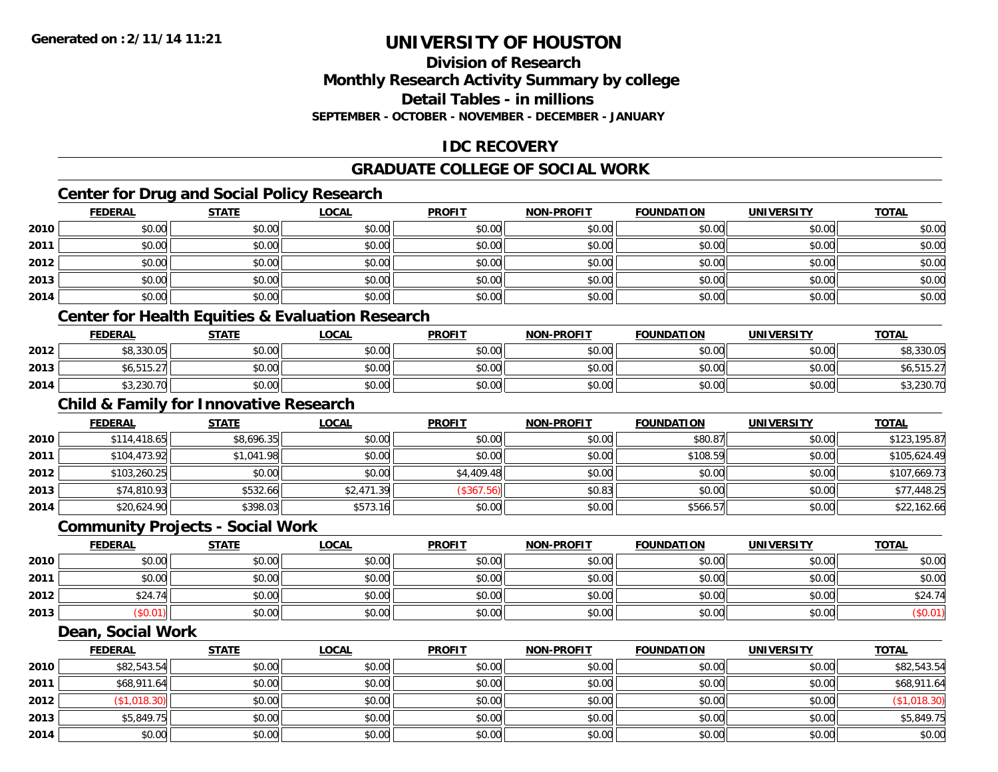### **Division of ResearchMonthly Research Activity Summary by college Detail Tables - in millions SEPTEMBER - OCTOBER - NOVEMBER - DECEMBER - JANUARY**

# **IDC RECOVERY**

# **GRADUATE COLLEGE OF SOCIAL WORK**

# **Center for Drug and Social Policy Research**

|      | <b>FEDERAL</b>           | <b>STATE</b> | <u>LOCAL</u> | <b>PROFIT</b> | <b>NON-PROFIT</b> | <b>FOUNDATION</b> | <b>UNIVERSITY</b> | <b>TOTAL</b> |
|------|--------------------------|--------------|--------------|---------------|-------------------|-------------------|-------------------|--------------|
| 2010 | \$0.00                   | \$0.00       | \$0.00       | \$0.00        | \$0.00            | \$0.00            | \$0.00            | \$0.00       |
| 2011 | \$0.00                   | \$0.00       | \$0.00       | \$0.00        | \$0.00            | \$0.00            | \$0.00            | \$0.00       |
| 2012 | \$0.00                   | \$0.00       | \$0.00       | \$0.00        | \$0.00            | \$0.00            | \$0.00            | \$0.00       |
| 2013 | \$0.00                   | \$0.00       | \$0.00       | \$0.00        | \$0.00            | \$0.00            | \$0.00            | \$0.00       |
| 2014 | \$0.00                   | \$0.00       | \$0.00       | \$0.00        | \$0.00            | \$0.00            | \$0.00            | \$0.00       |
|      | $\sim$<br>$\sim$<br>____ | ----<br>___  |              |               |                   |                   |                   |              |

#### **Center for Health Equities & Evaluation Research**

|      | <b>FEDERAL</b>                   | <b>STATE</b>   | LOCAL         | <b>PROFIT</b> | <b>NON-PROFIT</b> | <b>FOUNDATION</b> | <b>UNIVERSITY</b> | <b>TOTAL</b> |
|------|----------------------------------|----------------|---------------|---------------|-------------------|-------------------|-------------------|--------------|
| 2012 | \$8,330.05                       | \$0.00         | 0000<br>PU.UU | \$0.00        | ≮∩ ∩∩<br>PO.OO    | \$0.00            | \$0.00            | \$8,330.0    |
| 2013 | <b>CL 515</b><br>. ے. ل ا ل, ا ں | mn na<br>DU.UU | 0.00<br>DU.UG | ≮∩ ∩∩<br>JU.U | \$0.00            | \$0.00            | \$0.00            | ∪י ∪י        |
| 2014 | \$3,230.70                       | \$0.00         | \$0.00        | \$0.00        | \$0.00            | \$0.00            | \$0.00            | 3,230.7      |

# **Child & Family for Innovative Research**

|      | <b>FEDERAL</b> | <u>STATE</u> | <u>LOCAL</u> | <b>PROFIT</b> | <b>NON-PROFIT</b> | <b>FOUNDATION</b> | <b>UNIVERSITY</b> | <b>TOTAL</b> |
|------|----------------|--------------|--------------|---------------|-------------------|-------------------|-------------------|--------------|
| 2010 | \$114,418.65   | \$8,696.35   | \$0.00       | \$0.00        | \$0.00            | \$80.87           | \$0.00            | \$123,195.87 |
| 2011 | \$104,473.92   | \$1,041.98   | \$0.00       | \$0.00        | \$0.00            | \$108.59          | \$0.00            | \$105,624.49 |
| 2012 | \$103,260.25   | \$0.00       | \$0.00       | \$4,409.48    | \$0.00            | \$0.00            | \$0.00            | \$107,669.73 |
| 2013 | \$74,810.93    | \$532.66     | \$2,471.39   | (\$367.56)    | \$0.83            | \$0.00            | \$0.00            | \$77,448.25  |
| 2014 | \$20,624.90    | \$398.03     | \$573.16     | \$0.00        | \$0.00            | \$566.57          | \$0.00            | \$22,162.66  |

#### **Community Projects - Social Work**

|      | <b>FEDERAL</b> | <b>STATE</b> | <u>LOCAL</u> | <b>PROFIT</b> | <b>NON-PROFIT</b> | <b>FOUNDATION</b> | <b>UNIVERSITY</b> | <b>TOTAL</b> |
|------|----------------|--------------|--------------|---------------|-------------------|-------------------|-------------------|--------------|
| 2010 | \$0.00         | \$0.00       | \$0.00       | \$0.00        | \$0.00            | \$0.00            | \$0.00            | \$0.00       |
| 2011 | \$0.00         | \$0.00       | \$0.00       | \$0.00        | \$0.00            | \$0.00            | \$0.00            | \$0.00       |
| 2012 | \$24.74        | \$0.00       | \$0.00       | \$0.00        | \$0.00            | \$0.00            | \$0.00            | \$24.74      |
| 2013 | \$0.01)        | \$0.00       | \$0.00       | \$0.00        | \$0.00            | \$0.00            | \$0.00            | $(\$0.01)$   |

#### **Dean, Social Work**

|      | <b>FEDERAL</b> | <b>STATE</b> | <u>LOCAL</u> | <b>PROFIT</b> | <b>NON-PROFIT</b> | <b>FOUNDATION</b> | <b>UNIVERSITY</b> | <b>TOTAL</b> |
|------|----------------|--------------|--------------|---------------|-------------------|-------------------|-------------------|--------------|
| 2010 | \$82,543.54    | \$0.00       | \$0.00       | \$0.00        | \$0.00            | \$0.00            | \$0.00            | \$82,543.54  |
| 2011 | \$68,911.64    | \$0.00       | \$0.00       | \$0.00        | \$0.00            | \$0.00            | \$0.00            | \$68,911.64  |
| 2012 | \$1,018.30     | \$0.00       | \$0.00       | \$0.00        | \$0.00            | \$0.00            | \$0.00            | (\$1,018.30) |
| 2013 | \$5,849.75     | \$0.00       | \$0.00       | \$0.00        | \$0.00            | \$0.00            | \$0.00            | \$5,849.75   |
| 2014 | \$0.00         | \$0.00       | \$0.00       | \$0.00        | \$0.00            | \$0.00            | \$0.00            | \$0.00       |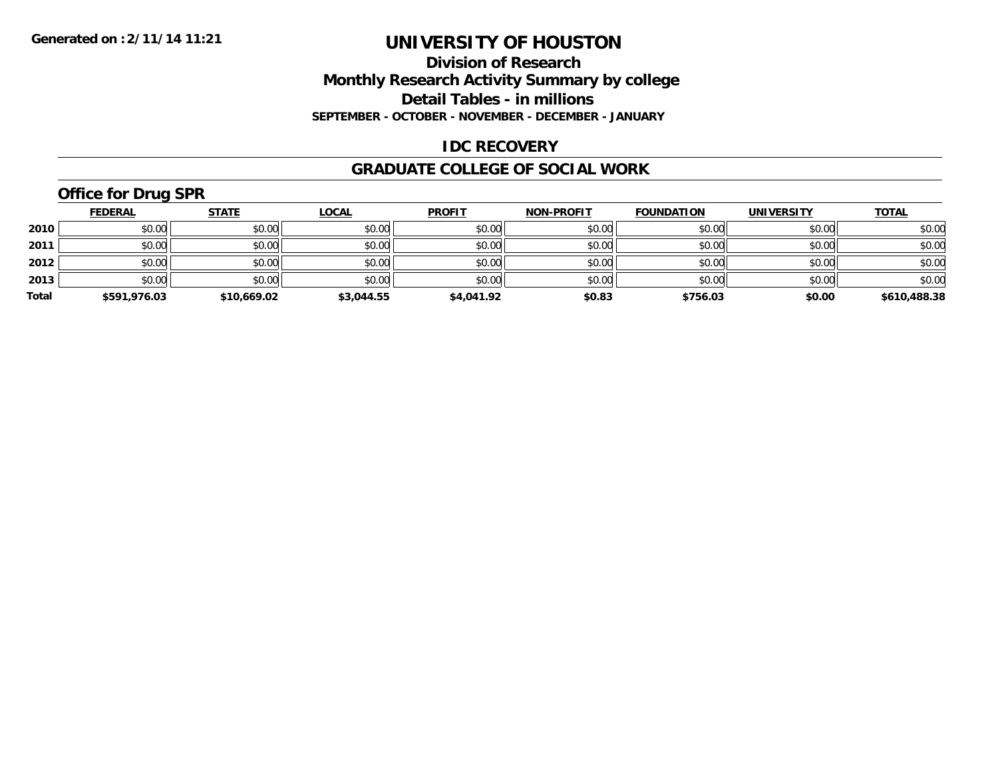### **Division of Research Monthly Research Activity Summary by college Detail Tables - in millions SEPTEMBER - OCTOBER - NOVEMBER - DECEMBER - JANUARY**

### **IDC RECOVERY**

#### **GRADUATE COLLEGE OF SOCIAL WORK**

# **Office for Drug SPR**

|       | <b>FEDERAL</b> | <u>STATE</u> | <b>LOCAL</b> | <b>PROFIT</b> | <b>NON-PROFIT</b> | <b>FOUNDATION</b> | <b>UNIVERSITY</b> | <b>TOTAL</b> |
|-------|----------------|--------------|--------------|---------------|-------------------|-------------------|-------------------|--------------|
| 2010  | \$0.00         | \$0.00       | \$0.00       | \$0.00        | \$0.00            | \$0.00            | \$0.00            | \$0.00       |
| 2011  | \$0.00         | \$0.00       | \$0.00       | \$0.00        | \$0.00            | \$0.00            | \$0.00            | \$0.00       |
| 2012  | \$0.00         | \$0.00       | \$0.00       | \$0.00        | \$0.00            | \$0.00            | \$0.00            | \$0.00       |
| 2013  | \$0.00         | \$0.00       | \$0.00       | \$0.00        | \$0.00            | \$0.00            | \$0.00            | \$0.00       |
| Total | \$591,976.03   | \$10,669.02  | \$3,044.55   | \$4,041.92    | \$0.83            | \$756.03          | \$0.00            | \$610,488.38 |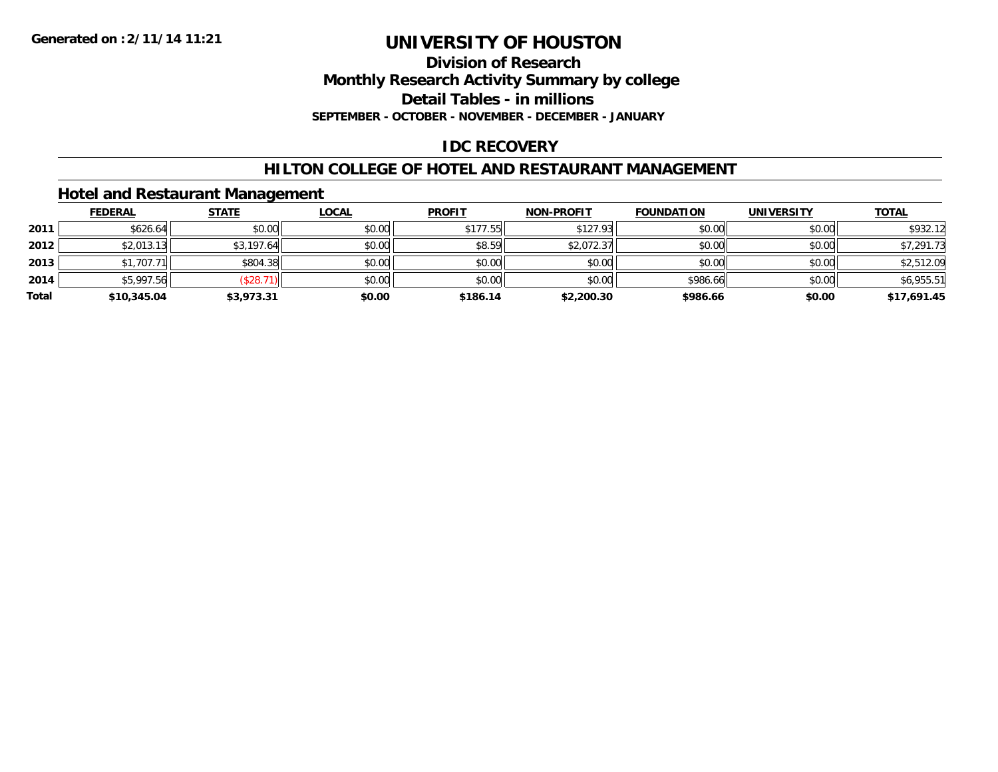**Division of Research**

**Monthly Research Activity Summary by college**

**Detail Tables - in millions**

**SEPTEMBER - OCTOBER - NOVEMBER - DECEMBER - JANUARY**

# **IDC RECOVERY**

### **HILTON COLLEGE OF HOTEL AND RESTAURANT MANAGEMENT**

### **Hotel and Restaurant Management**

|       | <b>FEDERAL</b> | <b>STATE</b> | <u>LOCAL</u> | <b>PROFIT</b> | <b>NON-PROFIT</b> | <b>FOUNDATION</b> | <b>UNIVERSITY</b> | <b>TOTAL</b> |
|-------|----------------|--------------|--------------|---------------|-------------------|-------------------|-------------------|--------------|
| 2011  | \$626.64       | \$0.00       | \$0.00       | \$177.55      | \$127.93          | \$0.00            | \$0.00            | \$932.12     |
| 2012  | \$2,013.13     | \$3,197.64   | \$0.00       | \$8.59        | \$2,072.37        | \$0.00            | \$0.00            | \$7,291.73   |
| 2013  | \$1,707.71     | \$804.38     | \$0.00       | \$0.00        | \$0.00            | \$0.00            | \$0.00            | \$2,512.09   |
| 2014  | \$5,997.56     | \$28.7       | \$0.00       | \$0.00        | \$0.00            | \$986.66          | \$0.00            | \$6,955.51   |
| Total | \$10,345.04    | \$3,973.31   | \$0.00       | \$186.14      | \$2,200.30        | \$986.66          | \$0.00            | \$17,691.45  |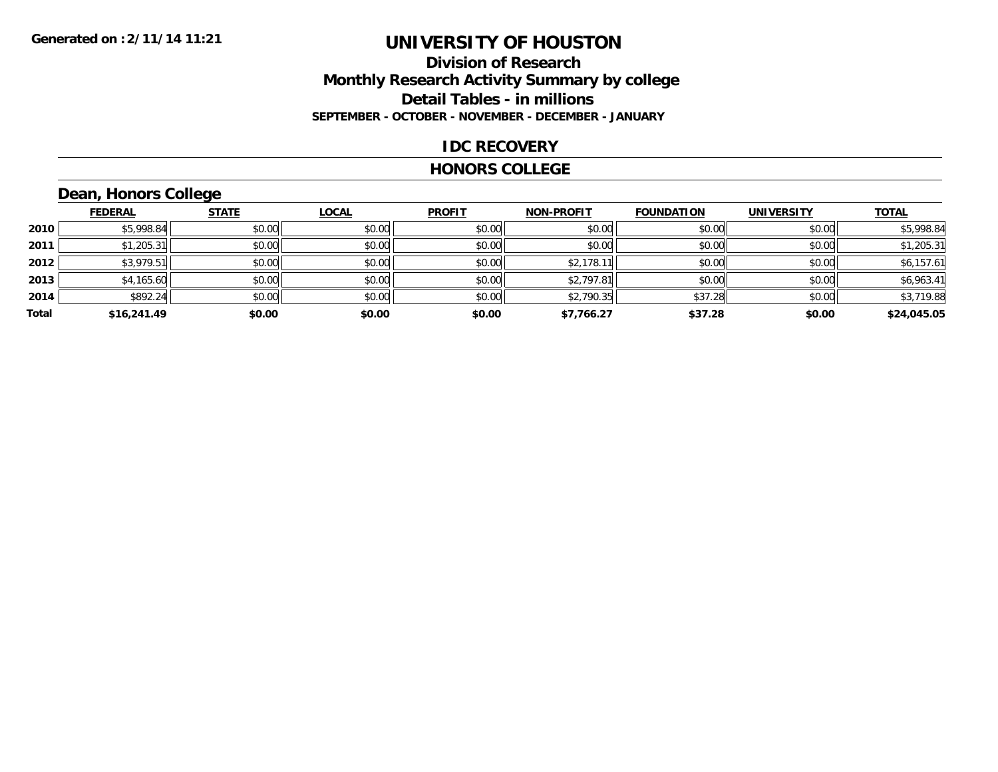### **Division of Research Monthly Research Activity Summary by college Detail Tables - in millions SEPTEMBER - OCTOBER - NOVEMBER - DECEMBER - JANUARY**

### **IDC RECOVERY**

#### **HONORS COLLEGE**

# **Dean, Honors College**

|       |                | $\sim$       |              |               |                   |                   |                   |              |
|-------|----------------|--------------|--------------|---------------|-------------------|-------------------|-------------------|--------------|
|       | <b>FEDERAL</b> | <b>STATE</b> | <b>LOCAL</b> | <b>PROFIT</b> | <b>NON-PROFIT</b> | <b>FOUNDATION</b> | <b>UNIVERSITY</b> | <b>TOTAL</b> |
| 2010  | \$5,998.84     | \$0.00       | \$0.00       | \$0.00        | \$0.00            | \$0.00            | \$0.00            | \$5,998.84   |
| 2011  | \$1,205.31     | \$0.00       | \$0.00       | \$0.00        | \$0.00            | \$0.00            | \$0.00            | \$1,205.31   |
| 2012  | \$3,979.51     | \$0.00       | \$0.00       | \$0.00        | \$2,178.1         | \$0.00            | \$0.00            | \$6,157.61   |
| 2013  | \$4,165.60     | \$0.00       | \$0.00       | \$0.00        | \$2,797.81        | \$0.00            | \$0.00            | \$6,963.41   |
| 2014  | \$892.24       | \$0.00       | \$0.00       | \$0.00        | \$2,790.35        | \$37.28           | \$0.00            | \$3,719.88   |
| Total | \$16,241.49    | \$0.00       | \$0.00       | \$0.00        | \$7,766.27        | \$37.28           | \$0.00            | \$24,045.05  |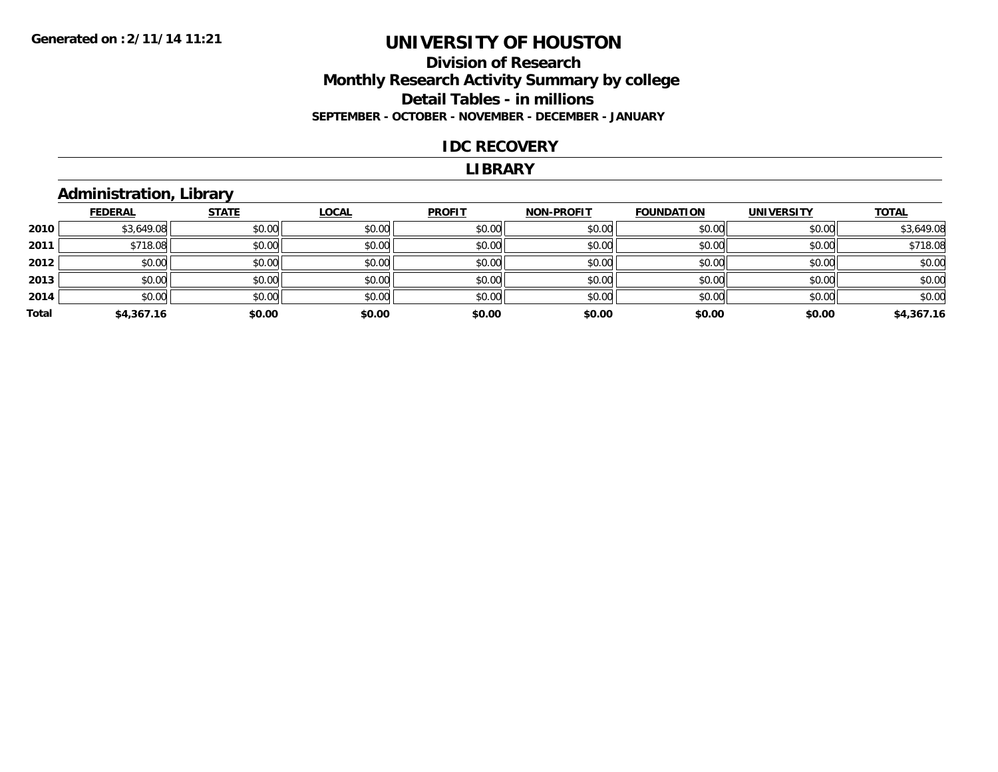### **Division of Research Monthly Research Activity Summary by college Detail Tables - in millions SEPTEMBER - OCTOBER - NOVEMBER - DECEMBER - JANUARY**

#### **IDC RECOVERY**

#### **LIBRARY**

### **Administration, Library**

|       | <b>FEDERAL</b> | <b>STATE</b> | <b>LOCAL</b> | <b>PROFIT</b> | <b>NON-PROFIT</b> | <b>FOUNDATION</b> | <b>UNIVERSITY</b> | <b>TOTAL</b> |
|-------|----------------|--------------|--------------|---------------|-------------------|-------------------|-------------------|--------------|
| 2010  | \$3,649.08     | \$0.00       | \$0.00       | \$0.00        | \$0.00            | \$0.00            | \$0.00            | \$3,649.08   |
| 2011  | \$718.08       | \$0.00       | \$0.00       | \$0.00        | \$0.00            | \$0.00            | \$0.00            | \$718.08     |
| 2012  | \$0.00         | \$0.00       | \$0.00       | \$0.00        | \$0.00            | \$0.00            | \$0.00            | \$0.00       |
| 2013  | \$0.00         | \$0.00       | \$0.00       | \$0.00        | \$0.00            | \$0.00            | \$0.00            | \$0.00       |
| 2014  | \$0.00         | \$0.00       | \$0.00       | \$0.00        | \$0.00            | \$0.00            | \$0.00            | \$0.00       |
| Total | \$4,367.16     | \$0.00       | \$0.00       | \$0.00        | \$0.00            | \$0.00            | \$0.00            | \$4,367.16   |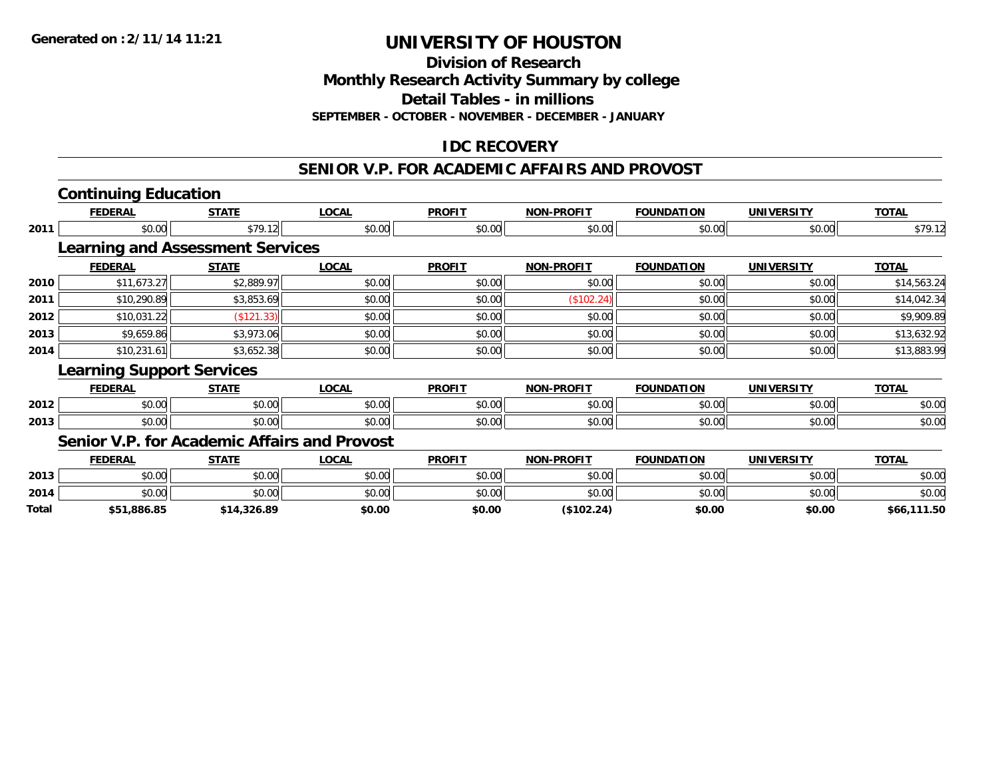**Division of Research**

**Monthly Research Activity Summary by college**

**Detail Tables - in millions**

**SEPTEMBER - OCTOBER - NOVEMBER - DECEMBER - JANUARY**

# **IDC RECOVERY**

# **SENIOR V.P. FOR ACADEMIC AFFAIRS AND PROVOST**

# **Continuing Education**

**Total**

|      | <b>FEDERAL</b>                               | <b>STATE</b> | <u>LOCAL</u> | <b>PROFIT</b> | NON-PROFIT        | <b>FOUNDATION</b> | UNIVERSITY        | <u>TOTAL</u> |
|------|----------------------------------------------|--------------|--------------|---------------|-------------------|-------------------|-------------------|--------------|
| 2011 | \$0.00                                       | \$79.12      | \$0.00       | \$0.00        | \$0.00            | \$0.00            | \$0.00            | \$79.12      |
|      | <b>Learning and Assessment Services</b>      |              |              |               |                   |                   |                   |              |
|      | <b>FEDERAL</b>                               | <b>STATE</b> | <b>LOCAL</b> | <b>PROFIT</b> | <b>NON-PROFIT</b> | <b>FOUNDATION</b> | <b>UNIVERSITY</b> | <b>TOTAL</b> |
| 2010 | \$11,673.27                                  | \$2,889.97   | \$0.00       | \$0.00        | \$0.00            | \$0.00            | \$0.00            | \$14,563.24  |
| 2011 | \$10,290.89                                  | \$3,853.69   | \$0.00       | \$0.00        | (\$102.24)        | \$0.00            | \$0.00            | \$14,042.34  |
| 2012 | \$10,031.22                                  | (\$121.33)   | \$0.00       | \$0.00        | \$0.00            | \$0.00            | \$0.00            | \$9,909.89   |
| 2013 | \$9,659.86                                   | \$3,973.06   | \$0.00       | \$0.00        | \$0.00            | \$0.00            | \$0.00            | \$13,632.92  |
| 2014 | \$10,231.61                                  | \$3,652.38   | \$0.00       | \$0.00        | \$0.00            | \$0.00            | \$0.00            | \$13,883.99  |
|      | <b>Learning Support Services</b>             |              |              |               |                   |                   |                   |              |
|      | <b>FEDERAL</b>                               | <b>STATE</b> | <b>LOCAL</b> | <b>PROFIT</b> | <b>NON-PROFIT</b> | <b>FOUNDATION</b> | <b>UNIVERSITY</b> | <b>TOTAL</b> |
| 2012 | \$0.00                                       | \$0.00       | \$0.00       | \$0.00        | \$0.00            | \$0.00            | \$0.00            | \$0.00       |
| 2013 | \$0.00                                       | \$0.00       | \$0.00       | \$0.00        | \$0.00            | \$0.00            | \$0.00            | \$0.00       |
|      | Senior V.P. for Academic Affairs and Provost |              |              |               |                   |                   |                   |              |
|      | <b>FEDERAL</b>                               | <b>STATE</b> | <b>LOCAL</b> | <b>PROFIT</b> | <b>NON-PROFIT</b> | <b>FOUNDATION</b> | <b>UNIVERSITY</b> | <b>TOTAL</b> |
| 2013 | \$0.00                                       | \$0.00       | \$0.00       | \$0.00        | \$0.00            | \$0.00            | \$0.00            | \$0.00       |
| 2014 | \$0.00                                       | \$0.00       | \$0.00       | \$0.00        | \$0.00            | \$0.00            | \$0.00            | \$0.00       |

**\$51,886.85 \$14,326.89 \$0.00 \$0.00 (\$102.24) \$0.00 \$0.00 \$66,111.50**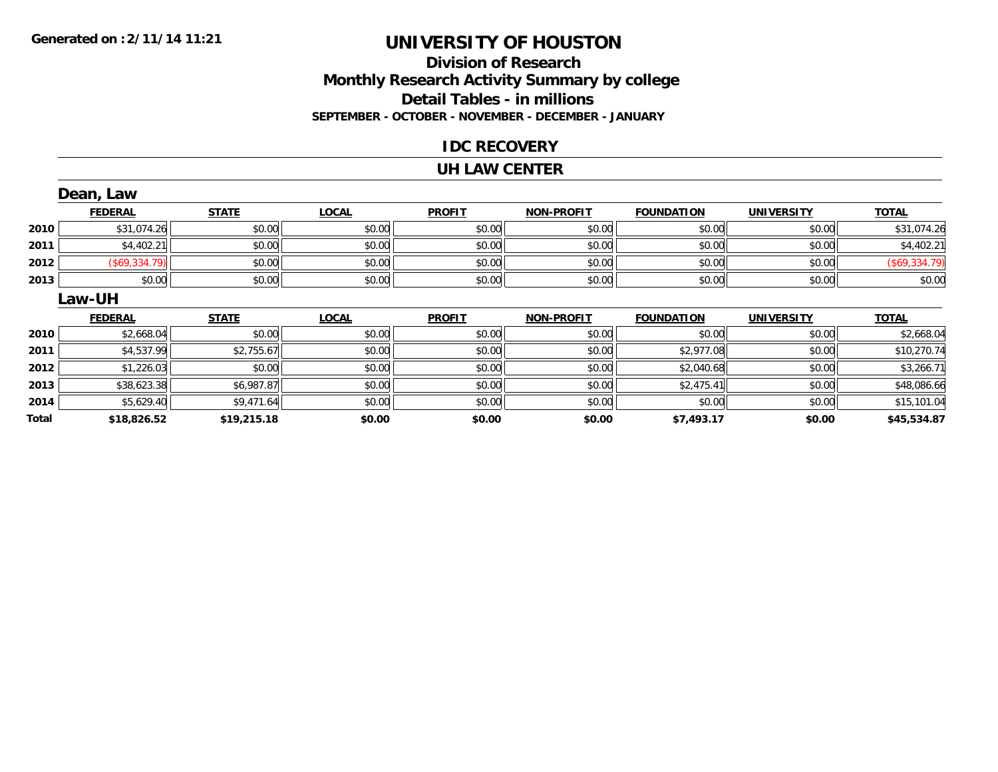### **Division of Research Monthly Research Activity Summary by college Detail Tables - in millions SEPTEMBER - OCTOBER - NOVEMBER - DECEMBER - JANUARY**

### **IDC RECOVERY**

#### **UH LAW CENTER**

|       | Dean, Law            |              |              |               |                   |                   |                   |               |
|-------|----------------------|--------------|--------------|---------------|-------------------|-------------------|-------------------|---------------|
|       | <b>FEDERAL</b>       | <b>STATE</b> | <b>LOCAL</b> | <b>PROFIT</b> | <b>NON-PROFIT</b> | <b>FOUNDATION</b> | <b>UNIVERSITY</b> | <b>TOTAL</b>  |
| 2010  | \$31,074.26          | \$0.00       | \$0.00       | \$0.00        | \$0.00            | \$0.00            | \$0.00            | \$31,074.26   |
| 2011  | \$4,402.21           | \$0.00       | \$0.00       | \$0.00        | \$0.00            | \$0.00            | \$0.00            | \$4,402.21    |
| 2012  | $($ \$69,334.79) $ $ | \$0.00       | \$0.00       | \$0.00        | \$0.00            | \$0.00            | \$0.00            | (\$69,334.79) |
| 2013  | \$0.00               | \$0.00       | \$0.00       | \$0.00        | \$0.00            | \$0.00            | \$0.00            | \$0.00        |
|       | Law-UH               |              |              |               |                   |                   |                   |               |
|       | <b>FEDERAL</b>       | <b>STATE</b> | <b>LOCAL</b> | <b>PROFIT</b> | <b>NON-PROFIT</b> | <b>FOUNDATION</b> | <b>UNIVERSITY</b> | <b>TOTAL</b>  |
| 2010  | \$2,668.04           | \$0.00       | \$0.00       | \$0.00        | \$0.00            | \$0.00            | \$0.00            | \$2,668.04    |
| 2011  | \$4,537.99           | \$2,755.67   | \$0.00       | \$0.00        | \$0.00            | \$2,977.08        | \$0.00            | \$10,270.74   |
| 2012  | \$1,226.03           | \$0.00       | \$0.00       | \$0.00        | \$0.00            | \$2,040.68        | \$0.00            | \$3,266.71    |
| 2013  | \$38,623.38          | \$6,987.87   | \$0.00       | \$0.00        | \$0.00            | \$2,475.41        | \$0.00            | \$48,086.66   |
| 2014  | \$5,629.40           | \$9,471.64   | \$0.00       | \$0.00        | \$0.00            | \$0.00            | \$0.00            | \$15,101.04   |
| Total | \$18,826.52          | \$19,215.18  | \$0.00       | \$0.00        | \$0.00            | \$7,493.17        | \$0.00            | \$45,534.87   |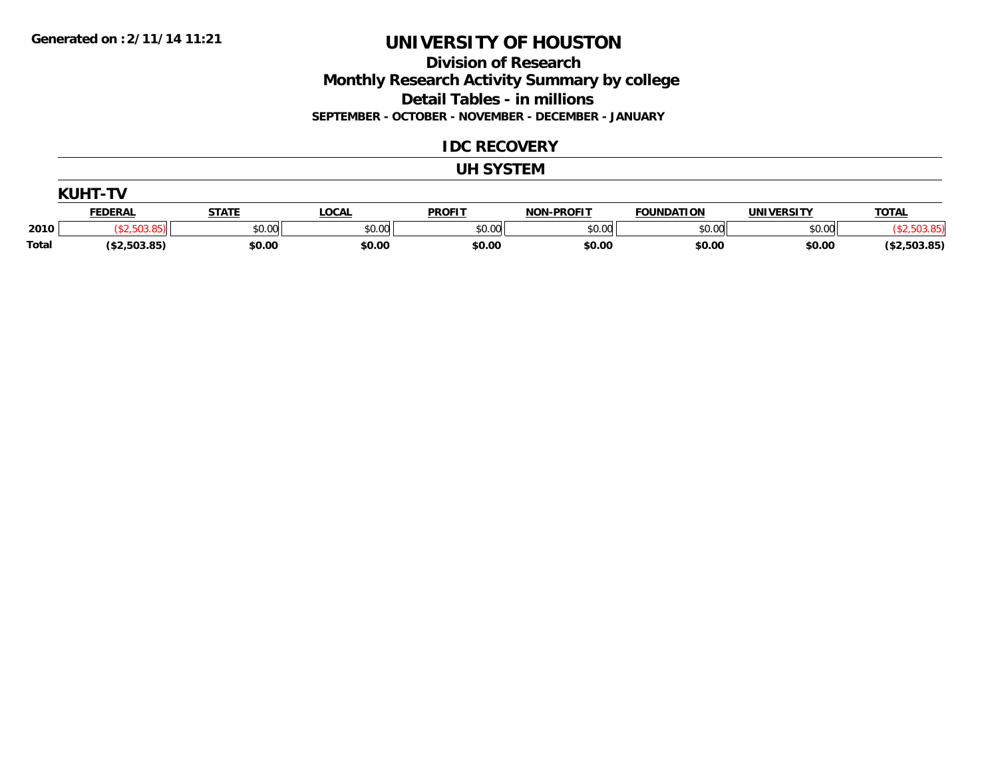### **Division of Research Monthly Research Activity Summary by college Detail Tables - in millions SEPTEMBER - OCTOBER - NOVEMBER - DECEMBER - JANUARY**

#### **IDC RECOVERY**

#### **UH SYSTEM**

|              | KIIHT.<br>T۱   |              |              |               |                   |                   |                   |              |  |
|--------------|----------------|--------------|--------------|---------------|-------------------|-------------------|-------------------|--------------|--|
|              | <b>FEDERAL</b> | <b>STATE</b> | <b>LOCAL</b> | <b>PROFIT</b> | <b>NON-PROFIT</b> | <b>FOUNDATION</b> | <b>UNIVERSITY</b> | <b>TOTAL</b> |  |
| 2010         |                | \$0.00       | \$0.00       | \$0.00        | \$0.00            | \$0.00            | \$0.00            |              |  |
| <b>Total</b> | (\$2,503.85)   | \$0.00       | \$0.00       | \$0.00        | \$0.00            | \$0.00            | \$0.00            | (\$2,503.85) |  |